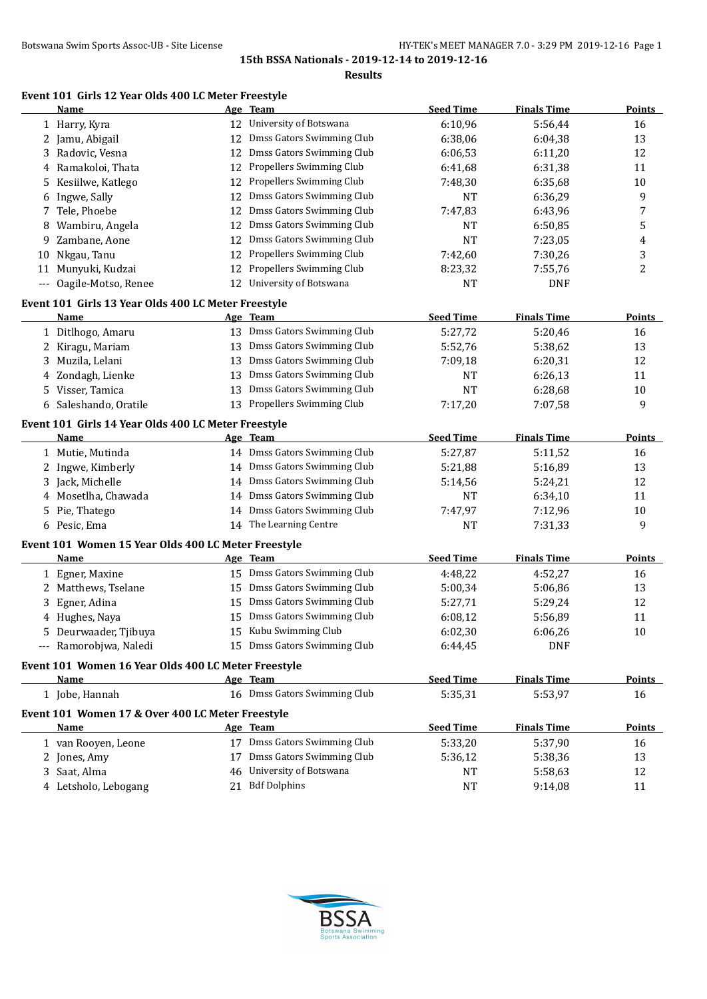**Results**

## **Event 101 Girls 12 Year Olds 400 LC Meter Freestyle**

|                     | Name                                                |    | Age Team                     | <b>Seed Time</b> | <b>Finals Time</b> | <b>Points</b> |
|---------------------|-----------------------------------------------------|----|------------------------------|------------------|--------------------|---------------|
|                     | 1 Harry, Kyra                                       |    | 12 University of Botswana    | 6:10,96          | 5:56,44            | 16            |
| 2                   | Jamu, Abigail                                       | 12 | Dmss Gators Swimming Club    | 6:38,06          | 6:04,38            | 13            |
| 3                   | Radovic, Vesna                                      | 12 | Dmss Gators Swimming Club    | 6:06,53          | 6:11,20            | 12            |
|                     | Ramakoloi, Thata                                    | 12 | Propellers Swimming Club     | 6:41,68          | 6:31,38            | 11            |
| 5                   | Kesiilwe, Katlego                                   | 12 | Propellers Swimming Club     | 7:48,30          | 6:35,68            | 10            |
| 6                   | Ingwe, Sally                                        | 12 | Dmss Gators Swimming Club    | <b>NT</b>        | 6:36,29            | 9             |
| 7                   | Tele, Phoebe                                        | 12 | Dmss Gators Swimming Club    | 7:47,83          | 6:43,96            | 7             |
| 8                   | Wambiru, Angela                                     | 12 | Dmss Gators Swimming Club    | NT               | 6:50,85            | 5             |
| 9                   | Zambane, Aone                                       | 12 | Dmss Gators Swimming Club    | <b>NT</b>        | 7:23,05            | 4             |
| 10                  | Nkgau, Tanu                                         | 12 | Propellers Swimming Club     | 7:42,60          | 7:30,26            | 3             |
| 11                  | Munyuki, Kudzai                                     | 12 | Propellers Swimming Club     | 8:23,32          | 7:55,76            | 2             |
| $\qquad \qquad - -$ | Oagile-Motso, Renee                                 | 12 | University of Botswana       | <b>NT</b>        | <b>DNF</b>         |               |
|                     | Event 101 Girls 13 Year Olds 400 LC Meter Freestyle |    |                              |                  |                    |               |
|                     | <b>Name</b>                                         |    | Age Team                     | <b>Seed Time</b> | <b>Finals Time</b> | <b>Points</b> |
|                     | 1 Ditlhogo, Amaru                                   |    | 13 Dmss Gators Swimming Club | 5:27,72          | 5:20,46            | 16            |
|                     | Kiragu, Mariam                                      | 13 | Dmss Gators Swimming Club    | 5:52,76          | 5:38,62            | 13            |
| 3                   | Muzila, Lelani                                      | 13 | Dmss Gators Swimming Club    | 7:09,18          | 6:20,31            | 12            |
| 4                   | Zondagh, Lienke                                     | 13 | Dmss Gators Swimming Club    | NT               | 6:26,13            | 11            |
| 5.                  | Visser, Tamica                                      | 13 | Dmss Gators Swimming Club    | <b>NT</b>        | 6:28,68            | 10            |
|                     | 6 Saleshando, Oratile                               | 13 | Propellers Swimming Club     | 7:17,20          | 7:07,58            | 9             |
|                     | Event 101 Girls 14 Year Olds 400 LC Meter Freestyle |    |                              |                  |                    |               |
|                     | Name                                                |    | Age Team                     | <b>Seed Time</b> | <b>Finals Time</b> | <b>Points</b> |
|                     | 1 Mutie, Mutinda                                    |    | 14 Dmss Gators Swimming Club | 5:27,87          | 5:11,52            | 16            |
| 2                   | Ingwe, Kimberly                                     |    | 14 Dmss Gators Swimming Club | 5:21,88          | 5:16,89            | 13            |
| 3.                  | Jack, Michelle                                      | 14 | Dmss Gators Swimming Club    | 5:14,56          | 5:24,21            | 12            |
|                     | Mosetlha, Chawada                                   | 14 | Dmss Gators Swimming Club    | <b>NT</b>        | 6:34,10            | 11            |
| 5.                  | Pie, Thatego                                        | 14 | Dmss Gators Swimming Club    | 7:47,97          | 7:12,96            | 10            |
|                     | 6 Pesic, Ema                                        |    | 14 The Learning Centre       | NT               | 7:31,33            | 9             |
|                     | Event 101 Women 15 Year Olds 400 LC Meter Freestyle |    |                              |                  |                    |               |
|                     | Name                                                |    | Age Team                     | <b>Seed Time</b> | <b>Finals Time</b> | <b>Points</b> |
|                     | 1 Egner, Maxine                                     |    | 15 Dmss Gators Swimming Club | 4:48,22          | 4:52,27            | 16            |
| 2                   | Matthews, Tselane                                   | 15 | Dmss Gators Swimming Club    | 5:00,34          | 5:06,86            | 13            |
| 3.                  | Egner, Adina                                        | 15 | Dmss Gators Swimming Club    | 5:27,71          | 5:29,24            | 12            |
|                     | Hughes, Naya                                        | 15 | Dmss Gators Swimming Club    | 6:08,12          | 5:56,89            | 11            |
| 5                   | Deurwaader, Tjibuya                                 |    | 15 Kubu Swimming Club        | 6:02,30          | 6:06,26            | 10            |
|                     | --- Ramorobjwa, Naledi                              |    | 15 Dmss Gators Swimming Club | 6:44,45          | <b>DNF</b>         |               |
|                     | Event 101 Women 16 Year Olds 400 LC Meter Freestyle |    |                              |                  |                    |               |
|                     | Name                                                |    | Age Team                     | <b>Seed Time</b> | <b>Finals Time</b> | <b>Points</b> |
|                     | 1 Jobe, Hannah                                      |    | 16 Dmss Gators Swimming Club | 5:35,31          | 5:53,97            | 16            |
|                     | Event 101 Women 17 & Over 400 LC Meter Freestyle    |    |                              |                  |                    |               |
|                     | Name                                                |    | Age Team                     | <b>Seed Time</b> | <b>Finals Time</b> | Points        |
|                     | 1 van Rooyen, Leone                                 |    | 17 Dmss Gators Swimming Club | 5:33,20          | 5:37,90            | 16            |
|                     | 2 Jones, Amy                                        | 17 | Dmss Gators Swimming Club    | 5:36,12          | 5:38,36            | 13            |
|                     | 3 Saat, Alma                                        | 46 | University of Botswana       | NT               | 5:58,63            | 12            |
|                     | 4 Letsholo, Lebogang                                |    | 21 Bdf Dolphins              | <b>NT</b>        | 9:14,08            | 11            |

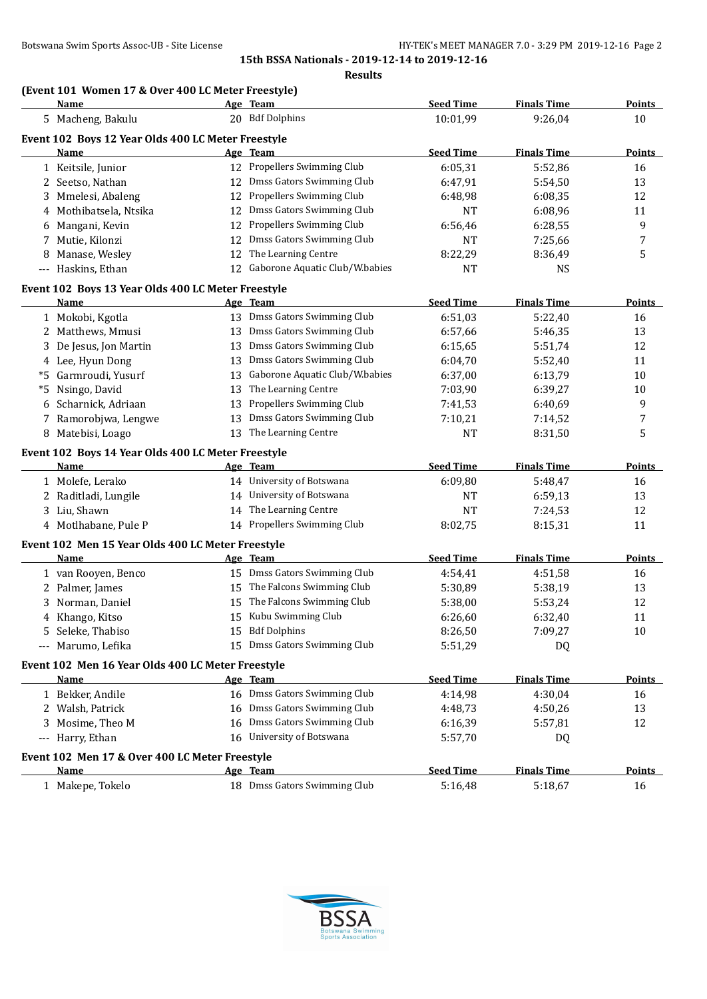## **(Event 101 Women 17 & Over 400 LC Meter Freestyle)**

|       | Name                                               |    | Age Team                          | <b>Seed Time</b> | <b>Finals Time</b> | <b>Points</b> |
|-------|----------------------------------------------------|----|-----------------------------------|------------------|--------------------|---------------|
|       | 5 Macheng, Bakulu                                  |    | 20 Bdf Dolphins                   | 10:01,99         | 9:26,04            | 10            |
|       | Event 102 Boys 12 Year Olds 400 LC Meter Freestyle |    |                                   |                  |                    |               |
|       | Name                                               |    | Age Team                          | <b>Seed Time</b> | <b>Finals Time</b> | <b>Points</b> |
|       | 1 Keitsile, Junior                                 |    | 12 Propellers Swimming Club       | 6:05,31          | 5:52,86            | 16            |
| 2     | Seetso, Nathan                                     |    | 12 Dmss Gators Swimming Club      | 6:47,91          | 5:54,50            | 13            |
|       | 3 Mmelesi, Abaleng                                 | 12 | Propellers Swimming Club          | 6:48,98          | 6:08,35            | 12            |
|       | 4 Mothibatsela, Ntsika                             | 12 | Dmss Gators Swimming Club         | NT               | 6:08,96            | 11            |
|       | 6 Mangani, Kevin                                   | 12 | Propellers Swimming Club          | 6:56,46          | 6:28,55            | 9             |
| 7     | Mutie, Kilonzi                                     | 12 | Dmss Gators Swimming Club         | NT               | 7:25,66            | 7             |
|       | 8 Manase, Wesley                                   | 12 | The Learning Centre               | 8:22,29          | 8:36,49            | 5             |
| $---$ | Haskins, Ethan                                     |    | 12 Gaborone Aquatic Club/W.babies | NT               | <b>NS</b>          |               |
|       | Event 102 Boys 13 Year Olds 400 LC Meter Freestyle |    |                                   |                  |                    |               |
|       | <b>Name</b>                                        |    | Age Team                          | <b>Seed Time</b> | <b>Finals Time</b> | <b>Points</b> |
|       | 1 Mokobi, Kgotla                                   |    | 13 Dmss Gators Swimming Club      | 6:51,03          | 5:22,40            | 16            |
|       | 2 Matthews, Mmusi                                  |    | 13 Dmss Gators Swimming Club      | 6:57,66          | 5:46,35            | 13            |
|       | 3 De Jesus, Jon Martin                             | 13 | Dmss Gators Swimming Club         | 6:15,65          | 5:51,74            | 12            |
|       | 4 Lee, Hyun Dong                                   | 13 | Dmss Gators Swimming Club         | 6:04,70          | 5:52,40            | 11            |
| *5    | Garmroudi, Yusurf                                  | 13 | Gaborone Aquatic Club/W.babies    | 6:37,00          | 6:13,79            | 10            |
| *5    | Nsingo, David                                      | 13 | The Learning Centre               | 7:03,90          | 6:39,27            | 10            |
|       | 6 Scharnick, Adriaan                               | 13 | Propellers Swimming Club          | 7:41,53          | 6:40,69            | 9             |
| 7     | Ramorobjwa, Lengwe                                 | 13 | Dmss Gators Swimming Club         | 7:10,21          | 7:14,52            | 7             |
|       | 8 Matebisi, Loago                                  |    | 13 The Learning Centre            | NT               | 8:31,50            | 5             |
|       | Event 102 Boys 14 Year Olds 400 LC Meter Freestyle |    |                                   |                  |                    |               |
|       | Name                                               |    | Age Team                          | <b>Seed Time</b> | <b>Finals Time</b> | <b>Points</b> |
|       | 1 Molefe, Lerako                                   |    | 14 University of Botswana         | 6:09,80          | 5:48,47            | 16            |
|       | 2 Raditladi, Lungile                               |    | 14 University of Botswana         | <b>NT</b>        | 6:59,13            | 13            |
|       | 3 Liu, Shawn                                       |    | 14 The Learning Centre            | NT               | 7:24,53            | 12            |
|       | 4 Motlhabane, Pule P                               |    | 14 Propellers Swimming Club       | 8:02,75          | 8:15,31            | 11            |
|       | Event 102 Men 15 Year Olds 400 LC Meter Freestyle  |    |                                   |                  |                    |               |
|       | Name                                               |    | Age Team                          | <b>Seed Time</b> | <b>Finals Time</b> | <b>Points</b> |
|       | 1 van Rooyen, Benco                                |    | 15 Dmss Gators Swimming Club      | 4:54,41          | 4:51,58            | 16            |
|       | 2 Palmer, James                                    |    | 15 The Falcons Swimming Club      | 5:30,89          | 5:38,19            | 13            |
|       | 3 Norman, Daniel                                   |    | 15 The Falcons Swimming Club      | 5:38,00          | 5:53,24            | 12            |
|       | 4 Khango, Kitso                                    |    | 15 Kubu Swimming Club             | 6:26,60          | 6:32,40            | 11            |
|       | 5 Seleke, Thabiso                                  |    | 15 Bdf Dolphins                   | 8:26,50          | 7:09,27            | 10            |
|       | --- Marumo, Lefika                                 |    | 15 Dmss Gators Swimming Club      | 5:51,29          | DQ                 |               |
|       | Event 102 Men 16 Year Olds 400 LC Meter Freestyle  |    |                                   |                  |                    |               |
|       | Name                                               |    | Age Team                          | <b>Seed Time</b> | <b>Finals Time</b> | <b>Points</b> |
|       | 1 Bekker, Andile                                   |    | 16 Dmss Gators Swimming Club      | 4:14,98          | 4:30,04            | 16            |
|       | 2 Walsh, Patrick                                   | 16 | Dmss Gators Swimming Club         | 4:48,73          | 4:50,26            | 13            |
| 3.    | Mosime, Theo M                                     | 16 | Dmss Gators Swimming Club         | 6:16,39          | 5:57,81            | 12            |
|       | --- Harry, Ethan                                   |    | 16 University of Botswana         | 5:57,70          | DQ                 |               |
|       | Event 102 Men 17 & Over 400 LC Meter Freestyle     |    |                                   |                  |                    |               |
|       | Name                                               |    | Age Team                          | <b>Seed Time</b> | <b>Finals Time</b> | <b>Points</b> |
|       |                                                    |    |                                   |                  |                    |               |

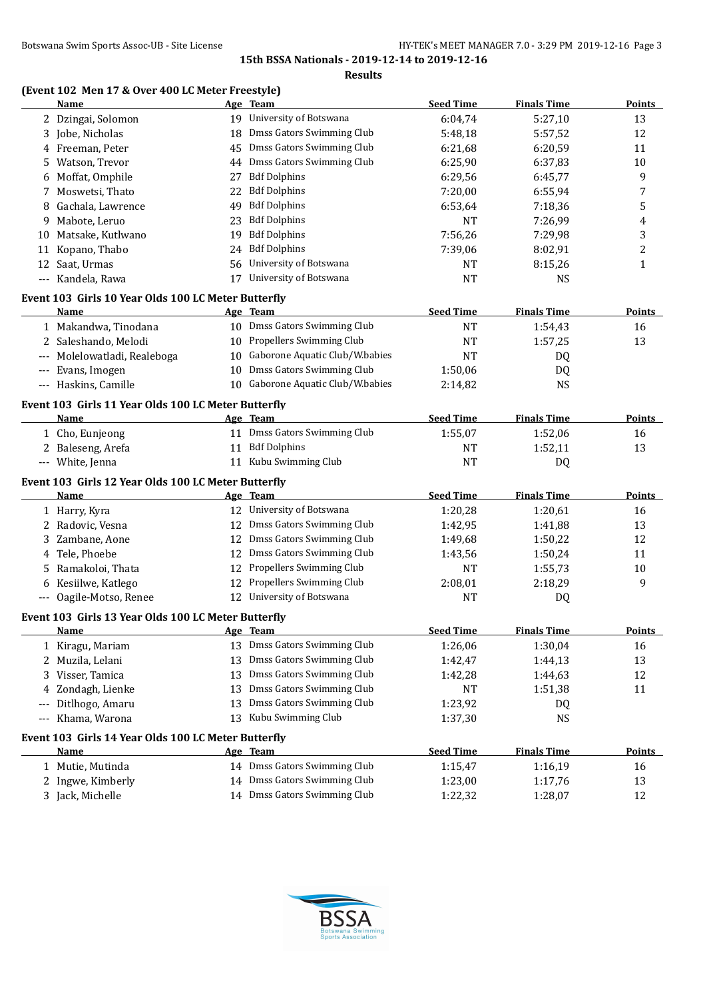**Results**

# **(Event 102 Men 17 & Over 400 LC Meter Freestyle)**

|                      | Name                                                |    | Age Team                              | <b>Seed Time</b> | <b>Finals Time</b> | <b>Points</b> |
|----------------------|-----------------------------------------------------|----|---------------------------------------|------------------|--------------------|---------------|
|                      | 2 Dzingai, Solomon                                  |    | 19 University of Botswana             | 6:04,74          | 5:27,10            | 13            |
| 3                    | Jobe, Nicholas                                      | 18 | Dmss Gators Swimming Club             | 5:48,18          | 5:57,52            | 12            |
| 4                    | Freeman, Peter                                      | 45 | Dmss Gators Swimming Club             | 6:21,68          | 6:20,59            | 11            |
| 5                    | Watson, Trevor                                      | 44 | Dmss Gators Swimming Club             | 6:25,90          | 6:37,83            | 10            |
| 6                    | Moffat, Omphile                                     | 27 | <b>Bdf Dolphins</b>                   | 6:29,56          | 6:45,77            | 9             |
| 7                    | Moswetsi, Thato                                     | 22 | <b>Bdf Dolphins</b>                   | 7:20,00          | 6:55,94            | 7             |
| 8                    | Gachala, Lawrence                                   | 49 | <b>Bdf Dolphins</b>                   | 6:53,64          | 7:18,36            | 5             |
| 9                    | Mabote, Leruo                                       | 23 | <b>Bdf Dolphins</b>                   | <b>NT</b>        | 7:26,99            | 4             |
|                      | 10 Matsake, Kutlwano                                | 19 | <b>Bdf Dolphins</b>                   | 7:56,26          | 7:29,98            | 3             |
|                      | 11 Kopano, Thabo                                    | 24 | <b>Bdf Dolphins</b>                   | 7:39,06          | 8:02,91            | 2             |
|                      | 12 Saat, Urmas                                      | 56 | University of Botswana                | NT               | 8:15,26            | 1             |
|                      | --- Kandela, Rawa                                   | 17 | University of Botswana                | <b>NT</b>        | <b>NS</b>          |               |
|                      | Event 103 Girls 10 Year Olds 100 LC Meter Butterfly |    |                                       |                  |                    |               |
|                      | Name                                                |    | Age Team                              | <b>Seed Time</b> | <b>Finals Time</b> | <b>Points</b> |
|                      | 1 Makandwa, Tinodana                                |    | 10 Dmss Gators Swimming Club          | <b>NT</b>        | 1:54,43            | 16            |
|                      | 2 Saleshando, Melodi                                |    | 10 Propellers Swimming Club           | <b>NT</b>        | 1:57,25            | 13            |
|                      | --- Molelowatladi, Realeboga                        |    | 10 Gaborone Aquatic Club/W.babies     | <b>NT</b>        | DQ                 |               |
|                      | --- Evans, Imogen                                   |    | 10 Dmss Gators Swimming Club          | 1:50,06          | DQ                 |               |
|                      | --- Haskins, Camille                                |    | 10 Gaborone Aquatic Club/W.babies     | 2:14,82          | <b>NS</b>          |               |
|                      | Event 103 Girls 11 Year Olds 100 LC Meter Butterfly |    |                                       |                  |                    |               |
|                      | <b>Name</b>                                         |    | Age Team                              | <b>Seed Time</b> | <b>Finals Time</b> | <b>Points</b> |
|                      | 1 Cho, Eunjeong                                     |    | 11 Dmss Gators Swimming Club          | 1:55,07          | 1:52,06            | 16            |
|                      | 2 Baleseng, Arefa                                   |    | 11 Bdf Dolphins                       | NT               | 1:52,11            | 13            |
|                      | --- White, Jenna                                    |    | 11 Kubu Swimming Club                 | NT               | DQ                 |               |
|                      |                                                     |    |                                       |                  |                    |               |
|                      | Event 103 Girls 12 Year Olds 100 LC Meter Butterfly |    |                                       | <b>Seed Time</b> | <b>Finals Time</b> | <b>Points</b> |
|                      | Name                                                |    | Age Team<br>12 University of Botswana |                  |                    |               |
|                      | 1 Harry, Kyra                                       |    | Dmss Gators Swimming Club             | 1:20,28          | 1:20,61            | 16            |
| 2                    | Radovic, Vesna                                      | 12 |                                       | 1:42,95          | 1:41,88            | 13            |
| 3                    | Zambane, Aone                                       | 12 | Dmss Gators Swimming Club             | 1:49,68          | 1:50,22            | 12            |
| 4                    | Tele, Phoebe                                        | 12 | Dmss Gators Swimming Club             | 1:43,56          | 1:50,24            | 11            |
| 5                    | Ramakoloi, Thata                                    | 12 | Propellers Swimming Club              | NT               | 1:55,73            | 10            |
| 6                    | Kesiilwe, Katlego                                   | 12 | Propellers Swimming Club              | 2:08,01          | 2:18,29            | 9             |
|                      | --- Oagile-Motso, Renee                             | 12 | University of Botswana                | NT               | DQ                 |               |
|                      | Event 103 Girls 13 Year Olds 100 LC Meter Butterfly |    |                                       |                  |                    |               |
|                      | Name                                                |    | Age Team                              | <b>Seed Time</b> | <b>Finals Time</b> | <b>Points</b> |
|                      | 1 Kiragu, Mariam                                    |    | 13 Dmss Gators Swimming Club          | 1:26,06          | 1:30,04            | 16            |
| 2                    | Muzila, Lelani                                      | 13 | Dmss Gators Swimming Club             | 1:42,47          | 1:44,13            | 13            |
| 3                    | Visser, Tamica                                      | 13 | Dmss Gators Swimming Club             | 1:42,28          | 1:44,63            | 12            |
| 4                    | Zondagh, Lienke                                     | 13 | Dmss Gators Swimming Club             | NT               | 1:51,38            | 11            |
| $\qquad \qquad -$    | Ditlhogo, Amaru                                     | 13 | Dmss Gators Swimming Club             | 1:23,92          | DQ                 |               |
| $\scriptstyle\cdots$ | Khama, Warona                                       | 13 | Kubu Swimming Club                    | 1:37,30          | <b>NS</b>          |               |
|                      | Event 103 Girls 14 Year Olds 100 LC Meter Butterfly |    |                                       |                  |                    |               |
|                      | Name                                                |    | Age Team                              | <b>Seed Time</b> | <b>Finals Time</b> | <b>Points</b> |
|                      | 1 Mutie, Mutinda                                    |    | 14 Dmss Gators Swimming Club          | 1:15,47          | 1:16,19            | 16            |
| 2                    | Ingwe, Kimberly                                     |    | 14 Dmss Gators Swimming Club          | 1:23,00          | 1:17,76            | 13            |
|                      | 3 Jack, Michelle                                    |    | 14 Dmss Gators Swimming Club          | 1:22,32          | 1:28,07            | 12            |

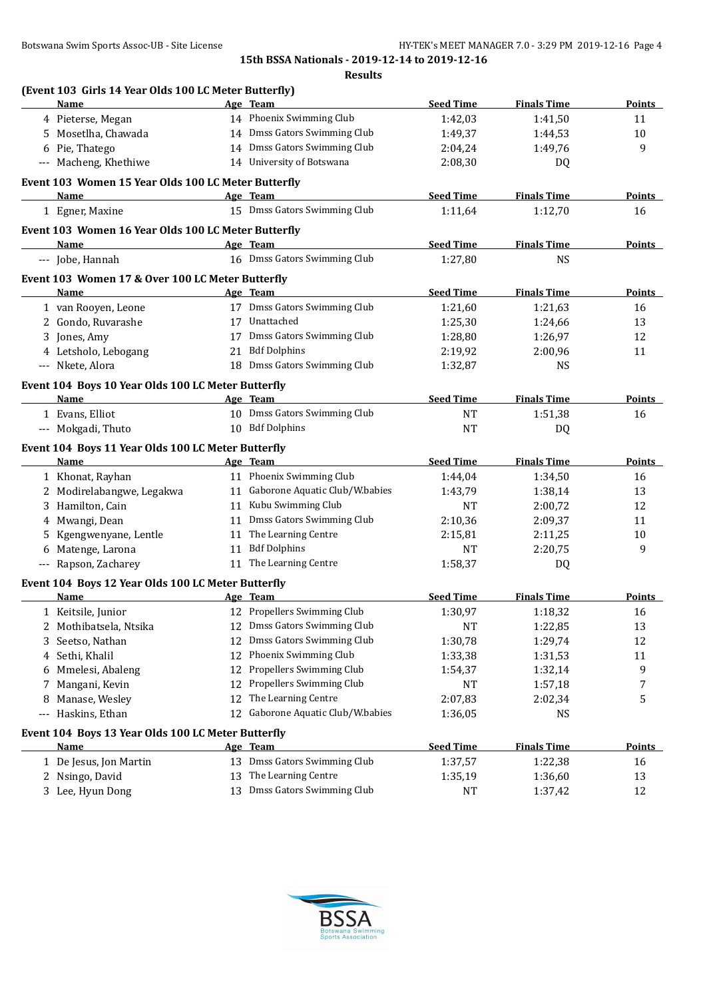|                                                                   |    | <b>Results</b>                                   |                  |                    |               |
|-------------------------------------------------------------------|----|--------------------------------------------------|------------------|--------------------|---------------|
| (Event 103 Girls 14 Year Olds 100 LC Meter Butterfly)             |    |                                                  |                  |                    |               |
| <b>Name</b>                                                       |    | Age Team                                         | <b>Seed Time</b> | <b>Finals Time</b> | <b>Points</b> |
| 4 Pieterse, Megan                                                 |    | 14 Phoenix Swimming Club                         | 1:42,03          | 1:41,50            | 11            |
| 5 Mosetlha, Chawada                                               |    | 14 Dmss Gators Swimming Club                     | 1:49,37          | 1:44,53            | 10            |
| 6 Pie, Thatego                                                    |    | 14 Dmss Gators Swimming Club                     | 2:04,24          | 1:49,76            | 9             |
| --- Macheng, Khethiwe                                             |    | 14 University of Botswana                        | 2:08,30          | DQ                 |               |
| Event 103 Women 15 Year Olds 100 LC Meter Butterfly               |    |                                                  |                  |                    |               |
| Name                                                              |    | Age Team                                         | <b>Seed Time</b> | <b>Finals Time</b> | <b>Points</b> |
| 1 Egner, Maxine                                                   |    | 15 Dmss Gators Swimming Club                     | 1:11,64          | 1:12,70            | 16            |
| Event 103 Women 16 Year Olds 100 LC Meter Butterfly               |    |                                                  |                  |                    |               |
| Name                                                              |    | Age Team                                         | <b>Seed Time</b> | <b>Finals Time</b> | Points        |
| --- Jobe, Hannah                                                  |    | 16 Dmss Gators Swimming Club                     | 1:27,80          | NS.                |               |
| Event 103 Women 17 & Over 100 LC Meter Butterfly                  |    |                                                  |                  |                    |               |
| <b>Name</b>                                                       |    | Age Team                                         | <b>Seed Time</b> | <b>Finals Time</b> | <b>Points</b> |
| 1 van Rooyen, Leone                                               |    | 17 Dmss Gators Swimming Club                     | 1:21,60          | 1:21,63            | 16            |
| 2 Gondo, Ruvarashe                                                |    | 17 Unattached                                    | 1:25,30          | 1:24,66            | 13            |
| 3 Jones, Amy                                                      |    | 17 Dmss Gators Swimming Club                     | 1:28,80          | 1:26,97            | 12            |
| 4 Letsholo, Lebogang                                              |    | 21 Bdf Dolphins                                  | 2:19,92          | 2:00,96            | 11            |
| --- Nkete, Alora                                                  |    | 18 Dmss Gators Swimming Club                     | 1:32,87          | <b>NS</b>          |               |
| Event 104 Boys 10 Year Olds 100 LC Meter Butterfly                |    |                                                  |                  |                    |               |
| <b>Name</b>                                                       |    | Age Team                                         | <b>Seed Time</b> | <b>Finals Time</b> | <b>Points</b> |
| 1 Evans, Elliot                                                   |    | 10 Dmss Gators Swimming Club                     | <b>NT</b>        | 1:51,38            | 16            |
| --- Mokgadi, Thuto                                                |    | 10 Bdf Dolphins                                  | <b>NT</b>        | DQ                 |               |
| Event 104 Boys 11 Year Olds 100 LC Meter Butterfly                |    |                                                  |                  |                    |               |
| Name                                                              |    | Age Team                                         | <b>Seed Time</b> | <b>Finals Time</b> | <b>Points</b> |
| 1 Khonat, Rayhan                                                  |    | 11 Phoenix Swimming Club                         | 1:44,04          | 1:34,50            | 16            |
| 2 Modirelabangwe, Legakwa                                         |    | 11 Gaborone Aquatic Club/W.babies                | 1:43,79          | 1:38,14            | 13            |
| 3 Hamilton, Cain                                                  |    | 11 Kubu Swimming Club                            | NT               | 2:00,72            | 12            |
| 4 Mwangi, Dean                                                    |    | 11 Dmss Gators Swimming Club                     | 2:10,36          | 2:09,37            | 11            |
| 5 Kgengwenyane, Lentle                                            |    | 11 The Learning Centre                           | 2:15,81          | 2:11,25            | 10            |
| 6 Matenge, Larona                                                 |    | 11 Bdf Dolphins                                  | <b>NT</b>        | 2:20,75            | 9             |
| --- Rapson, Zacharey                                              |    | 11 The Learning Centre                           | 1:58,37          | DQ                 |               |
|                                                                   |    |                                                  |                  |                    |               |
| Event 104 Boys 12 Year Olds 100 LC Meter Butterfly<br><u>Name</u> |    | Age Team                                         | <b>Seed Time</b> | <b>Finals Time</b> | <b>Points</b> |
| 1 Keitsile, Junior                                                | 12 | Propellers Swimming Club                         | 1:30,97          | 1:18,32            | 16            |
| Mothibatsela, Ntsika<br>2                                         | 12 | Dmss Gators Swimming Club                        | NT               | 1:22,85            | 13            |
| Seetso, Nathan<br>3                                               | 12 | Dmss Gators Swimming Club                        | 1:30,78          | 1:29,74            | 12            |
| Sethi, Khalil<br>4                                                | 12 | Phoenix Swimming Club                            | 1:33,38          | 1:31,53            | 11            |
| Mmelesi, Abaleng<br>6                                             | 12 | Propellers Swimming Club                         | 1:54,37          | 1:32,14            | 9             |
| Mangani, Kevin<br>7                                               | 12 | Propellers Swimming Club                         | NT               | 1:57,18            | 7             |
| Manase, Wesley<br>8                                               | 12 | The Learning Centre                              | 2:07,83          | 2:02,34            | 5             |
| Haskins, Ethan<br>$\cdots$                                        |    | 12 Gaborone Aquatic Club/W.babies                | 1:36,05          | <b>NS</b>          |               |
|                                                                   |    |                                                  |                  |                    |               |
| Event 104 Boys 13 Year Olds 100 LC Meter Butterfly                |    |                                                  |                  |                    |               |
| <u>Name</u>                                                       |    | Age Team                                         | <b>Seed Time</b> | <b>Finals Time</b> | <b>Points</b> |
| 1 De Jesus, Jon Martin                                            | 13 | Dmss Gators Swimming Club<br>The Learning Centre | 1:37,57          | 1:22,38            | 16            |
| 2 Nsingo, David                                                   | 13 |                                                  | 1:35,19          | 1:36,60            | 13            |
| 3 Lee, Hyun Dong                                                  | 13 | Dmss Gators Swimming Club                        | NT               | 1:37,42            | 12            |

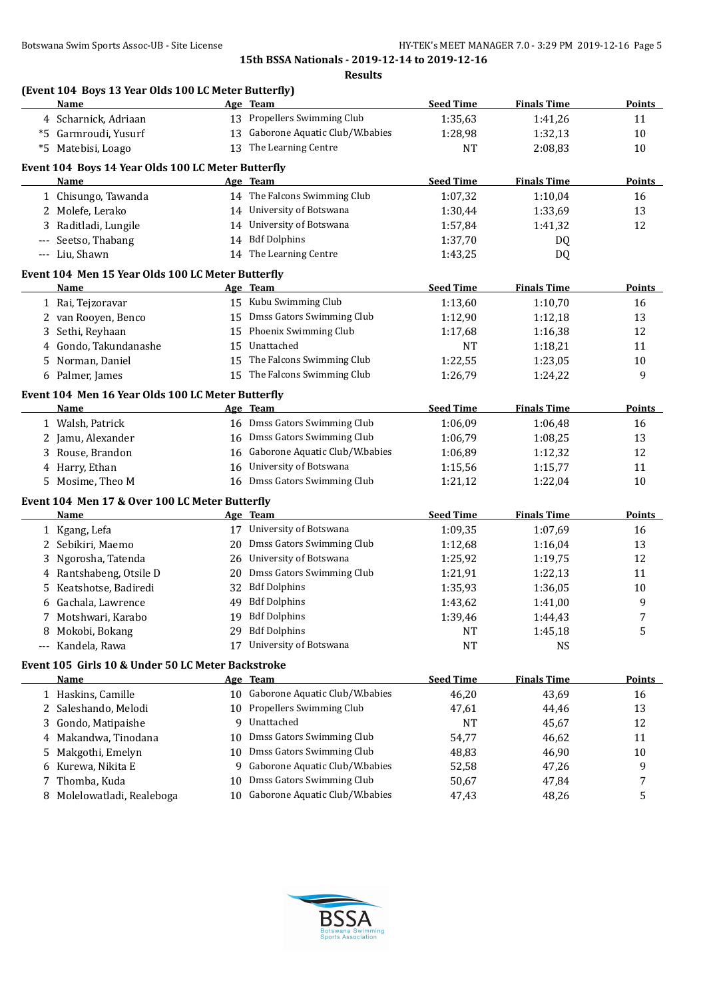| (Event 104 Boys 13 Year Olds 100 LC Meter Butterfly)      |    |                                   |                  |                    |                |
|-----------------------------------------------------------|----|-----------------------------------|------------------|--------------------|----------------|
| Name                                                      |    | Age Team                          | <b>Seed Time</b> | <b>Finals Time</b> | <u>Points </u> |
| 4 Scharnick, Adriaan                                      |    | 13 Propellers Swimming Club       | 1:35,63          | 1:41,26            | 11             |
| *5 Garmroudi, Yusurf                                      |    | 13 Gaborone Aquatic Club/W.babies | 1:28,98          | 1:32,13            | 10             |
| *5 Matebisi, Loago                                        |    | 13 The Learning Centre            | NT               | 2:08,83            | 10             |
| Event 104 Boys 14 Year Olds 100 LC Meter Butterfly        |    |                                   |                  |                    |                |
| Name                                                      |    | Age Team                          | <b>Seed Time</b> | <b>Finals Time</b> | <b>Points</b>  |
| 1 Chisungo, Tawanda                                       |    | 14 The Falcons Swimming Club      | 1:07,32          | 1:10,04            | 16             |
| 2 Molefe, Lerako                                          |    | 14 University of Botswana         | 1:30,44          | 1:33,69            | 13             |
| 3 Raditladi, Lungile                                      |    | 14 University of Botswana         | 1:57,84          | 1:41,32            | 12             |
| Seetso, Thabang<br>---                                    |    | 14 Bdf Dolphins                   | 1:37,70          | DQ                 |                |
| --- Liu, Shawn                                            |    | 14 The Learning Centre            | 1:43,25          | DQ                 |                |
| Event 104 Men 15 Year Olds 100 LC Meter Butterfly         |    |                                   |                  |                    |                |
| Name                                                      |    | Age Team                          | <b>Seed Time</b> | <b>Finals Time</b> | <b>Points</b>  |
| 1 Rai, Tejzoravar                                         |    | 15 Kubu Swimming Club             | 1:13,60          | 1:10,70            | 16             |
| 2 van Rooyen, Benco                                       | 15 | Dmss Gators Swimming Club         | 1:12,90          | 1:12,18            | 13             |
| Sethi, Reyhaan<br>3                                       | 15 | Phoenix Swimming Club             | 1:17,68          | 1:16,38            | 12             |
| 4 Gondo, Takundanashe                                     | 15 | Unattached                        | NT               | 1:18,21            | 11             |
| 5 Norman, Daniel                                          | 15 | The Falcons Swimming Club         | 1:22,55          | 1:23,05            | 10             |
| 6 Palmer, James                                           |    | 15 The Falcons Swimming Club      | 1:26,79          | 1:24,22            | 9              |
|                                                           |    |                                   |                  |                    |                |
| Event 104 Men 16 Year Olds 100 LC Meter Butterfly<br>Name |    | Age Team                          | <b>Seed Time</b> | <b>Finals Time</b> | Points         |
| 1 Walsh, Patrick                                          |    | 16 Dmss Gators Swimming Club      | 1:06,09          | 1:06,48            | 16             |
| 2 Jamu, Alexander                                         |    | 16 Dmss Gators Swimming Club      | 1:06,79          | 1:08,25            | 13             |
| Rouse, Brandon<br>3                                       |    | 16 Gaborone Aquatic Club/W.babies | 1:06,89          | 1:12,32            | 12             |
| 4 Harry, Ethan                                            |    | 16 University of Botswana         | 1:15,56          | 1:15,77            | 11             |
| 5 Mosime, Theo M                                          |    | 16 Dmss Gators Swimming Club      | 1:21,12          | 1:22,04            | 10             |
|                                                           |    |                                   |                  |                    |                |
| Event 104 Men 17 & Over 100 LC Meter Butterfly<br>Name    |    | Age Team                          | <b>Seed Time</b> | <b>Finals Time</b> | <b>Points</b>  |
|                                                           |    | 17 University of Botswana         |                  |                    |                |
| 1 Kgang, Lefa                                             |    |                                   | 1:09,35          | 1:07,69            | 16             |
| Sebikiri, Maemo<br>2                                      | 20 | Dmss Gators Swimming Club         | 1:12,68          | 1:16,04            | 13             |
| Ngorosha, Tatenda                                         | 26 | University of Botswana            | 1:25,92          | 1:19,75            | 12             |
| 4 Rantshabeng, Otsile D                                   | 20 | Dmss Gators Swimming Club         | 1:21,91          | 1:22,13            | 11             |
| Keatshotse, Badiredi<br>5.                                | 32 | <b>Bdf Dolphins</b>               | 1:35,93          | 1:36,05            | 10             |
| 6 Gachala, Lawrence                                       | 49 | <b>Bdf Dolphins</b>               | 1:43,62          | 1:41,00            | 9              |
| Motshwari, Karabo                                         |    | 19 Bdf Dolphins                   | 1:39,46          | 1:44,43            | 7              |
| Mokobi, Bokang<br>8                                       | 29 | <b>Bdf Dolphins</b>               | NT               | 1:45,18            | 5              |
| Kandela, Rawa<br>$---$                                    | 17 | University of Botswana            | <b>NT</b>        | <b>NS</b>          |                |
| Event 105 Girls 10 & Under 50 LC Meter Backstroke         |    |                                   |                  |                    |                |
| <b>Name</b>                                               |    | Age Team                          | <b>Seed Time</b> | <b>Finals Time</b> | <b>Points</b>  |
| 1 Haskins, Camille                                        |    | 10 Gaborone Aquatic Club/W.babies | 46,20            | 43,69              | 16             |
| Saleshando, Melodi<br>2                                   |    | 10 Propellers Swimming Club       | 47,61            | 44,46              | 13             |
| Gondo, Matipaishe<br>3                                    | 9  | Unattached                        | <b>NT</b>        | 45,67              | 12             |
| Makandwa, Tinodana<br>4                                   | 10 | <b>Dmss Gators Swimming Club</b>  | 54,77            | 46,62              | 11             |
| Makgothi, Emelyn<br>5                                     | 10 | Dmss Gators Swimming Club         | 48,83            | 46,90              | 10             |
| 6 Kurewa, Nikita E                                        | 9  | Gaborone Aquatic Club/W.babies    | 52,58            | 47,26              | 9              |
| Thomba, Kuda<br>7                                         | 10 | Dmss Gators Swimming Club         | 50,67            | 47,84              | 7              |
| Molelowatladi, Realeboga<br>8                             |    | 10 Gaborone Aquatic Club/W.babies | 47,43            | 48,26              | 5              |
|                                                           |    |                                   |                  |                    |                |

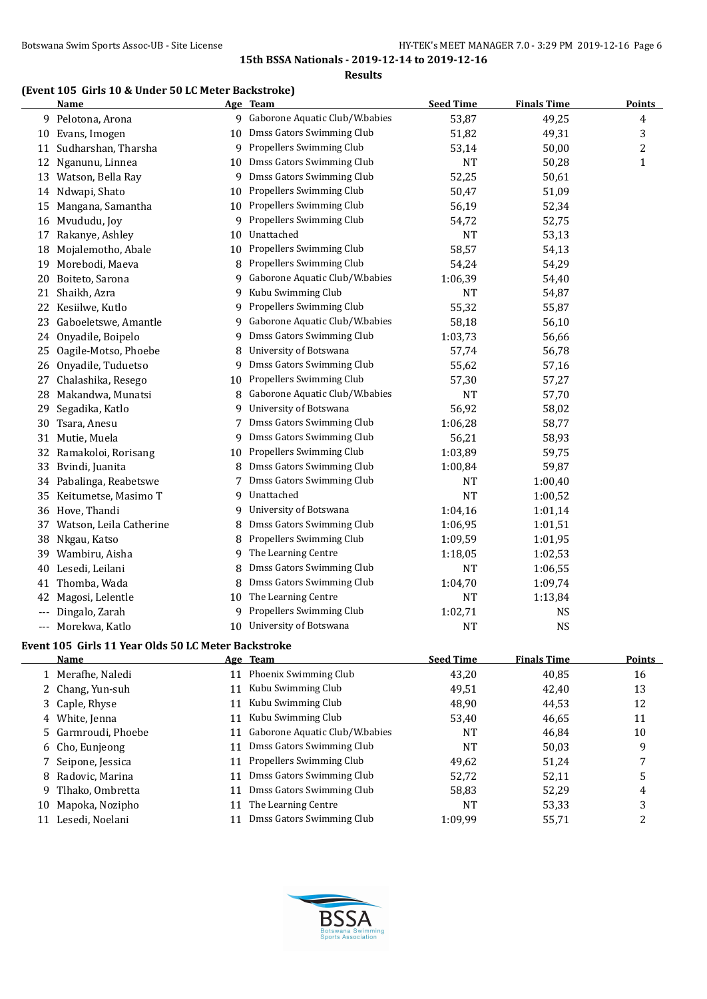#### **Results**

# **(Event 105 Girls 10 & Under 50 LC Meter Backstroke)**

|       | <b>Name</b>                                         |    | Age Team                         | <b>Seed Time</b> | <b>Finals Time</b> | <b>Points</b> |
|-------|-----------------------------------------------------|----|----------------------------------|------------------|--------------------|---------------|
|       | 9 Pelotona, Arona                                   |    | 9 Gaborone Aquatic Club/W.babies | 53,87            | 49,25              | 4             |
|       | 10 Evans, Imogen                                    | 10 | Dmss Gators Swimming Club        | 51,82            | 49,31              | 3             |
| 11    | Sudharshan, Tharsha                                 | 9  | Propellers Swimming Club         | 53,14            | 50,00              | 2             |
|       | 12 Nganunu, Linnea                                  | 10 | Dmss Gators Swimming Club        | NT               | 50,28              | $\mathbf{1}$  |
| 13    | Watson, Bella Ray                                   | 9  | Dmss Gators Swimming Club        | 52,25            | 50,61              |               |
|       | 14 Ndwapi, Shato                                    | 10 | Propellers Swimming Club         | 50,47            | 51,09              |               |
| 15    | Mangana, Samantha                                   | 10 | Propellers Swimming Club         | 56,19            | 52,34              |               |
|       | 16 Mvududu, Joy                                     | 9  | Propellers Swimming Club         | 54,72            | 52,75              |               |
| 17    | Rakanye, Ashley                                     | 10 | Unattached                       | <b>NT</b>        | 53,13              |               |
| 18    | Mojalemotho, Abale                                  | 10 | Propellers Swimming Club         | 58,57            | 54,13              |               |
| 19    | Morebodi, Maeva                                     | 8  | Propellers Swimming Club         | 54,24            | 54,29              |               |
| 20    | Boiteto, Sarona                                     | 9  | Gaborone Aquatic Club/W.babies   | 1:06,39          | 54,40              |               |
| 21    | Shaikh, Azra                                        | 9  | Kubu Swimming Club               | <b>NT</b>        | 54,87              |               |
| 22    | Kesiilwe, Kutlo                                     | 9  | Propellers Swimming Club         | 55,32            | 55,87              |               |
| 23    | Gaboeletswe, Amantle                                | 9  | Gaborone Aquatic Club/W.babies   | 58,18            | 56,10              |               |
| 24    | Onyadile, Boipelo                                   | 9  | Dmss Gators Swimming Club        | 1:03,73          | 56,66              |               |
| 25    | Oagile-Motso, Phoebe                                | 8  | University of Botswana           | 57,74            | 56,78              |               |
| 26    | Onyadile, Tuduetso                                  | 9  | Dmss Gators Swimming Club        | 55,62            | 57,16              |               |
| 27    | Chalashika, Resego                                  | 10 | Propellers Swimming Club         | 57,30            | 57,27              |               |
| 28    | Makandwa, Munatsi                                   | 8  | Gaborone Aquatic Club/W.babies   | NT               | 57,70              |               |
| 29    | Segadika, Katlo                                     | 9  | University of Botswana           | 56,92            | 58,02              |               |
| 30    | Tsara, Anesu                                        |    | Dmss Gators Swimming Club        | 1:06,28          | 58,77              |               |
| 31    | Mutie, Muela                                        | 9  | Dmss Gators Swimming Club        | 56,21            | 58,93              |               |
| 32    | Ramakoloi, Rorisang                                 | 10 | Propellers Swimming Club         | 1:03,89          | 59,75              |               |
|       |                                                     |    | Dmss Gators Swimming Club        |                  |                    |               |
| 33    | Bvindi, Juanita                                     | 8  | Dmss Gators Swimming Club        | 1:00,84          | 59,87              |               |
|       | 34 Pabalinga, Reabetswe                             | 7  | Unattached                       | NT               | 1:00,40            |               |
| 35    | Keitumetse, Masimo T                                | 9  |                                  | <b>NT</b>        | 1:00,52            |               |
| 36    | Hove, Thandi                                        | 9  | University of Botswana           | 1:04,16          | 1:01,14            |               |
| 37    | Watson, Leila Catherine                             | 8  | Dmss Gators Swimming Club        | 1:06,95          | 1:01,51            |               |
| 38    | Nkgau, Katso                                        | 8  | Propellers Swimming Club         | 1:09,59          | 1:01,95            |               |
| 39    | Wambiru, Aisha                                      | 9  | The Learning Centre              | 1:18,05          | 1:02,53            |               |
| 40    | Lesedi, Leilani                                     | 8  | Dmss Gators Swimming Club        | <b>NT</b>        | 1:06,55            |               |
| 41    | Thomba, Wada                                        | 8  | Dmss Gators Swimming Club        | 1:04,70          | 1:09,74            |               |
| 42    | Magosi, Lelentle                                    | 10 | The Learning Centre              | <b>NT</b>        | 1:13,84            |               |
| ---   | Dingalo, Zarah                                      | 9  | Propellers Swimming Club         | 1:02,71          | <b>NS</b>          |               |
| $---$ | Morekwa, Katlo                                      | 10 | University of Botswana           | <b>NT</b>        | <b>NS</b>          |               |
|       | Event 105 Girls 11 Year Olds 50 LC Meter Backstroke |    |                                  |                  |                    |               |
|       | Name                                                |    | Age Team                         | <b>Seed Time</b> | <b>Finals Time</b> | <b>Points</b> |
|       | 1 Merafhe, Naledi                                   |    | 11 Phoenix Swimming Club         | 43,20            | 40,85              | 16            |
| 2     | Chang, Yun-suh                                      | 11 | Kubu Swimming Club               | 49,51            | 42,40              | 13            |
| 3     | Caple, Rhyse                                        | 11 | Kubu Swimming Club               | 48,90            | 44,53              | 12            |
| 4     | White, Jenna                                        | 11 | Kubu Swimming Club               | 53,40            | 46,65              | 11            |
| 5     | Garmroudi, Phoebe                                   | 11 | Gaborone Aquatic Club/W.babies   | NT               | 46,84              | 10            |
| 6     | Cho, Eunjeong                                       | 11 | Dmss Gators Swimming Club        | <b>NT</b>        | 50,03              | 9             |
| 7     | Seipone, Jessica                                    | 11 | Propellers Swimming Club         | 49,62            | 51,24              | 7             |
| 8     | Radovic, Marina                                     | 11 | Dmss Gators Swimming Club        | 52,72            | 52,11              | 5             |
| 9     | Tlhako, Ombretta                                    | 11 | Dmss Gators Swimming Club        | 58,83            | 52,29              | 4             |
| 10    | Mapoka, Nozipho                                     | 11 | The Learning Centre              | NT               | 53,33              | 3             |
|       | 11 Lesedi, Noelani                                  | 11 | Dmss Gators Swimming Club        | 1:09,99          | 55,71              | 2             |
|       |                                                     |    |                                  |                  |                    |               |

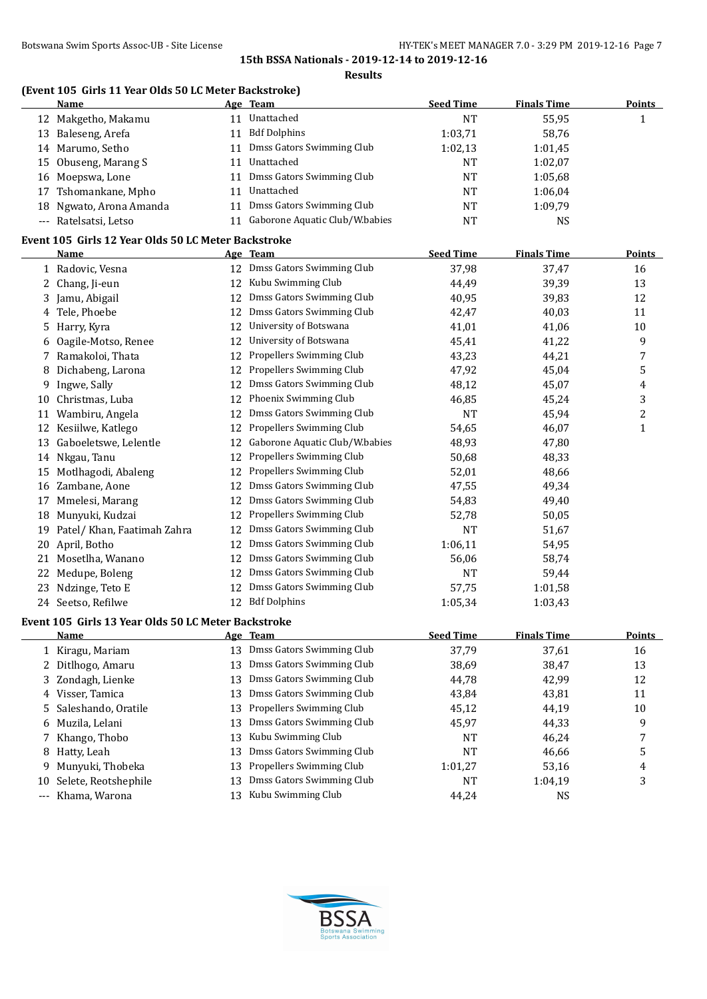#### **Results**

# **(Event 105 Girls 11 Year Olds 50 LC Meter Backstroke)**

|    | Name                                                |    | Age Team                       | <b>Seed Time</b> | <b>Finals Time</b> | <b>Points</b> |
|----|-----------------------------------------------------|----|--------------------------------|------------------|--------------------|---------------|
|    | 12 Makgetho, Makamu                                 | 11 | Unattached                     | NT               | 55,95              |               |
| 13 | Baleseng, Arefa                                     | 11 | <b>Bdf Dolphins</b>            | 1:03.71          | 58.76              |               |
|    | 14 Marumo, Setho                                    | 11 | Dmss Gators Swimming Club      | 1:02.13          | 1:01,45            |               |
|    | 15 Obuseng, Marang S                                | 11 | Unattached                     | NT               | 1:02,07            |               |
|    | 16 Moepswa, Lone                                    | 11 | Dmss Gators Swimming Club      | NT               | 1:05.68            |               |
|    | 17 Tshomankane, Mpho                                | 11 | Unattached                     | NT               | 1:06.04            |               |
|    | 18 Ngwato, Arona Amanda                             | 11 | Dmss Gators Swimming Club      | <b>NT</b>        | 1:09.79            |               |
|    | --- Ratelsatsi, Letso                               | 11 | Gaborone Aquatic Club/W.babies | NT               | <b>NS</b>          |               |
|    | Event 105 Girls 12 Year Olds 50 LC Meter Backstroke |    |                                |                  |                    |               |
|    | <b>Name</b>                                         |    | Age Team                       | <b>Seed Time</b> | <b>Finals Time</b> | <b>Points</b> |

|    | 1 Radovic, Vesna                                     |    | 12 Dmss Gators Swimming Club   | 37,98            | 37,47              | 16            |
|----|------------------------------------------------------|----|--------------------------------|------------------|--------------------|---------------|
| 2  | Chang, Ji-eun                                        | 12 | Kubu Swimming Club             | 44,49            | 39,39              | 13            |
| 3  | Jamu, Abigail                                        | 12 | Dmss Gators Swimming Club      | 40,95            | 39,83              | 12            |
| 4  | Tele, Phoebe                                         | 12 | Dmss Gators Swimming Club      | 42,47            | 40,03              | 11            |
| 5  | Harry, Kyra                                          | 12 | University of Botswana         | 41,01            | 41,06              | 10            |
| 6  | Oagile-Motso, Renee                                  | 12 | University of Botswana         | 45,41            | 41,22              | 9             |
| 7  | Ramakoloi, Thata                                     | 12 | Propellers Swimming Club       | 43,23            | 44,21              | 7             |
| 8  | Dichabeng, Larona                                    | 12 | Propellers Swimming Club       | 47,92            | 45,04              | 5             |
| 9  | Ingwe, Sally                                         | 12 | Dmss Gators Swimming Club      | 48,12            | 45,07              | 4             |
| 10 | Christmas, Luba                                      | 12 | Phoenix Swimming Club          | 46,85            | 45,24              | 3             |
| 11 | Wambiru, Angela                                      | 12 | Dmss Gators Swimming Club      | <b>NT</b>        | 45,94              | 2             |
| 12 | Kesiilwe, Katlego                                    | 12 | Propellers Swimming Club       | 54,65            | 46,07              | $\mathbf{1}$  |
| 13 | Gaboeletswe, Lelentle                                | 12 | Gaborone Aquatic Club/W.babies | 48,93            | 47,80              |               |
| 14 | Nkgau, Tanu                                          | 12 | Propellers Swimming Club       | 50,68            | 48,33              |               |
| 15 | Motlhagodi, Abaleng                                  | 12 | Propellers Swimming Club       | 52,01            | 48,66              |               |
| 16 | Zambane, Aone                                        | 12 | Dmss Gators Swimming Club      | 47,55            | 49,34              |               |
| 17 | Mmelesi, Marang                                      | 12 | Dmss Gators Swimming Club      | 54,83            | 49,40              |               |
| 18 | Munyuki, Kudzai                                      | 12 | Propellers Swimming Club       | 52,78            | 50,05              |               |
| 19 | Patel/ Khan, Faatimah Zahra                          | 12 | Dmss Gators Swimming Club      | <b>NT</b>        | 51,67              |               |
| 20 | April, Botho                                         | 12 | Dmss Gators Swimming Club      | 1:06,11          | 54,95              |               |
|    | 21 Mosetlha, Wanano                                  |    | 12 Dmss Gators Swimming Club   | 56,06            | 58,74              |               |
|    | 22 Medupe, Boleng                                    | 12 | Dmss Gators Swimming Club      | <b>NT</b>        | 59,44              |               |
|    | 23 Ndzinge, Teto E                                   | 12 | Dmss Gators Swimming Club      | 57,75            | 1:01,58            |               |
|    | 24 Seetso, Refilwe                                   |    | 12 Bdf Dolphins                | 1:05,34          | 1:03,43            |               |
|    | Event 105  Girls 13 Year Olds 50 LC Meter Backstroke |    |                                |                  |                    |               |
|    | Name                                                 |    | Age Team                       | <b>Seed Time</b> | <b>Finals Time</b> | <b>Points</b> |
|    | 1 Kiragu, Mariam                                     |    | 13 Dmss Gators Swimming Club   | 37,79            | 37,61              | 16            |
| 2  | Ditlhogo, Amaru                                      | 13 | Dmss Gators Swimming Club      | 38,69            | 38,47              | 13            |
| 3  | Zondagh, Lienke                                      | 13 | Dmss Gators Swimming Club      | 44,78            | 42,99              | 12            |
| 4  | Visser, Tamica                                       | 13 | Dmss Gators Swimming Club      | 43,84            | 43,81              | 11            |
| 5  | Saleshando, Oratile                                  | 13 | Propellers Swimming Club       | 45,12            | 44,19              | 10            |
| 6  | Muzila, Lelani                                       | 13 | Dmss Gators Swimming Club      | 45,97            | 44,33              | 9             |
| 7  | Khango, Thobo                                        | 13 | Kubu Swimming Club             | <b>NT</b>        | 46,24              | 7             |
| 8  | Hatty, Leah                                          | 13 | Dmss Gators Swimming Club      | <b>NT</b>        | 46,66              | 5             |
| 9  | Munyuki, Thobeka                                     | 13 | Propellers Swimming Club       | 1:01,27          | 53,16              | 4             |
|    | 10 Selete, Reotshephile                              | 13 | Dmss Gators Swimming Club      | <b>NT</b>        | 1:04,19            | 3             |
|    | --- Khama, Warona                                    | 13 | Kubu Swimming Club             | 44.24            | <b>NS</b>          |               |

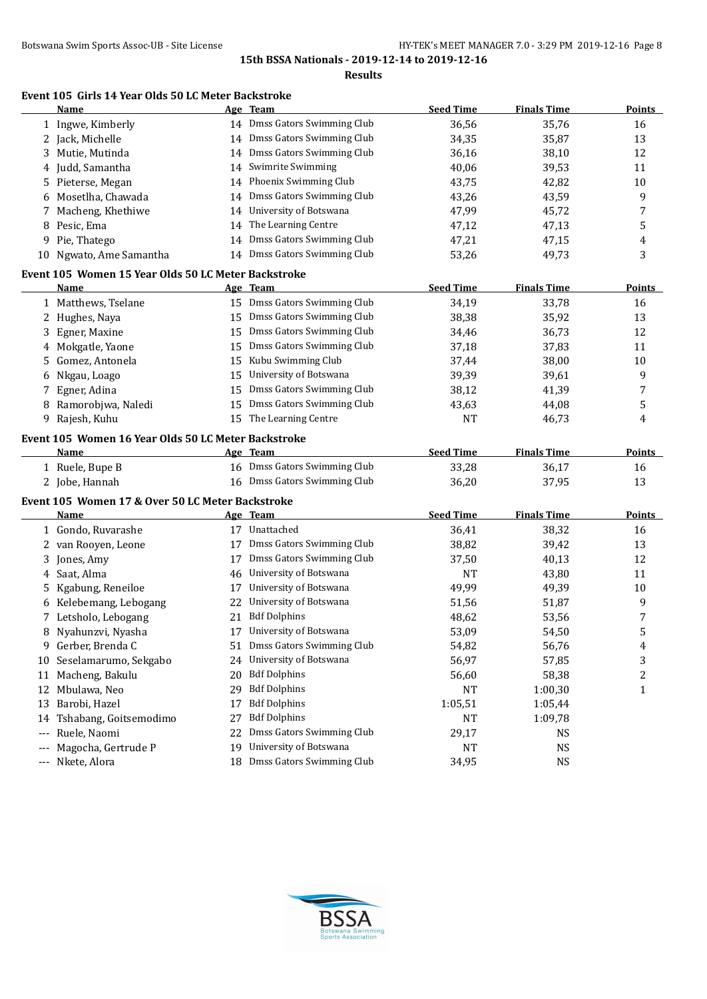**Results**

# **Event 105 Girls 14 Year Olds 50 LC Meter Backstroke**

|                   | Name                                                |    | Age Team                     | <b>Seed Time</b> | <b>Finals Time</b> | <b>Points</b> |
|-------------------|-----------------------------------------------------|----|------------------------------|------------------|--------------------|---------------|
|                   | 1 Ingwe, Kimberly                                   |    | 14 Dmss Gators Swimming Club | 36,56            | 35,76              | 16            |
|                   | 2 Jack, Michelle                                    |    | 14 Dmss Gators Swimming Club | 34,35            | 35,87              | 13            |
| 3                 | Mutie, Mutinda                                      |    | 14 Dmss Gators Swimming Club | 36,16            | 38,10              | 12            |
| 4                 | Judd, Samantha                                      | 14 | Swimrite Swimming            | 40,06            | 39,53              | 11            |
| 5                 | Pieterse, Megan                                     |    | 14 Phoenix Swimming Club     | 43,75            | 42,82              | 10            |
| 6                 | Mosetlha, Chawada                                   |    | 14 Dmss Gators Swimming Club | 43,26            | 43,59              | 9             |
|                   | Macheng, Khethiwe                                   | 14 | University of Botswana       | 47,99            | 45,72              | 7             |
| 8                 | Pesic, Ema                                          | 14 | The Learning Centre          | 47,12            | 47,13              | 5             |
|                   | 9 Pie, Thatego                                      | 14 | Dmss Gators Swimming Club    | 47,21            | 47,15              | 4             |
|                   | 10 Ngwato, Ame Samantha                             |    | 14 Dmss Gators Swimming Club | 53,26            | 49,73              | 3             |
|                   | Event 105 Women 15 Year Olds 50 LC Meter Backstroke |    |                              |                  |                    |               |
|                   | Name                                                |    | Age Team                     | <b>Seed Time</b> | <b>Finals Time</b> | <b>Points</b> |
|                   | 1 Matthews, Tselane                                 |    | 15 Dmss Gators Swimming Club | 34,19            | 33,78              | 16            |
|                   | 2 Hughes, Naya                                      |    | 15 Dmss Gators Swimming Club | 38,38            | 35,92              | 13            |
|                   | 3 Egner, Maxine                                     |    | 15 Dmss Gators Swimming Club | 34,46            | 36,73              | 12            |
|                   | 4 Mokgatle, Yaone                                   | 15 | Dmss Gators Swimming Club    | 37,18            | 37,83              | 11            |
| 5.                | Gomez, Antonela                                     | 15 | Kubu Swimming Club           | 37,44            | 38,00              | 10            |
|                   | 6 Nkgau, Loago                                      | 15 | University of Botswana       | 39,39            | 39,61              | 9             |
|                   | 7 Egner, Adina                                      | 15 | Dmss Gators Swimming Club    | 38,12            | 41,39              | 7             |
|                   | 8 Ramorobjwa, Naledi                                | 15 | Dmss Gators Swimming Club    | 43,63            | 44,08              | 5             |
|                   | 9 Rajesh, Kuhu                                      |    | 15 The Learning Centre       | <b>NT</b>        | 46,73              | 4             |
|                   |                                                     |    |                              |                  |                    |               |
|                   | Event 105 Women 16 Year Olds 50 LC Meter Backstroke |    |                              |                  |                    |               |
|                   | Name                                                |    | Age Team                     | <b>Seed Time</b> | <b>Finals Time</b> | <b>Points</b> |
|                   | 1 Ruele, Bupe B                                     |    | 16 Dmss Gators Swimming Club | 33,28            | 36,17              | 16            |
|                   | 2 Jobe, Hannah                                      |    | 16 Dmss Gators Swimming Club | 36,20            | 37,95              | 13            |
|                   | Event 105 Women 17 & Over 50 LC Meter Backstroke    |    |                              |                  |                    |               |
|                   | Name                                                |    | Age Team                     | <b>Seed Time</b> | <b>Finals Time</b> | <b>Points</b> |
|                   | 1 Gondo, Ruvarashe                                  |    | 17 Unattached                | 36,41            | 38,32              | 16            |
|                   | 2 van Rooyen, Leone                                 | 17 | Dmss Gators Swimming Club    | 38,82            | 39,42              | 13            |
| 3                 | Jones, Amy                                          | 17 | Dmss Gators Swimming Club    | 37,50            | 40,13              | 12            |
| 4                 | Saat, Alma                                          | 46 | University of Botswana       | <b>NT</b>        | 43,80              | 11            |
| 5                 | Kgabung, Reneiloe                                   | 17 | University of Botswana       | 49,99            | 49,39              | 10            |
|                   | 6 Kelebemang, Lebogang                              | 22 | University of Botswana       | 51,56            | 51,87              | 9             |
|                   | 7 Letsholo, Lebogang                                | 21 | <b>Bdf Dolphins</b>          | 48,62            | 53,56              | 7             |
|                   | 8 Nyahunzvi, Nyasha                                 |    | 17 University of Botswana    | 53,09            | 54,50              | 5             |
| 9.                | Gerber, Brenda C                                    | 51 | Dmss Gators Swimming Club    | 54,82            | 56,76              | 4             |
|                   | 10 Seselamarumo, Sekgabo                            | 24 | University of Botswana       | 56,97            | 57,85              | 3             |
|                   | 11 Macheng, Bakulu                                  | 20 | <b>Bdf Dolphins</b>          | 56,60            | 58,38              | 2             |
|                   | 12 Mbulawa, Neo                                     | 29 | <b>Bdf Dolphins</b>          | <b>NT</b>        | 1:00,30            | 1             |
| 13                | Barobi, Hazel                                       | 17 | <b>Bdf Dolphins</b>          | 1:05,51          | 1:05,44            |               |
| 14                | Tshabang, Goitsemodimo                              | 27 | <b>Bdf Dolphins</b>          | <b>NT</b>        | 1:09,78            |               |
| $\qquad \qquad -$ | Ruele, Naomi                                        | 22 | Dmss Gators Swimming Club    | 29,17            | NS                 |               |
| $---$             | Magocha, Gertrude P                                 | 19 | University of Botswana       | NT               | <b>NS</b>          |               |
|                   | --- Nkete, Alora                                    | 18 | Dmss Gators Swimming Club    | 34,95            | <b>NS</b>          |               |

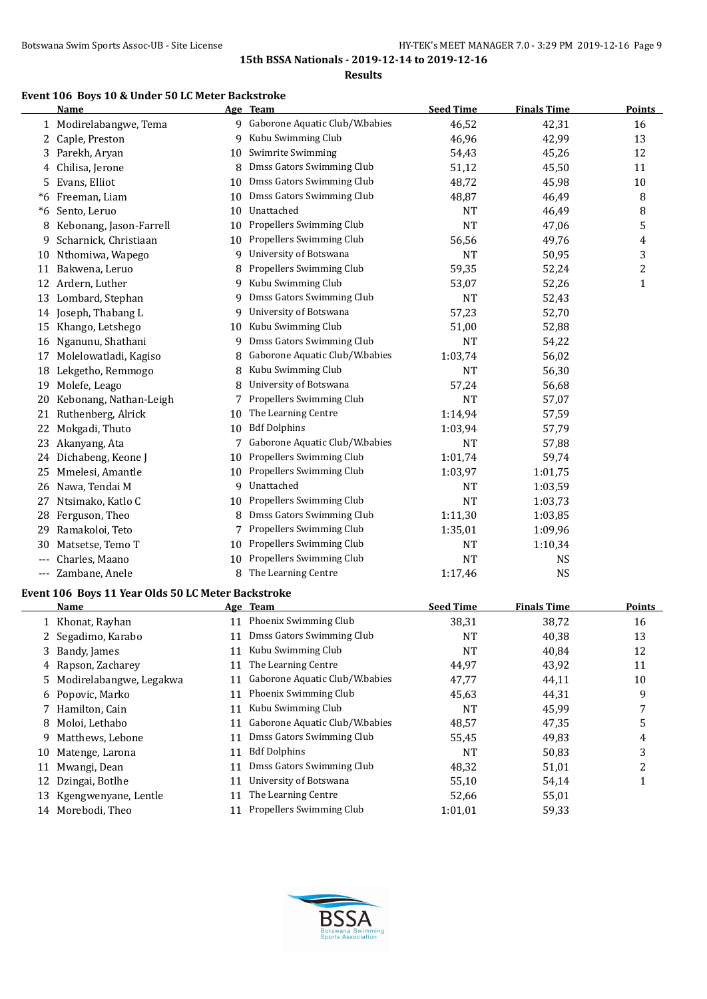**Results**

#### **Event 106 Boys 10 & Under 50 LC Meter Backstroke**

|       | Name                                               |    | Age Team                         | <b>Seed Time</b> | <b>Finals Time</b> | <b>Points</b>  |
|-------|----------------------------------------------------|----|----------------------------------|------------------|--------------------|----------------|
|       | 1 Modirelabangwe, Tema                             |    | 9 Gaborone Aquatic Club/W.babies | 46,52            | 42,31              | 16             |
|       | 2 Caple, Preston                                   | 9  | Kubu Swimming Club               | 46,96            | 42,99              | 13             |
|       | 3 Parekh, Aryan                                    | 10 | Swimrite Swimming                | 54,43            | 45,26              | 12             |
| 4     | Chilisa, Jerone                                    |    | 8 Dmss Gators Swimming Club      | 51,12            | 45,50              | 11             |
| 5     | Evans, Elliot                                      | 10 | Dmss Gators Swimming Club        | 48,72            | 45,98              | 10             |
| *6    | Freeman, Liam                                      | 10 | Dmss Gators Swimming Club        | 48,87            | 46,49              | 8              |
| *6    | Sento, Leruo                                       | 10 | Unattached                       | <b>NT</b>        | 46,49              | 8              |
| 8     | Kebonang, Jason-Farrell                            | 10 | Propellers Swimming Club         | <b>NT</b>        | 47,06              | 5              |
| 9     | Scharnick, Christiaan                              | 10 | Propellers Swimming Club         | 56,56            | 49,76              | 4              |
|       | 10 Nthomiwa, Wapego                                | 9  | University of Botswana           | <b>NT</b>        | 50,95              | 3              |
|       | 11 Bakwena, Leruo                                  | 8  | Propellers Swimming Club         | 59,35            | 52,24              | $\overline{c}$ |
|       | 12 Ardern, Luther                                  | 9  | Kubu Swimming Club               | 53,07            | 52,26              | $\mathbf{1}$   |
|       | 13 Lombard, Stephan                                | 9  | Dmss Gators Swimming Club        | <b>NT</b>        | 52,43              |                |
|       | 14 Joseph, Thabang L                               | 9  | University of Botswana           | 57,23            | 52,70              |                |
|       | 15 Khango, Letshego                                |    | 10 Kubu Swimming Club            | 51,00            | 52,88              |                |
|       | 16 Nganunu, Shathani                               | 9  | Dmss Gators Swimming Club        | NT               | 54,22              |                |
|       | 17 Molelowatladi, Kagiso                           | 8  | Gaborone Aquatic Club/W.babies   | 1:03,74          | 56,02              |                |
|       | 18 Lekgetho, Remmogo                               | 8  | Kubu Swimming Club               | NT               | 56,30              |                |
| 19    | Molefe, Leago                                      | 8  | University of Botswana           | 57,24            | 56,68              |                |
| 20    | Kebonang, Nathan-Leigh                             | 7  | Propellers Swimming Club         | <b>NT</b>        | 57,07              |                |
|       | 21 Ruthenberg, Alrick                              | 10 | The Learning Centre              | 1:14,94          | 57,59              |                |
| 22    | Mokgadi, Thuto                                     | 10 | <b>Bdf Dolphins</b>              | 1:03,94          | 57,79              |                |
|       | 23 Akanyang, Ata                                   | 7  | Gaborone Aquatic Club/W.babies   | <b>NT</b>        | 57,88              |                |
|       | 24 Dichabeng, Keone J                              | 10 | Propellers Swimming Club         | 1:01,74          | 59,74              |                |
|       | 25 Mmelesi, Amantle                                | 10 | Propellers Swimming Club         | 1:03,97          | 1:01,75            |                |
|       | 26 Nawa, Tendai M                                  |    | 9 Unattached                     | NT               | 1:03,59            |                |
|       | 27 Ntsimako, Katlo C                               | 10 | Propellers Swimming Club         | <b>NT</b>        | 1:03,73            |                |
|       | 28 Ferguson, Theo                                  | 8  | Dmss Gators Swimming Club        | 1:11,30          | 1:03,85            |                |
| 29.   | Ramakoloi, Teto                                    | 7  | Propellers Swimming Club         | 1:35,01          | 1:09,96            |                |
| 30    | Matsetse, Temo T                                   | 10 | Propellers Swimming Club         | <b>NT</b>        | 1:10,34            |                |
| ---   | Charles, Maano                                     | 10 | Propellers Swimming Club         | <b>NT</b>        | <b>NS</b>          |                |
| $---$ | Zambane, Anele                                     | 8  | The Learning Centre              | 1:17,46          | <b>NS</b>          |                |
|       | Event 106 Boys 11 Year Olds 50 LC Meter Backstroke |    |                                  |                  |                    |                |
|       | Name                                               |    | Age Team                         | <b>Seed Time</b> | <b>Finals Time</b> | <b>Points</b>  |
|       | 1 Khonat, Rayhan                                   |    | 11 Phoenix Swimming Club         | 38,31            | 38,72              | 16             |
| 2     | Segadimo, Karabo                                   |    | 11 Dmss Gators Swimming Club     | <b>NT</b>        | 40,38              | 13             |
|       | 3 Bandy, James                                     | 11 | Kubu Swimming Club               | <b>NT</b>        | 40,84              | 12             |
|       | 4 Rapson, Zacharey                                 |    | 11 The Learning Centre           | 44,97            | 43,92              | 11             |



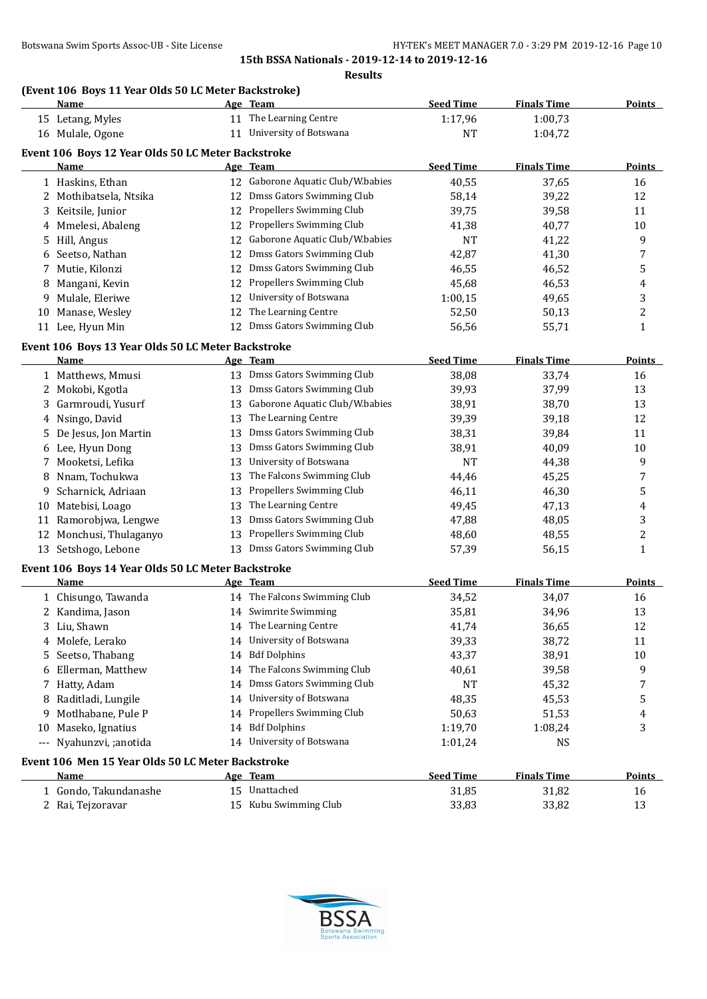#### **(Event 106 Boys 11 Year Olds 50 LC Meter Backstroke)**

|          | TERCHE TOO "BOYS" I'L TCAT" ORGS JO BC MICKET BACKSEI ORG  <br><u>Name</u> |    | Age Team                          | <b>Seed Time</b> | <b>Finals Time</b> | <b>Points</b>  |
|----------|----------------------------------------------------------------------------|----|-----------------------------------|------------------|--------------------|----------------|
|          | 15 Letang, Myles                                                           |    | 11 The Learning Centre            | 1:17,96          | 1:00,73            |                |
|          | 16 Mulale, Ogone                                                           |    | 11 University of Botswana         | <b>NT</b>        | 1:04,72            |                |
|          | Event 106 Boys 12 Year Olds 50 LC Meter Backstroke                         |    |                                   |                  |                    |                |
|          | Name                                                                       |    | Age Team                          | <b>Seed Time</b> | <b>Finals Time</b> | <b>Points</b>  |
|          | 1 Haskins, Ethan                                                           |    | 12 Gaborone Aquatic Club/W.babies | 40,55            | 37,65              | 16             |
|          | 2 Mothibatsela, Ntsika                                                     | 12 | Dmss Gators Swimming Club         | 58,14            | 39,22              | 12             |
| 3        | Keitsile, Junior                                                           |    | 12 Propellers Swimming Club       | 39,75            | 39,58              | 11             |
| 4        | Mmelesi, Abaleng                                                           | 12 | Propellers Swimming Club          | 41,38            | 40,77              | 10             |
| 5        | Hill, Angus                                                                | 12 | Gaborone Aquatic Club/W.babies    | <b>NT</b>        | 41,22              | 9              |
| 6        | Seetso, Nathan                                                             | 12 | Dmss Gators Swimming Club         | 42,87            | 41,30              | 7              |
| 7        | Mutie, Kilonzi                                                             | 12 | Dmss Gators Swimming Club         | 46,55            | 46,52              | 5              |
| 8        | Mangani, Kevin                                                             | 12 | Propellers Swimming Club          | 45,68            | 46,53              | 4              |
| 9        | Mulale, Eleriwe                                                            | 12 | University of Botswana            | 1:00,15          | 49,65              | 3              |
| 10       | Manase, Wesley                                                             | 12 | The Learning Centre               | 52,50            | 50,13              | $\overline{c}$ |
|          | 11 Lee, Hyun Min                                                           | 12 | Dmss Gators Swimming Club         | 56,56            | 55,71              | $\mathbf{1}$   |
|          |                                                                            |    |                                   |                  |                    |                |
|          | Event 106 Boys 13 Year Olds 50 LC Meter Backstroke                         |    |                                   |                  |                    |                |
|          | Name                                                                       |    | Age Team                          | <b>Seed Time</b> | <b>Finals Time</b> | <b>Points</b>  |
|          | 1 Matthews, Mmusi                                                          |    | 13 Dmss Gators Swimming Club      | 38,08            | 33,74              | 16             |
| 2        | Mokobi, Kgotla                                                             | 13 | Dmss Gators Swimming Club         | 39,93            | 37,99              | 13             |
| 3        | Garmroudi, Yusurf                                                          | 13 | Gaborone Aquatic Club/W.babies    | 38,91            | 38,70              | 13             |
| 4        | Nsingo, David                                                              | 13 | The Learning Centre               | 39,39            | 39,18              | 12             |
| 5        | De Jesus, Jon Martin                                                       | 13 | Dmss Gators Swimming Club         | 38,31            | 39,84              | 11             |
|          | 6 Lee, Hyun Dong                                                           | 13 | Dmss Gators Swimming Club         | 38,91            | 40,09              | 10             |
| 7        | Mooketsi, Lefika                                                           | 13 | University of Botswana            | <b>NT</b>        | 44,38              | 9              |
| 8        | Nnam, Tochukwa                                                             | 13 | The Falcons Swimming Club         | 44,46            | 45,25              | 7              |
| 9        | Scharnick, Adriaan                                                         | 13 | Propellers Swimming Club          | 46,11            | 46,30              | 5              |
|          | 10 Matebisi, Loago                                                         | 13 | The Learning Centre               | 49,45            | 47,13              | 4              |
|          | 11 Ramorobjwa, Lengwe                                                      | 13 | Dmss Gators Swimming Club         | 47,88            | 48,05              | 3              |
|          | 12 Monchusi, Thulaganyo                                                    | 13 | Propellers Swimming Club          | 48,60            | 48,55              | $\overline{c}$ |
|          | 13 Setshogo, Lebone                                                        | 13 | Dmss Gators Swimming Club         | 57,39            | 56,15              | $\mathbf{1}$   |
|          | Event 106 Boys 14 Year Olds 50 LC Meter Backstroke                         |    |                                   |                  |                    |                |
|          | Name                                                                       |    | Age Team                          | <b>Seed Time</b> | <b>Finals Time</b> | <b>Points</b>  |
|          | 1 Chisungo, Tawanda                                                        |    | 14 The Falcons Swimming Club      | 34,52            | 34,07              | 16             |
|          | 2 Kandima, Jason                                                           |    | 14 Swimrite Swimming              | 35,81            | 34,96              | 13             |
|          | 3 Liu, Shawn                                                               |    | 14 The Learning Centre            | 41,74            | 36,65              | 12             |
|          | 4 Molefe, Lerako                                                           |    | 14 University of Botswana         | 39,33            | 38,72              | 11             |
|          | 5 Seetso, Thabang                                                          | 14 | <b>Bdf Dolphins</b>               | 43,37            | 38,91              | 10             |
| 6        | Ellerman, Matthew                                                          | 14 | The Falcons Swimming Club         | 40,61            | 39,58              | 9              |
| 7        | Hatty, Adam                                                                | 14 | Dmss Gators Swimming Club         | <b>NT</b>        | 45,32              | 7              |
| 8        | Raditladi, Lungile                                                         | 14 | University of Botswana            | 48,35            | 45,53              | 5              |
| 9        | Motlhabane, Pule P                                                         |    | 14 Propellers Swimming Club       | 50,63            | 51,53              | 4              |
|          | 10 Maseko, Ignatius                                                        |    | 14 Bdf Dolphins                   | 1:19,70          | 1:08,24            | 3              |
| $\cdots$ | Nyahunzvi, ;anotida                                                        |    | 14 University of Botswana         | 1:01,24          | <b>NS</b>          |                |
|          |                                                                            |    |                                   |                  |                    |                |
|          | Event 106 Men 15 Year Olds 50 LC Meter Backstroke<br>Name                  |    | Age Team                          | <b>Seed Time</b> | <b>Finals Time</b> | <b>Points</b>  |
|          | 1 Gondo, Takundanashe                                                      |    | 15 Unattached                     | 31,85            | 31,82              | 16             |
|          | 2 Rai, Tejzoravar                                                          |    | 15 Kubu Swimming Club             | 33,83            |                    | 13             |
|          |                                                                            |    |                                   |                  | 33,82              |                |

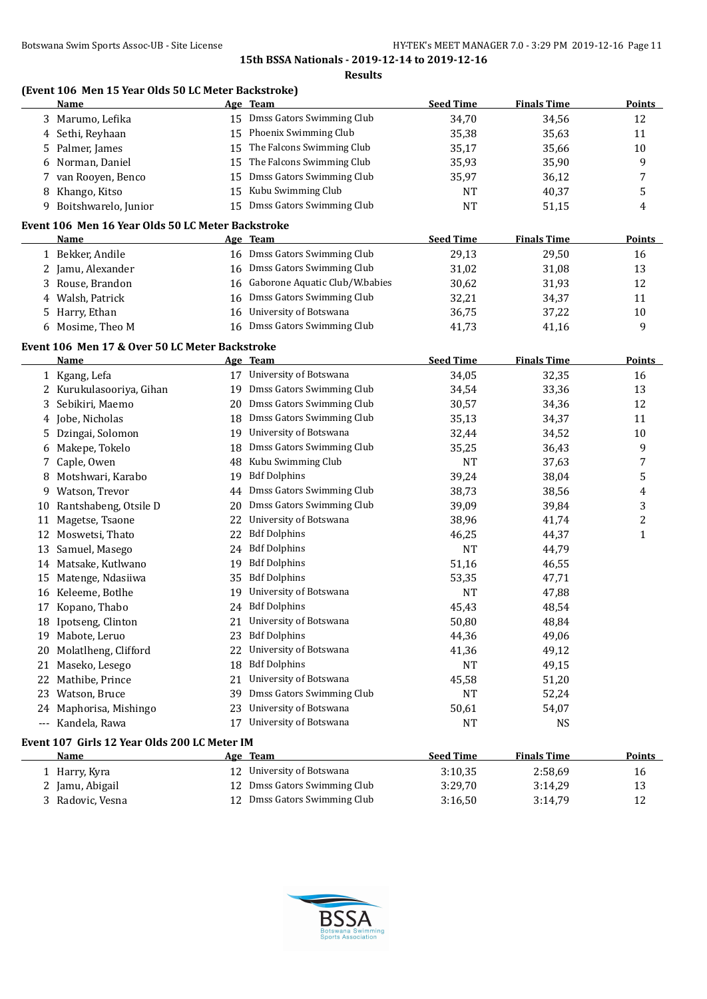|   | (Event 106 Men 15 Year Olds 50 LC Meter Backstroke)<br>Name |    | Age Team                          | <b>Seed Time</b> | <b>Finals Time</b> | <b>Points</b>    |
|---|-------------------------------------------------------------|----|-----------------------------------|------------------|--------------------|------------------|
|   |                                                             |    | 15 Dmss Gators Swimming Club      |                  |                    |                  |
|   | 3 Marumo, Lefika                                            |    | 15 Phoenix Swimming Club          | 34,70            | 34,56              | 12               |
|   | 4 Sethi, Reyhaan                                            |    | 15 The Falcons Swimming Club      | 35,38            | 35,63              | 11               |
|   | 5 Palmer, James                                             |    | 15 The Falcons Swimming Club      | 35,17            | 35,66              | 10               |
|   | 6 Norman, Daniel                                            |    |                                   | 35,93            | 35,90              | 9                |
|   | 7 van Rooyen, Benco                                         |    | 15 Dmss Gators Swimming Club      | 35,97            | 36,12              | 7                |
|   | 8 Khango, Kitso                                             |    | 15 Kubu Swimming Club             | NT               | 40,37              | 5                |
|   | 9 Boitshwarelo, Junior                                      |    | 15 Dmss Gators Swimming Club      | <b>NT</b>        | 51,15              | 4                |
|   | Event 106 Men 16 Year Olds 50 LC Meter Backstroke           |    | Age Team                          | <b>Seed Time</b> | <b>Finals Time</b> | <b>Points</b>    |
|   | Name                                                        |    |                                   |                  |                    |                  |
|   | 1 Bekker, Andile                                            |    | 16 Dmss Gators Swimming Club      | 29,13            | 29,50              | 16               |
|   | 2 Jamu, Alexander                                           |    | 16 Dmss Gators Swimming Club      | 31,02            | 31,08              | 13               |
|   | 3 Rouse, Brandon                                            |    | 16 Gaborone Aquatic Club/W.babies | 30,62            | 31,93              | 12               |
|   | 4 Walsh, Patrick                                            | 16 | Dmss Gators Swimming Club         | 32,21            | 34,37              | 11               |
|   | 5 Harry, Ethan                                              | 16 | University of Botswana            | 36,75            | 37,22              | 10               |
|   | 6 Mosime, Theo M                                            |    | 16 Dmss Gators Swimming Club      | 41,73            | 41,16              | 9                |
|   | Event 106 Men 17 & Over 50 LC Meter Backstroke              |    |                                   |                  |                    |                  |
|   | Name                                                        |    | Age Team                          | <b>Seed Time</b> | <b>Finals Time</b> | <b>Points</b>    |
|   | 1 Kgang, Lefa                                               |    | 17 University of Botswana         | 34,05            | 32,35              | 16               |
|   | 2 Kurukulasooriya, Gihan                                    |    | 19 Dmss Gators Swimming Club      | 34,54            | 33,36              | 13               |
| 3 | Sebikiri, Maemo                                             |    | 20 Dmss Gators Swimming Club      | 30,57            | 34,36              | 12               |
|   | 4 Jobe, Nicholas                                            |    | 18 Dmss Gators Swimming Club      | 35,13            | 34,37              | 11               |
|   | 5 Dzingai, Solomon                                          |    | 19 University of Botswana         | 32,44            | 34,52              | 10               |
|   | 6 Makepe, Tokelo                                            |    | 18 Dmss Gators Swimming Club      | 35,25            | 36,43              | 9                |
|   | 7 Caple, Owen                                               |    | 48 Kubu Swimming Club             | <b>NT</b>        | 37,63              | 7                |
|   | 8 Motshwari, Karabo                                         |    | 19 Bdf Dolphins                   | 39,24            | 38,04              | 5                |
|   | 9 Watson, Trevor                                            |    | 44 Dmss Gators Swimming Club      | 38,73            | 38,56              | 4                |
|   | 10 Rantshabeng, Otsile D                                    |    | 20 Dmss Gators Swimming Club      | 39,09            | 39,84              | 3                |
|   | 11 Magetse, Tsaone                                          |    | 22 University of Botswana         | 38,96            | 41,74              | $\boldsymbol{2}$ |
|   | 12 Moswetsi, Thato                                          |    | 22 Bdf Dolphins                   | 46,25            | 44,37              | $\mathbf{1}$     |
|   | 13 Samuel, Masego                                           |    | 24 Bdf Dolphins                   | <b>NT</b>        | 44,79              |                  |
|   | 14 Matsake, Kutlwano                                        |    | 19 Bdf Dolphins                   | 51,16            | 46,55              |                  |
|   | 15 Matenge, Ndasiiwa                                        |    | 35 Bdf Dolphins                   | 53,35            | 47,71              |                  |
|   | 16 Keleeme, Botlhe                                          |    | 19 University of Botswana         | <b>NT</b>        | 47,88              |                  |
|   | 17 Kopano, Thabo                                            |    | 24 Bdf Dolphins                   | 45,43            | 48,54              |                  |
|   | 18 Ipotseng, Clinton                                        |    | 21 University of Botswana         | 50,80            | 48,84              |                  |
|   | 19 Mabote, Leruo                                            |    | 23 Bdf Dolphins                   | 44,36            | 49,06              |                  |
|   | 20 Molatlheng, Clifford                                     |    | 22 University of Botswana         | 41,36            | 49,12              |                  |
|   | 21 Maseko, Lesego                                           | 18 | <b>Bdf Dolphins</b>               | <b>NT</b>        | 49,15              |                  |
|   | 22 Mathibe, Prince                                          | 21 | University of Botswana            | 45,58            | 51,20              |                  |
|   | 23 Watson, Bruce                                            | 39 | Dmss Gators Swimming Club         | <b>NT</b>        | 52,24              |                  |
|   | 24 Maphorisa, Mishingo                                      | 23 | University of Botswana            | 50,61            | 54,07              |                  |
|   | --- Kandela, Rawa                                           |    | 17 University of Botswana         | NT               | NS                 |                  |
|   | Event 107 Girls 12 Year Olds 200 LC Meter IM                |    |                                   |                  |                    |                  |
|   | Name                                                        |    | Age Team                          | <b>Seed Time</b> | <b>Finals Time</b> | <b>Points</b>    |
|   | 1 Harry, Kyra                                               |    | 12 University of Botswana         | 3:10,35          | 2:58,69            | 16               |
|   | 2 Jamu, Abigail                                             |    | 12 Dmss Gators Swimming Club      | 3:29,70          | 3:14,29            | 13               |
|   | 3 Radovic, Vesna                                            |    | 12 Dmss Gators Swimming Club      | 3:16,50          | 3:14,79            | 12               |
|   |                                                             |    |                                   |                  |                    |                  |

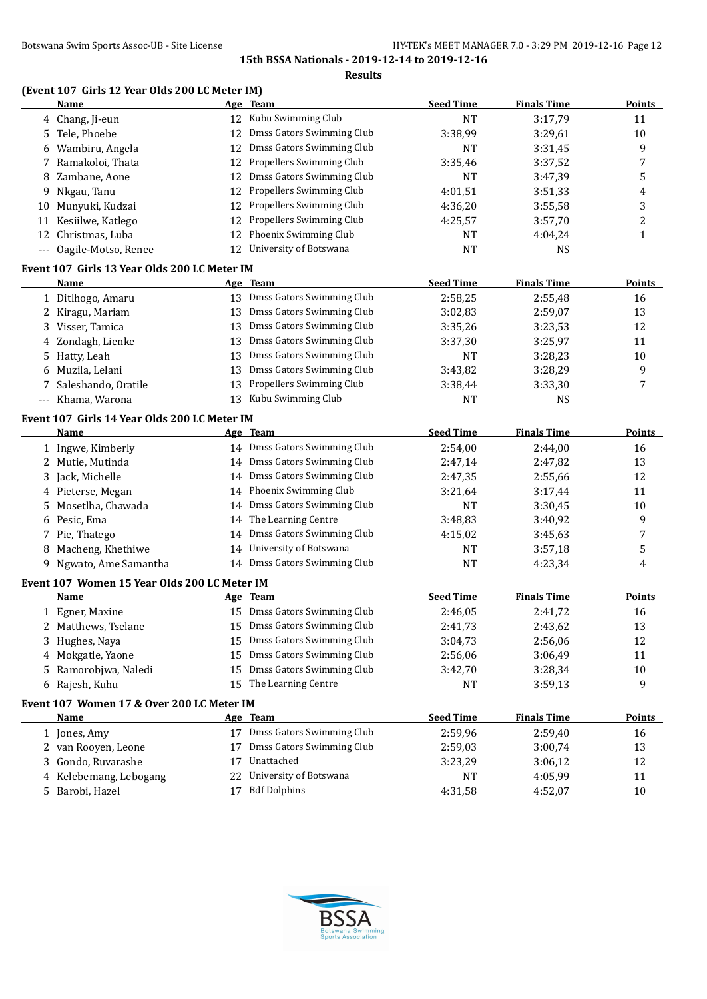# Botswana Swim Sports Assoc-UB - Site License **HY-TEK's MEET MANAGER 7.0 - 3:29 PM 2019-12-16** Page 12

**15th BSSA Nationals - 2019-12-14 to 2019-12-16**

**Results**

# **(Event 107 Girls 12 Year Olds 200 LC Meter IM)**

|    | <u>Name</u>                                  |    | Age Team                     | <b>Seed Time</b> | <b>Finals Time</b> | <b>Points</b> |
|----|----------------------------------------------|----|------------------------------|------------------|--------------------|---------------|
|    | 4 Chang, Ji-eun                              |    | 12 Kubu Swimming Club        | <b>NT</b>        | 3:17,79            | 11            |
|    | 5 Tele, Phoebe                               | 12 | Dmss Gators Swimming Club    | 3:38,99          | 3:29,61            | 10            |
|    | 6 Wambiru, Angela                            |    | 12 Dmss Gators Swimming Club | <b>NT</b>        | 3:31,45            | 9             |
| 7  | Ramakoloi, Thata                             | 12 | Propellers Swimming Club     | 3:35,46          | 3:37,52            | 7             |
| 8  | Zambane, Aone                                | 12 | Dmss Gators Swimming Club    | NT               | 3:47,39            | 5             |
| 9  | Nkgau, Tanu                                  | 12 | Propellers Swimming Club     | 4:01,51          | 3:51,33            | 4             |
| 10 | Munyuki, Kudzai                              |    | 12 Propellers Swimming Club  | 4:36,20          | 3:55,58            | 3             |
| 11 | Kesiilwe, Katlego                            | 12 | Propellers Swimming Club     | 4:25,57          | 3:57,70            | 2             |
|    | 12 Christmas, Luba                           | 12 | Phoenix Swimming Club        | <b>NT</b>        | 4:04,24            | $\mathbf{1}$  |
|    | --- Oagile-Motso, Renee                      |    | 12 University of Botswana    | <b>NT</b>        | <b>NS</b>          |               |
|    | Event 107 Girls 13 Year Olds 200 LC Meter IM |    |                              |                  |                    |               |
|    | Name                                         |    | Age Team                     | <b>Seed Time</b> | <b>Finals Time</b> | <b>Points</b> |
|    | 1 Ditlhogo, Amaru                            |    | 13 Dmss Gators Swimming Club | 2:58,25          | 2:55,48            | 16            |
|    | 2 Kiragu, Mariam                             |    | 13 Dmss Gators Swimming Club | 3:02,83          | 2:59,07            | 13            |
| 3  | Visser, Tamica                               | 13 | Dmss Gators Swimming Club    | 3:35,26          | 3:23,53            | 12            |
| 4  | Zondagh, Lienke                              |    | 13 Dmss Gators Swimming Club | 3:37,30          | 3:25,97            | 11            |
|    | 5 Hatty, Leah                                | 13 | Dmss Gators Swimming Club    | <b>NT</b>        | 3:28,23            | 10            |
| 6  | Muzila, Lelani                               | 13 | Dmss Gators Swimming Club    | 3:43,82          | 3:28,29            | 9             |
|    | 7 Saleshando, Oratile                        | 13 | Propellers Swimming Club     | 3:38,44          | 3:33,30            | 7             |
|    | --- Khama, Warona                            |    | 13 Kubu Swimming Club        | <b>NT</b>        | <b>NS</b>          |               |
|    | Event 107 Girls 14 Year Olds 200 LC Meter IM |    |                              |                  |                    |               |
|    | Name                                         |    | Age Team                     | <b>Seed Time</b> | <b>Finals Time</b> | <b>Points</b> |
|    | 1 Ingwe, Kimberly                            |    | 14 Dmss Gators Swimming Club | 2:54,00          | 2:44,00            | 16            |
|    | 2 Mutie, Mutinda                             |    | 14 Dmss Gators Swimming Club | 2:47,14          | 2:47,82            | 13            |
| 3  | Jack, Michelle                               |    | 14 Dmss Gators Swimming Club | 2:47,35          | 2:55,66            | 12            |
|    | 4 Pieterse, Megan                            |    | 14 Phoenix Swimming Club     | 3:21,64          | 3:17,44            | 11            |
| 5. | Mosetlha, Chawada                            |    | 14 Dmss Gators Swimming Club | <b>NT</b>        | 3:30,45            | 10            |
|    | 6 Pesic, Ema                                 |    | 14 The Learning Centre       | 3:48,83          | 3:40,92            | 9             |
| 7  | Pie, Thatego                                 |    | 14 Dmss Gators Swimming Club | 4:15,02          | 3:45,63            | 7             |
| 8  | Macheng, Khethiwe                            |    | 14 University of Botswana    | NT               | 3:57,18            | 5             |
| 9. | Ngwato, Ame Samantha                         |    | 14 Dmss Gators Swimming Club | NT               | 4:23,34            | 4             |
|    | Event 107 Women 15 Year Olds 200 LC Meter IM |    |                              |                  |                    |               |
|    | Name                                         |    | Age Team                     | <b>Seed Time</b> | <b>Finals Time</b> | <b>Points</b> |
|    | 1 Egner, Maxine                              |    | 15 Dmss Gators Swimming Club | 2:46,05          | 2:41,72            | 16            |
|    | 2 Matthews, Tselane                          |    | 15 Dmss Gators Swimming Club | 2:41,73          | 2:43,62            | 13            |
|    | 3 Hughes, Naya                               |    | 15 Dmss Gators Swimming Club | 3:04,73          | 2:56,06            | 12            |
|    | 4 Mokgatle, Yaone                            |    | 15 Dmss Gators Swimming Club | 2:56,06          | 3:06,49            | 11            |
| 5. | Ramorobjwa, Naledi                           |    | 15 Dmss Gators Swimming Club | 3:42,70          | 3:28,34            | 10            |
|    | 6 Rajesh, Kuhu                               |    | 15 The Learning Centre       | NT               | 3:59,13            | 9             |
|    | Event 107 Women 17 & Over 200 LC Meter IM    |    |                              |                  |                    |               |
|    | Name                                         |    | Age Team                     | <b>Seed Time</b> | <b>Finals Time</b> | <b>Points</b> |
|    | 1 Jones, Amy                                 |    | 17 Dmss Gators Swimming Club | 2:59,96          | 2:59,40            | 16            |
|    | 2 van Rooyen, Leone                          | 17 | Dmss Gators Swimming Club    | 2:59,03          | 3:00,74            | 13            |
| 3. | Gondo, Ruvarashe                             | 17 | Unattached                   | 3:23,29          | 3:06,12            | 12            |
| 4  | Kelebemang, Lebogang                         | 22 | University of Botswana       | <b>NT</b>        | 4:05,99            | 11            |
|    | 5 Barobi, Hazel                              |    | 17 Bdf Dolphins              | 4:31,58          | 4:52,07            | 10            |

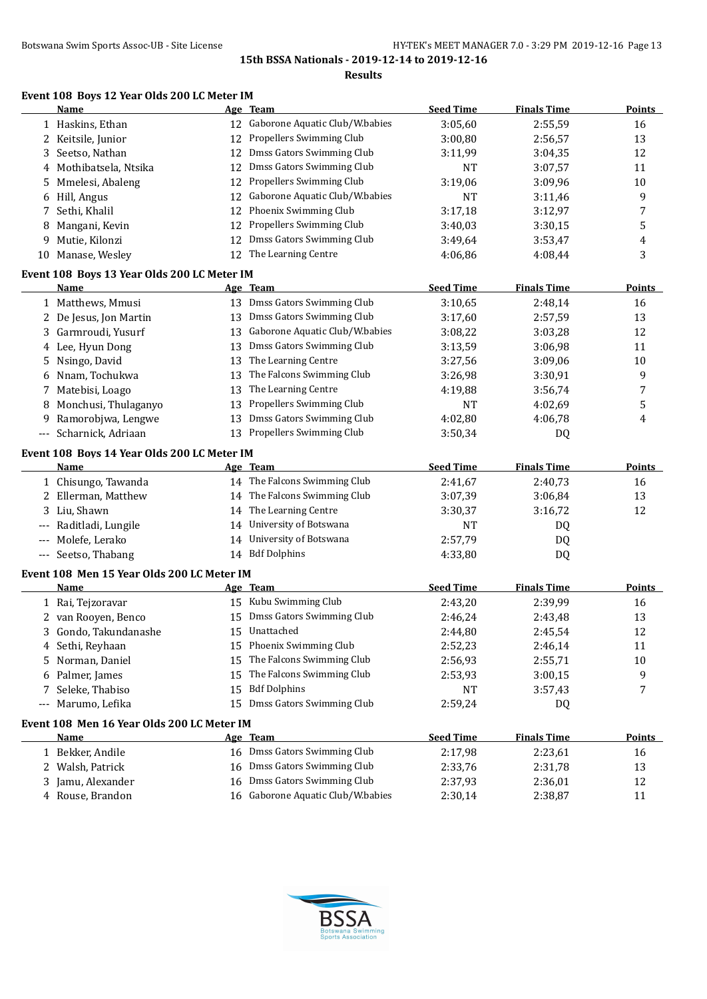**Results**

## **Event 108 Boys 12 Year Olds 200 LC Meter IM**

|       | Name                                        |    | Age Team                          | <b>Seed Time</b> | <b>Finals Time</b> | Points        |
|-------|---------------------------------------------|----|-----------------------------------|------------------|--------------------|---------------|
|       | 1 Haskins, Ethan                            |    | 12 Gaborone Aquatic Club/W.babies | 3:05,60          | 2:55,59            | 16            |
|       | 2 Keitsile, Junior                          | 12 | Propellers Swimming Club          | 3:00,80          | 2:56,57            | 13            |
| 3     | Seetso, Nathan                              | 12 | Dmss Gators Swimming Club         | 3:11,99          | 3:04,35            | 12            |
| 4     | Mothibatsela, Ntsika                        | 12 | Dmss Gators Swimming Club         | <b>NT</b>        | 3:07,57            | 11            |
| 5.    | Mmelesi, Abaleng                            | 12 | Propellers Swimming Club          | 3:19,06          | 3:09,96            | 10            |
| 6     | Hill, Angus                                 | 12 | Gaborone Aquatic Club/W.babies    | <b>NT</b>        | 3:11,46            | 9             |
| 7     | Sethi, Khalil                               | 12 | Phoenix Swimming Club             | 3:17,18          | 3:12,97            | 7             |
| 8     | Mangani, Kevin                              | 12 | Propellers Swimming Club          | 3:40,03          | 3:30,15            | 5             |
| 9     | Mutie, Kilonzi                              | 12 | Dmss Gators Swimming Club         | 3:49,64          | 3:53,47            | 4             |
|       | 10 Manase, Wesley                           |    | 12 The Learning Centre            | 4:06.86          | 4:08,44            | 3             |
|       | Event 108 Boys 13 Year Olds 200 LC Meter IM |    |                                   |                  |                    |               |
|       | Name                                        |    | Age Team                          | <b>Seed Time</b> | <b>Finals Time</b> | <b>Points</b> |
|       | 1 Matthews, Mmusi                           |    | 13 Dmss Gators Swimming Club      | 3:10,65          | 2:48,14            | 16            |
|       | 2 De Jesus, Jon Martin                      |    | 13 Dmss Gators Swimming Club      | 3:17,60          | 2:57,59            | 13            |
|       | 3 Garmroudi, Yusurf                         |    | 13 Gaborone Aquatic Club/W.babies | 3:08,22          | 3:03,28            | 12            |
|       | 4 Lee, Hyun Dong                            | 13 | Dmss Gators Swimming Club         | 3:13,59          | 3:06,98            | 11            |
|       | 5 Nsingo, David                             | 13 | The Learning Centre               | 3:27,56          | 3:09,06            | 10            |
| 6     | Nnam, Tochukwa                              | 13 | The Falcons Swimming Club         | 3:26,98          | 3:30,91            | 9             |
|       | 7 Matebisi, Loago                           | 13 | The Learning Centre               | 4:19,88          | 3:56,74            | 7             |
| 8     | Monchusi, Thulaganyo                        | 13 | Propellers Swimming Club          | <b>NT</b>        | 4:02,69            | 5             |
| 9     | Ramorobjwa, Lengwe                          | 13 | Dmss Gators Swimming Club         | 4:02,80          | 4:06,78            | 4             |
| $---$ | Scharnick, Adriaan                          | 13 | Propellers Swimming Club          | 3:50,34          | DQ                 |               |
|       | Event 108 Boys 14 Year Olds 200 LC Meter IM |    |                                   |                  |                    |               |
|       | Name                                        |    | Age Team                          | <b>Seed Time</b> | <b>Finals Time</b> | <b>Points</b> |
|       | 1 Chisungo, Tawanda                         |    | 14 The Falcons Swimming Club      | 2:41,67          | 2:40,73            | 16            |
| 2     | Ellerman, Matthew                           |    | 14 The Falcons Swimming Club      | 3:07,39          | 3:06,84            | 13            |
| 3     | Liu, Shawn                                  |    | 14 The Learning Centre            | 3:30,37          | 3:16,72            | 12            |
| $---$ | Raditladi, Lungile                          | 14 | University of Botswana            | <b>NT</b>        | DQ                 |               |
|       | Molefe, Lerako                              |    | 14 University of Botswana         | 2:57,79          | DQ                 |               |
| $---$ | Seetso, Thabang                             |    | 14 Bdf Dolphins                   | 4:33,80          | DQ                 |               |
|       | Event 108 Men 15 Year Olds 200 LC Meter IM  |    |                                   |                  |                    |               |
|       | Name                                        |    | Age Team                          | <b>Seed Time</b> | <b>Finals Time</b> | Points        |
|       | 1 Rai, Tejzoravar                           |    | 15 Kubu Swimming Club             | 2:43,20          | 2:39,99            | 16            |
|       | 2 van Rooyen, Benco                         |    | 15 Dmss Gators Swimming Club      | 2:46,24          | 2:43,48            | 13            |
| 3     | Gondo, Takundanashe                         |    | 15 Unattached                     | 2:44,80          | 2:45,54            | 12            |
|       | 4 Sethi, Reyhaan                            |    | 15 Phoenix Swimming Club          | 2:52,23          | 2:46,14            | 11            |
| 5.    | Norman, Daniel                              | 15 | The Falcons Swimming Club         | 2:56,93          | 2:55,71            | $10\,$        |
| 6     | Palmer, James                               | 15 | The Falcons Swimming Club         | 2:53,93          | 3:00,15            | 9             |
| 7     | Seleke, Thabiso                             | 15 | <b>Bdf Dolphins</b>               | <b>NT</b>        | 3:57,43            | 7             |
| $---$ | Marumo, Lefika                              | 15 | Dmss Gators Swimming Club         | 2:59,24          | DQ                 |               |
|       | Event 108 Men 16 Year Olds 200 LC Meter IM  |    |                                   |                  |                    |               |
|       | <u>Name</u>                                 |    | Age Team                          | <b>Seed Time</b> | <b>Finals Time</b> | <b>Points</b> |
|       | 1 Bekker, Andile                            |    | 16 Dmss Gators Swimming Club      | 2:17,98          | 2:23,61            | 16            |
|       | 2 Walsh, Patrick                            |    | 16 Dmss Gators Swimming Club      | 2:33,76          | 2:31,78            | 13            |
|       | 3 Jamu, Alexander                           |    | 16 Dmss Gators Swimming Club      | 2:37,93          | 2:36,01            | 12            |
|       | 4 Rouse, Brandon                            |    | 16 Gaborone Aquatic Club/W.babies | 2:30,14          | 2:38,87            | 11            |
|       |                                             |    |                                   |                  |                    |               |

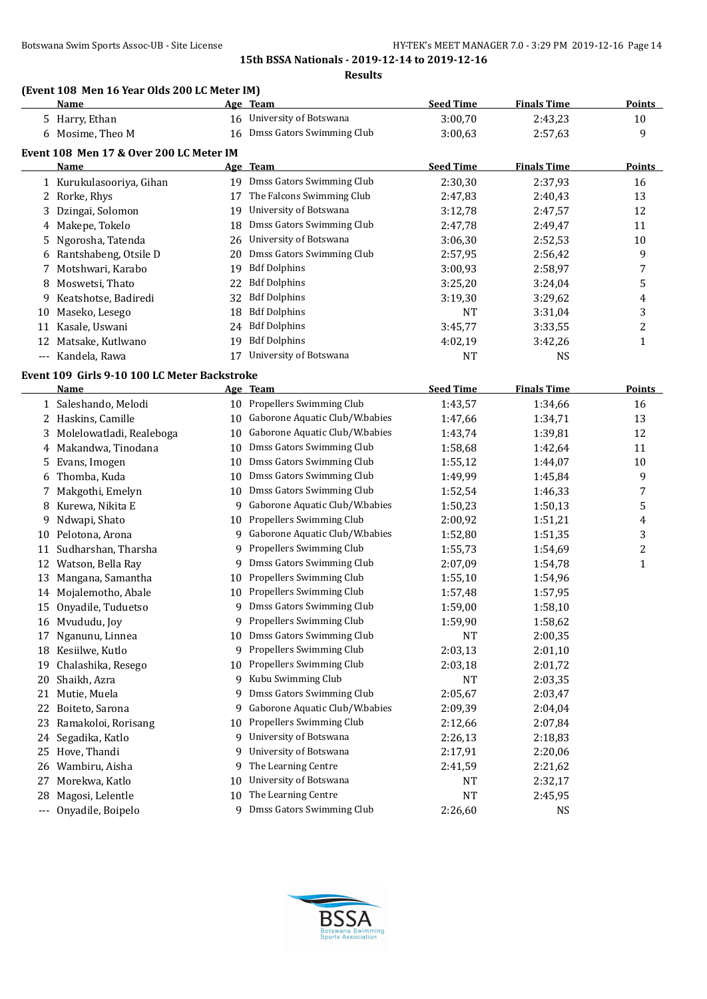**Results**

## **(Event 108 Men 16 Year Olds 200 LC Meter IM)**

|     | <u>Name</u>                                  |    | <u>Age Team</u>                | <b>Seed Time</b> | <b>Finals Time</b> | <b>Points</b>           |
|-----|----------------------------------------------|----|--------------------------------|------------------|--------------------|-------------------------|
|     | 5 Harry, Ethan                               |    | 16 University of Botswana      | 3:00,70          | 2:43,23            | $10\,$                  |
|     | 6 Mosime, Theo M                             | 16 | Dmss Gators Swimming Club      | 3:00,63          | 2:57,63            | 9                       |
|     | Event 108 Men 17 & Over 200 LC Meter IM      |    |                                |                  |                    |                         |
|     | Name                                         |    | Age Team                       | <b>Seed Time</b> | <b>Finals Time</b> | <b>Points</b>           |
|     | 1 Kurukulasooriya, Gihan                     |    | 19 Dmss Gators Swimming Club   | 2:30,30          | 2:37,93            | 16                      |
| 2   | Rorke, Rhys                                  | 17 | The Falcons Swimming Club      | 2:47,83          | 2:40,43            | 13                      |
| 3   | Dzingai, Solomon                             | 19 | University of Botswana         | 3:12,78          | 2:47,57            | 12                      |
| 4   | Makepe, Tokelo                               | 18 | Dmss Gators Swimming Club      | 2:47,78          | 2:49,47            | 11                      |
| 5   | Ngorosha, Tatenda                            | 26 | University of Botswana         | 3:06,30          | 2:52,53            | 10                      |
| 6   | Rantshabeng, Otsile D                        | 20 | Dmss Gators Swimming Club      | 2:57,95          | 2:56,42            | 9                       |
| 7   | Motshwari, Karabo                            | 19 | <b>Bdf Dolphins</b>            | 3:00,93          | 2:58,97            | 7                       |
| 8   | Moswetsi, Thato                              | 22 | <b>Bdf Dolphins</b>            | 3:25,20          | 3:24,04            | 5                       |
| 9   | Keatshotse, Badiredi                         | 32 | <b>Bdf Dolphins</b>            | 3:19,30          | 3:29,62            | 4                       |
| 10  | Maseko, Lesego                               | 18 | <b>Bdf Dolphins</b>            | <b>NT</b>        | 3:31,04            | 3                       |
| 11  | Kasale, Uswani                               | 24 | <b>Bdf Dolphins</b>            | 3:45,77          | 3:33,55            | 2                       |
| 12  | Matsake, Kutlwano                            | 19 | <b>Bdf Dolphins</b>            | 4:02,19          | 3:42,26            | $\mathbf{1}$            |
|     | --- Kandela, Rawa                            | 17 | University of Botswana         | <b>NT</b>        | <b>NS</b>          |                         |
|     |                                              |    |                                |                  |                    |                         |
|     | Event 109 Girls 9-10 100 LC Meter Backstroke |    | Age Team                       | <b>Seed Time</b> | <b>Finals Time</b> | Points                  |
|     | Name                                         |    | 10 Propellers Swimming Club    | 1:43,57          | 1:34,66            |                         |
|     | 1 Saleshando, Melodi<br>2 Haskins, Camille   |    | Gaborone Aquatic Club/W.babies |                  |                    | 16                      |
|     |                                              | 10 | Gaborone Aquatic Club/W.babies | 1:47,66          | 1:34,71            | 13                      |
| 3   | Molelowatladi, Realeboga                     | 10 | Dmss Gators Swimming Club      | 1:43,74          | 1:39,81            | 12                      |
| 4   | Makandwa, Tinodana                           | 10 |                                | 1:58,68          | 1:42,64            | 11                      |
| 5   | Evans, Imogen                                | 10 | Dmss Gators Swimming Club      | 1:55,12          | 1:44,07            | 10                      |
| 6   | Thomba, Kuda                                 | 10 | Dmss Gators Swimming Club      | 1:49,99          | 1:45,84            | 9                       |
| 7   | Makgothi, Emelyn                             | 10 | Dmss Gators Swimming Club      | 1:52,54          | 1:46,33            | 7                       |
| 8   | Kurewa, Nikita E                             | 9  | Gaborone Aquatic Club/W.babies | 1:50,23          | 1:50,13            | 5                       |
| 9   | Ndwapi, Shato                                | 10 | Propellers Swimming Club       | 2:00,92          | 1:51,21            | 4                       |
| 10  | Pelotona, Arona                              | 9  | Gaborone Aquatic Club/W.babies | 1:52,80          | 1:51,35            | 3                       |
| 11  | Sudharshan, Tharsha                          | 9  | Propellers Swimming Club       | 1:55,73          | 1:54,69            | $\overline{\mathbf{c}}$ |
|     | 12 Watson, Bella Ray                         | 9  | Dmss Gators Swimming Club      | 2:07,09          | 1:54,78            | $\mathbf{1}$            |
| 13  | Mangana, Samantha                            | 10 | Propellers Swimming Club       | 1:55,10          | 1:54,96            |                         |
|     | 14 Mojalemotho, Abale                        | 10 | Propellers Swimming Club       | 1:57,48          | 1:57,95            |                         |
| 15  | Onyadile, Tuduetso                           | 9  | Dmss Gators Swimming Club      | 1:59,00          | 1:58,10            |                         |
|     | 16 Mvududu, Joy                              | 9  | Propellers Swimming Club       | 1:59,90          | 1:58,62            |                         |
| 17  | Nganunu, Linnea                              | 10 | Dmss Gators Swimming Club      | <b>NT</b>        | 2:00,35            |                         |
| 18  | Kesiilwe, Kutlo                              | 9  | Propellers Swimming Club       | 2:03,13          | 2:01,10            |                         |
| 19  | Chalashika, Resego                           | 10 | Propellers Swimming Club       | 2:03,18          | 2:01,72            |                         |
| 20  | Shaikh, Azra                                 | 9  | Kubu Swimming Club             | NT               | 2:03,35            |                         |
| 21  | Mutie, Muela                                 | 9  | Dmss Gators Swimming Club      | 2:05,67          | 2:03,47            |                         |
| 22  | Boiteto, Sarona                              | 9  | Gaborone Aquatic Club/W.babies | 2:09,39          | 2:04,04            |                         |
| 23  | Ramakoloi, Rorisang                          | 10 | Propellers Swimming Club       | 2:12,66          | 2:07,84            |                         |
| 24  | Segadika, Katlo                              | 9  | University of Botswana         | 2:26,13          | 2:18,83            |                         |
| 25  | Hove, Thandi                                 | 9  | University of Botswana         | 2:17,91          | 2:20,06            |                         |
| 26  | Wambiru, Aisha                               | 9  | The Learning Centre            | 2:41,59          | 2:21,62            |                         |
| 27  | Morekwa, Katlo                               | 10 | University of Botswana         | NT               | 2:32,17            |                         |
| 28  | Magosi, Lelentle                             | 10 | The Learning Centre            | NT               | 2:45,95            |                         |
| --- | Onyadile, Boipelo                            |    | 9 Dmss Gators Swimming Club    | 2:26,60          | <b>NS</b>          |                         |

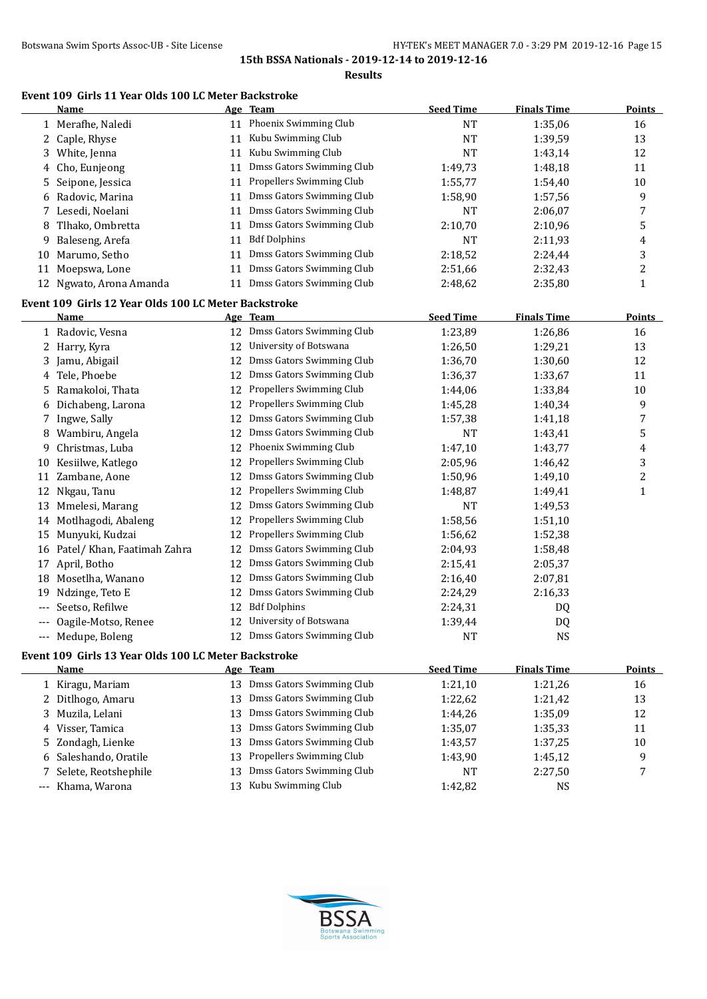#### **Results**

## **Event 109 Girls 11 Year Olds 100 LC Meter Backstroke**

|     | Name                                                 |    | Age Team                     | <b>Seed Time</b> | <b>Finals Time</b> | <b>Points</b>  |
|-----|------------------------------------------------------|----|------------------------------|------------------|--------------------|----------------|
|     | 1 Merafhe, Naledi                                    |    | 11 Phoenix Swimming Club     | <b>NT</b>        | 1:35,06            | 16             |
|     | 2 Caple, Rhyse                                       | 11 | Kubu Swimming Club           | <b>NT</b>        | 1:39,59            | 13             |
| 3   | White, Jenna                                         | 11 | Kubu Swimming Club           | <b>NT</b>        | 1:43,14            | 12             |
| 4   | Cho, Eunjeong                                        | 11 | Dmss Gators Swimming Club    | 1:49,73          | 1:48,18            | 11             |
| 5   | Seipone, Jessica                                     | 11 | Propellers Swimming Club     | 1:55,77          | 1:54,40            | 10             |
| 6   | Radovic, Marina                                      | 11 | Dmss Gators Swimming Club    | 1:58,90          | 1:57,56            | 9              |
| 7   | Lesedi, Noelani                                      | 11 | Dmss Gators Swimming Club    | <b>NT</b>        | 2:06,07            | 7              |
| 8   | Tlhako, Ombretta                                     | 11 | Dmss Gators Swimming Club    | 2:10,70          | 2:10,96            | 5              |
| 9   | Baleseng, Arefa                                      | 11 | <b>Bdf Dolphins</b>          | <b>NT</b>        | 2:11,93            | 4              |
| 10  | Marumo, Setho                                        | 11 | Dmss Gators Swimming Club    | 2:18,52          | 2:24,44            | 3              |
| 11  | Moepswa, Lone                                        | 11 | Dmss Gators Swimming Club    | 2:51,66          | 2:32,43            | $\overline{c}$ |
|     | 12 Ngwato, Arona Amanda                              | 11 | Dmss Gators Swimming Club    | 2:48,62          | 2:35,80            | $\mathbf{1}$   |
|     | Event 109 Girls 12 Year Olds 100 LC Meter Backstroke |    |                              |                  |                    |                |
|     | <u>Name</u>                                          |    | Age Team                     | <b>Seed Time</b> | <b>Finals Time</b> | <b>Points</b>  |
|     | 1 Radovic, Vesna                                     |    | 12 Dmss Gators Swimming Club | 1:23,89          | 1:26,86            | 16             |
| 2   | Harry, Kyra                                          | 12 | University of Botswana       | 1:26,50          | 1:29,21            | 13             |
| 3   | Jamu, Abigail                                        | 12 | Dmss Gators Swimming Club    | 1:36,70          | 1:30,60            | 12             |
| 4   | Tele, Phoebe                                         | 12 | Dmss Gators Swimming Club    | 1:36,37          | 1:33,67            | 11             |
|     | 5 Ramakoloi, Thata                                   | 12 | Propellers Swimming Club     | 1:44,06          | 1:33,84            | 10             |
| 6   | Dichabeng, Larona                                    | 12 | Propellers Swimming Club     | 1:45,28          | 1:40,34            | 9              |
| 7   | Ingwe, Sally                                         | 12 | Dmss Gators Swimming Club    | 1:57,38          | 1:41,18            | 7              |
| 8   | Wambiru, Angela                                      | 12 | Dmss Gators Swimming Club    | <b>NT</b>        | 1:43,41            | 5              |
| 9.  | Christmas, Luba                                      | 12 | Phoenix Swimming Club        | 1:47,10          | 1:43,77            | 4              |
|     | 10 Kesiilwe, Katlego                                 | 12 | Propellers Swimming Club     | 2:05,96          | 1:46,42            | 3              |
| 11  | Zambane, Aone                                        | 12 | Dmss Gators Swimming Club    | 1:50,96          | 1:49,10            | $\overline{c}$ |
| 12  | Nkgau, Tanu                                          | 12 | Propellers Swimming Club     | 1:48,87          | 1:49,41            | $\mathbf{1}$   |
| 13  | Mmelesi, Marang                                      | 12 | Dmss Gators Swimming Club    | <b>NT</b>        | 1:49,53            |                |
| 14  | Motlhagodi, Abaleng                                  | 12 | Propellers Swimming Club     | 1:58,56          | 1:51,10            |                |
| 15  | Munyuki, Kudzai                                      | 12 | Propellers Swimming Club     | 1:56,62          | 1:52,38            |                |
| 16  | Patel/ Khan, Faatimah Zahra                          | 12 | Dmss Gators Swimming Club    | 2:04,93          | 1:58,48            |                |
| 17  | April, Botho                                         | 12 | Dmss Gators Swimming Club    | 2:15,41          | 2:05,37            |                |
| 18  | Mosetlha, Wanano                                     | 12 | Dmss Gators Swimming Club    | 2:16,40          | 2:07,81            |                |
| 19  | Ndzinge, Teto E                                      | 12 | Dmss Gators Swimming Club    | 2:24,29          | 2:16,33            |                |
| --- | Seetso, Refilwe                                      | 12 | <b>Bdf Dolphins</b>          | 2:24,31          | DQ                 |                |
|     | Oagile-Motso, Renee                                  |    | 12 University of Botswana    | 1:39,44          | DQ                 |                |
|     | Medupe, Boleng                                       |    | 12 Dmss Gators Swimming Club | <b>NT</b>        | <b>NS</b>          |                |
|     | Event 109 Girls 13 Year Olds 100 LC Meter Backstroke |    |                              |                  |                    |                |
|     | <u>Name</u>                                          |    | Age Team                     | <b>Seed Time</b> | <b>Finals Time</b> | Points         |
|     | 1 Kiragu, Mariam                                     |    | 13 Dmss Gators Swimming Club | 1:21,10          | 1:21,26            | 16             |
|     | 2 Ditlhogo, Amaru                                    | 13 | Dmss Gators Swimming Club    | 1:22,62          | 1:21,42            | 13             |
| 3   | Muzila, Lelani                                       | 13 | Dmss Gators Swimming Club    | 1:44,26          | 1:35,09            | 12             |
| 4   | Visser, Tamica                                       | 13 | Dmss Gators Swimming Club    | 1:35,07          | 1:35,33            | 11             |
| 5   | Zondagh, Lienke                                      | 13 | Dmss Gators Swimming Club    | 1:43,57          | 1:37,25            | 10             |
| 6   | Saleshando, Oratile                                  | 13 | Propellers Swimming Club     | 1:43,90          | 1:45,12            | 9              |
| 7   | Selete, Reotshephile                                 | 13 | Dmss Gators Swimming Club    | NT               | 2:27,50            | 7              |
|     | Khama, Warona                                        | 13 | Kubu Swimming Club           | 1:42,82          | <b>NS</b>          |                |
|     |                                                      |    |                              |                  |                    |                |

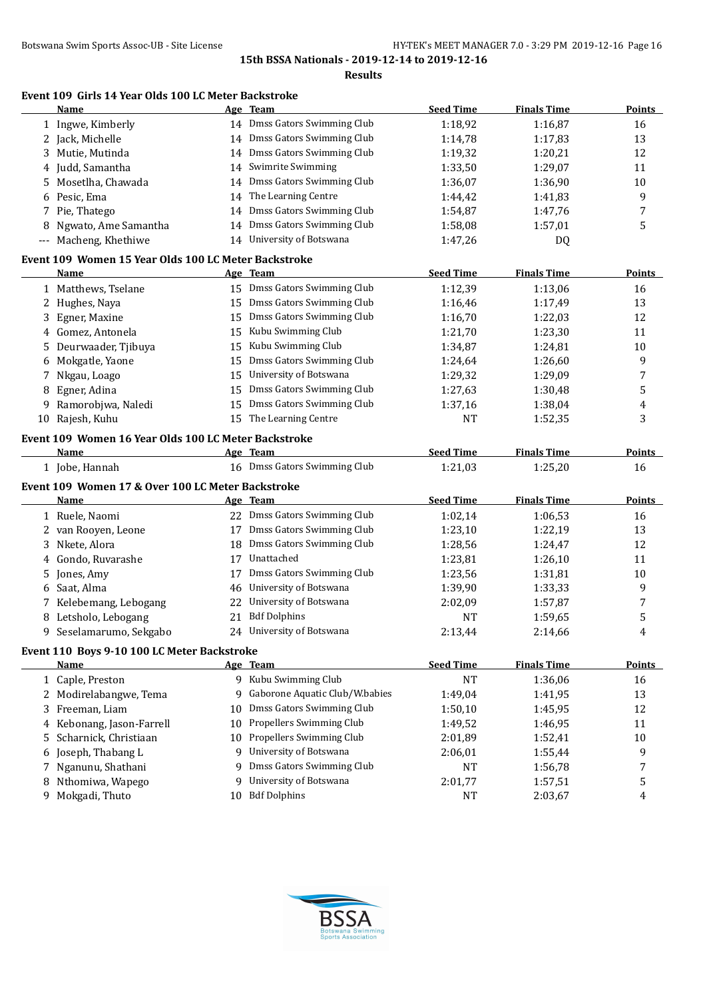## **Event 109 Girls 14 Year Olds 100 LC Meter Backstroke**

|       | Name                                                 |    | Age Team                       | <b>Seed Time</b> | <b>Finals Time</b> | <b>Points</b> |
|-------|------------------------------------------------------|----|--------------------------------|------------------|--------------------|---------------|
|       | 1 Ingwe, Kimberly                                    |    | 14 Dmss Gators Swimming Club   | 1:18,92          | 1:16,87            | 16            |
| 2     | Jack, Michelle                                       | 14 | Dmss Gators Swimming Club      | 1:14,78          | 1:17,83            | 13            |
| 3     | Mutie, Mutinda                                       | 14 | Dmss Gators Swimming Club      | 1:19,32          | 1:20,21            | 12            |
| 4     | Judd, Samantha                                       | 14 | Swimrite Swimming              | 1:33,50          | 1:29,07            | 11            |
| 5     | Mosetlha, Chawada                                    | 14 | Dmss Gators Swimming Club      | 1:36,07          | 1:36,90            | 10            |
| 6     | Pesic, Ema                                           | 14 | The Learning Centre            | 1:44,42          | 1:41,83            | 9             |
| 7     | Pie, Thatego                                         | 14 | Dmss Gators Swimming Club      | 1:54,87          | 1:47,76            | 7             |
| 8     | Ngwato, Ame Samantha                                 | 14 | Dmss Gators Swimming Club      | 1:58,08          | 1:57,01            | 5             |
| $---$ | Macheng, Khethiwe                                    | 14 | University of Botswana         | 1:47,26          | DQ                 |               |
|       | Event 109 Women 15 Year Olds 100 LC Meter Backstroke |    |                                |                  |                    |               |
|       | <b>Name</b>                                          |    | Age Team                       | <b>Seed Time</b> | <b>Finals Time</b> | <b>Points</b> |
|       | 1 Matthews, Tselane                                  |    | 15 Dmss Gators Swimming Club   | 1:12,39          | 1:13,06            | 16            |
|       | 2 Hughes, Naya                                       | 15 | Dmss Gators Swimming Club      | 1:16,46          | 1:17,49            | 13            |
| 3     | Egner, Maxine                                        | 15 | Dmss Gators Swimming Club      | 1:16,70          | 1:22,03            | 12            |
| 4     | Gomez, Antonela                                      | 15 | Kubu Swimming Club             | 1:21,70          | 1:23,30            | 11            |
| 5     | Deurwaader, Tjibuya                                  | 15 | Kubu Swimming Club             | 1:34,87          | 1:24,81            | 10            |
| 6     | Mokgatle, Yaone                                      | 15 | Dmss Gators Swimming Club      | 1:24,64          | 1:26,60            | 9             |
| 7     | Nkgau, Loago                                         | 15 | University of Botswana         | 1:29,32          | 1:29,09            | 7             |
| 8     | Egner, Adina                                         | 15 | Dmss Gators Swimming Club      | 1:27,63          | 1:30,48            | 5             |
| 9     | Ramorobjwa, Naledi                                   | 15 | Dmss Gators Swimming Club      | 1:37,16          | 1:38,04            | 4             |
| 10    | Rajesh, Kuhu                                         | 15 | The Learning Centre            | NT               | 1:52,35            | 3             |
|       |                                                      |    |                                |                  |                    |               |
|       | Event 109 Women 16 Year Olds 100 LC Meter Backstroke |    |                                |                  |                    |               |
|       | Name                                                 |    | Age Team                       | <b>Seed Time</b> | <b>Finals Time</b> | <b>Points</b> |
|       | 1 Jobe, Hannah                                       |    | 16 Dmss Gators Swimming Club   | 1:21,03          | 1:25,20            | 16            |
|       | Event 109 Women 17 & Over 100 LC Meter Backstroke    |    |                                |                  |                    |               |
|       | Name                                                 |    | Age Team                       | <b>Seed Time</b> | <b>Finals Time</b> | <b>Points</b> |
|       | 1 Ruele, Naomi                                       |    | 22 Dmss Gators Swimming Club   | 1:02,14          | 1:06,53            | 16            |
|       | 2 van Rooyen, Leone                                  | 17 | Dmss Gators Swimming Club      | 1:23,10          | 1:22,19            | 13            |
| 3     | Nkete, Alora                                         | 18 | Dmss Gators Swimming Club      | 1:28,56          | 1:24,47            | 12            |
| 4     | Gondo, Ruvarashe                                     | 17 | Unattached                     | 1:23,81          | 1:26,10            | 11            |
| 5     | Jones, Amy                                           | 17 | Dmss Gators Swimming Club      | 1:23,56          | 1:31,81            | 10            |
| 6     | Saat, Alma                                           | 46 | University of Botswana         | 1:39,90          | 1:33,33            | 9             |
|       | 7 Kelebemang, Lebogang                               | 22 | University of Botswana         | 2:02,09          | 1:57,87            | 7             |
| 8     | Letsholo, Lebogang                                   | 21 | <b>Bdf Dolphins</b>            | <b>NT</b>        | 1:59,65            | 5             |
| 9     | Seselamarumo, Sekgabo                                |    | 24 University of Botswana      | 2:13,44          | 2:14,66            | 4             |
|       |                                                      |    |                                |                  |                    |               |
|       | Event 110 Boys 9-10 100 LC Meter Backstroke          |    |                                |                  |                    |               |
|       | <b>Name</b>                                          |    | Age Team                       | <b>Seed Time</b> | <b>Finals Time</b> | <b>Points</b> |
|       | 1 Caple, Preston                                     |    | 9 Kubu Swimming Club           | <b>NT</b>        | 1:36,06            | 16            |
|       | 2 Modirelabangwe, Tema                               | 9  | Gaborone Aquatic Club/W.babies | 1:49,04          | 1:41,95            | 13            |
| 3     | Freeman, Liam                                        | 10 | Dmss Gators Swimming Club      | 1:50,10          | 1:45,95            | 12            |
| 4     | Kebonang, Jason-Farrell                              | 10 | Propellers Swimming Club       | 1:49,52          | 1:46,95            | 11            |
| 5     | Scharnick, Christiaan                                | 10 | Propellers Swimming Club       | 2:01,89          | 1:52,41            | 10            |
| 6     | Joseph, Thabang L                                    | 9  | University of Botswana         | 2:06,01          | 1:55,44            | 9             |
| 7     | Nganunu, Shathani                                    | 9  | Dmss Gators Swimming Club      | <b>NT</b>        | 1:56,78            | 7             |
| 8     | Nthomiwa, Wapego                                     | 9  | University of Botswana         | 2:01,77          | 1:57,51            | 5             |
|       | 9 Mokgadi, Thuto                                     |    | 10 Bdf Dolphins                | <b>NT</b>        | 2:03,67            | 4             |

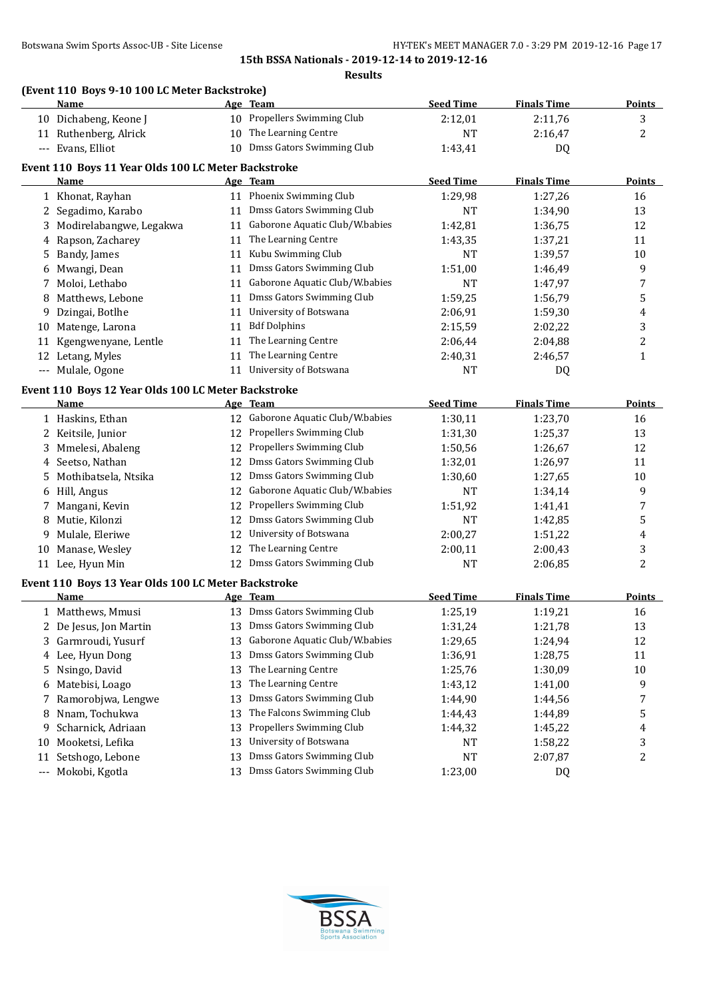**Results**

# **(Event 110 Boys 9-10 100 LC Meter Backstroke)**

| 10 Propellers Swimming Club<br>2:11,76<br>3<br>10 Dichabeng, Keone J<br>2:12,01<br>10 The Learning Centre<br>2<br>11 Ruthenberg, Alrick<br>NT<br>2:16,47<br>10 Dmss Gators Swimming Club<br>--- Evans, Elliot<br>1:43,41<br>DQ<br>Event 110 Boys 11 Year Olds 100 LC Meter Backstroke<br><b>Seed Time</b><br><b>Finals Time</b><br>Age Team<br>Name<br>11 Phoenix Swimming Club<br>1 Khonat, Rayhan<br>1:29,98<br>1:27,26<br>16<br>11 Dmss Gators Swimming Club<br>Segadimo, Karabo<br><b>NT</b><br>13<br>1:34,90<br>2<br>11 Gaborone Aquatic Club/W.babies<br>Modirelabangwe, Legakwa<br>12<br>1:42,81<br>1:36,75<br>3<br>11 The Learning Centre<br>Rapson, Zacharey<br>1:43,35<br>1:37,21<br>11<br>4<br>11 Kubu Swimming Club<br>Bandy, James<br>1:39,57<br>NT<br>10<br>5<br>11 Dmss Gators Swimming Club<br>1:51,00<br>9<br>Mwangi, Dean<br>1:46,49<br>6<br>11 Gaborone Aquatic Club/W.babies<br>Moloi, Lethabo<br>NT<br>1:47,97<br>7<br>7<br>11 Dmss Gators Swimming Club<br>Matthews, Lebone<br>1:59,25<br>1:56,79<br>5<br>8<br>11 University of Botswana<br>Dzingai, Botlhe<br>2:06,91<br>1:59,30<br>4<br>9<br>11 Bdf Dolphins<br>Matenge, Larona<br>2:15,59<br>2:02,22<br>3<br>10<br>11 The Learning Centre<br>Kgengwenyane, Lentle<br>2<br>2:06,44<br>2:04,88<br>11<br>The Learning Centre<br>Letang, Myles<br>11<br>2:40,31<br>2:46,57<br>1<br>12<br>--- Mulale, Ogone<br>11 University of Botswana<br>NT<br>DQ<br>Event 110 Boys 12 Year Olds 100 LC Meter Backstroke<br><b>Seed Time</b><br><b>Finals Time</b><br>Age Team<br>Name<br>12 Gaborone Aquatic Club/W.babies<br>1 Haskins, Ethan<br>1:30,11<br>1:23,70<br>16<br>12 Propellers Swimming Club<br>1:25,37<br>13<br>2 Keitsile, Junior<br>1:31,30<br>12 Propellers Swimming Club<br>Mmelesi, Abaleng<br>1:26,67<br>1:50,56<br>12<br>3<br>12 Dmss Gators Swimming Club<br>Seetso, Nathan<br>1:32,01<br>1:26,97<br>11<br>4<br>12 Dmss Gators Swimming Club<br>Mothibatsela, Ntsika<br>1:30,60<br>1:27,65<br>10<br>5<br>12 Gaborone Aquatic Club/W.babies<br>9<br>Hill, Angus<br>NT<br>1:34,14<br>6<br>12 Propellers Swimming Club<br>Mangani, Kevin<br>7<br>1:51,92<br>1:41,41<br>7<br>12 Dmss Gators Swimming Club<br>5<br>Mutie, Kilonzi<br><b>NT</b><br>1:42,85<br>8<br>12 University of Botswana<br>Mulale, Eleriwe<br>2:00,27<br>1:51,22<br>4<br>9<br>12 The Learning Centre<br>3<br>Manase, Wesley<br>2:00,11<br>2:00,43<br>10<br>12 Dmss Gators Swimming Club<br>2<br>11 Lee, Hyun Min<br>NT<br>2:06,85<br>Event 110 Boys 13 Year Olds 100 LC Meter Backstroke<br><b>Seed Time</b><br><b>Finals Time</b><br><b>Name</b><br>Age Team<br>13 Dmss Gators Swimming Club<br>1 Matthews, Mmusi<br>16<br>1:25,19<br>1:19,21<br>13 Dmss Gators Swimming Club<br>1:31,24<br>1:21,78<br>13<br>2 De Jesus, Jon Martin<br>13 Gaborone Aquatic Club/W.babies<br>12<br>Garmroudi, Yusurf<br>1:29,65<br>1:24,94<br>3<br>Dmss Gators Swimming Club<br>1:36,91<br>1:28,75<br>Lee, Hyun Dong<br>11<br>13<br>4<br>The Learning Centre<br>Nsingo, David<br>1:25,76<br>1:30,09<br>13<br>10<br>5<br>The Learning Centre<br>9<br>Matebisi, Loago<br>13<br>1:43,12<br>1:41,00<br>6<br>Dmss Gators Swimming Club<br>Ramorobjwa, Lengwe<br>7<br>13<br>1:44,90<br>1:44,56<br>7<br>The Falcons Swimming Club<br>Nnam, Tochukwa<br>1:44,43<br>1:44,89<br>5<br>13<br>8<br>Propellers Swimming Club<br>Scharnick, Adriaan<br>13<br>1:44,32<br>1:45,22<br>9<br>4<br>University of Botswana<br>Mooketsi, Lefika<br>1:58,22<br>3<br>13<br>NT<br>10<br>Dmss Gators Swimming Club<br>2<br>Setshogo, Lebone<br>NT<br>2:07,87<br>11<br>13<br>13 Dmss Gators Swimming Club<br>$---$ | <u>Name</u>    | Age Team | <b>Seed Time</b> | <b>Finals Time</b> | <b>Points</b> |
|---------------------------------------------------------------------------------------------------------------------------------------------------------------------------------------------------------------------------------------------------------------------------------------------------------------------------------------------------------------------------------------------------------------------------------------------------------------------------------------------------------------------------------------------------------------------------------------------------------------------------------------------------------------------------------------------------------------------------------------------------------------------------------------------------------------------------------------------------------------------------------------------------------------------------------------------------------------------------------------------------------------------------------------------------------------------------------------------------------------------------------------------------------------------------------------------------------------------------------------------------------------------------------------------------------------------------------------------------------------------------------------------------------------------------------------------------------------------------------------------------------------------------------------------------------------------------------------------------------------------------------------------------------------------------------------------------------------------------------------------------------------------------------------------------------------------------------------------------------------------------------------------------------------------------------------------------------------------------------------------------------------------------------------------------------------------------------------------------------------------------------------------------------------------------------------------------------------------------------------------------------------------------------------------------------------------------------------------------------------------------------------------------------------------------------------------------------------------------------------------------------------------------------------------------------------------------------------------------------------------------------------------------------------------------------------------------------------------------------------------------------------------------------------------------------------------------------------------------------------------------------------------------------------------------------------------------------------------------------------------------------------------------------------------------------------------------------------------------------------------------------------------------------------------------------------------------------------------------------------------------------------------------------------------------------------------------------------------------------------------------------------------------------------------------------------------------------------------------------------------------------------------------------------------------------------------------------------------------------------------|----------------|----------|------------------|--------------------|---------------|
|                                                                                                                                                                                                                                                                                                                                                                                                                                                                                                                                                                                                                                                                                                                                                                                                                                                                                                                                                                                                                                                                                                                                                                                                                                                                                                                                                                                                                                                                                                                                                                                                                                                                                                                                                                                                                                                                                                                                                                                                                                                                                                                                                                                                                                                                                                                                                                                                                                                                                                                                                                                                                                                                                                                                                                                                                                                                                                                                                                                                                                                                                                                                                                                                                                                                                                                                                                                                                                                                                                                                                                                                                     |                |          |                  |                    |               |
|                                                                                                                                                                                                                                                                                                                                                                                                                                                                                                                                                                                                                                                                                                                                                                                                                                                                                                                                                                                                                                                                                                                                                                                                                                                                                                                                                                                                                                                                                                                                                                                                                                                                                                                                                                                                                                                                                                                                                                                                                                                                                                                                                                                                                                                                                                                                                                                                                                                                                                                                                                                                                                                                                                                                                                                                                                                                                                                                                                                                                                                                                                                                                                                                                                                                                                                                                                                                                                                                                                                                                                                                                     |                |          |                  |                    |               |
|                                                                                                                                                                                                                                                                                                                                                                                                                                                                                                                                                                                                                                                                                                                                                                                                                                                                                                                                                                                                                                                                                                                                                                                                                                                                                                                                                                                                                                                                                                                                                                                                                                                                                                                                                                                                                                                                                                                                                                                                                                                                                                                                                                                                                                                                                                                                                                                                                                                                                                                                                                                                                                                                                                                                                                                                                                                                                                                                                                                                                                                                                                                                                                                                                                                                                                                                                                                                                                                                                                                                                                                                                     |                |          |                  |                    |               |
|                                                                                                                                                                                                                                                                                                                                                                                                                                                                                                                                                                                                                                                                                                                                                                                                                                                                                                                                                                                                                                                                                                                                                                                                                                                                                                                                                                                                                                                                                                                                                                                                                                                                                                                                                                                                                                                                                                                                                                                                                                                                                                                                                                                                                                                                                                                                                                                                                                                                                                                                                                                                                                                                                                                                                                                                                                                                                                                                                                                                                                                                                                                                                                                                                                                                                                                                                                                                                                                                                                                                                                                                                     |                |          |                  |                    |               |
|                                                                                                                                                                                                                                                                                                                                                                                                                                                                                                                                                                                                                                                                                                                                                                                                                                                                                                                                                                                                                                                                                                                                                                                                                                                                                                                                                                                                                                                                                                                                                                                                                                                                                                                                                                                                                                                                                                                                                                                                                                                                                                                                                                                                                                                                                                                                                                                                                                                                                                                                                                                                                                                                                                                                                                                                                                                                                                                                                                                                                                                                                                                                                                                                                                                                                                                                                                                                                                                                                                                                                                                                                     |                |          |                  |                    | <b>Points</b> |
|                                                                                                                                                                                                                                                                                                                                                                                                                                                                                                                                                                                                                                                                                                                                                                                                                                                                                                                                                                                                                                                                                                                                                                                                                                                                                                                                                                                                                                                                                                                                                                                                                                                                                                                                                                                                                                                                                                                                                                                                                                                                                                                                                                                                                                                                                                                                                                                                                                                                                                                                                                                                                                                                                                                                                                                                                                                                                                                                                                                                                                                                                                                                                                                                                                                                                                                                                                                                                                                                                                                                                                                                                     |                |          |                  |                    |               |
|                                                                                                                                                                                                                                                                                                                                                                                                                                                                                                                                                                                                                                                                                                                                                                                                                                                                                                                                                                                                                                                                                                                                                                                                                                                                                                                                                                                                                                                                                                                                                                                                                                                                                                                                                                                                                                                                                                                                                                                                                                                                                                                                                                                                                                                                                                                                                                                                                                                                                                                                                                                                                                                                                                                                                                                                                                                                                                                                                                                                                                                                                                                                                                                                                                                                                                                                                                                                                                                                                                                                                                                                                     |                |          |                  |                    |               |
|                                                                                                                                                                                                                                                                                                                                                                                                                                                                                                                                                                                                                                                                                                                                                                                                                                                                                                                                                                                                                                                                                                                                                                                                                                                                                                                                                                                                                                                                                                                                                                                                                                                                                                                                                                                                                                                                                                                                                                                                                                                                                                                                                                                                                                                                                                                                                                                                                                                                                                                                                                                                                                                                                                                                                                                                                                                                                                                                                                                                                                                                                                                                                                                                                                                                                                                                                                                                                                                                                                                                                                                                                     |                |          |                  |                    |               |
|                                                                                                                                                                                                                                                                                                                                                                                                                                                                                                                                                                                                                                                                                                                                                                                                                                                                                                                                                                                                                                                                                                                                                                                                                                                                                                                                                                                                                                                                                                                                                                                                                                                                                                                                                                                                                                                                                                                                                                                                                                                                                                                                                                                                                                                                                                                                                                                                                                                                                                                                                                                                                                                                                                                                                                                                                                                                                                                                                                                                                                                                                                                                                                                                                                                                                                                                                                                                                                                                                                                                                                                                                     |                |          |                  |                    |               |
|                                                                                                                                                                                                                                                                                                                                                                                                                                                                                                                                                                                                                                                                                                                                                                                                                                                                                                                                                                                                                                                                                                                                                                                                                                                                                                                                                                                                                                                                                                                                                                                                                                                                                                                                                                                                                                                                                                                                                                                                                                                                                                                                                                                                                                                                                                                                                                                                                                                                                                                                                                                                                                                                                                                                                                                                                                                                                                                                                                                                                                                                                                                                                                                                                                                                                                                                                                                                                                                                                                                                                                                                                     |                |          |                  |                    |               |
|                                                                                                                                                                                                                                                                                                                                                                                                                                                                                                                                                                                                                                                                                                                                                                                                                                                                                                                                                                                                                                                                                                                                                                                                                                                                                                                                                                                                                                                                                                                                                                                                                                                                                                                                                                                                                                                                                                                                                                                                                                                                                                                                                                                                                                                                                                                                                                                                                                                                                                                                                                                                                                                                                                                                                                                                                                                                                                                                                                                                                                                                                                                                                                                                                                                                                                                                                                                                                                                                                                                                                                                                                     |                |          |                  |                    |               |
|                                                                                                                                                                                                                                                                                                                                                                                                                                                                                                                                                                                                                                                                                                                                                                                                                                                                                                                                                                                                                                                                                                                                                                                                                                                                                                                                                                                                                                                                                                                                                                                                                                                                                                                                                                                                                                                                                                                                                                                                                                                                                                                                                                                                                                                                                                                                                                                                                                                                                                                                                                                                                                                                                                                                                                                                                                                                                                                                                                                                                                                                                                                                                                                                                                                                                                                                                                                                                                                                                                                                                                                                                     |                |          |                  |                    |               |
|                                                                                                                                                                                                                                                                                                                                                                                                                                                                                                                                                                                                                                                                                                                                                                                                                                                                                                                                                                                                                                                                                                                                                                                                                                                                                                                                                                                                                                                                                                                                                                                                                                                                                                                                                                                                                                                                                                                                                                                                                                                                                                                                                                                                                                                                                                                                                                                                                                                                                                                                                                                                                                                                                                                                                                                                                                                                                                                                                                                                                                                                                                                                                                                                                                                                                                                                                                                                                                                                                                                                                                                                                     |                |          |                  |                    |               |
|                                                                                                                                                                                                                                                                                                                                                                                                                                                                                                                                                                                                                                                                                                                                                                                                                                                                                                                                                                                                                                                                                                                                                                                                                                                                                                                                                                                                                                                                                                                                                                                                                                                                                                                                                                                                                                                                                                                                                                                                                                                                                                                                                                                                                                                                                                                                                                                                                                                                                                                                                                                                                                                                                                                                                                                                                                                                                                                                                                                                                                                                                                                                                                                                                                                                                                                                                                                                                                                                                                                                                                                                                     |                |          |                  |                    |               |
|                                                                                                                                                                                                                                                                                                                                                                                                                                                                                                                                                                                                                                                                                                                                                                                                                                                                                                                                                                                                                                                                                                                                                                                                                                                                                                                                                                                                                                                                                                                                                                                                                                                                                                                                                                                                                                                                                                                                                                                                                                                                                                                                                                                                                                                                                                                                                                                                                                                                                                                                                                                                                                                                                                                                                                                                                                                                                                                                                                                                                                                                                                                                                                                                                                                                                                                                                                                                                                                                                                                                                                                                                     |                |          |                  |                    |               |
|                                                                                                                                                                                                                                                                                                                                                                                                                                                                                                                                                                                                                                                                                                                                                                                                                                                                                                                                                                                                                                                                                                                                                                                                                                                                                                                                                                                                                                                                                                                                                                                                                                                                                                                                                                                                                                                                                                                                                                                                                                                                                                                                                                                                                                                                                                                                                                                                                                                                                                                                                                                                                                                                                                                                                                                                                                                                                                                                                                                                                                                                                                                                                                                                                                                                                                                                                                                                                                                                                                                                                                                                                     |                |          |                  |                    |               |
|                                                                                                                                                                                                                                                                                                                                                                                                                                                                                                                                                                                                                                                                                                                                                                                                                                                                                                                                                                                                                                                                                                                                                                                                                                                                                                                                                                                                                                                                                                                                                                                                                                                                                                                                                                                                                                                                                                                                                                                                                                                                                                                                                                                                                                                                                                                                                                                                                                                                                                                                                                                                                                                                                                                                                                                                                                                                                                                                                                                                                                                                                                                                                                                                                                                                                                                                                                                                                                                                                                                                                                                                                     |                |          |                  |                    |               |
|                                                                                                                                                                                                                                                                                                                                                                                                                                                                                                                                                                                                                                                                                                                                                                                                                                                                                                                                                                                                                                                                                                                                                                                                                                                                                                                                                                                                                                                                                                                                                                                                                                                                                                                                                                                                                                                                                                                                                                                                                                                                                                                                                                                                                                                                                                                                                                                                                                                                                                                                                                                                                                                                                                                                                                                                                                                                                                                                                                                                                                                                                                                                                                                                                                                                                                                                                                                                                                                                                                                                                                                                                     |                |          |                  |                    |               |
|                                                                                                                                                                                                                                                                                                                                                                                                                                                                                                                                                                                                                                                                                                                                                                                                                                                                                                                                                                                                                                                                                                                                                                                                                                                                                                                                                                                                                                                                                                                                                                                                                                                                                                                                                                                                                                                                                                                                                                                                                                                                                                                                                                                                                                                                                                                                                                                                                                                                                                                                                                                                                                                                                                                                                                                                                                                                                                                                                                                                                                                                                                                                                                                                                                                                                                                                                                                                                                                                                                                                                                                                                     |                |          |                  |                    |               |
|                                                                                                                                                                                                                                                                                                                                                                                                                                                                                                                                                                                                                                                                                                                                                                                                                                                                                                                                                                                                                                                                                                                                                                                                                                                                                                                                                                                                                                                                                                                                                                                                                                                                                                                                                                                                                                                                                                                                                                                                                                                                                                                                                                                                                                                                                                                                                                                                                                                                                                                                                                                                                                                                                                                                                                                                                                                                                                                                                                                                                                                                                                                                                                                                                                                                                                                                                                                                                                                                                                                                                                                                                     |                |          |                  |                    | <b>Points</b> |
|                                                                                                                                                                                                                                                                                                                                                                                                                                                                                                                                                                                                                                                                                                                                                                                                                                                                                                                                                                                                                                                                                                                                                                                                                                                                                                                                                                                                                                                                                                                                                                                                                                                                                                                                                                                                                                                                                                                                                                                                                                                                                                                                                                                                                                                                                                                                                                                                                                                                                                                                                                                                                                                                                                                                                                                                                                                                                                                                                                                                                                                                                                                                                                                                                                                                                                                                                                                                                                                                                                                                                                                                                     |                |          |                  |                    |               |
|                                                                                                                                                                                                                                                                                                                                                                                                                                                                                                                                                                                                                                                                                                                                                                                                                                                                                                                                                                                                                                                                                                                                                                                                                                                                                                                                                                                                                                                                                                                                                                                                                                                                                                                                                                                                                                                                                                                                                                                                                                                                                                                                                                                                                                                                                                                                                                                                                                                                                                                                                                                                                                                                                                                                                                                                                                                                                                                                                                                                                                                                                                                                                                                                                                                                                                                                                                                                                                                                                                                                                                                                                     |                |          |                  |                    |               |
|                                                                                                                                                                                                                                                                                                                                                                                                                                                                                                                                                                                                                                                                                                                                                                                                                                                                                                                                                                                                                                                                                                                                                                                                                                                                                                                                                                                                                                                                                                                                                                                                                                                                                                                                                                                                                                                                                                                                                                                                                                                                                                                                                                                                                                                                                                                                                                                                                                                                                                                                                                                                                                                                                                                                                                                                                                                                                                                                                                                                                                                                                                                                                                                                                                                                                                                                                                                                                                                                                                                                                                                                                     |                |          |                  |                    |               |
|                                                                                                                                                                                                                                                                                                                                                                                                                                                                                                                                                                                                                                                                                                                                                                                                                                                                                                                                                                                                                                                                                                                                                                                                                                                                                                                                                                                                                                                                                                                                                                                                                                                                                                                                                                                                                                                                                                                                                                                                                                                                                                                                                                                                                                                                                                                                                                                                                                                                                                                                                                                                                                                                                                                                                                                                                                                                                                                                                                                                                                                                                                                                                                                                                                                                                                                                                                                                                                                                                                                                                                                                                     |                |          |                  |                    |               |
|                                                                                                                                                                                                                                                                                                                                                                                                                                                                                                                                                                                                                                                                                                                                                                                                                                                                                                                                                                                                                                                                                                                                                                                                                                                                                                                                                                                                                                                                                                                                                                                                                                                                                                                                                                                                                                                                                                                                                                                                                                                                                                                                                                                                                                                                                                                                                                                                                                                                                                                                                                                                                                                                                                                                                                                                                                                                                                                                                                                                                                                                                                                                                                                                                                                                                                                                                                                                                                                                                                                                                                                                                     |                |          |                  |                    |               |
|                                                                                                                                                                                                                                                                                                                                                                                                                                                                                                                                                                                                                                                                                                                                                                                                                                                                                                                                                                                                                                                                                                                                                                                                                                                                                                                                                                                                                                                                                                                                                                                                                                                                                                                                                                                                                                                                                                                                                                                                                                                                                                                                                                                                                                                                                                                                                                                                                                                                                                                                                                                                                                                                                                                                                                                                                                                                                                                                                                                                                                                                                                                                                                                                                                                                                                                                                                                                                                                                                                                                                                                                                     |                |          |                  |                    |               |
|                                                                                                                                                                                                                                                                                                                                                                                                                                                                                                                                                                                                                                                                                                                                                                                                                                                                                                                                                                                                                                                                                                                                                                                                                                                                                                                                                                                                                                                                                                                                                                                                                                                                                                                                                                                                                                                                                                                                                                                                                                                                                                                                                                                                                                                                                                                                                                                                                                                                                                                                                                                                                                                                                                                                                                                                                                                                                                                                                                                                                                                                                                                                                                                                                                                                                                                                                                                                                                                                                                                                                                                                                     |                |          |                  |                    |               |
|                                                                                                                                                                                                                                                                                                                                                                                                                                                                                                                                                                                                                                                                                                                                                                                                                                                                                                                                                                                                                                                                                                                                                                                                                                                                                                                                                                                                                                                                                                                                                                                                                                                                                                                                                                                                                                                                                                                                                                                                                                                                                                                                                                                                                                                                                                                                                                                                                                                                                                                                                                                                                                                                                                                                                                                                                                                                                                                                                                                                                                                                                                                                                                                                                                                                                                                                                                                                                                                                                                                                                                                                                     |                |          |                  |                    |               |
|                                                                                                                                                                                                                                                                                                                                                                                                                                                                                                                                                                                                                                                                                                                                                                                                                                                                                                                                                                                                                                                                                                                                                                                                                                                                                                                                                                                                                                                                                                                                                                                                                                                                                                                                                                                                                                                                                                                                                                                                                                                                                                                                                                                                                                                                                                                                                                                                                                                                                                                                                                                                                                                                                                                                                                                                                                                                                                                                                                                                                                                                                                                                                                                                                                                                                                                                                                                                                                                                                                                                                                                                                     |                |          |                  |                    |               |
|                                                                                                                                                                                                                                                                                                                                                                                                                                                                                                                                                                                                                                                                                                                                                                                                                                                                                                                                                                                                                                                                                                                                                                                                                                                                                                                                                                                                                                                                                                                                                                                                                                                                                                                                                                                                                                                                                                                                                                                                                                                                                                                                                                                                                                                                                                                                                                                                                                                                                                                                                                                                                                                                                                                                                                                                                                                                                                                                                                                                                                                                                                                                                                                                                                                                                                                                                                                                                                                                                                                                                                                                                     |                |          |                  |                    |               |
|                                                                                                                                                                                                                                                                                                                                                                                                                                                                                                                                                                                                                                                                                                                                                                                                                                                                                                                                                                                                                                                                                                                                                                                                                                                                                                                                                                                                                                                                                                                                                                                                                                                                                                                                                                                                                                                                                                                                                                                                                                                                                                                                                                                                                                                                                                                                                                                                                                                                                                                                                                                                                                                                                                                                                                                                                                                                                                                                                                                                                                                                                                                                                                                                                                                                                                                                                                                                                                                                                                                                                                                                                     |                |          |                  |                    |               |
|                                                                                                                                                                                                                                                                                                                                                                                                                                                                                                                                                                                                                                                                                                                                                                                                                                                                                                                                                                                                                                                                                                                                                                                                                                                                                                                                                                                                                                                                                                                                                                                                                                                                                                                                                                                                                                                                                                                                                                                                                                                                                                                                                                                                                                                                                                                                                                                                                                                                                                                                                                                                                                                                                                                                                                                                                                                                                                                                                                                                                                                                                                                                                                                                                                                                                                                                                                                                                                                                                                                                                                                                                     |                |          |                  |                    |               |
|                                                                                                                                                                                                                                                                                                                                                                                                                                                                                                                                                                                                                                                                                                                                                                                                                                                                                                                                                                                                                                                                                                                                                                                                                                                                                                                                                                                                                                                                                                                                                                                                                                                                                                                                                                                                                                                                                                                                                                                                                                                                                                                                                                                                                                                                                                                                                                                                                                                                                                                                                                                                                                                                                                                                                                                                                                                                                                                                                                                                                                                                                                                                                                                                                                                                                                                                                                                                                                                                                                                                                                                                                     |                |          |                  |                    | <b>Points</b> |
|                                                                                                                                                                                                                                                                                                                                                                                                                                                                                                                                                                                                                                                                                                                                                                                                                                                                                                                                                                                                                                                                                                                                                                                                                                                                                                                                                                                                                                                                                                                                                                                                                                                                                                                                                                                                                                                                                                                                                                                                                                                                                                                                                                                                                                                                                                                                                                                                                                                                                                                                                                                                                                                                                                                                                                                                                                                                                                                                                                                                                                                                                                                                                                                                                                                                                                                                                                                                                                                                                                                                                                                                                     |                |          |                  |                    |               |
|                                                                                                                                                                                                                                                                                                                                                                                                                                                                                                                                                                                                                                                                                                                                                                                                                                                                                                                                                                                                                                                                                                                                                                                                                                                                                                                                                                                                                                                                                                                                                                                                                                                                                                                                                                                                                                                                                                                                                                                                                                                                                                                                                                                                                                                                                                                                                                                                                                                                                                                                                                                                                                                                                                                                                                                                                                                                                                                                                                                                                                                                                                                                                                                                                                                                                                                                                                                                                                                                                                                                                                                                                     |                |          |                  |                    |               |
|                                                                                                                                                                                                                                                                                                                                                                                                                                                                                                                                                                                                                                                                                                                                                                                                                                                                                                                                                                                                                                                                                                                                                                                                                                                                                                                                                                                                                                                                                                                                                                                                                                                                                                                                                                                                                                                                                                                                                                                                                                                                                                                                                                                                                                                                                                                                                                                                                                                                                                                                                                                                                                                                                                                                                                                                                                                                                                                                                                                                                                                                                                                                                                                                                                                                                                                                                                                                                                                                                                                                                                                                                     |                |          |                  |                    |               |
|                                                                                                                                                                                                                                                                                                                                                                                                                                                                                                                                                                                                                                                                                                                                                                                                                                                                                                                                                                                                                                                                                                                                                                                                                                                                                                                                                                                                                                                                                                                                                                                                                                                                                                                                                                                                                                                                                                                                                                                                                                                                                                                                                                                                                                                                                                                                                                                                                                                                                                                                                                                                                                                                                                                                                                                                                                                                                                                                                                                                                                                                                                                                                                                                                                                                                                                                                                                                                                                                                                                                                                                                                     |                |          |                  |                    |               |
|                                                                                                                                                                                                                                                                                                                                                                                                                                                                                                                                                                                                                                                                                                                                                                                                                                                                                                                                                                                                                                                                                                                                                                                                                                                                                                                                                                                                                                                                                                                                                                                                                                                                                                                                                                                                                                                                                                                                                                                                                                                                                                                                                                                                                                                                                                                                                                                                                                                                                                                                                                                                                                                                                                                                                                                                                                                                                                                                                                                                                                                                                                                                                                                                                                                                                                                                                                                                                                                                                                                                                                                                                     |                |          |                  |                    |               |
|                                                                                                                                                                                                                                                                                                                                                                                                                                                                                                                                                                                                                                                                                                                                                                                                                                                                                                                                                                                                                                                                                                                                                                                                                                                                                                                                                                                                                                                                                                                                                                                                                                                                                                                                                                                                                                                                                                                                                                                                                                                                                                                                                                                                                                                                                                                                                                                                                                                                                                                                                                                                                                                                                                                                                                                                                                                                                                                                                                                                                                                                                                                                                                                                                                                                                                                                                                                                                                                                                                                                                                                                                     |                |          |                  |                    |               |
|                                                                                                                                                                                                                                                                                                                                                                                                                                                                                                                                                                                                                                                                                                                                                                                                                                                                                                                                                                                                                                                                                                                                                                                                                                                                                                                                                                                                                                                                                                                                                                                                                                                                                                                                                                                                                                                                                                                                                                                                                                                                                                                                                                                                                                                                                                                                                                                                                                                                                                                                                                                                                                                                                                                                                                                                                                                                                                                                                                                                                                                                                                                                                                                                                                                                                                                                                                                                                                                                                                                                                                                                                     |                |          |                  |                    |               |
|                                                                                                                                                                                                                                                                                                                                                                                                                                                                                                                                                                                                                                                                                                                                                                                                                                                                                                                                                                                                                                                                                                                                                                                                                                                                                                                                                                                                                                                                                                                                                                                                                                                                                                                                                                                                                                                                                                                                                                                                                                                                                                                                                                                                                                                                                                                                                                                                                                                                                                                                                                                                                                                                                                                                                                                                                                                                                                                                                                                                                                                                                                                                                                                                                                                                                                                                                                                                                                                                                                                                                                                                                     |                |          |                  |                    |               |
|                                                                                                                                                                                                                                                                                                                                                                                                                                                                                                                                                                                                                                                                                                                                                                                                                                                                                                                                                                                                                                                                                                                                                                                                                                                                                                                                                                                                                                                                                                                                                                                                                                                                                                                                                                                                                                                                                                                                                                                                                                                                                                                                                                                                                                                                                                                                                                                                                                                                                                                                                                                                                                                                                                                                                                                                                                                                                                                                                                                                                                                                                                                                                                                                                                                                                                                                                                                                                                                                                                                                                                                                                     |                |          |                  |                    |               |
|                                                                                                                                                                                                                                                                                                                                                                                                                                                                                                                                                                                                                                                                                                                                                                                                                                                                                                                                                                                                                                                                                                                                                                                                                                                                                                                                                                                                                                                                                                                                                                                                                                                                                                                                                                                                                                                                                                                                                                                                                                                                                                                                                                                                                                                                                                                                                                                                                                                                                                                                                                                                                                                                                                                                                                                                                                                                                                                                                                                                                                                                                                                                                                                                                                                                                                                                                                                                                                                                                                                                                                                                                     |                |          |                  |                    |               |
|                                                                                                                                                                                                                                                                                                                                                                                                                                                                                                                                                                                                                                                                                                                                                                                                                                                                                                                                                                                                                                                                                                                                                                                                                                                                                                                                                                                                                                                                                                                                                                                                                                                                                                                                                                                                                                                                                                                                                                                                                                                                                                                                                                                                                                                                                                                                                                                                                                                                                                                                                                                                                                                                                                                                                                                                                                                                                                                                                                                                                                                                                                                                                                                                                                                                                                                                                                                                                                                                                                                                                                                                                     |                |          |                  |                    |               |
|                                                                                                                                                                                                                                                                                                                                                                                                                                                                                                                                                                                                                                                                                                                                                                                                                                                                                                                                                                                                                                                                                                                                                                                                                                                                                                                                                                                                                                                                                                                                                                                                                                                                                                                                                                                                                                                                                                                                                                                                                                                                                                                                                                                                                                                                                                                                                                                                                                                                                                                                                                                                                                                                                                                                                                                                                                                                                                                                                                                                                                                                                                                                                                                                                                                                                                                                                                                                                                                                                                                                                                                                                     | Mokobi, Kgotla |          | 1:23,00          | DQ                 |               |

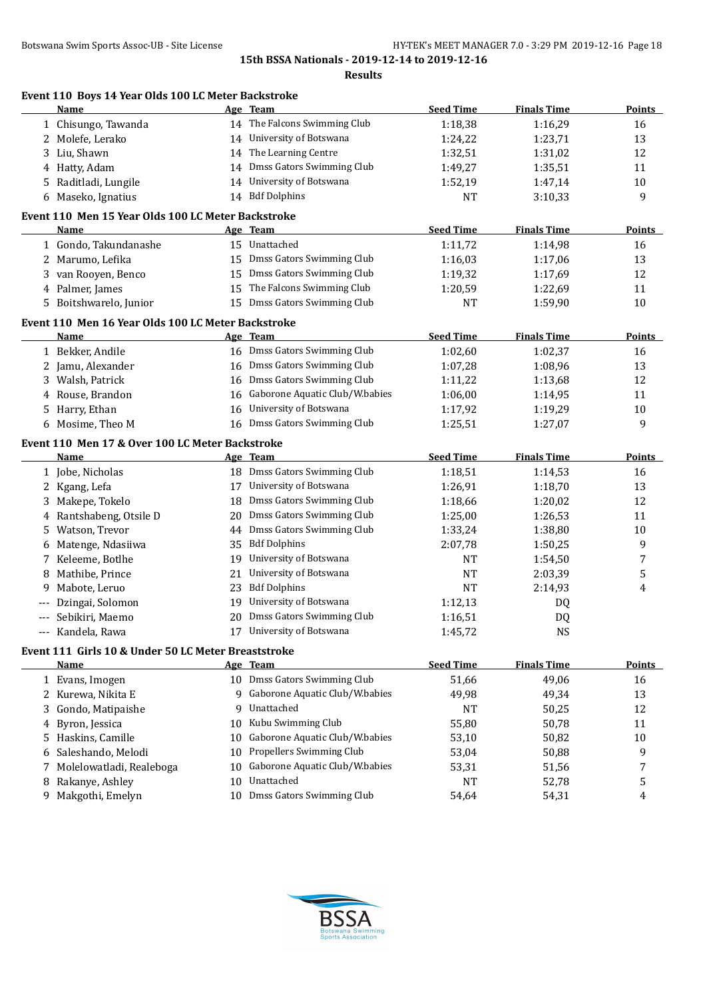| н<br>s:<br>۰. |
|---------------|
|---------------|

|    | Event 110 Boys 14 Year Olds 100 LC Meter Backstroke<br>Name |    | Age Team                       | <b>Seed Time</b> | <b>Finals Time</b> | Points        |
|----|-------------------------------------------------------------|----|--------------------------------|------------------|--------------------|---------------|
|    | 1 Chisungo, Tawanda                                         |    | 14 The Falcons Swimming Club   | 1:18,38          | 1:16,29            | 16            |
|    | 2 Molefe, Lerako                                            | 14 | University of Botswana         | 1:24,22          | 1:23,71            | 13            |
|    | 3 Liu, Shawn                                                | 14 | The Learning Centre            | 1:32,51          | 1:31,02            | 12            |
|    | 4 Hatty, Adam                                               | 14 | Dmss Gators Swimming Club      | 1:49,27          | 1:35,51            | 11            |
|    | 5 Raditladi, Lungile                                        | 14 | University of Botswana         | 1:52,19          | 1:47,14            | 10            |
|    | 6 Maseko, Ignatius                                          |    | 14 Bdf Dolphins                | <b>NT</b>        | 3:10,33            | 9             |
|    | Event 110 Men 15 Year Olds 100 LC Meter Backstroke          |    |                                |                  |                    |               |
|    | Name                                                        |    | Age Team                       | <b>Seed Time</b> | <b>Finals Time</b> | Points        |
|    | 1 Gondo, Takundanashe                                       |    | 15 Unattached                  | 1:11,72          | 1:14,98            | 16            |
|    | 2 Marumo, Lefika                                            | 15 | Dmss Gators Swimming Club      | 1:16,03          | 1:17,06            | 13            |
|    | 3 van Rooyen, Benco                                         | 15 | Dmss Gators Swimming Club      | 1:19,32          | 1:17,69            | 12            |
|    | 4 Palmer, James                                             | 15 | The Falcons Swimming Club      | 1:20,59          | 1:22,69            | 11            |
|    | 5 Boitshwarelo, Junior                                      | 15 | Dmss Gators Swimming Club      | <b>NT</b>        | 1:59,90            | 10            |
|    | Event 110 Men 16 Year Olds 100 LC Meter Backstroke<br>Name  |    | Age Team                       | <b>Seed Time</b> | <b>Finals Time</b> | <b>Points</b> |
|    |                                                             |    | 16 Dmss Gators Swimming Club   |                  |                    |               |
|    | 1 Bekker, Andile                                            |    | Dmss Gators Swimming Club      | 1:02,60          | 1:02,37            | 16            |
|    | 2 Jamu, Alexander                                           | 16 |                                | 1:07,28          | 1:08,96            | 13            |
|    | 3 Walsh, Patrick                                            | 16 | Dmss Gators Swimming Club      | 1:11,22          | 1:13,68            | 12            |
|    | 4 Rouse, Brandon                                            | 16 | Gaborone Aquatic Club/W.babies | 1:06,00          | 1:14,95            | 11            |
|    | 5 Harry, Ethan                                              | 16 | University of Botswana         | 1:17,92          | 1:19,29            | 10            |
|    | 6 Mosime, Theo M                                            | 16 | Dmss Gators Swimming Club      | 1:25,51          | 1:27,07            | 9             |
|    | Event 110 Men 17 & Over 100 LC Meter Backstroke             |    |                                |                  |                    |               |
|    | Name                                                        |    | Age Team                       | <b>Seed Time</b> | <b>Finals Time</b> | <b>Points</b> |
|    | 1 Jobe, Nicholas                                            |    | 18 Dmss Gators Swimming Club   | 1:18,51          | 1:14,53            | 16            |
|    | 2 Kgang, Lefa                                               | 17 | University of Botswana         | 1:26,91          | 1:18,70            | 13            |
|    | Makepe, Tokelo                                              | 18 | Dmss Gators Swimming Club      | 1:18,66          | 1:20,02            | 12            |
|    | 4 Rantshabeng, Otsile D                                     | 20 | Dmss Gators Swimming Club      | 1:25,00          | 1:26,53            | 11            |
| 5. | Watson, Trevor                                              | 44 | Dmss Gators Swimming Club      | 1:33,24          | 1:38,80            | $10\,$        |
| 6  | Matenge, Ndasiiwa                                           | 35 | <b>Bdf Dolphins</b>            | 2:07,78          | 1:50,25            | 9             |
|    | 7 Keleeme, Botlhe                                           | 19 | University of Botswana         | <b>NT</b>        | 1:54,50            | 7             |
| 8  | Mathibe, Prince                                             | 21 | University of Botswana         | <b>NT</b>        | 2:03,39            | 5             |
| 9. | Mabote, Leruo                                               | 23 | <b>Bdf Dolphins</b>            | <b>NT</b>        | 2:14,93            | 4             |
|    | Dzingai, Solomon                                            | 19 | University of Botswana         | 1:12,13          | DQ                 |               |
|    | Sebikiri, Maemo                                             |    | 20 Dmss Gators Swimming Club   | 1:16,51          | D <sub>Q</sub>     |               |
|    | --- Kandela, Rawa                                           |    | 17 University of Botswana      | 1:45,72          | <b>NS</b>          |               |
|    | Event 111 Girls 10 & Under 50 LC Meter Breaststroke         |    |                                |                  |                    |               |
|    | Name                                                        |    | Age Team                       | <b>Seed Time</b> | <b>Finals Time</b> | <b>Points</b> |
|    | 1 Evans, Imogen                                             |    | 10 Dmss Gators Swimming Club   | 51,66            | 49,06              | 16            |
|    | 2 Kurewa, Nikita E                                          | 9  | Gaborone Aquatic Club/W.babies | 49,98            | 49,34              | 13            |
| 3  | Gondo, Matipaishe                                           | 9  | Unattached                     | <b>NT</b>        | 50,25              | 12            |
| 4  | Byron, Jessica                                              | 10 | Kubu Swimming Club             | 55,80            | 50,78              | 11            |
| 5. | Haskins, Camille                                            | 10 | Gaborone Aquatic Club/W.babies | 53,10            | 50,82              | 10            |
| 6  | Saleshando, Melodi                                          | 10 | Propellers Swimming Club       | 53,04            | 50,88              | 9             |
|    | Molelowatladi, Realeboga                                    | 10 | Gaborone Aquatic Club/W.babies | 53,31            | 51,56              | 7             |
| 7  |                                                             |    |                                |                  |                    |               |
| 8  | Rakanye, Ashley                                             | 10 | Unattached                     | NT               | 52,78              | 5             |

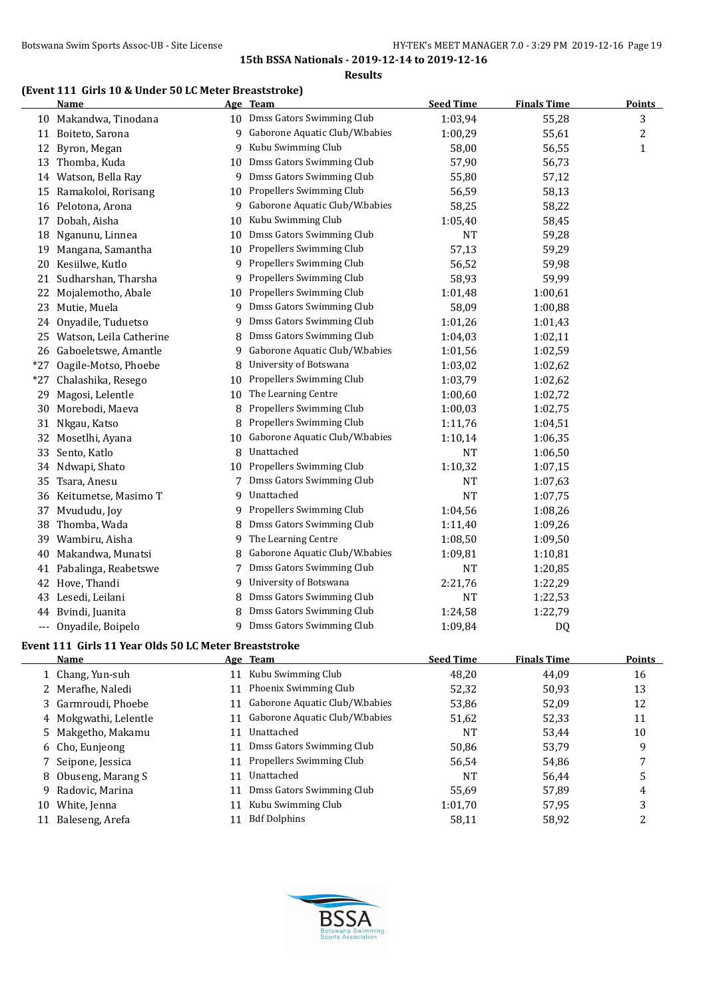**Results**

## **(Event 111 Girls 10 & Under 50 LC Meter Breaststroke)**

|       | <b>Name</b>                                           |    | Age Team                                                    | <b>Seed Time</b> | <b>Finals Time</b> | <b>Points</b> |
|-------|-------------------------------------------------------|----|-------------------------------------------------------------|------------------|--------------------|---------------|
|       | 10 Makandwa, Tinodana                                 |    | 10 Dmss Gators Swimming Club                                | 1:03,94          | 55,28              | 3             |
|       | 11 Boiteto, Sarona                                    | 9  | Gaborone Aquatic Club/W.babies                              | 1:00,29          | 55,61              | 2             |
| 12    | Byron, Megan                                          | 9  | Kubu Swimming Club                                          | 58,00            | 56,55              | $\mathbf{1}$  |
|       | 13 Thomba, Kuda                                       | 10 | Dmss Gators Swimming Club                                   | 57,90            | 56,73              |               |
|       | 14 Watson, Bella Ray                                  | 9  | Dmss Gators Swimming Club                                   | 55,80            | 57,12              |               |
|       | 15 Ramakoloi, Rorisang                                | 10 | Propellers Swimming Club                                    | 56,59            | 58,13              |               |
|       | 16 Pelotona, Arona                                    | 9  | Gaborone Aquatic Club/W.babies                              | 58,25            | 58,22              |               |
|       | 17 Dobah, Aisha                                       | 10 | Kubu Swimming Club                                          | 1:05,40          | 58,45              |               |
|       | 18 Nganunu, Linnea                                    | 10 | Dmss Gators Swimming Club                                   | NT               | 59,28              |               |
| 19    | Mangana, Samantha                                     | 10 | Propellers Swimming Club                                    | 57,13            | 59,29              |               |
| 20    | Kesiilwe, Kutlo                                       |    | 9 Propellers Swimming Club                                  | 56,52            | 59,98              |               |
| 21    | Sudharshan, Tharsha                                   | 9. | Propellers Swimming Club                                    | 58,93            | 59,99              |               |
| 22    | Mojalemotho, Abale                                    | 10 | Propellers Swimming Club                                    | 1:01,48          | 1:00,61            |               |
| 23    | Mutie, Muela                                          | 9. | Dmss Gators Swimming Club                                   | 58,09            | 1:00,88            |               |
| 24    | Onyadile, Tuduetso                                    | 9  | Dmss Gators Swimming Club                                   | 1:01,26          | 1:01,43            |               |
|       | 25 Watson, Leila Catherine                            | 8  | Dmss Gators Swimming Club                                   | 1:04,03          | 1:02,11            |               |
|       | 26 Gaboeletswe, Amantle                               | 9  | Gaborone Aquatic Club/W.babies                              | 1:01,56          | 1:02,59            |               |
| $*27$ | Oagile-Motso, Phoebe                                  | 8  | University of Botswana                                      | 1:03,02          | 1:02,62            |               |
| $*27$ | Chalashika, Resego                                    | 10 | Propellers Swimming Club                                    | 1:03,79          | 1:02,62            |               |
| 29    | Magosi, Lelentle                                      | 10 | The Learning Centre                                         | 1:00,60          | 1:02,72            |               |
| 30    | Morebodi, Maeva                                       | 8  | Propellers Swimming Club                                    | 1:00,03          | 1:02,75            |               |
| 31    | Nkgau, Katso                                          | 8  | Propellers Swimming Club                                    | 1:11,76          | 1:04,51            |               |
| 32    | Mosetlhi, Ayana                                       | 10 | Gaborone Aquatic Club/W.babies                              | 1:10,14          | 1:06,35            |               |
| 33    | Sento, Katlo                                          | 8  | Unattached                                                  | <b>NT</b>        | 1:06,50            |               |
|       | 34 Ndwapi, Shato                                      | 10 | Propellers Swimming Club                                    | 1:10,32          | 1:07,15            |               |
| 35    | Tsara, Anesu                                          |    | Dmss Gators Swimming Club                                   | <b>NT</b>        | 1:07,63            |               |
| 36    | Keitumetse, Masimo T                                  | 9  | Unattached                                                  | <b>NT</b>        | 1:07,75            |               |
|       |                                                       | 9  | Propellers Swimming Club                                    |                  |                    |               |
| 37    | Mvududu, Joy                                          | 8  | Dmss Gators Swimming Club                                   | 1:04,56          | 1:08,26            |               |
| 38    | Thomba, Wada                                          |    | The Learning Centre                                         | 1:11,40          | 1:09,26            |               |
| 39    | Wambiru, Aisha                                        | 9  |                                                             | 1:08,50          | 1:09,50            |               |
| 40    | Makandwa, Munatsi                                     | 8  | Gaborone Aquatic Club/W.babies<br>Dmss Gators Swimming Club | 1:09,81          | 1:10,81            |               |
| 41    | Pabalinga, Reabetswe                                  | 7  |                                                             | <b>NT</b>        | 1:20,85            |               |
| 42    | Hove, Thandi                                          | 9  | University of Botswana                                      | 2:21,76          | 1:22,29            |               |
| 43    | Lesedi, Leilani                                       | 8  | Dmss Gators Swimming Club                                   | <b>NT</b>        | 1:22,53            |               |
| 44    | Bvindi, Juanita                                       |    | Dmss Gators Swimming Club                                   | 1:24,58          | 1:22,79            |               |
| ---   | Onyadile, Boipelo                                     | 9  | Dmss Gators Swimming Club                                   | 1:09,84          | DQ                 |               |
|       | Event 111 Girls 11 Year Olds 50 LC Meter Breaststroke |    |                                                             |                  |                    |               |
|       | Name                                                  |    | Age Team                                                    | <b>Seed Time</b> | <b>Finals Time</b> | <b>Points</b> |
|       | 1 Chang, Yun-suh                                      |    | 11 Kubu Swimming Club                                       | 48,20            | 44,09              | 16            |
|       | 2 Merafhe, Naledi                                     | 11 | Phoenix Swimming Club                                       | 52,32            | 50,93              | 13            |
| 3     | Garmroudi, Phoebe                                     | 11 | Gaborone Aquatic Club/W.babies                              | 53,86            | 52,09              | 12            |
| 4     | Mokgwathi, Lelentle                                   | 11 | Gaborone Aquatic Club/W.babies                              | 51,62            | 52,33              | 11            |
| 5.    | Makgetho, Makamu                                      | 11 | Unattached                                                  | NT               | 53,44              | $10\,$        |
| 6     | Cho, Eunjeong                                         | 11 | Dmss Gators Swimming Club                                   | 50,86            | 53,79              | 9             |
| 7     | Seipone, Jessica                                      | 11 | Propellers Swimming Club                                    | 56,54            | 54,86              | 7             |
| 8     | Obuseng, Marang S                                     | 11 | Unattached                                                  | NT               | 56,44              | 5             |
| 9     | Radovic, Marina                                       | 11 | Dmss Gators Swimming Club                                   | 55,69            | 57,89              | 4             |
|       | 10 White, Jenna                                       | 11 | Kubu Swimming Club                                          | 1:01,70          | 57,95              | 3             |
|       | 11 Baleseng, Arefa                                    | 11 | <b>Bdf Dolphins</b>                                         | 58,11            | 58,92              | 2             |
|       |                                                       |    |                                                             |                  |                    |               |

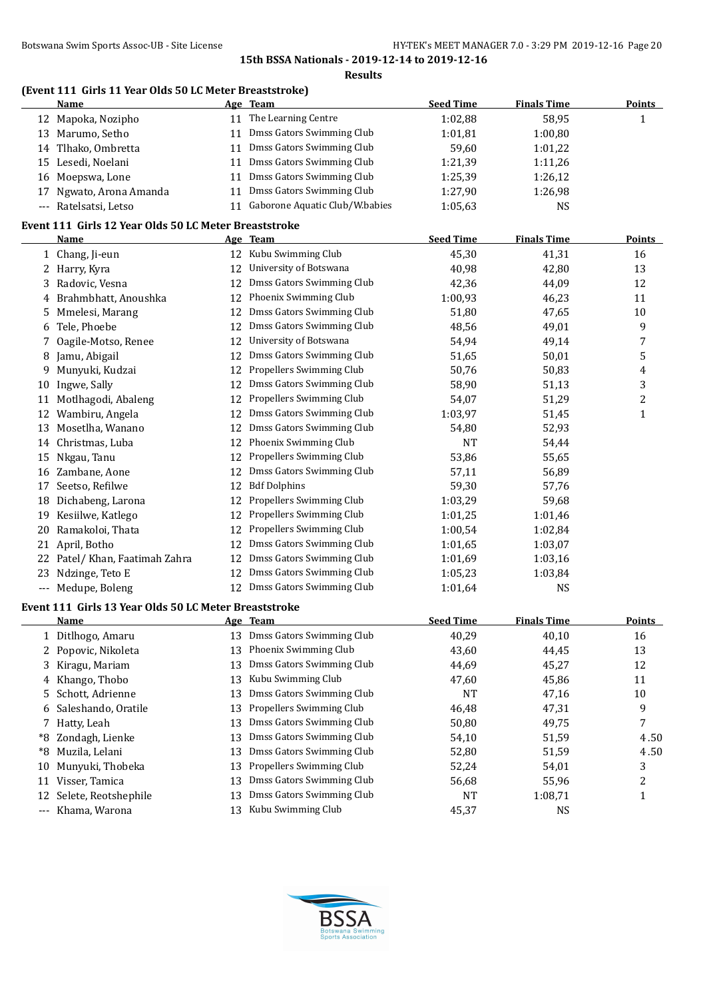**Results**

## **(Event 111 Girls 11 Year Olds 50 LC Meter Breaststroke)**

|          | <b>Name</b>                                           |    | Age Team                          | <b>Seed Time</b> | <b>Finals Time</b>   | <b>Points</b>           |
|----------|-------------------------------------------------------|----|-----------------------------------|------------------|----------------------|-------------------------|
|          | 12 Mapoka, Nozipho                                    |    | 11 The Learning Centre            | 1:02,88          | 58,95                | 1                       |
|          | 13 Marumo, Setho                                      | 11 | Dmss Gators Swimming Club         | 1:01,81          | 1:00,80              |                         |
|          | 14 Tlhako, Ombretta                                   | 11 | Dmss Gators Swimming Club         | 59,60            | 1:01,22              |                         |
|          | 15 Lesedi, Noelani                                    | 11 | Dmss Gators Swimming Club         | 1:21,39          | 1:11,26              |                         |
| 16       | Moepswa, Lone                                         | 11 | Dmss Gators Swimming Club         | 1:25,39          | 1:26,12              |                         |
| 17       | Ngwato, Arona Amanda                                  | 11 | Dmss Gators Swimming Club         | 1:27,90          | 1:26,98              |                         |
|          | --- Ratelsatsi, Letso                                 |    | 11 Gaborone Aquatic Club/W.babies | 1:05,63          | NS                   |                         |
|          | Event 111 Girls 12 Year Olds 50 LC Meter Breaststroke |    |                                   |                  |                      |                         |
|          | Name                                                  |    | Age Team                          | <b>Seed Time</b> | <b>Finals Time</b>   | <b>Points</b>           |
|          | 1 Chang, Ji-eun                                       | 12 | Kubu Swimming Club                | 45,30            | 41,31                | 16                      |
|          | 2 Harry, Kyra                                         | 12 | University of Botswana            | 40,98            | 42,80                | 13                      |
| 3        | Radovic, Vesna                                        | 12 | Dmss Gators Swimming Club         | 42,36            | 44,09                | 12                      |
| 4        | Brahmbhatt, Anoushka                                  | 12 | Phoenix Swimming Club             | 1:00,93          | 46,23                | 11                      |
| 5        | Mmelesi, Marang                                       | 12 | Dmss Gators Swimming Club         | 51,80            | 47,65                | 10                      |
| 6        | Tele, Phoebe                                          | 12 | Dmss Gators Swimming Club         | 48,56            | 49,01                | 9                       |
| 7        | Oagile-Motso, Renee                                   | 12 | University of Botswana            | 54,94            | 49,14                | 7                       |
| 8        | Jamu, Abigail                                         | 12 | Dmss Gators Swimming Club         | 51,65            | 50,01                | 5                       |
| 9.       | Munyuki, Kudzai                                       | 12 | Propellers Swimming Club          | 50,76            | 50,83                | 4                       |
| 10       | Ingwe, Sally                                          | 12 | Dmss Gators Swimming Club         | 58,90            | 51,13                | 3                       |
| 11       | Motlhagodi, Abaleng                                   | 12 | Propellers Swimming Club          | 54,07            | 51,29                | $\overline{\mathbf{c}}$ |
| 12       | Wambiru, Angela                                       | 12 | Dmss Gators Swimming Club         | 1:03,97          | 51,45                | $\mathbf{1}$            |
| 13       | Mosetlha, Wanano                                      | 12 | Dmss Gators Swimming Club         | 54,80            | 52,93                |                         |
| 14       | Christmas, Luba                                       | 12 | Phoenix Swimming Club             | <b>NT</b>        | 54,44                |                         |
|          | 15 Nkgau, Tanu                                        | 12 | Propellers Swimming Club          | 53,86            | 55,65                |                         |
|          | 16 Zambane, Aone                                      | 12 | Dmss Gators Swimming Club         | 57,11            | 56,89                |                         |
| 17       | Seetso, Refilwe                                       | 12 | <b>Bdf Dolphins</b>               | 59,30            | 57,76                |                         |
|          | 18 Dichabeng, Larona                                  | 12 | Propellers Swimming Club          | 1:03,29          | 59,68                |                         |
|          | 19 Kesiilwe, Katlego                                  | 12 | Propellers Swimming Club          | 1:01,25          | 1:01,46              |                         |
|          | 20 Ramakoloi, Thata                                   | 12 | Propellers Swimming Club          | 1:00,54          | 1:02,84              |                         |
|          | 21 April, Botho                                       | 12 | Dmss Gators Swimming Club         | 1:01,65          | 1:03,07              |                         |
|          | 22 Patel/ Khan, Faatimah Zahra                        | 12 | Dmss Gators Swimming Club         | 1:01,69          | 1:03,16              |                         |
|          | 23 Ndzinge, Teto E                                    | 12 | Dmss Gators Swimming Club         | 1:05,23          | 1:03,84              |                         |
|          | --- Medupe, Boleng                                    |    | 12 Dmss Gators Swimming Club      | 1:01,64          | NS                   |                         |
|          | Event 111 Girls 13 Year Olds 50 LC Meter Breaststroke |    |                                   |                  |                      |                         |
|          | Name                                                  |    | Age Team                          | <b>Seed Time</b> | <b>Finals Time</b>   | <b>Points</b>           |
|          | 1 Ditlhogo, Amaru                                     | 13 | Dmss Gators Swimming Club         | 40,29            | 40,10                | 16                      |
| 2        | Popovic, Nikoleta                                     | 13 | Phoenix Swimming Club             | 43,60            | 44,45                | 13                      |
| 3        | Kiragu, Mariam                                        | 13 | Dmss Gators Swimming Club         | 44,69            | 45,27                | 12                      |
| 4        | Khango, Thobo                                         | 13 | Kubu Swimming Club                | 47,60            | 45,86                | 11                      |
| 5        | Schott, Adrienne                                      | 13 | Dmss Gators Swimming Club         | <b>NT</b>        | 47,16                | 10                      |
|          | Saleshando, Oratile                                   | 13 | Propellers Swimming Club          | 46,48            | 47,31                | 9                       |
| 6<br>7   | Hatty, Leah                                           | 13 | Dmss Gators Swimming Club         | 50,80            | 49,75                | 7                       |
|          | Zondagh, Lienke                                       | 13 | Dmss Gators Swimming Club         |                  |                      |                         |
| *8<br>*8 | Muzila, Lelani                                        | 13 | Dmss Gators Swimming Club         | 54,10<br>52,80   | 51,59<br>51,59       | 4.50<br>4.50            |
|          | Munyuki, Thobeka                                      | 13 | Propellers Swimming Club          | 52,24            | 54,01                | 3                       |
| 10<br>11 | Visser, Tamica                                        | 13 | Dmss Gators Swimming Club         | 56,68            | 55,96                | $\overline{c}$          |
| 12       | Selete, Reotshephile                                  | 13 | Dmss Gators Swimming Club         | <b>NT</b>        |                      |                         |
| ---      | Khama, Warona                                         | 13 | Kubu Swimming Club                | 45,37            | 1:08,71<br><b>NS</b> | 1                       |
|          |                                                       |    |                                   |                  |                      |                         |

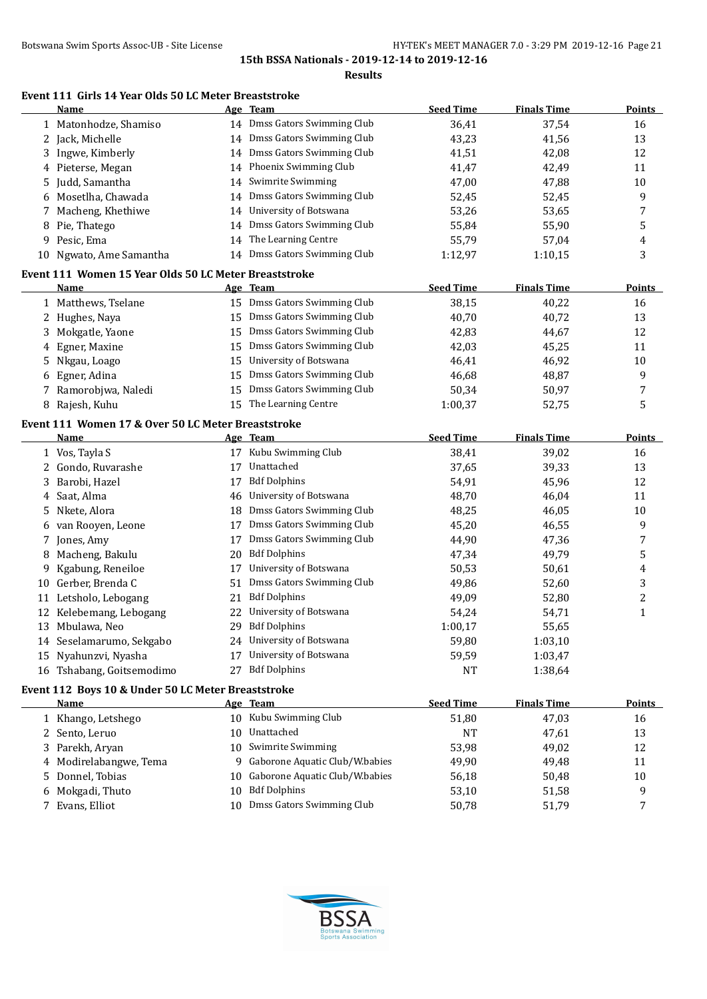#### **Event 111 Girls 14 Year Olds 50 LC Meter Breaststroke**

|    | Name                                                  |    | Age Team                         | <b>Seed Time</b> | <b>Finals Time</b> | <b>Points</b> |
|----|-------------------------------------------------------|----|----------------------------------|------------------|--------------------|---------------|
|    | 1 Matonhodze, Shamiso                                 |    | 14 Dmss Gators Swimming Club     | 36,41            | 37,54              | 16            |
|    | 2 Jack, Michelle                                      | 14 | Dmss Gators Swimming Club        | 43,23            | 41,56              | 13            |
| 3  | Ingwe, Kimberly                                       | 14 | Dmss Gators Swimming Club        | 41,51            | 42,08              | 12            |
| 4  | Pieterse, Megan                                       | 14 | Phoenix Swimming Club            | 41,47            | 42,49              | 11            |
| 5. | Judd, Samantha                                        | 14 | Swimrite Swimming                | 47,00            | 47,88              | 10            |
|    | Mosetlha, Chawada                                     | 14 | Dmss Gators Swimming Club        | 52,45            | 52,45              | 9             |
| 7  | Macheng, Khethiwe                                     | 14 | University of Botswana           | 53,26            | 53,65              | 7             |
| 8  | Pie, Thatego                                          | 14 | Dmss Gators Swimming Club        | 55,84            | 55,90              | 5             |
|    | 9 Pesic, Ema                                          | 14 | The Learning Centre              | 55,79            | 57,04              | 4             |
|    | 10 Ngwato, Ame Samantha                               |    | 14 Dmss Gators Swimming Club     | 1:12,97          | 1:10,15            | 3             |
|    | Event 111 Women 15 Year Olds 50 LC Meter Breaststroke |    |                                  |                  |                    |               |
|    | <b>Name</b>                                           |    | Age Team                         | <b>Seed Time</b> | <b>Finals Time</b> | <b>Points</b> |
|    | 1 Matthews, Tselane                                   |    | 15 Dmss Gators Swimming Club     | 38,15            | 40,22              | 16            |
|    | 2 Hughes, Naya                                        | 15 | Dmss Gators Swimming Club        | 40,70            | 40,72              | 13            |
| 3  | Mokgatle, Yaone                                       | 15 | Dmss Gators Swimming Club        | 42,83            | 44,67              | 12            |
| 4  | Egner, Maxine                                         | 15 | Dmss Gators Swimming Club        | 42,03            | 45,25              | 11            |
| 5  | Nkgau, Loago                                          | 15 | University of Botswana           | 46,41            | 46,92              | 10            |
| 6  | Egner, Adina                                          | 15 | Dmss Gators Swimming Club        | 46,68            | 48,87              | 9             |
|    | Ramorobjwa, Naledi                                    | 15 | Dmss Gators Swimming Club        | 50,34            | 50,97              | 7             |
|    | 8 Rajesh, Kuhu                                        | 15 | The Learning Centre              | 1:00,37          | 52,75              | 5             |
|    | Event 111 Women 17 & Over 50 LC Meter Breaststroke    |    |                                  |                  |                    |               |
|    | <b>Name</b>                                           |    | Age Team                         | <b>Seed Time</b> | <b>Finals Time</b> | <b>Points</b> |
|    | 1 Vos, Tayla S                                        |    | 17 Kubu Swimming Club            | 38,41            | 39,02              | 16            |
|    | 2 Gondo, Ruvarashe                                    | 17 | Unattached                       | 37,65            | 39,33              | 13            |
| 3  | Barobi, Hazel                                         | 17 | <b>Bdf Dolphins</b>              | 54,91            | 45,96              | 12            |
| 4  | Saat, Alma                                            | 46 | University of Botswana           | 48,70            | 46,04              | 11            |
| 5  | Nkete, Alora                                          | 18 | Dmss Gators Swimming Club        | 48,25            | 46,05              | 10            |
| 6  | van Rooyen, Leone                                     | 17 | Dmss Gators Swimming Club        | 45,20            | 46,55              | 9             |
|    | Jones, Amy                                            | 17 | Dmss Gators Swimming Club        | 44,90            | 47,36              | 7             |
| 8  | Macheng, Bakulu                                       | 20 | <b>Bdf Dolphins</b>              | 47,34            | 49,79              | 5             |
| 9  | Kgabung, Reneiloe                                     | 17 | University of Botswana           | 50,53            | 50,61              | 4             |
|    | 10 Gerber, Brenda C                                   | 51 | Dmss Gators Swimming Club        | 49,86            | 52,60              | 3             |
|    | 11 Letsholo, Lebogang                                 | 21 | <b>Bdf Dolphins</b>              | 49,09            | 52,80              | 2             |
|    | 12 Kelebemang, Lebogang                               | 22 | University of Botswana           | 54,24            | 54,71              | $\mathbf{1}$  |
|    | 13 Mbulawa, Neo                                       |    | 29 Bdf Dolphins                  | 1:00,17          | 55,65              |               |
|    | 14 Seselamarumo, Sekgabo                              |    | 24 University of Botswana        | 59,80            | 1:03,10            |               |
|    | 15 Nyahunzvi, Nyasha                                  | 17 | University of Botswana           | 59,59            | 1:03,47            |               |
|    | 16 Tshabang, Goitsemodimo                             | 27 | <b>Bdf Dolphins</b>              | NT               | 1:38,64            |               |
|    | Event 112 Boys 10 & Under 50 LC Meter Breaststroke    |    |                                  |                  |                    |               |
|    | <b>Name</b>                                           |    | Age Team                         | <b>Seed Time</b> | <b>Finals Time</b> | <b>Points</b> |
|    | 1 Khango, Letshego                                    | 10 | Kubu Swimming Club               | 51,80            | 47,03              | 16            |
|    | 2 Sento, Leruo                                        | 10 | Unattached                       | NT               | 47,61              | 13            |
|    | 3 Parekh, Aryan                                       | 10 | Swimrite Swimming                | 53,98            | 49,02              | 12            |
|    | 4 Modirelabangwe, Tema                                |    | 9 Gaborone Aquatic Club/W.babies | 49,90            | 49,48              | 11            |



5 Donnel, Tobias 10 Gaborone Aquatic Club/W.babies 56,18 50,48 50,48 10 6 Mokgadi, Thuto 10 Bdf Dolphins 53,10 51,58 9<br>
7 Evans, Elliot 10 Dmss Gators Swimming Club 50,78 51,79 7

7 Evans, Elliot 10 Dmss Gators Swimming Club 50,78 51,79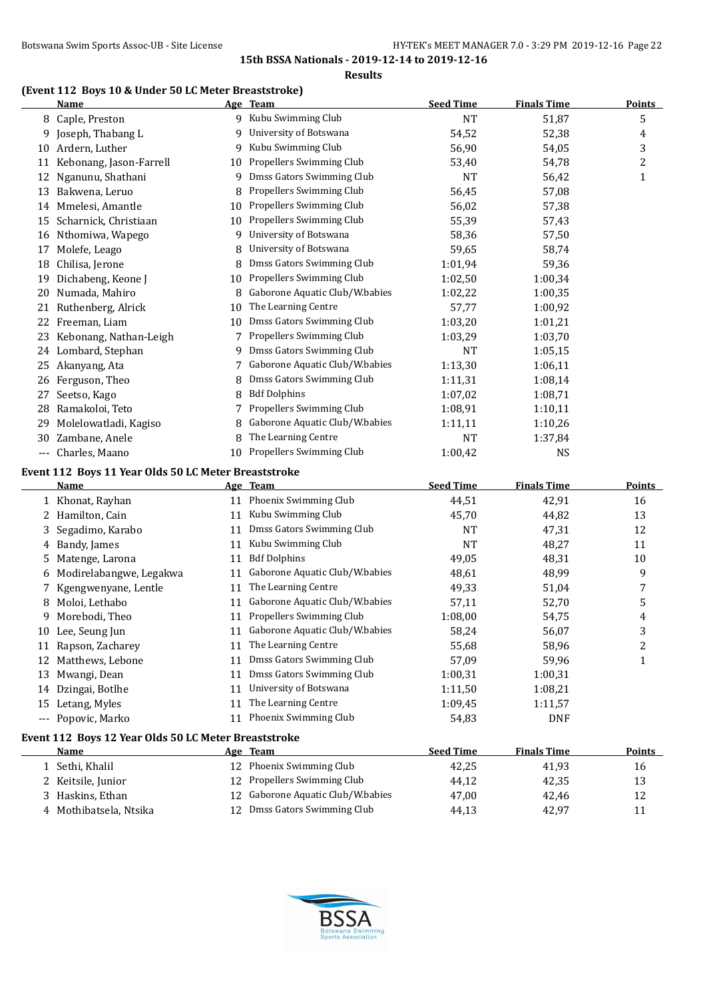**Results**

#### **(Event 112 Boys 10 & Under 50 LC Meter Breaststroke)**

|       | <u>Name</u>                                          |    | Age Team                          | <b>Seed Time</b> | <b>Finals Time</b> | <b>Points</b> |
|-------|------------------------------------------------------|----|-----------------------------------|------------------|--------------------|---------------|
|       | 8 Caple, Preston                                     |    | 9 Kubu Swimming Club              | <b>NT</b>        | 51,87              | 5             |
|       | 9 Joseph, Thabang L                                  | 9  | University of Botswana            | 54,52            | 52,38              | 4             |
|       | 10 Ardern, Luther                                    | 9  | Kubu Swimming Club                | 56,90            | 54,05              | 3             |
|       | 11 Kebonang, Jason-Farrell                           | 10 | Propellers Swimming Club          | 53,40            | 54,78              | 2             |
|       | 12 Nganunu, Shathani                                 | 9  | Dmss Gators Swimming Club         | <b>NT</b>        | 56,42              | $\mathbf{1}$  |
|       | 13 Bakwena, Leruo                                    | 8  | Propellers Swimming Club          | 56,45            | 57,08              |               |
|       | 14 Mmelesi, Amantle                                  | 10 | Propellers Swimming Club          | 56,02            | 57,38              |               |
|       | 15 Scharnick, Christiaan                             | 10 | Propellers Swimming Club          | 55,39            | 57,43              |               |
|       | 16 Nthomiwa, Wapego                                  | 9  | University of Botswana            | 58,36            | 57,50              |               |
|       | 17 Molefe, Leago                                     | 8  | University of Botswana            | 59,65            | 58,74              |               |
|       | 18 Chilisa, Jerone                                   | 8  | Dmss Gators Swimming Club         | 1:01,94          | 59,36              |               |
|       | 19 Dichabeng, Keone J                                | 10 | Propellers Swimming Club          | 1:02,50          | 1:00,34            |               |
|       | 20 Numada, Mahiro                                    | 8  | Gaborone Aquatic Club/W.babies    | 1:02,22          | 1:00,35            |               |
|       | 21 Ruthenberg, Alrick                                | 10 | The Learning Centre               | 57,77            | 1:00,92            |               |
|       | 22 Freeman, Liam                                     | 10 | Dmss Gators Swimming Club         | 1:03,20          | 1:01,21            |               |
|       | 23 Kebonang, Nathan-Leigh                            | 7  | Propellers Swimming Club          | 1:03,29          | 1:03,70            |               |
|       | 24 Lombard, Stephan                                  | 9  | Dmss Gators Swimming Club         | <b>NT</b>        | 1:05,15            |               |
|       | 25 Akanyang, Ata                                     | 7  | Gaborone Aquatic Club/W.babies    | 1:13,30          | 1:06,11            |               |
|       | 26 Ferguson, Theo                                    | 8  | Dmss Gators Swimming Club         | 1:11,31          | 1:08,14            |               |
| 27    | Seetso, Kago                                         | 8  | <b>Bdf Dolphins</b>               | 1:07,02          | 1:08,71            |               |
| 28    | Ramakoloi, Teto                                      | 7  | Propellers Swimming Club          | 1:08,91          | 1:10,11            |               |
| 29    | Molelowatladi, Kagiso                                | 8  | Gaborone Aquatic Club/W.babies    | 1:11,11          | 1:10,26            |               |
| 30-   | Zambane, Anele                                       | 8  | The Learning Centre               | <b>NT</b>        | 1:37,84            |               |
| $---$ | Charles, Maano                                       | 10 | Propellers Swimming Club          | 1:00,42          | <b>NS</b>          |               |
|       | Event 112 Boys 11 Year Olds 50 LC Meter Breaststroke |    |                                   |                  |                    |               |
|       | Name                                                 |    | Age Team                          | <b>Seed Time</b> | <b>Finals Time</b> | <b>Points</b> |
|       | 1 Khonat, Rayhan                                     |    | 11 Phoenix Swimming Club          | 44,51            | 42,91              | 16            |
| 2     | Hamilton, Cain                                       | 11 | Kubu Swimming Club                | 45,70            | 44,82              | 13            |
| 3     | Segadimo, Karabo                                     | 11 | Dmss Gators Swimming Club         | NT               | 47,31              | 12            |
|       | Bandy, James                                         | 11 | Kubu Swimming Club                | <b>NT</b>        | 48,27              | 11            |
| 5     | Matenge, Larona                                      | 11 | <b>Bdf Dolphins</b>               | 49,05            | 48,31              | 10            |
|       | Modirelabangwe, Legakwa                              | 11 | Gaborone Aquatic Club/W.babies    | 48,61            | 48,99              | 9             |
|       | Kgengwenyane, Lentle                                 | 11 | The Learning Centre               | 49,33            | 51,04              | 7             |
|       | Moloi, Lethabo                                       | 11 | Gaborone Aquatic Club/W.babies    | 57,11            | 52,70              | 5             |
|       | 9 Morebodi, Theo                                     |    | 11 Propellers Swimming Club       | 1:08,00          | 54,75              | 4             |
|       | 10 Lee, Seung Jun                                    |    | 11 Gaborone Aquatic Club/W.babies | 58,24            | 56,07              | 3             |
|       | 11 Rapson, Zacharey                                  |    | 11 The Learning Centre            | 55,68            | 58,96              | 2             |
|       | 12 Matthews, Lebone                                  | 11 | Dmss Gators Swimming Club         | 57,09            | 59,96              | 1             |
| 13    | Mwangi, Dean                                         | 11 | Dmss Gators Swimming Club         | 1:00,31          | 1:00,31            |               |
|       | 14 Dzingai, Botlhe                                   | 11 | University of Botswana            | 1:11,50          | 1:08,21            |               |
| 15    | Letang, Myles                                        | 11 | The Learning Centre               | 1:09,45          | 1:11,57            |               |
|       | --- Popovic, Marko                                   | 11 | Phoenix Swimming Club             | 54,83            | <b>DNF</b>         |               |
|       | Event 112 Boys 12 Year Olds 50 LC Meter Breaststroke |    |                                   |                  |                    |               |
|       | <b>Name</b>                                          |    | Age Team                          | <b>Seed Time</b> | <b>Finals Time</b> | <b>Points</b> |
|       | 1 Sethi, Khalil                                      |    | 12 Phoenix Swimming Club          | 42,25            | 41,93              | 16            |
|       | 2 Keitsile, Junior                                   | 12 | Propellers Swimming Club          | 44,12            | 42,35              | 13            |
| 3.    | Haskins, Ethan                                       | 12 | Gaborone Aquatic Club/W.babies    | 47,00            | 42,46              | 12            |
|       | 4 Mothibatsela, Ntsika                               |    | 12 Dmss Gators Swimming Club      | 44,13            | 42,97              | 11            |

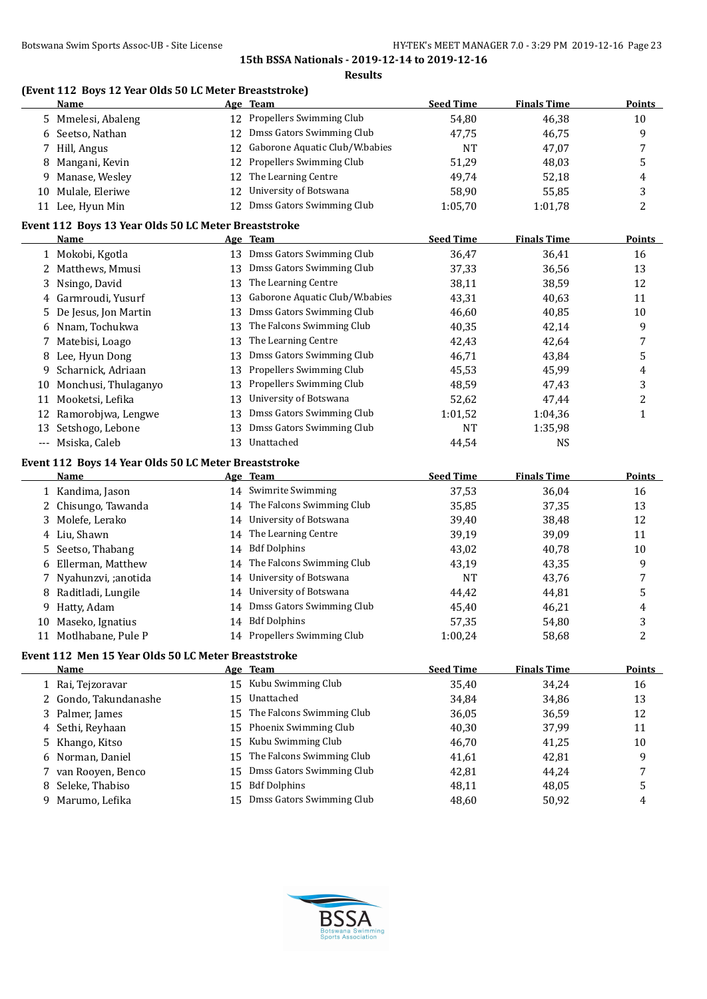| Name<br>Age Team<br>12 Propellers Swimming Club<br>54,80<br>46,38<br>5 Mmelesi, Abaleng<br>12 Dmss Gators Swimming Club<br>6 Seetso, Nathan<br>47,75<br>46,75<br>12 Gaborone Aquatic Club/W.babies<br>Hill, Angus<br><b>NT</b><br>47,07<br>7<br>12 Propellers Swimming Club<br>Mangani, Kevin<br>51,29<br>48,03<br>8<br>12 The Learning Centre<br>Manase, Wesley<br>49,74<br>52,18<br>9<br>12 University of Botswana<br>Mulale, Eleriwe<br>58,90<br>55,85<br>10<br>12 Dmss Gators Swimming Club<br>11 Lee, Hyun Min<br>1:05,70<br>1:01,78<br>Event 112 Boys 13 Year Olds 50 LC Meter Breaststroke<br>Age Team<br><b>Seed Time</b><br><b>Finals Time</b><br>Name<br>13 Dmss Gators Swimming Club<br>1 Mokobi, Kgotla<br>36,47<br>36,41<br>13 Dmss Gators Swimming Club<br>Matthews, Mmusi<br>37,33<br>36,56<br>2<br>The Learning Centre<br>38,59<br>Nsingo, David<br>38,11<br>13<br>3<br>Gaborone Aquatic Club/W.babies<br>Garmroudi, Yusurf<br>43,31<br>40,63<br>13<br>4<br>Dmss Gators Swimming Club<br>46,60<br>40,85<br>De Jesus, Jon Martin<br>13<br>5<br>The Falcons Swimming Club<br>Nnam, Tochukwa<br>40,35<br>42,14<br>13<br>6<br>The Learning Centre<br>42,43<br>42,64<br>Matebisi, Loago<br>13<br>Dmss Gators Swimming Club<br>Lee, Hyun Dong<br>46,71<br>43,84<br>13<br>8<br>Propellers Swimming Club<br>Scharnick, Adriaan<br>45,53<br>45,99<br>13<br>9<br>Propellers Swimming Club<br>Monchusi, Thulaganyo<br>48,59<br>47,43<br>13<br>10<br>University of Botswana<br>Mooketsi, Lefika<br>52,62<br>47,44<br>13<br>11<br>Dmss Gators Swimming Club<br>Ramorobjwa, Lengwe<br>1:04,36<br>13<br>1:01,52<br>12<br>Dmss Gators Swimming Club<br>Setshogo, Lebone<br><b>NT</b><br>1:35,98<br>13<br>13<br>13 Unattached<br>--- Msiska, Caleb<br><b>NS</b><br>44,54<br>Event 112 Boys 14 Year Olds 50 LC Meter Breaststroke<br><b>Seed Time</b><br><b>Finals Time</b><br><b>Name</b><br>Age Team<br>14 Swimrite Swimming<br>37,53<br>36,04<br>1 Kandima, Jason<br>14 The Falcons Swimming Club<br>2 Chisungo, Tawanda<br>35,85<br>37,35<br>14 University of Botswana<br>Molefe, Lerako<br>3<br>39,40<br>38,48<br>14 The Learning Centre<br>4 Liu, Shawn<br>39,19<br>39,09<br>14 Bdf Dolphins<br>Seetso, Thabang<br>40,78<br>43,02<br>5<br>The Falcons Swimming Club<br>Ellerman, Matthew<br>43,35<br>43,19<br>14<br>6<br>University of Botswana<br>Nyahunzvi, ;anotida<br><b>NT</b><br>43,76<br>14<br>Raditladi, Lungile<br>University of Botswana<br>44,42<br>44,81<br>8<br>14<br>14 Dmss Gators Swimming Club<br>Hatty, Adam<br>45,40<br>46,21<br>9<br>14 Bdf Dolphins<br>10 Maseko, Ignatius<br>57,35<br>54,80<br>14 Propellers Swimming Club<br>11 Motlhabane, Pule P<br>1:00,24<br>58,68<br>Event 112 Men 15 Year Olds 50 LC Meter Breaststroke<br><b>Seed Time</b><br><b>Finals Time</b><br><b>Name</b><br>Age Team<br>15 Kubu Swimming Club<br>35,40<br>34,24<br>1 Rai, Tejzoravar<br>Unattached<br>2 Gondo, Takundanashe<br>34,84<br>34,86<br>15<br>The Falcons Swimming Club<br>Palmer, James<br>36,59<br>15<br>36,05<br>3<br>Phoenix Swimming Club<br>Sethi, Reyhaan<br>40,30<br>37,99<br>15<br>4<br>Kubu Swimming Club<br>Khango, Kitso<br>41,25<br>15<br>46,70<br>5<br>The Falcons Swimming Club<br>Norman, Daniel<br>42,81<br>15<br>41,61<br>6<br>Dmss Gators Swimming Club<br>van Rooyen, Benco<br>42,81<br>44,24<br>15 |   | (Event 112 Boys 12 Year Olds 50 LC Meter Breaststroke) |    |                     | <b>Seed Time</b> | <b>Finals Time</b> | <b>Points</b>  |
|-------------------------------------------------------------------------------------------------------------------------------------------------------------------------------------------------------------------------------------------------------------------------------------------------------------------------------------------------------------------------------------------------------------------------------------------------------------------------------------------------------------------------------------------------------------------------------------------------------------------------------------------------------------------------------------------------------------------------------------------------------------------------------------------------------------------------------------------------------------------------------------------------------------------------------------------------------------------------------------------------------------------------------------------------------------------------------------------------------------------------------------------------------------------------------------------------------------------------------------------------------------------------------------------------------------------------------------------------------------------------------------------------------------------------------------------------------------------------------------------------------------------------------------------------------------------------------------------------------------------------------------------------------------------------------------------------------------------------------------------------------------------------------------------------------------------------------------------------------------------------------------------------------------------------------------------------------------------------------------------------------------------------------------------------------------------------------------------------------------------------------------------------------------------------------------------------------------------------------------------------------------------------------------------------------------------------------------------------------------------------------------------------------------------------------------------------------------------------------------------------------------------------------------------------------------------------------------------------------------------------------------------------------------------------------------------------------------------------------------------------------------------------------------------------------------------------------------------------------------------------------------------------------------------------------------------------------------------------------------------------------------------------------------------------------------------------------------------------------------------------------------------------------------------------------------------------------------------------------------------------------------------------------------------------------------------------------------------|---|--------------------------------------------------------|----|---------------------|------------------|--------------------|----------------|
|                                                                                                                                                                                                                                                                                                                                                                                                                                                                                                                                                                                                                                                                                                                                                                                                                                                                                                                                                                                                                                                                                                                                                                                                                                                                                                                                                                                                                                                                                                                                                                                                                                                                                                                                                                                                                                                                                                                                                                                                                                                                                                                                                                                                                                                                                                                                                                                                                                                                                                                                                                                                                                                                                                                                                                                                                                                                                                                                                                                                                                                                                                                                                                                                                                                                                                                                           |   |                                                        |    |                     |                  |                    |                |
|                                                                                                                                                                                                                                                                                                                                                                                                                                                                                                                                                                                                                                                                                                                                                                                                                                                                                                                                                                                                                                                                                                                                                                                                                                                                                                                                                                                                                                                                                                                                                                                                                                                                                                                                                                                                                                                                                                                                                                                                                                                                                                                                                                                                                                                                                                                                                                                                                                                                                                                                                                                                                                                                                                                                                                                                                                                                                                                                                                                                                                                                                                                                                                                                                                                                                                                                           |   |                                                        |    |                     |                  |                    | 10             |
|                                                                                                                                                                                                                                                                                                                                                                                                                                                                                                                                                                                                                                                                                                                                                                                                                                                                                                                                                                                                                                                                                                                                                                                                                                                                                                                                                                                                                                                                                                                                                                                                                                                                                                                                                                                                                                                                                                                                                                                                                                                                                                                                                                                                                                                                                                                                                                                                                                                                                                                                                                                                                                                                                                                                                                                                                                                                                                                                                                                                                                                                                                                                                                                                                                                                                                                                           |   |                                                        |    |                     |                  |                    | 9              |
|                                                                                                                                                                                                                                                                                                                                                                                                                                                                                                                                                                                                                                                                                                                                                                                                                                                                                                                                                                                                                                                                                                                                                                                                                                                                                                                                                                                                                                                                                                                                                                                                                                                                                                                                                                                                                                                                                                                                                                                                                                                                                                                                                                                                                                                                                                                                                                                                                                                                                                                                                                                                                                                                                                                                                                                                                                                                                                                                                                                                                                                                                                                                                                                                                                                                                                                                           |   |                                                        |    |                     |                  |                    | 7              |
|                                                                                                                                                                                                                                                                                                                                                                                                                                                                                                                                                                                                                                                                                                                                                                                                                                                                                                                                                                                                                                                                                                                                                                                                                                                                                                                                                                                                                                                                                                                                                                                                                                                                                                                                                                                                                                                                                                                                                                                                                                                                                                                                                                                                                                                                                                                                                                                                                                                                                                                                                                                                                                                                                                                                                                                                                                                                                                                                                                                                                                                                                                                                                                                                                                                                                                                                           |   |                                                        |    |                     |                  |                    | 5              |
|                                                                                                                                                                                                                                                                                                                                                                                                                                                                                                                                                                                                                                                                                                                                                                                                                                                                                                                                                                                                                                                                                                                                                                                                                                                                                                                                                                                                                                                                                                                                                                                                                                                                                                                                                                                                                                                                                                                                                                                                                                                                                                                                                                                                                                                                                                                                                                                                                                                                                                                                                                                                                                                                                                                                                                                                                                                                                                                                                                                                                                                                                                                                                                                                                                                                                                                                           |   |                                                        |    |                     |                  |                    | 4              |
|                                                                                                                                                                                                                                                                                                                                                                                                                                                                                                                                                                                                                                                                                                                                                                                                                                                                                                                                                                                                                                                                                                                                                                                                                                                                                                                                                                                                                                                                                                                                                                                                                                                                                                                                                                                                                                                                                                                                                                                                                                                                                                                                                                                                                                                                                                                                                                                                                                                                                                                                                                                                                                                                                                                                                                                                                                                                                                                                                                                                                                                                                                                                                                                                                                                                                                                                           |   |                                                        |    |                     |                  |                    | $\sqrt{3}$     |
|                                                                                                                                                                                                                                                                                                                                                                                                                                                                                                                                                                                                                                                                                                                                                                                                                                                                                                                                                                                                                                                                                                                                                                                                                                                                                                                                                                                                                                                                                                                                                                                                                                                                                                                                                                                                                                                                                                                                                                                                                                                                                                                                                                                                                                                                                                                                                                                                                                                                                                                                                                                                                                                                                                                                                                                                                                                                                                                                                                                                                                                                                                                                                                                                                                                                                                                                           |   |                                                        |    |                     |                  |                    | $\overline{c}$ |
|                                                                                                                                                                                                                                                                                                                                                                                                                                                                                                                                                                                                                                                                                                                                                                                                                                                                                                                                                                                                                                                                                                                                                                                                                                                                                                                                                                                                                                                                                                                                                                                                                                                                                                                                                                                                                                                                                                                                                                                                                                                                                                                                                                                                                                                                                                                                                                                                                                                                                                                                                                                                                                                                                                                                                                                                                                                                                                                                                                                                                                                                                                                                                                                                                                                                                                                                           |   |                                                        |    |                     |                  |                    | <b>Points</b>  |
|                                                                                                                                                                                                                                                                                                                                                                                                                                                                                                                                                                                                                                                                                                                                                                                                                                                                                                                                                                                                                                                                                                                                                                                                                                                                                                                                                                                                                                                                                                                                                                                                                                                                                                                                                                                                                                                                                                                                                                                                                                                                                                                                                                                                                                                                                                                                                                                                                                                                                                                                                                                                                                                                                                                                                                                                                                                                                                                                                                                                                                                                                                                                                                                                                                                                                                                                           |   |                                                        |    |                     |                  |                    | 16             |
|                                                                                                                                                                                                                                                                                                                                                                                                                                                                                                                                                                                                                                                                                                                                                                                                                                                                                                                                                                                                                                                                                                                                                                                                                                                                                                                                                                                                                                                                                                                                                                                                                                                                                                                                                                                                                                                                                                                                                                                                                                                                                                                                                                                                                                                                                                                                                                                                                                                                                                                                                                                                                                                                                                                                                                                                                                                                                                                                                                                                                                                                                                                                                                                                                                                                                                                                           |   |                                                        |    |                     |                  |                    | 13             |
|                                                                                                                                                                                                                                                                                                                                                                                                                                                                                                                                                                                                                                                                                                                                                                                                                                                                                                                                                                                                                                                                                                                                                                                                                                                                                                                                                                                                                                                                                                                                                                                                                                                                                                                                                                                                                                                                                                                                                                                                                                                                                                                                                                                                                                                                                                                                                                                                                                                                                                                                                                                                                                                                                                                                                                                                                                                                                                                                                                                                                                                                                                                                                                                                                                                                                                                                           |   |                                                        |    |                     |                  |                    |                |
|                                                                                                                                                                                                                                                                                                                                                                                                                                                                                                                                                                                                                                                                                                                                                                                                                                                                                                                                                                                                                                                                                                                                                                                                                                                                                                                                                                                                                                                                                                                                                                                                                                                                                                                                                                                                                                                                                                                                                                                                                                                                                                                                                                                                                                                                                                                                                                                                                                                                                                                                                                                                                                                                                                                                                                                                                                                                                                                                                                                                                                                                                                                                                                                                                                                                                                                                           |   |                                                        |    |                     |                  |                    | 12             |
|                                                                                                                                                                                                                                                                                                                                                                                                                                                                                                                                                                                                                                                                                                                                                                                                                                                                                                                                                                                                                                                                                                                                                                                                                                                                                                                                                                                                                                                                                                                                                                                                                                                                                                                                                                                                                                                                                                                                                                                                                                                                                                                                                                                                                                                                                                                                                                                                                                                                                                                                                                                                                                                                                                                                                                                                                                                                                                                                                                                                                                                                                                                                                                                                                                                                                                                                           |   |                                                        |    |                     |                  |                    | 11             |
|                                                                                                                                                                                                                                                                                                                                                                                                                                                                                                                                                                                                                                                                                                                                                                                                                                                                                                                                                                                                                                                                                                                                                                                                                                                                                                                                                                                                                                                                                                                                                                                                                                                                                                                                                                                                                                                                                                                                                                                                                                                                                                                                                                                                                                                                                                                                                                                                                                                                                                                                                                                                                                                                                                                                                                                                                                                                                                                                                                                                                                                                                                                                                                                                                                                                                                                                           |   |                                                        |    |                     |                  |                    | 10             |
|                                                                                                                                                                                                                                                                                                                                                                                                                                                                                                                                                                                                                                                                                                                                                                                                                                                                                                                                                                                                                                                                                                                                                                                                                                                                                                                                                                                                                                                                                                                                                                                                                                                                                                                                                                                                                                                                                                                                                                                                                                                                                                                                                                                                                                                                                                                                                                                                                                                                                                                                                                                                                                                                                                                                                                                                                                                                                                                                                                                                                                                                                                                                                                                                                                                                                                                                           |   |                                                        |    |                     |                  |                    | 9              |
|                                                                                                                                                                                                                                                                                                                                                                                                                                                                                                                                                                                                                                                                                                                                                                                                                                                                                                                                                                                                                                                                                                                                                                                                                                                                                                                                                                                                                                                                                                                                                                                                                                                                                                                                                                                                                                                                                                                                                                                                                                                                                                                                                                                                                                                                                                                                                                                                                                                                                                                                                                                                                                                                                                                                                                                                                                                                                                                                                                                                                                                                                                                                                                                                                                                                                                                                           |   |                                                        |    |                     |                  |                    | 7              |
|                                                                                                                                                                                                                                                                                                                                                                                                                                                                                                                                                                                                                                                                                                                                                                                                                                                                                                                                                                                                                                                                                                                                                                                                                                                                                                                                                                                                                                                                                                                                                                                                                                                                                                                                                                                                                                                                                                                                                                                                                                                                                                                                                                                                                                                                                                                                                                                                                                                                                                                                                                                                                                                                                                                                                                                                                                                                                                                                                                                                                                                                                                                                                                                                                                                                                                                                           |   |                                                        |    |                     |                  |                    | $\mathsf S$    |
|                                                                                                                                                                                                                                                                                                                                                                                                                                                                                                                                                                                                                                                                                                                                                                                                                                                                                                                                                                                                                                                                                                                                                                                                                                                                                                                                                                                                                                                                                                                                                                                                                                                                                                                                                                                                                                                                                                                                                                                                                                                                                                                                                                                                                                                                                                                                                                                                                                                                                                                                                                                                                                                                                                                                                                                                                                                                                                                                                                                                                                                                                                                                                                                                                                                                                                                                           |   |                                                        |    |                     |                  |                    | 4              |
|                                                                                                                                                                                                                                                                                                                                                                                                                                                                                                                                                                                                                                                                                                                                                                                                                                                                                                                                                                                                                                                                                                                                                                                                                                                                                                                                                                                                                                                                                                                                                                                                                                                                                                                                                                                                                                                                                                                                                                                                                                                                                                                                                                                                                                                                                                                                                                                                                                                                                                                                                                                                                                                                                                                                                                                                                                                                                                                                                                                                                                                                                                                                                                                                                                                                                                                                           |   |                                                        |    |                     |                  |                    | 3              |
|                                                                                                                                                                                                                                                                                                                                                                                                                                                                                                                                                                                                                                                                                                                                                                                                                                                                                                                                                                                                                                                                                                                                                                                                                                                                                                                                                                                                                                                                                                                                                                                                                                                                                                                                                                                                                                                                                                                                                                                                                                                                                                                                                                                                                                                                                                                                                                                                                                                                                                                                                                                                                                                                                                                                                                                                                                                                                                                                                                                                                                                                                                                                                                                                                                                                                                                                           |   |                                                        |    |                     |                  |                    | $\overline{c}$ |
|                                                                                                                                                                                                                                                                                                                                                                                                                                                                                                                                                                                                                                                                                                                                                                                                                                                                                                                                                                                                                                                                                                                                                                                                                                                                                                                                                                                                                                                                                                                                                                                                                                                                                                                                                                                                                                                                                                                                                                                                                                                                                                                                                                                                                                                                                                                                                                                                                                                                                                                                                                                                                                                                                                                                                                                                                                                                                                                                                                                                                                                                                                                                                                                                                                                                                                                                           |   |                                                        |    |                     |                  |                    | $\mathbf{1}$   |
|                                                                                                                                                                                                                                                                                                                                                                                                                                                                                                                                                                                                                                                                                                                                                                                                                                                                                                                                                                                                                                                                                                                                                                                                                                                                                                                                                                                                                                                                                                                                                                                                                                                                                                                                                                                                                                                                                                                                                                                                                                                                                                                                                                                                                                                                                                                                                                                                                                                                                                                                                                                                                                                                                                                                                                                                                                                                                                                                                                                                                                                                                                                                                                                                                                                                                                                                           |   |                                                        |    |                     |                  |                    |                |
|                                                                                                                                                                                                                                                                                                                                                                                                                                                                                                                                                                                                                                                                                                                                                                                                                                                                                                                                                                                                                                                                                                                                                                                                                                                                                                                                                                                                                                                                                                                                                                                                                                                                                                                                                                                                                                                                                                                                                                                                                                                                                                                                                                                                                                                                                                                                                                                                                                                                                                                                                                                                                                                                                                                                                                                                                                                                                                                                                                                                                                                                                                                                                                                                                                                                                                                                           |   |                                                        |    |                     |                  |                    |                |
|                                                                                                                                                                                                                                                                                                                                                                                                                                                                                                                                                                                                                                                                                                                                                                                                                                                                                                                                                                                                                                                                                                                                                                                                                                                                                                                                                                                                                                                                                                                                                                                                                                                                                                                                                                                                                                                                                                                                                                                                                                                                                                                                                                                                                                                                                                                                                                                                                                                                                                                                                                                                                                                                                                                                                                                                                                                                                                                                                                                                                                                                                                                                                                                                                                                                                                                                           |   |                                                        |    |                     |                  |                    |                |
|                                                                                                                                                                                                                                                                                                                                                                                                                                                                                                                                                                                                                                                                                                                                                                                                                                                                                                                                                                                                                                                                                                                                                                                                                                                                                                                                                                                                                                                                                                                                                                                                                                                                                                                                                                                                                                                                                                                                                                                                                                                                                                                                                                                                                                                                                                                                                                                                                                                                                                                                                                                                                                                                                                                                                                                                                                                                                                                                                                                                                                                                                                                                                                                                                                                                                                                                           |   |                                                        |    |                     |                  |                    | <b>Points</b>  |
|                                                                                                                                                                                                                                                                                                                                                                                                                                                                                                                                                                                                                                                                                                                                                                                                                                                                                                                                                                                                                                                                                                                                                                                                                                                                                                                                                                                                                                                                                                                                                                                                                                                                                                                                                                                                                                                                                                                                                                                                                                                                                                                                                                                                                                                                                                                                                                                                                                                                                                                                                                                                                                                                                                                                                                                                                                                                                                                                                                                                                                                                                                                                                                                                                                                                                                                                           |   |                                                        |    |                     |                  |                    | 16             |
|                                                                                                                                                                                                                                                                                                                                                                                                                                                                                                                                                                                                                                                                                                                                                                                                                                                                                                                                                                                                                                                                                                                                                                                                                                                                                                                                                                                                                                                                                                                                                                                                                                                                                                                                                                                                                                                                                                                                                                                                                                                                                                                                                                                                                                                                                                                                                                                                                                                                                                                                                                                                                                                                                                                                                                                                                                                                                                                                                                                                                                                                                                                                                                                                                                                                                                                                           |   |                                                        |    |                     |                  |                    | 13             |
|                                                                                                                                                                                                                                                                                                                                                                                                                                                                                                                                                                                                                                                                                                                                                                                                                                                                                                                                                                                                                                                                                                                                                                                                                                                                                                                                                                                                                                                                                                                                                                                                                                                                                                                                                                                                                                                                                                                                                                                                                                                                                                                                                                                                                                                                                                                                                                                                                                                                                                                                                                                                                                                                                                                                                                                                                                                                                                                                                                                                                                                                                                                                                                                                                                                                                                                                           |   |                                                        |    |                     |                  |                    | 12             |
|                                                                                                                                                                                                                                                                                                                                                                                                                                                                                                                                                                                                                                                                                                                                                                                                                                                                                                                                                                                                                                                                                                                                                                                                                                                                                                                                                                                                                                                                                                                                                                                                                                                                                                                                                                                                                                                                                                                                                                                                                                                                                                                                                                                                                                                                                                                                                                                                                                                                                                                                                                                                                                                                                                                                                                                                                                                                                                                                                                                                                                                                                                                                                                                                                                                                                                                                           |   |                                                        |    |                     |                  |                    | 11             |
|                                                                                                                                                                                                                                                                                                                                                                                                                                                                                                                                                                                                                                                                                                                                                                                                                                                                                                                                                                                                                                                                                                                                                                                                                                                                                                                                                                                                                                                                                                                                                                                                                                                                                                                                                                                                                                                                                                                                                                                                                                                                                                                                                                                                                                                                                                                                                                                                                                                                                                                                                                                                                                                                                                                                                                                                                                                                                                                                                                                                                                                                                                                                                                                                                                                                                                                                           |   |                                                        |    |                     |                  |                    | 10             |
|                                                                                                                                                                                                                                                                                                                                                                                                                                                                                                                                                                                                                                                                                                                                                                                                                                                                                                                                                                                                                                                                                                                                                                                                                                                                                                                                                                                                                                                                                                                                                                                                                                                                                                                                                                                                                                                                                                                                                                                                                                                                                                                                                                                                                                                                                                                                                                                                                                                                                                                                                                                                                                                                                                                                                                                                                                                                                                                                                                                                                                                                                                                                                                                                                                                                                                                                           |   |                                                        |    |                     |                  |                    | 9              |
|                                                                                                                                                                                                                                                                                                                                                                                                                                                                                                                                                                                                                                                                                                                                                                                                                                                                                                                                                                                                                                                                                                                                                                                                                                                                                                                                                                                                                                                                                                                                                                                                                                                                                                                                                                                                                                                                                                                                                                                                                                                                                                                                                                                                                                                                                                                                                                                                                                                                                                                                                                                                                                                                                                                                                                                                                                                                                                                                                                                                                                                                                                                                                                                                                                                                                                                                           |   |                                                        |    |                     |                  |                    | 7              |
|                                                                                                                                                                                                                                                                                                                                                                                                                                                                                                                                                                                                                                                                                                                                                                                                                                                                                                                                                                                                                                                                                                                                                                                                                                                                                                                                                                                                                                                                                                                                                                                                                                                                                                                                                                                                                                                                                                                                                                                                                                                                                                                                                                                                                                                                                                                                                                                                                                                                                                                                                                                                                                                                                                                                                                                                                                                                                                                                                                                                                                                                                                                                                                                                                                                                                                                                           |   |                                                        |    |                     |                  |                    | 5              |
|                                                                                                                                                                                                                                                                                                                                                                                                                                                                                                                                                                                                                                                                                                                                                                                                                                                                                                                                                                                                                                                                                                                                                                                                                                                                                                                                                                                                                                                                                                                                                                                                                                                                                                                                                                                                                                                                                                                                                                                                                                                                                                                                                                                                                                                                                                                                                                                                                                                                                                                                                                                                                                                                                                                                                                                                                                                                                                                                                                                                                                                                                                                                                                                                                                                                                                                                           |   |                                                        |    |                     |                  |                    | 4              |
|                                                                                                                                                                                                                                                                                                                                                                                                                                                                                                                                                                                                                                                                                                                                                                                                                                                                                                                                                                                                                                                                                                                                                                                                                                                                                                                                                                                                                                                                                                                                                                                                                                                                                                                                                                                                                                                                                                                                                                                                                                                                                                                                                                                                                                                                                                                                                                                                                                                                                                                                                                                                                                                                                                                                                                                                                                                                                                                                                                                                                                                                                                                                                                                                                                                                                                                                           |   |                                                        |    |                     |                  |                    | 3              |
|                                                                                                                                                                                                                                                                                                                                                                                                                                                                                                                                                                                                                                                                                                                                                                                                                                                                                                                                                                                                                                                                                                                                                                                                                                                                                                                                                                                                                                                                                                                                                                                                                                                                                                                                                                                                                                                                                                                                                                                                                                                                                                                                                                                                                                                                                                                                                                                                                                                                                                                                                                                                                                                                                                                                                                                                                                                                                                                                                                                                                                                                                                                                                                                                                                                                                                                                           |   |                                                        |    |                     |                  |                    | 2              |
|                                                                                                                                                                                                                                                                                                                                                                                                                                                                                                                                                                                                                                                                                                                                                                                                                                                                                                                                                                                                                                                                                                                                                                                                                                                                                                                                                                                                                                                                                                                                                                                                                                                                                                                                                                                                                                                                                                                                                                                                                                                                                                                                                                                                                                                                                                                                                                                                                                                                                                                                                                                                                                                                                                                                                                                                                                                                                                                                                                                                                                                                                                                                                                                                                                                                                                                                           |   |                                                        |    |                     |                  |                    |                |
|                                                                                                                                                                                                                                                                                                                                                                                                                                                                                                                                                                                                                                                                                                                                                                                                                                                                                                                                                                                                                                                                                                                                                                                                                                                                                                                                                                                                                                                                                                                                                                                                                                                                                                                                                                                                                                                                                                                                                                                                                                                                                                                                                                                                                                                                                                                                                                                                                                                                                                                                                                                                                                                                                                                                                                                                                                                                                                                                                                                                                                                                                                                                                                                                                                                                                                                                           |   |                                                        |    |                     |                  |                    | <b>Points</b>  |
|                                                                                                                                                                                                                                                                                                                                                                                                                                                                                                                                                                                                                                                                                                                                                                                                                                                                                                                                                                                                                                                                                                                                                                                                                                                                                                                                                                                                                                                                                                                                                                                                                                                                                                                                                                                                                                                                                                                                                                                                                                                                                                                                                                                                                                                                                                                                                                                                                                                                                                                                                                                                                                                                                                                                                                                                                                                                                                                                                                                                                                                                                                                                                                                                                                                                                                                                           |   |                                                        |    |                     |                  |                    | 16             |
|                                                                                                                                                                                                                                                                                                                                                                                                                                                                                                                                                                                                                                                                                                                                                                                                                                                                                                                                                                                                                                                                                                                                                                                                                                                                                                                                                                                                                                                                                                                                                                                                                                                                                                                                                                                                                                                                                                                                                                                                                                                                                                                                                                                                                                                                                                                                                                                                                                                                                                                                                                                                                                                                                                                                                                                                                                                                                                                                                                                                                                                                                                                                                                                                                                                                                                                                           |   |                                                        |    |                     |                  |                    | 13             |
|                                                                                                                                                                                                                                                                                                                                                                                                                                                                                                                                                                                                                                                                                                                                                                                                                                                                                                                                                                                                                                                                                                                                                                                                                                                                                                                                                                                                                                                                                                                                                                                                                                                                                                                                                                                                                                                                                                                                                                                                                                                                                                                                                                                                                                                                                                                                                                                                                                                                                                                                                                                                                                                                                                                                                                                                                                                                                                                                                                                                                                                                                                                                                                                                                                                                                                                                           |   |                                                        |    |                     |                  |                    | 12             |
|                                                                                                                                                                                                                                                                                                                                                                                                                                                                                                                                                                                                                                                                                                                                                                                                                                                                                                                                                                                                                                                                                                                                                                                                                                                                                                                                                                                                                                                                                                                                                                                                                                                                                                                                                                                                                                                                                                                                                                                                                                                                                                                                                                                                                                                                                                                                                                                                                                                                                                                                                                                                                                                                                                                                                                                                                                                                                                                                                                                                                                                                                                                                                                                                                                                                                                                                           |   |                                                        |    |                     |                  |                    | 11             |
|                                                                                                                                                                                                                                                                                                                                                                                                                                                                                                                                                                                                                                                                                                                                                                                                                                                                                                                                                                                                                                                                                                                                                                                                                                                                                                                                                                                                                                                                                                                                                                                                                                                                                                                                                                                                                                                                                                                                                                                                                                                                                                                                                                                                                                                                                                                                                                                                                                                                                                                                                                                                                                                                                                                                                                                                                                                                                                                                                                                                                                                                                                                                                                                                                                                                                                                                           |   |                                                        |    |                     |                  |                    | 10             |
|                                                                                                                                                                                                                                                                                                                                                                                                                                                                                                                                                                                                                                                                                                                                                                                                                                                                                                                                                                                                                                                                                                                                                                                                                                                                                                                                                                                                                                                                                                                                                                                                                                                                                                                                                                                                                                                                                                                                                                                                                                                                                                                                                                                                                                                                                                                                                                                                                                                                                                                                                                                                                                                                                                                                                                                                                                                                                                                                                                                                                                                                                                                                                                                                                                                                                                                                           |   |                                                        |    |                     |                  |                    | 9              |
|                                                                                                                                                                                                                                                                                                                                                                                                                                                                                                                                                                                                                                                                                                                                                                                                                                                                                                                                                                                                                                                                                                                                                                                                                                                                                                                                                                                                                                                                                                                                                                                                                                                                                                                                                                                                                                                                                                                                                                                                                                                                                                                                                                                                                                                                                                                                                                                                                                                                                                                                                                                                                                                                                                                                                                                                                                                                                                                                                                                                                                                                                                                                                                                                                                                                                                                                           |   |                                                        |    |                     |                  |                    | 7              |
|                                                                                                                                                                                                                                                                                                                                                                                                                                                                                                                                                                                                                                                                                                                                                                                                                                                                                                                                                                                                                                                                                                                                                                                                                                                                                                                                                                                                                                                                                                                                                                                                                                                                                                                                                                                                                                                                                                                                                                                                                                                                                                                                                                                                                                                                                                                                                                                                                                                                                                                                                                                                                                                                                                                                                                                                                                                                                                                                                                                                                                                                                                                                                                                                                                                                                                                                           | 8 | Seleke, Thabiso                                        | 15 | <b>Bdf Dolphins</b> | 48,11            | 48,05              | 5              |
| Dmss Gators Swimming Club<br>Marumo, Lefika<br>48,60<br>50,92<br>15<br>9                                                                                                                                                                                                                                                                                                                                                                                                                                                                                                                                                                                                                                                                                                                                                                                                                                                                                                                                                                                                                                                                                                                                                                                                                                                                                                                                                                                                                                                                                                                                                                                                                                                                                                                                                                                                                                                                                                                                                                                                                                                                                                                                                                                                                                                                                                                                                                                                                                                                                                                                                                                                                                                                                                                                                                                                                                                                                                                                                                                                                                                                                                                                                                                                                                                                  |   |                                                        |    |                     |                  |                    | 4              |

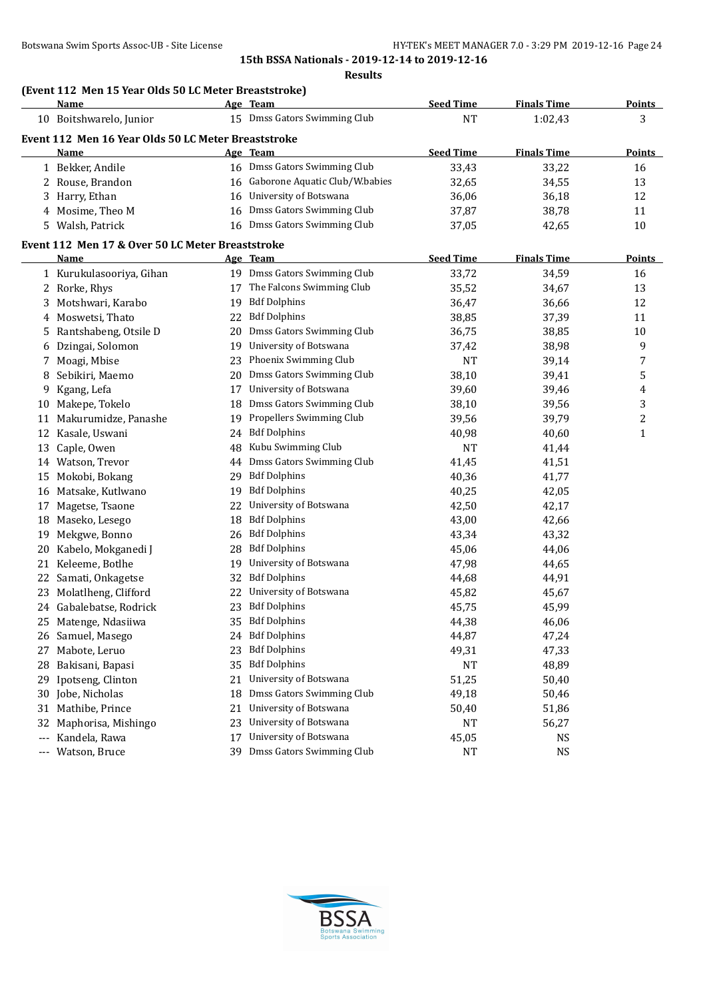**Results**

|       | (Event 112 Men 15 Year Olds 50 LC Meter Breaststroke)<br><b>Name</b> |    | Age Team                                 | <b>Seed Time</b> | <b>Finals Time</b> | <b>Points</b>  |
|-------|----------------------------------------------------------------------|----|------------------------------------------|------------------|--------------------|----------------|
|       | 10 Boitshwarelo, Junior                                              |    | 15 Dmss Gators Swimming Club             | <b>NT</b>        | 1:02,43            | 3              |
|       |                                                                      |    |                                          |                  |                    |                |
|       | Event 112 Men 16 Year Olds 50 LC Meter Breaststroke<br>Name          |    | Age Team                                 | <b>Seed Time</b> | <b>Finals Time</b> | Points         |
|       | 1 Bekker, Andile                                                     |    | 16 Dmss Gators Swimming Club             | 33,43            | 33,22              | 16             |
|       | 2 Rouse, Brandon                                                     |    | 16 Gaborone Aquatic Club/W.babies        | 32,65            | 34,55              | 13             |
|       | 3 Harry, Ethan                                                       |    | 16 University of Botswana                | 36,06            | 36,18              | 12             |
|       | 4 Mosime, Theo M                                                     |    | 16 Dmss Gators Swimming Club             | 37,87            | 38,78              | 11             |
|       | 5 Walsh, Patrick                                                     |    | 16 Dmss Gators Swimming Club             | 37,05            | 42,65              | 10             |
|       |                                                                      |    |                                          |                  |                    |                |
|       | Event 112 Men 17 & Over 50 LC Meter Breaststroke<br>Name             |    |                                          | <b>Seed Time</b> | <b>Finals Time</b> | <b>Points</b>  |
|       | 1 Kurukulasooriya, Gihan                                             |    | Age Team<br>19 Dmss Gators Swimming Club | 33,72            | 34,59              | 16             |
|       |                                                                      | 17 | The Falcons Swimming Club                |                  |                    | 13             |
|       | 2 Rorke, Rhys                                                        |    | <b>Bdf Dolphins</b>                      | 35,52            | 34,67              |                |
| 3.    | Motshwari, Karabo                                                    | 19 | <b>Bdf Dolphins</b>                      | 36,47            | 36,66              | 12             |
| 4     | Moswetsi, Thato                                                      | 22 |                                          | 38,85            | 37,39              | 11             |
| 5.    | Rantshabeng, Otsile D                                                | 20 | Dmss Gators Swimming Club                | 36,75            | 38,85              | 10             |
| 6     | Dzingai, Solomon                                                     | 19 | University of Botswana                   | 37,42            | 38,98              | 9              |
| 7     | Moagi, Mbise                                                         | 23 | Phoenix Swimming Club                    | <b>NT</b>        | 39,14              | 7              |
| 8     | Sebikiri, Maemo                                                      | 20 | Dmss Gators Swimming Club                | 38,10            | 39,41              | 5              |
| 9     | Kgang, Lefa                                                          | 17 | University of Botswana                   | 39,60            | 39,46              | 4              |
| 10    | Makepe, Tokelo                                                       | 18 | Dmss Gators Swimming Club                | 38,10            | 39,56              | 3              |
| 11    | Makurumidze, Panashe                                                 | 19 | Propellers Swimming Club                 | 39,56            | 39,79              | $\overline{c}$ |
| 12    | Kasale, Uswani                                                       | 24 | <b>Bdf Dolphins</b>                      | 40,98            | 40,60              | 1              |
| 13    | Caple, Owen                                                          | 48 | Kubu Swimming Club                       | <b>NT</b>        | 41,44              |                |
|       | 14 Watson, Trevor                                                    | 44 | Dmss Gators Swimming Club                | 41,45            | 41,51              |                |
| 15    | Mokobi, Bokang                                                       | 29 | <b>Bdf Dolphins</b>                      | 40,36            | 41,77              |                |
| 16    | Matsake, Kutlwano                                                    | 19 | <b>Bdf Dolphins</b>                      | 40,25            | 42,05              |                |
| 17    | Magetse, Tsaone                                                      | 22 | University of Botswana                   | 42,50            | 42,17              |                |
| 18    | Maseko, Lesego                                                       | 18 | <b>Bdf Dolphins</b>                      | 43,00            | 42,66              |                |
| 19    | Mekgwe, Bonno                                                        | 26 | <b>Bdf Dolphins</b>                      | 43,34            | 43,32              |                |
| 20    | Kabelo, Mokganedi J                                                  | 28 | <b>Bdf Dolphins</b>                      | 45,06            | 44,06              |                |
| 21    | Keleeme, Botlhe                                                      | 19 | University of Botswana                   | 47,98            | 44,65              |                |
|       | 22 Samati, Onkagetse                                                 | 32 | <b>Bdf Dolphins</b>                      | 44,68            | 44,91              |                |
|       | 23 Molatlheng, Clifford                                              | 22 | University of Botswana                   | 45,82            | 45,67              |                |
|       | 24 Gabalebatse, Rodrick                                              |    | 23 Bdf Dolphins                          | 45,75            | 45,99              |                |
|       | 25 Matenge, Ndasiiwa                                                 | 35 | <b>Bdf Dolphins</b>                      | 44,38            | 46,06              |                |
|       | 26 Samuel, Masego                                                    | 24 | <b>Bdf Dolphins</b>                      | 44,87            | 47,24              |                |
| 27    | Mabote, Leruo                                                        | 23 | <b>Bdf Dolphins</b>                      | 49,31            | 47,33              |                |
| 28    | Bakisani, Bapasi                                                     | 35 | <b>Bdf Dolphins</b>                      | NT               | 48,89              |                |
| 29    | Ipotseng, Clinton                                                    | 21 | University of Botswana                   | 51,25            | 50,40              |                |
| 30    | Jobe, Nicholas                                                       | 18 | Dmss Gators Swimming Club                | 49,18            | 50,46              |                |
| 31    | Mathibe, Prince                                                      | 21 | University of Botswana                   | 50,40            | 51,86              |                |
| 32    | Maphorisa, Mishingo                                                  | 23 | University of Botswana                   | NT               | 56,27              |                |
| $---$ | Kandela, Rawa                                                        | 17 | University of Botswana                   | 45,05            | NS                 |                |
| $---$ | Watson, Bruce                                                        |    | 39 Dmss Gators Swimming Club             | NT               | <b>NS</b>          |                |

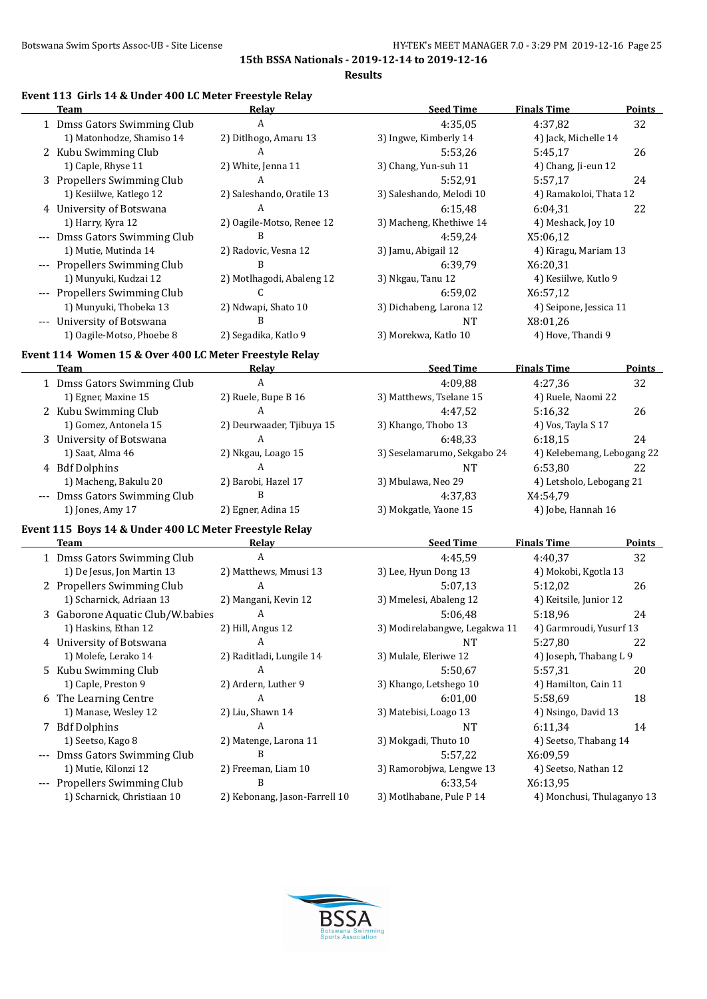$\overline{a}$ 

**15th BSSA Nationals - 2019-12-14 to 2019-12-16**

**Results**

### **Event 113 Girls 14 & Under 400 LC Meter Freestyle Relay**

| <b>Team</b>                                            | Relay                     | <b>Seed Time</b>            | <b>Finals Time</b>         | Points        |
|--------------------------------------------------------|---------------------------|-----------------------------|----------------------------|---------------|
| 1 Dmss Gators Swimming Club                            | A                         | 4:35,05                     | 4:37,82                    | 32            |
| 1) Matonhodze, Shamiso 14                              | 2) Ditlhogo, Amaru 13     | 3) Ingwe, Kimberly 14       | 4) Jack, Michelle 14       |               |
| 2 Kubu Swimming Club                                   | A                         | 5:53,26                     | 5:45,17                    | 26            |
| 1) Caple, Rhyse 11                                     | 2) White, Jenna 11        | 3) Chang, Yun-suh 11        | 4) Chang, Ji-eun 12        |               |
| 3 Propellers Swimming Club                             | A                         | 5:52,91                     | 5:57,17                    | 24            |
| 1) Kesiilwe, Katlego 12                                | 2) Saleshando, Oratile 13 | 3) Saleshando, Melodi 10    | 4) Ramakoloi, Thata 12     |               |
| 4 University of Botswana                               | A                         | 6:15,48                     | 6:04,31                    | 22            |
| 1) Harry, Kyra 12                                      | 2) Oagile-Motso, Renee 12 | 3) Macheng, Khethiwe 14     | 4) Meshack, Joy 10         |               |
| --- Dmss Gators Swimming Club                          | B                         | 4:59,24                     | X5:06,12                   |               |
| 1) Mutie, Mutinda 14                                   | 2) Radovic, Vesna 12      | 3) Jamu, Abigail 12         | 4) Kiragu, Mariam 13       |               |
| --- Propellers Swimming Club                           | B                         | 6:39,79                     | X6:20,31                   |               |
| 1) Munyuki, Kudzai 12                                  | 2) Motlhagodi, Abaleng 12 | 3) Nkgau, Tanu 12           | 4) Kesiilwe, Kutlo 9       |               |
| --- Propellers Swimming Club                           | C                         | 6:59,02                     | X6:57,12                   |               |
| 1) Munyuki, Thobeka 13                                 | 2) Ndwapi, Shato 10       | 3) Dichabeng, Larona 12     | 4) Seipone, Jessica 11     |               |
| --- University of Botswana                             | R                         | <b>NT</b>                   | X8:01,26                   |               |
| 1) Oagile-Motso, Phoebe 8                              | 2) Segadika, Katlo 9      | 3) Morekwa, Katlo 10        | 4) Hove, Thandi 9          |               |
| Event 114 Women 15 & Over 400 LC Meter Freestyle Relay |                           |                             |                            |               |
| <b>Team</b>                                            | Relay                     | <b>Seed Time</b>            | <b>Finals Time</b>         | <b>Points</b> |
| 1 Dmss Gators Swimming Club                            | A                         | 4:09,88                     | 4:27,36                    | 32            |
| 1) Egner, Maxine 15                                    | 2) Ruele, Bupe B 16       | 3) Matthews, Tselane 15     | 4) Ruele, Naomi 22         |               |
| 2 Kubu Swimming Club                                   | A                         | 4:47,52                     | 5:16,32                    | 26            |
| 1) Gomez, Antonela 15                                  | 2) Deurwaader, Tjibuya 15 | 3) Khango, Thobo 13         | 4) Vos, Tayla S 17         |               |
| 3 University of Botswana                               | A                         | 6:48,33                     | 6:18,15                    | 24            |
| 1) Saat, Alma 46                                       | 2) Nkgau, Loago 15        | 3) Seselamarumo, Sekgabo 24 | 4) Kelebemang, Lebogang 22 |               |
| 4 Bdf Dolphins                                         | A                         | <b>NT</b>                   | 6:53,80                    | 22            |
| 1) Macheng, Bakulu 20                                  | 2) Barobi, Hazel 17       | 3) Mbulawa, Neo 29          | 4) Letsholo, Lebogang 21   |               |
| --- Dmss Gators Swimming Club                          | B                         | 4:37,83                     | X4:54,79                   |               |
| 1) Jones, Amy 17                                       | 2) Egner, Adina 15        | 3) Mokgatle, Yaone 15       | 4) Jobe, Hannah 16         |               |
| Event 115 Boys 14 & Under 400 LC Meter Freestyle Relay |                           |                             |                            |               |
| <b>Team</b>                                            | Relay                     | <b>Seed Time</b>            | <b>Finals Time</b>         | <b>Points</b> |
| 1 Dmss Gators Swimming Club                            | $\mathbf{A}$              | 4:45,59                     | 4:40,37                    | 32            |
| 1) De Jesus, Jon Martin 13                             | 2) Matthews, Mmusi 13     | 3) Lee, Hyun Dong 13        | 4) Mokobi, Kgotla 13       |               |
| 2 Propellers Swimming Club                             | A                         | 5:07,13                     | 5:12,02                    | 26            |

| 1) DC JCSUS, JUIL MALUIL 19      | $\mathcal{L}$ requiremation to | 31 LCC, ITVAIL DUILE TO       | TJ MUNUUI, INGULIA 19      |  |
|----------------------------------|--------------------------------|-------------------------------|----------------------------|--|
| 2 Propellers Swimming Club       | A                              | 5:07.13                       | 5:12,02<br>26              |  |
| 1) Scharnick, Adriaan 13         | 2) Mangani, Kevin 12           | 3) Mmelesi, Abaleng 12        | 4) Keitsile, Junior 12     |  |
| 3 Gaborone Aquatic Club/W.babies | $\mathsf{A}$                   | 5:06.48                       | 5:18.96<br>24              |  |
| 1) Haskins, Ethan 12             | 2) Hill, Angus 12              | 3) Modirelabangwe, Legakwa 11 | 4) Garmroudi, Yusurf 13    |  |
| 4 University of Botswana         | A                              | NT                            | 5:27,80<br>22              |  |
| 1) Molefe, Lerako 14             | 2) Raditladi, Lungile 14       | 3) Mulale, Eleriwe 12         | 4) Joseph, Thabang L 9     |  |
| 5 Kubu Swimming Club             | A                              | 5:50.67                       | 5:57.31<br>20              |  |
| 1) Caple, Preston 9              | 2) Ardern, Luther 9            | 3) Khango, Letshego 10        | 4) Hamilton, Cain 11       |  |
| 6 The Learning Centre            | A                              | 6:01.00                       | 5:58.69<br>18              |  |
| 1) Manase, Wesley 12             | 2) Liu, Shawn 14               | 3) Matebisi, Loago 13         | 4) Nsingo, David 13        |  |
| 7 Bdf Dolphins                   | A                              | NT                            | 6:11.34<br>14              |  |
| 1) Seetso, Kago 8                | 2) Matenge, Larona 11          | 3) Mokgadi, Thuto 10          | 4) Seetso, Thabang 14      |  |
| --- Dmss Gators Swimming Club    | B                              | 5:57.22                       | X6:09.59                   |  |
| 1) Mutie, Kilonzi 12             | 2) Freeman, Liam 10            | 3) Ramorobjwa, Lengwe 13      | 4) Seetso, Nathan 12       |  |
| --- Propellers Swimming Club     | B                              | 6:33.54                       | X6:13,95                   |  |
| 1) Scharnick, Christiaan 10      | 2) Kebonang, Jason-Farrell 10  | 3) Motlhabane, Pule P 14      | 4) Monchusi, Thulaganyo 13 |  |

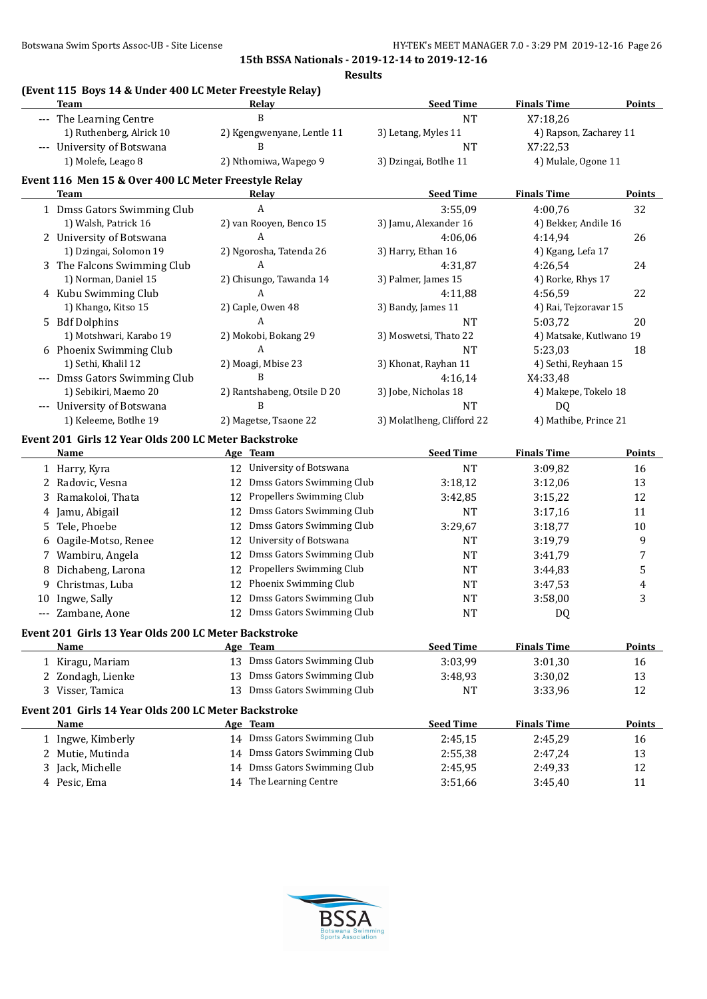#### **Results**

# **(Event 115 Boys 14 & Under 400 LC Meter Freestyle Relay)**

|    | <b>Team</b>                                          | <b>Relay</b>                    | <b>Seed Time</b>           | <b>Finals Time</b>      | <b>Points</b>  |
|----|------------------------------------------------------|---------------------------------|----------------------------|-------------------------|----------------|
|    | --- The Learning Centre                              | B                               | <b>NT</b>                  | X7:18,26                |                |
|    | 1) Ruthenberg, Alrick 10                             | 2) Kgengwenyane, Lentle 11      | 3) Letang, Myles 11        | 4) Rapson, Zacharey 11  |                |
|    | --- University of Botswana                           | B                               | <b>NT</b>                  | X7:22,53                |                |
|    | 1) Molefe, Leago 8                                   | 2) Nthomiwa, Wapego 9           | 3) Dzingai, Botlhe 11      | 4) Mulale, Ogone 11     |                |
|    | Event 116 Men 15 & Over 400 LC Meter Freestyle Relay |                                 |                            |                         |                |
|    | Team                                                 | Relay                           | <b>Seed Time</b>           | <b>Finals Time</b>      | <b>Points</b>  |
|    |                                                      | A                               | 3:55,09                    | 4:00,76                 | 32             |
|    | 1 Dmss Gators Swimming Club<br>1) Walsh, Patrick 16  | 2) van Rooyen, Benco 15         | 3) Jamu, Alexander 16      | 4) Bekker, Andile 16    |                |
|    |                                                      | A                               | 4:06,06                    | 4:14,94                 |                |
|    | 2 University of Botswana<br>1) Dzingai, Solomon 19   | 2) Ngorosha, Tatenda 26         | 3) Harry, Ethan 16         |                         | 26             |
|    |                                                      | A                               |                            | 4) Kgang, Lefa 17       |                |
|    | 3 The Falcons Swimming Club                          |                                 | 4:31,87                    | 4:26,54                 | 24             |
|    | 1) Norman, Daniel 15                                 | 2) Chisungo, Tawanda 14         | 3) Palmer, James 15        | 4) Rorke, Rhys 17       |                |
|    | 4 Kubu Swimming Club                                 | A                               | 4:11,88                    | 4:56,59                 | 22             |
|    | 1) Khango, Kitso 15                                  | 2) Caple, Owen 48               | 3) Bandy, James 11         | 4) Rai, Tejzoravar 15   |                |
|    | 5 Bdf Dolphins                                       | A                               | <b>NT</b>                  | 5:03,72                 | 20             |
|    | 1) Motshwari, Karabo 19                              | 2) Mokobi, Bokang 29            | 3) Moswetsi, Thato 22      | 4) Matsake, Kutlwano 19 |                |
|    | 6 Phoenix Swimming Club                              | A                               | <b>NT</b>                  | 5:23,03                 | 18             |
|    | 1) Sethi, Khalil 12                                  | 2) Moagi, Mbise 23              | 3) Khonat, Rayhan 11       | 4) Sethi, Reyhaan 15    |                |
|    | --- Dmss Gators Swimming Club                        | R                               | 4:16,14                    | X4:33,48                |                |
|    | 1) Sebikiri, Maemo 20                                | 2) Rantshabeng, Otsile D 20     | 3) Jobe, Nicholas 18       | 4) Makepe, Tokelo 18    |                |
|    | --- University of Botswana                           | B                               | <b>NT</b>                  | DQ                      |                |
|    | 1) Keleeme, Botlhe 19                                | 2) Magetse, Tsaone 22           | 3) Molatlheng, Clifford 22 | 4) Mathibe, Prince 21   |                |
|    | Event 201 Girls 12 Year Olds 200 LC Meter Backstroke |                                 |                            |                         |                |
|    | <b>Name</b>                                          | Age Team                        | <b>Seed Time</b>           | <b>Finals Time</b>      | <b>Points</b>  |
|    | 1 Harry, Kyra                                        | 12 University of Botswana       | <b>NT</b>                  | 3:09,82                 | 16             |
|    | 2 Radovic, Vesna                                     | Dmss Gators Swimming Club<br>12 | 3:18,12                    | 3:12,06                 | 13             |
| 3  | Ramakoloi, Thata                                     | Propellers Swimming Club<br>12  | 3:42,85                    | 3:15,22                 | 12             |
|    | 4 Jamu, Abigail                                      | Dmss Gators Swimming Club<br>12 | <b>NT</b>                  | 3:17,16                 | 11             |
| 5. | Tele, Phoebe                                         | Dmss Gators Swimming Club<br>12 | 3:29,67                    | 3:18,77                 | 10             |
|    |                                                      | University of Botswana<br>12    | <b>NT</b>                  | 3:19,79                 |                |
| 6  | Oagile-Motso, Renee                                  | Dmss Gators Swimming Club       |                            |                         | 9              |
| 7  | Wambiru, Angela                                      | 12                              | <b>NT</b>                  | 3:41,79                 | 7              |
| 8  | Dichabeng, Larona                                    | Propellers Swimming Club<br>12  | NT                         | 3:44,83                 | 5              |
| 9  | Christmas, Luba                                      | Phoenix Swimming Club<br>12     | <b>NT</b>                  | 3:47,53                 | $\overline{4}$ |
|    | 10 Ingwe, Sally                                      | Dmss Gators Swimming Club<br>12 | <b>NT</b>                  | 3:58,00                 | 3              |
|    | --- Zambane, Aone                                    | Dmss Gators Swimming Club<br>12 | <b>NT</b>                  | DQ                      |                |
|    | Event 201 Girls 13 Year Olds 200 LC Meter Backstroke |                                 |                            |                         |                |
|    | <b>Name</b>                                          | Age Team                        | <b>Seed Time</b>           | <b>Finals Time</b>      | <b>Points</b>  |
|    | 1 Kiragu, Mariam                                     | 13 Dmss Gators Swimming Club    | 3:03,99                    | 3:01,30                 | 16             |
|    | 2 Zondagh, Lienke                                    | 13 Dmss Gators Swimming Club    | 3:48,93                    | 3:30,02                 | 13             |
|    | 3 Visser, Tamica                                     | 13 Dmss Gators Swimming Club    | NT                         | 3:33,96                 | 12             |
|    |                                                      |                                 |                            |                         |                |
|    | Event 201 Girls 14 Year Olds 200 LC Meter Backstroke |                                 |                            |                         |                |
|    | Name                                                 | Age Team                        | <b>Seed Time</b>           | <b>Finals Time</b>      | Points         |
|    | 1 Ingwe, Kimberly                                    | 14 Dmss Gators Swimming Club    | 2:45,15                    | 2:45,29                 | 16             |
|    | 2 Mutie, Mutinda                                     | 14 Dmss Gators Swimming Club    | 2:55,38                    | 2:47,24                 | 13             |
|    | 3 Jack, Michelle                                     | 14 Dmss Gators Swimming Club    | 2:45,95                    | 2:49,33                 | 12             |
|    | 4 Pesic, Ema                                         | 14 The Learning Centre          | 3:51,66                    | 3:45,40                 | 11             |
|    |                                                      |                                 |                            |                         |                |

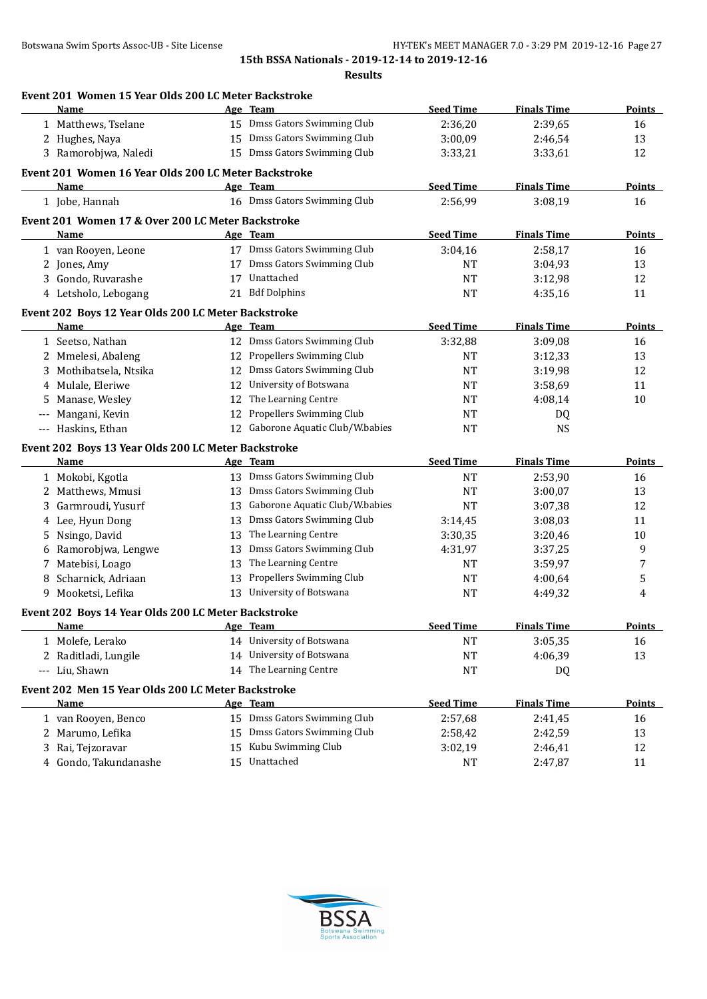|       | Event 201 Women 15 Year Olds 200 LC Meter Backstroke<br>Name |    | Age Team                          | <b>Seed Time</b> | <b>Finals Time</b> | Points        |
|-------|--------------------------------------------------------------|----|-----------------------------------|------------------|--------------------|---------------|
|       | 1 Matthews, Tselane                                          |    | 15 Dmss Gators Swimming Club      | 2:36,20          | 2:39,65            | 16            |
|       | 2 Hughes, Naya                                               |    | 15 Dmss Gators Swimming Club      | 3:00,09          | 2:46,54            | 13            |
|       | 3 Ramorobjwa, Naledi                                         |    | 15 Dmss Gators Swimming Club      | 3:33,21          | 3:33,61            | 12            |
|       |                                                              |    |                                   |                  |                    |               |
|       | Event 201 Women 16 Year Olds 200 LC Meter Backstroke         |    |                                   |                  |                    |               |
|       | <b>Name</b>                                                  |    | Age Team                          | <b>Seed Time</b> | <b>Finals Time</b> | <b>Points</b> |
|       | 1 Jobe, Hannah                                               |    | 16 Dmss Gators Swimming Club      | 2:56,99          | 3:08,19            | 16            |
|       | Event 201 Women 17 & Over 200 LC Meter Backstroke            |    |                                   |                  |                    |               |
|       | Name                                                         |    | Age Team                          | <b>Seed Time</b> | <b>Finals Time</b> | <b>Points</b> |
|       | 1 van Rooyen, Leone                                          |    | 17 Dmss Gators Swimming Club      | 3:04,16          | 2:58,17            | 16            |
|       | 2 Jones, Amy                                                 |    | 17 Dmss Gators Swimming Club      | <b>NT</b>        | 3:04,93            | 13            |
|       | 3 Gondo, Ruvarashe                                           | 17 | Unattached                        | NT               | 3:12,98            | 12            |
|       | 4 Letsholo, Lebogang                                         |    | 21 Bdf Dolphins                   | <b>NT</b>        | 4:35,16            | 11            |
|       | Event 202 Boys 12 Year Olds 200 LC Meter Backstroke          |    |                                   |                  |                    |               |
|       | Name                                                         |    | Age Team                          | <b>Seed Time</b> | <b>Finals Time</b> | Points        |
|       | 1 Seetso, Nathan                                             |    | 12 Dmss Gators Swimming Club      | 3:32,88          | 3:09,08            | 16            |
|       | 2 Mmelesi, Abaleng                                           |    | 12 Propellers Swimming Club       | NT               | 3:12,33            | 13            |
| 3     | Mothibatsela, Ntsika                                         |    | 12 Dmss Gators Swimming Club      | <b>NT</b>        | 3:19,98            | 12            |
| 4     | Mulale, Eleriwe                                              | 12 | University of Botswana            | <b>NT</b>        | 3:58,69            | 11            |
| 5     | Manase, Wesley                                               | 12 | The Learning Centre               | NT               | 4:08,14            | 10            |
| ---   | Mangani, Kevin                                               |    | 12 Propellers Swimming Club       | NT               | DQ                 |               |
| $---$ | Haskins, Ethan                                               |    | 12 Gaborone Aquatic Club/W.babies | <b>NT</b>        | <b>NS</b>          |               |
|       | Event 202 Boys 13 Year Olds 200 LC Meter Backstroke          |    |                                   |                  |                    |               |
|       | Name                                                         |    | Age Team                          | <b>Seed Time</b> | <b>Finals Time</b> | Points        |
|       | 1 Mokobi, Kgotla                                             |    | 13 Dmss Gators Swimming Club      | <b>NT</b>        | 2:53,90            | 16            |
| 2     | Matthews, Mmusi                                              |    | 13 Dmss Gators Swimming Club      | <b>NT</b>        | 3:00,07            | 13            |
| 3     | Garmroudi, Yusurf                                            | 13 | Gaborone Aquatic Club/W.babies    | <b>NT</b>        | 3:07,38            | 12            |
| 4     | Lee, Hyun Dong                                               | 13 | Dmss Gators Swimming Club         | 3:14,45          | 3:08,03            | 11            |
| 5     | Nsingo, David                                                | 13 | The Learning Centre               | 3:30,35          | 3:20,46            | 10            |
| 6     | Ramorobjwa, Lengwe                                           | 13 | Dmss Gators Swimming Club         | 4:31,97          | 3:37,25            | 9             |
| 7     | Matebisi, Loago                                              | 13 | The Learning Centre               | NT               | 3:59,97            | 7             |
| 8     | Scharnick, Adriaan                                           | 13 | Propellers Swimming Club          | NT               | 4:00,64            | 5             |
| 9.    | Mooketsi, Lefika                                             |    | 13 University of Botswana         | <b>NT</b>        | 4:49,32            | 4             |
|       |                                                              |    |                                   |                  |                    |               |
|       | Event 202 Boys 14 Year Olds 200 LC Meter Backstroke          |    |                                   |                  |                    |               |
|       | Name                                                         |    | Age Team                          | <b>Seed Time</b> | <b>Finals Time</b> | Points        |
|       | 1 Molefe, Lerako                                             |    | 14 University of Botswana         | NT               | 3:05,35            | 16            |
| 2     | Raditladi, Lungile                                           |    | 14 University of Botswana         | <b>NT</b>        | 4:06,39            | 13            |
| ---   | Liu, Shawn                                                   |    | 14 The Learning Centre            | <b>NT</b>        | DQ                 |               |
|       | Event 202 Men 15 Year Olds 200 LC Meter Backstroke           |    |                                   |                  |                    |               |
|       | Name                                                         |    | Age Team                          | <b>Seed Time</b> | <b>Finals Time</b> | <b>Points</b> |
|       | 1 van Rooyen, Benco                                          |    | 15 Dmss Gators Swimming Club      | 2:57,68          | 2:41,45            | 16            |
|       | 2 Marumo, Lefika                                             | 15 | Dmss Gators Swimming Club         | 2:58,42          | 2:42,59            | 13            |
|       |                                                              |    |                                   |                  |                    |               |
| 3     | Rai, Tejzoravar                                              | 15 | Kubu Swimming Club                | 3:02,19          | 2:46,41            | 12            |

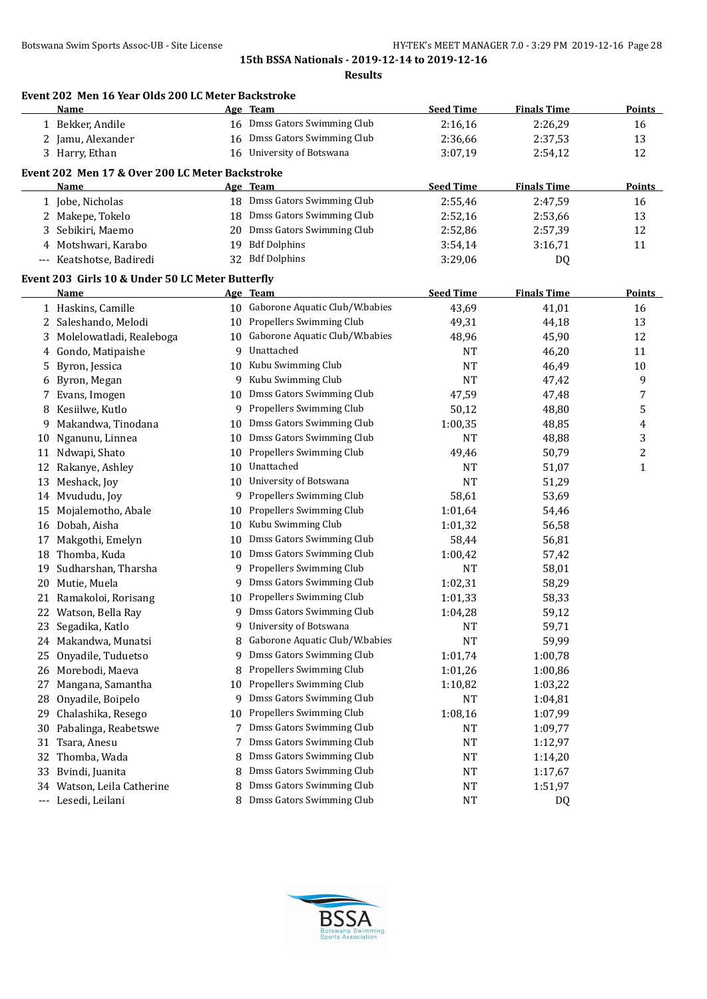|                     | Event 202 Men 16 Year Olds 200 LC Meter Backstroke<br>Name     |    | Age Team                          | <b>Seed Time</b>   | <b>Finals Time</b> | Points        |
|---------------------|----------------------------------------------------------------|----|-----------------------------------|--------------------|--------------------|---------------|
|                     | 1 Bekker, Andile                                               |    | 16 Dmss Gators Swimming Club      | 2:16,16            | 2:26,29            | 16            |
|                     | 2 Jamu, Alexander                                              | 16 | Dmss Gators Swimming Club         | 2:36,66            | 2:37,53            | 13            |
|                     | 3 Harry, Ethan                                                 |    | 16 University of Botswana         | 3:07,19            | 2:54,12            | 12            |
|                     |                                                                |    |                                   |                    |                    |               |
|                     | Event 202 Men 17 & Over 200 LC Meter Backstroke<br><u>Name</u> |    | Age Team                          | <b>Seed Time</b>   | <b>Finals Time</b> | <b>Points</b> |
|                     | 1 Jobe, Nicholas                                               |    | 18 Dmss Gators Swimming Club      | 2:55,46            | 2:47,59            | 16            |
|                     |                                                                | 18 | Dmss Gators Swimming Club         |                    | 2:53,66            | 13            |
| 3                   | 2 Makepe, Tokelo<br>Sebikiri, Maemo                            | 20 | Dmss Gators Swimming Club         | 2:52,16<br>2:52,86 | 2:57,39            | 12            |
|                     | 4 Motshwari, Karabo                                            | 19 | <b>Bdf Dolphins</b>               |                    |                    |               |
|                     | --- Keatshotse, Badiredi                                       |    | 32 Bdf Dolphins                   | 3:54,14            | 3:16,71            | 11            |
|                     |                                                                |    |                                   | 3:29,06            | DQ                 |               |
|                     | Event 203 Girls 10 & Under 50 LC Meter Butterfly               |    |                                   |                    |                    |               |
|                     | Name                                                           |    | Age Team                          | <b>Seed Time</b>   | <b>Finals Time</b> | <b>Points</b> |
|                     | 1 Haskins, Camille                                             |    | 10 Gaborone Aquatic Club/W.babies | 43,69              | 41,01              | 16            |
|                     | 2 Saleshando, Melodi                                           | 10 | Propellers Swimming Club          | 49,31              | 44,18              | 13            |
| 3                   | Molelowatladi, Realeboga                                       | 10 | Gaborone Aquatic Club/W.babies    | 48,96              | 45,90              | 12            |
|                     | 4 Gondo, Matipaishe                                            | 9  | Unattached                        | <b>NT</b>          | 46,20              | 11            |
| 5                   | Byron, Jessica                                                 | 10 | Kubu Swimming Club                | <b>NT</b>          | 46,49              | $10\,$        |
| 6                   | Byron, Megan                                                   | 9  | Kubu Swimming Club                | <b>NT</b>          | 47,42              | 9             |
| 7                   | Evans, Imogen                                                  | 10 | Dmss Gators Swimming Club         | 47,59              | 47,48              | 7             |
|                     | Kesiilwe, Kutlo                                                | 9  | Propellers Swimming Club          | 50,12              | 48,80              | 5             |
| 9                   | Makandwa, Tinodana                                             | 10 | Dmss Gators Swimming Club         | 1:00,35            | 48,85              | 4             |
| 10                  | Nganunu, Linnea                                                | 10 | Dmss Gators Swimming Club         | <b>NT</b>          | 48,88              | 3             |
| 11                  | Ndwapi, Shato                                                  | 10 | Propellers Swimming Club          | 49,46              | 50,79              | $\sqrt{2}$    |
| 12                  | Rakanye, Ashley                                                | 10 | Unattached                        | NT                 | 51,07              | $\mathbf{1}$  |
| 13                  | Meshack, Joy                                                   | 10 | University of Botswana            | <b>NT</b>          | 51,29              |               |
| 14                  | Mvududu, Joy                                                   | 9  | Propellers Swimming Club          | 58,61              | 53,69              |               |
| 15                  | Mojalemotho, Abale                                             | 10 | Propellers Swimming Club          | 1:01,64            | 54,46              |               |
|                     | 16 Dobah, Aisha                                                | 10 | Kubu Swimming Club                | 1:01,32            | 56,58              |               |
| 17                  | Makgothi, Emelyn                                               | 10 | Dmss Gators Swimming Club         | 58,44              | 56,81              |               |
|                     | 18 Thomba, Kuda                                                | 10 | Dmss Gators Swimming Club         | 1:00,42            | 57,42              |               |
| 19                  | Sudharshan, Tharsha                                            | 9  | Propellers Swimming Club          | <b>NT</b>          | 58,01              |               |
| 20                  | Mutie, Muela                                                   | 9  | Dmss Gators Swimming Club         | 1:02,31            | 58,29              |               |
| 21                  | Ramakoloi, Rorisang                                            | 10 | Propellers Swimming Club          | 1:01,33            | 58,33              |               |
|                     | 22 Watson, Bella Ray                                           | 9  | Dmss Gators Swimming Club         | 1:04,28            | 59,12              |               |
| 23                  | Segadika, Katlo                                                | 9  | University of Botswana            | <b>NT</b>          | 59,71              |               |
| 24                  | Makandwa, Munatsi                                              | 8  | Gaborone Aquatic Club/W.babies    | <b>NT</b>          | 59,99              |               |
| 25                  | Onyadile, Tuduetso                                             | 9  | Dmss Gators Swimming Club         | 1:01,74            | 1:00,78            |               |
| 26                  | Morebodi, Maeva                                                | 8  | Propellers Swimming Club          | 1:01,26            | 1:00,86            |               |
| 27                  | Mangana, Samantha                                              | 10 | Propellers Swimming Club          | 1:10,82            | 1:03,22            |               |
| 28                  | Onyadile, Boipelo                                              | 9  | Dmss Gators Swimming Club         | NT                 | 1:04,81            |               |
| 29                  | Chalashika, Resego                                             | 10 | Propellers Swimming Club          | 1:08,16            | 1:07,99            |               |
| 30                  | Pabalinga, Reabetswe                                           | 7  | Dmss Gators Swimming Club         | NT                 | 1:09,77            |               |
| 31                  | Tsara, Anesu                                                   | 7  | Dmss Gators Swimming Club         | NT                 | 1:12,97            |               |
| 32                  | Thomba, Wada                                                   | 8  | Dmss Gators Swimming Club         | NT                 | 1:14,20            |               |
| 33                  | Bvindi, Juanita                                                | 8  | Dmss Gators Swimming Club         | <b>NT</b>          | 1:17,67            |               |
| 34                  | Watson, Leila Catherine                                        | 8  | Dmss Gators Swimming Club         | <b>NT</b>          | 1:51,97            |               |
| $\qquad \qquad - -$ | Lesedi, Leilani                                                | 8  | Dmss Gators Swimming Club         | <b>NT</b>          | DQ                 |               |

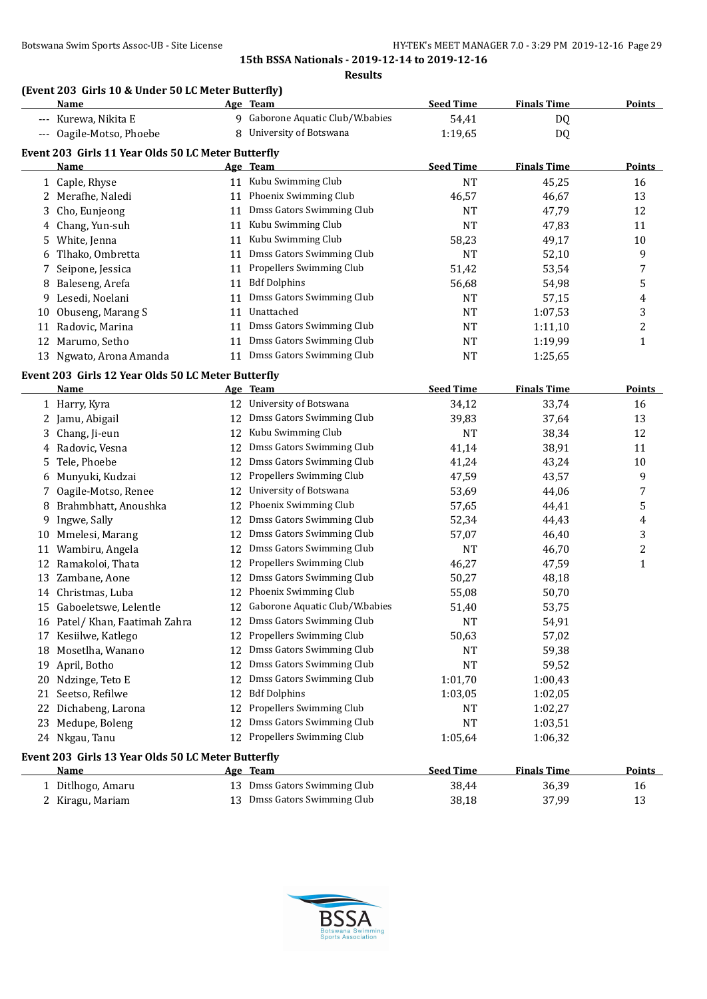**Results**

# **(Event 203 Girls 10 & Under 50 LC Meter Butterfly)**

|    | and to a onder so be meter butterny<br><u>Name</u> |          | Age Team                                              | <b>Seed Time</b>   | <b>Finals Time</b> | Points         |
|----|----------------------------------------------------|----------|-------------------------------------------------------|--------------------|--------------------|----------------|
|    | --- Kurewa, Nikita E                               |          | 9 Gaborone Aquatic Club/W.babies                      | 54,41              | <b>DQ</b>          |                |
|    | --- Oagile-Motso, Phoebe                           |          | 8 University of Botswana                              | 1:19,65            | DQ                 |                |
|    | Event 203 Girls 11 Year Olds 50 LC Meter Butterfly |          |                                                       |                    |                    |                |
|    | Name                                               |          | Age Team                                              | <b>Seed Time</b>   | <b>Finals Time</b> | <b>Points</b>  |
|    | 1 Caple, Rhyse                                     |          | 11 Kubu Swimming Club                                 | <b>NT</b>          | 45,25              | 16             |
|    | 2 Merafhe, Naledi                                  | 11       | Phoenix Swimming Club                                 | 46,57              | 46,67              | 13             |
| 3  | Cho, Eunjeong                                      | 11       | Dmss Gators Swimming Club                             | <b>NT</b>          | 47,79              | 12             |
| 4  | Chang, Yun-suh                                     | 11       | Kubu Swimming Club                                    | <b>NT</b>          | 47,83              | 11             |
| 5  | White, Jenna                                       | 11       | Kubu Swimming Club                                    | 58,23              | 49,17              | 10             |
| 6  | Tlhako, Ombretta                                   | 11       | Dmss Gators Swimming Club                             | <b>NT</b>          | 52,10              | 9              |
| 7  | Seipone, Jessica                                   | 11       | Propellers Swimming Club                              | 51,42              | 53,54              | 7              |
| 8  | Baleseng, Arefa                                    | 11       | <b>Bdf Dolphins</b>                                   | 56,68              | 54,98              | 5              |
| 9  | Lesedi, Noelani                                    | 11       | Dmss Gators Swimming Club                             | <b>NT</b>          | 57,15              | 4              |
| 10 | Obuseng, Marang S                                  | 11       | Unattached                                            | NT                 | 1:07,53            | 3              |
| 11 | Radovic, Marina                                    | 11       | Dmss Gators Swimming Club                             | NT                 | 1:11,10            | $\overline{c}$ |
|    | 12 Marumo, Setho                                   | 11       | Dmss Gators Swimming Club                             | NT                 | 1:19,99            | $\mathbf{1}$   |
|    | 13 Ngwato, Arona Amanda                            |          | 11 Dmss Gators Swimming Club                          | <b>NT</b>          | 1:25,65            |                |
|    |                                                    |          |                                                       |                    |                    |                |
|    | Event 203 Girls 12 Year Olds 50 LC Meter Butterfly |          |                                                       | <b>Seed Time</b>   | <b>Finals Time</b> | <b>Points</b>  |
|    | <u>Name</u><br>1 Harry, Kyra                       |          | Age Team<br>12 University of Botswana                 | 34,12              | 33,74              | 16             |
|    |                                                    |          | 12 Dmss Gators Swimming Club                          | 39,83              | 37,64              | 13             |
|    | 2 Jamu, Abigail                                    | 12       | Kubu Swimming Club                                    | <b>NT</b>          | 38,34              | 12             |
| 3  | Chang, Ji-eun<br>4 Radovic, Vesna                  | 12       | Dmss Gators Swimming Club                             |                    | 38,91              | 11             |
| 5  | Tele, Phoebe                                       |          | 12 Dmss Gators Swimming Club                          | 41,14<br>41,24     | 43,24              | 10             |
|    | 6 Munyuki, Kudzai                                  | 12       | Propellers Swimming Club                              | 47,59              | 43,57              | 9              |
|    | Oagile-Motso, Renee                                | 12       | University of Botswana                                | 53,69              | 44,06              | 7              |
| 7  | Brahmbhatt, Anoushka                               | 12       | Phoenix Swimming Club                                 |                    |                    | 5              |
| 8  |                                                    | 12       | Dmss Gators Swimming Club                             | 57,65              | 44,41              |                |
| 9  | Ingwe, Sally                                       |          | Dmss Gators Swimming Club                             | 52,34              | 44,43              | 4<br>3         |
| 10 | Mmelesi, Marang                                    | 12       | <b>Dmss Gators Swimming Club</b>                      | 57,07              | 46,40              | $\overline{c}$ |
| 11 | Wambiru, Angela<br>Ramakoloi, Thata                | 12<br>12 | Propellers Swimming Club                              | <b>NT</b>          | 46,70<br>47,59     | $\mathbf{1}$   |
| 12 | Zambane, Aone                                      | 12       | Dmss Gators Swimming Club                             | 46,27              |                    |                |
| 13 | 14 Christmas, Luba                                 | 12       | Phoenix Swimming Club                                 | 50,27              | 48,18              |                |
|    | 15 Gaboeletswe, Lelentle                           | 12       | Gaborone Aquatic Club/W.babies                        | 55,08              | 50,70              |                |
|    |                                                    |          | 12 Dmss Gators Swimming Club                          | 51,40<br><b>NT</b> | 53,75              |                |
|    | 16 Patel/ Khan, Faatimah Zahra                     |          | 12 Propellers Swimming Club                           |                    | 54,91              |                |
|    | 17 Kesiilwe, Katlego                               | 12       | Dmss Gators Swimming Club                             | 50,63              | 57,02<br>59,38     |                |
|    | 18 Mosetlha, Wanano                                | 12       | Dmss Gators Swimming Club                             | NT                 |                    |                |
| 19 | April, Botho                                       |          | Dmss Gators Swimming Club                             | NT                 | 59,52              |                |
|    | 20 Ndzinge, Teto E                                 | 12       | <b>Bdf Dolphins</b>                                   | 1:01,70            | 1:00,43            |                |
| 21 | Seetso, Refilwe                                    | 12       |                                                       | 1:03,05            | 1:02,05            |                |
| 22 | Dichabeng, Larona                                  | 12       | Propellers Swimming Club<br>Dmss Gators Swimming Club | NT                 | 1:02,27            |                |
| 23 | Medupe, Boleng                                     | 12       | 12 Propellers Swimming Club                           | <b>NT</b>          | 1:03,51            |                |
|    | 24 Nkgau, Tanu                                     |          |                                                       | 1:05,64            | 1:06,32            |                |
|    | Event 203 Girls 13 Year Olds 50 LC Meter Butterfly |          |                                                       |                    |                    |                |
|    | Name                                               |          | <u>Age Team</u>                                       | <b>Seed Time</b>   | <b>Finals Time</b> | <b>Points</b>  |
|    | 1 Ditlhogo, Amaru                                  |          | 13 Dmss Gators Swimming Club                          | 38,44              | 36,39              | 16             |
|    | 2 Kiragu, Mariam                                   |          | 13 Dmss Gators Swimming Club                          | 38,18              | 37,99              | 13             |

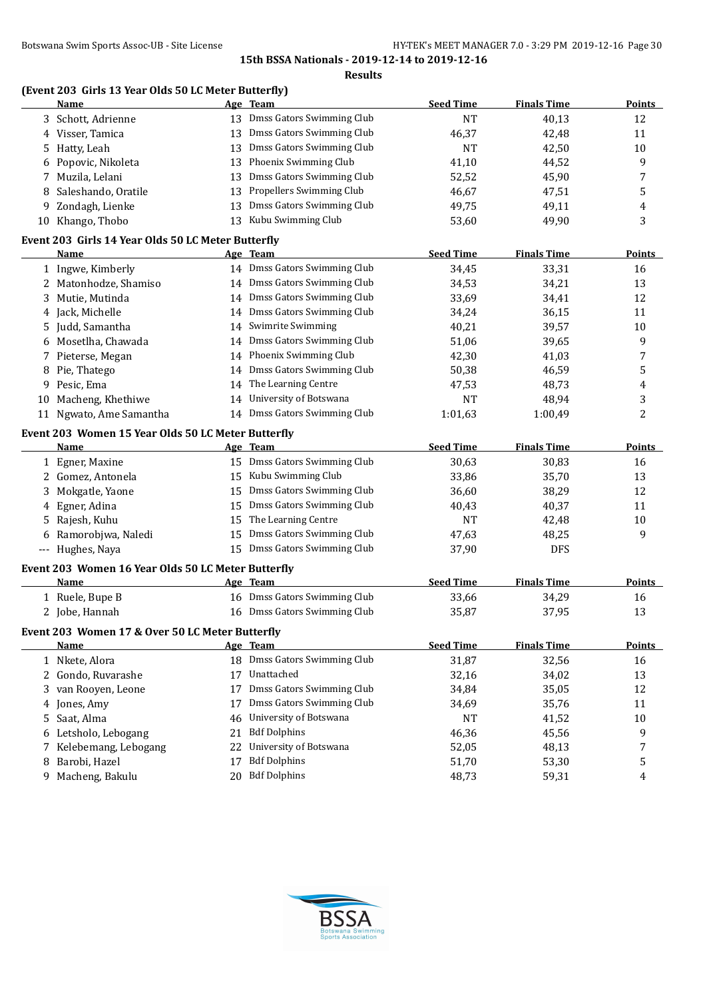|                                                              |    | <b>Results</b>               |                  |                    |               |
|--------------------------------------------------------------|----|------------------------------|------------------|--------------------|---------------|
| (Event 203 Girls 13 Year Olds 50 LC Meter Butterfly)<br>Name |    | Age Team                     | <b>Seed Time</b> | <b>Finals Time</b> | <b>Points</b> |
| 3 Schott, Adrienne                                           |    | 13 Dmss Gators Swimming Club | <b>NT</b>        | 40,13              | 12            |
| 4 Visser, Tamica                                             |    | 13 Dmss Gators Swimming Club | 46,37            | 42,48              | 11            |
| 5 Hatty, Leah                                                |    | 13 Dmss Gators Swimming Club | <b>NT</b>        | 42,50              | 10            |
| 6 Popovic, Nikoleta                                          |    | 13 Phoenix Swimming Club     | 41,10            | 44,52              | 9             |
| 7 Muzila, Lelani                                             |    | 13 Dmss Gators Swimming Club | 52,52            | 45,90              | 7             |
| 8 Saleshando, Oratile                                        |    | 13 Propellers Swimming Club  | 46,67            | 47,51              | 5             |
| 9 Zondagh, Lienke                                            |    | 13 Dmss Gators Swimming Club | 49,75            | 49,11              | 4             |
| 10 Khango, Thobo                                             |    | 13 Kubu Swimming Club        | 53,60            | 49,90              | 3             |
| Event 203 Girls 14 Year Olds 50 LC Meter Butterfly           |    |                              |                  |                    |               |
| Name                                                         |    | Age Team                     | <b>Seed Time</b> | <b>Finals Time</b> | <b>Points</b> |
| 1 Ingwe, Kimberly                                            |    | 14 Dmss Gators Swimming Club | 34,45            | 33,31              | 16            |
| 2 Matonhodze, Shamiso                                        |    | 14 Dmss Gators Swimming Club | 34,53            | 34,21              | 13            |
| 3 Mutie, Mutinda                                             |    | 14 Dmss Gators Swimming Club | 33,69            | 34,41              | 12            |
| 4 Jack, Michelle                                             |    | 14 Dmss Gators Swimming Club | 34,24            | 36,15              | 11            |
| 5 Judd, Samantha                                             |    | 14 Swimrite Swimming         | 40,21            | 39,57              | 10            |
| 6 Mosetlha, Chawada                                          |    | 14 Dmss Gators Swimming Club | 51,06            | 39,65              | 9             |
| 7 Pieterse, Megan                                            |    | 14 Phoenix Swimming Club     | 42,30            | 41,03              | 7             |
| 8 Pie, Thatego                                               |    | 14 Dmss Gators Swimming Club | 50,38            | 46,59              | 5             |
| 9 Pesic, Ema                                                 |    | 14 The Learning Centre       | 47,53            | 48,73              | 4             |
| 10 Macheng, Khethiwe                                         |    | 14 University of Botswana    | <b>NT</b>        | 48,94              | 3             |
| 11 Ngwato, Ame Samantha                                      |    | 14 Dmss Gators Swimming Club | 1:01,63          | 1:00,49            | 2             |
| Event 203 Women 15 Year Olds 50 LC Meter Butterfly           |    |                              |                  |                    |               |
| Name                                                         |    | Age Team                     | <b>Seed Time</b> | <b>Finals Time</b> | <u>Points</u> |
| 1 Egner, Maxine                                              |    | 15 Dmss Gators Swimming Club | 30,63            | 30,83              | 16            |
| 2 Gomez, Antonela                                            |    | 15 Kubu Swimming Club        | 33,86            | 35,70              | 13            |
| 3 Mokgatle, Yaone                                            |    | 15 Dmss Gators Swimming Club | 36,60            | 38,29              | 12            |
| 4 Egner, Adina                                               |    | 15 Dmss Gators Swimming Club | 40,43            | 40,37              | 11            |
| 5 Rajesh, Kuhu                                               |    | 15 The Learning Centre       | <b>NT</b>        | 42,48              | 10            |
| 6 Ramorobjwa, Naledi                                         |    | 15 Dmss Gators Swimming Club | 47,63            | 48,25              | 9             |
| --- Hughes, Naya                                             |    | 15 Dmss Gators Swimming Club | 37,90            | <b>DFS</b>         |               |
| Event 203 Women 16 Year Olds 50 LC Meter Butterfly           |    |                              |                  |                    |               |
| Name                                                         |    | Age Team                     | <b>Seed Time</b> | <b>Finals Time</b> | <u>Points</u> |
| 1 Ruele, Bupe B                                              |    | 16 Dmss Gators Swimming Club | 33,66            | 34,29              | 16            |
| 2 Jobe, Hannah                                               |    | 16 Dmss Gators Swimming Club | 35,87            | 37,95              | 13            |
| Event 203 Women 17 & Over 50 LC Meter Butterfly              |    |                              |                  |                    |               |
| Name                                                         |    | Age Team                     | <b>Seed Time</b> | <b>Finals Time</b> | <b>Points</b> |
| 1 Nkete, Alora                                               |    | 18 Dmss Gators Swimming Club | 31,87            | 32,56              | 16            |
| 2 Gondo, Ruvarashe                                           |    | 17 Unattached                | 32,16            | 34,02              | 13            |
| 3 van Rooyen, Leone                                          |    | 17 Dmss Gators Swimming Club | 34,84            | 35,05              | 12            |
| 4 Jones, Amy                                                 |    | 17 Dmss Gators Swimming Club | 34,69            | 35,76              | 11            |
|                                                              |    |                              | NT               | 41,52              | 10            |
| 5 Saat, Alma                                                 |    | 46 University of Botswana    |                  |                    |               |
| 6 Letsholo, Lebogang                                         | 21 | <b>Bdf Dolphins</b>          | 46,36            | 45,56              | 9             |
| 7 Kelebemang, Lebogang                                       |    | 22 University of Botswana    | 52,05            | 48,13              | 7             |
| 8 Barobi, Hazel                                              | 17 | <b>Bdf Dolphins</b>          | 51,70            | 53,30              | 5             |

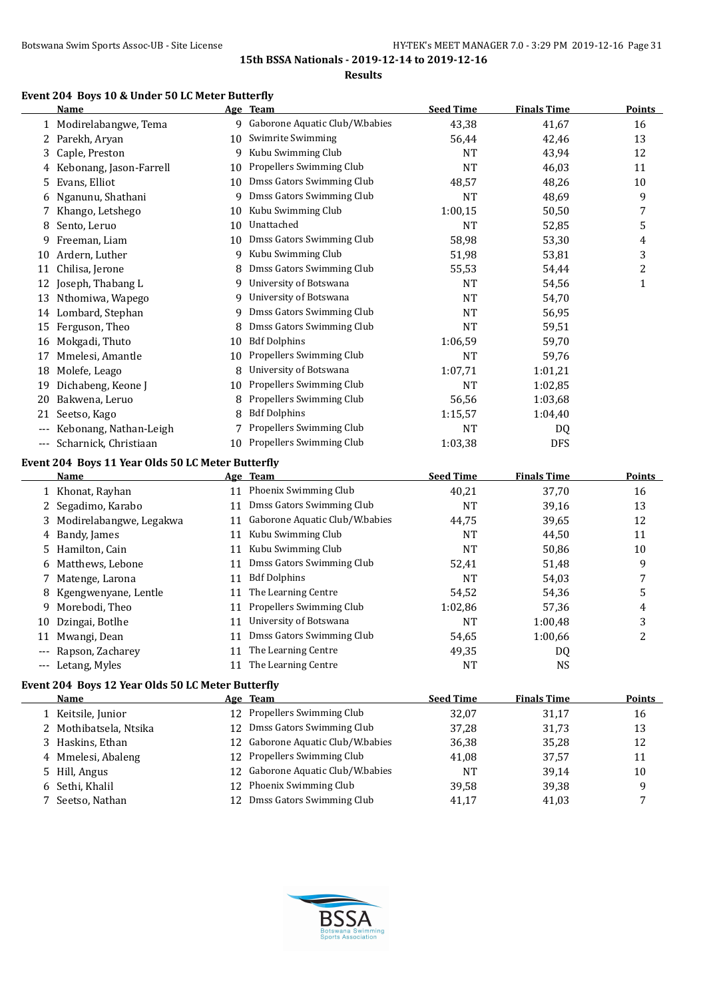#### **Results**

# **Event 204 Boys 10 & Under 50 LC Meter Butterfly**

|     | Name                    | Age | <b>Team</b>                    | <b>Seed Time</b> | <b>Finals Time</b> | <b>Points</b> |
|-----|-------------------------|-----|--------------------------------|------------------|--------------------|---------------|
|     | 1 Modirelabangwe, Tema  | 9   | Gaborone Aquatic Club/W.babies | 43,38            | 41,67              | 16            |
| 2   | Parekh, Aryan           | 10  | Swimrite Swimming              | 56,44            | 42,46              | 13            |
| 3   | Caple, Preston          | 9   | Kubu Swimming Club             | <b>NT</b>        | 43,94              | 12            |
| 4   | Kebonang, Jason-Farrell | 10  | Propellers Swimming Club       | <b>NT</b>        | 46,03              | 11            |
| 5   | Evans, Elliot           | 10  | Dmss Gators Swimming Club      | 48,57            | 48,26              | 10            |
| 6   | Nganunu, Shathani       | 9   | Dmss Gators Swimming Club      | <b>NT</b>        | 48,69              | 9             |
|     | Khango, Letshego        | 10  | Kubu Swimming Club             | 1:00,15          | 50,50              | 7             |
| 8   | Sento, Leruo            | 10  | Unattached                     | NT               | 52,85              | 5             |
| 9   | Freeman, Liam           | 10  | Dmss Gators Swimming Club      | 58,98            | 53,30              | 4             |
| 10  | Ardern, Luther          | 9   | Kubu Swimming Club             | 51,98            | 53,81              | 3             |
| 11  | Chilisa, Jerone         | 8   | Dmss Gators Swimming Club      | 55,53            | 54,44              | 2             |
| 12  | Joseph, Thabang L       | 9   | University of Botswana         | <b>NT</b>        | 54,56              | 1             |
| 13  | Nthomiwa, Wapego        | 9   | University of Botswana         | <b>NT</b>        | 54,70              |               |
| 14  | Lombard, Stephan        | 9   | Dmss Gators Swimming Club      | NT               | 56,95              |               |
| 15  | Ferguson, Theo          | 8   | Dmss Gators Swimming Club      | NT               | 59,51              |               |
| 16  | Mokgadi, Thuto          | 10  | <b>Bdf Dolphins</b>            | 1:06,59          | 59,70              |               |
| 17  | Mmelesi, Amantle        | 10  | Propellers Swimming Club       | <b>NT</b>        | 59,76              |               |
| 18  | Molefe, Leago           | 8   | University of Botswana         | 1:07,71          | 1:01,21            |               |
| 19  | Dichabeng, Keone J      | 10  | Propellers Swimming Club       | <b>NT</b>        | 1:02,85            |               |
| 20  | Bakwena, Leruo          | 8   | Propellers Swimming Club       | 56,56            | 1:03,68            |               |
| 21  | Seetso, Kago            |     | <b>Bdf Dolphins</b>            | 1:15,57          | 1:04,40            |               |
| --- | Kebonang, Nathan-Leigh  |     | Propellers Swimming Club       | <b>NT</b>        | DQ                 |               |
| --- | Scharnick, Christiaan   | 10  | Propellers Swimming Club       | 1:03,38          | <b>DFS</b>         |               |

# **Event 204 Boys 11 Year Olds 50 LC Meter Butterfly**

|    | Name                      |    | Age Team                       | <b>Seed Time</b> | <b>Finals Time</b> | <b>Points</b> |
|----|---------------------------|----|--------------------------------|------------------|--------------------|---------------|
|    | 1 Khonat, Rayhan          | 11 | Phoenix Swimming Club          | 40,21            | 37.70              | 16            |
|    | 2 Segadimo, Karabo        | 11 | Dmss Gators Swimming Club      | NT               | 39,16              | 13            |
|    | 3 Modirelabangwe, Legakwa | 11 | Gaborone Aquatic Club/W.babies | 44,75            | 39,65              | 12            |
|    | 4 Bandy, James            | 11 | Kubu Swimming Club             | NT               | 44,50              | 11            |
|    | 5 Hamilton, Cain          | 11 | Kubu Swimming Club             | NT               | 50,86              | 10            |
|    | 6 Matthews, Lebone        | 11 | Dmss Gators Swimming Club      | 52,41            | 51,48              | 9             |
|    | 7 Matenge, Larona         | 11 | <b>Bdf Dolphins</b>            | <b>NT</b>        | 54,03              |               |
|    | 8 Kgengwenyane, Lentle    | 11 | The Learning Centre            | 54,52            | 54,36              | 5             |
| 9  | Morebodi, Theo            | 11 | Propellers Swimming Club       | 1:02.86          | 57.36              | 4             |
| 10 | Dzingai, Botlhe           | 11 | University of Botswana         | <b>NT</b>        | 1:00,48            | 3             |
| 11 | Mwangi, Dean              | 11 | Dmss Gators Swimming Club      | 54,65            | 1:00,66            | 2             |
|    | Rapson, Zacharey          | 11 | The Learning Centre            | 49,35            | DQ                 |               |
|    | --- Letang, Myles         | 11 | The Learning Centre            | NT               | NS.                |               |
|    | $\cdots$                  |    |                                |                  |                    |               |

# **Event 204 Boys 12 Year Olds 50 LC Meter Butterfly**

| Name                   | Age Team                          | <b>Seed Time</b> | <b>Finals Time</b> | <b>Points</b> |
|------------------------|-----------------------------------|------------------|--------------------|---------------|
| 1 Keitsile, Junior     | 12 Propellers Swimming Club       | 32,07            | 31.17              | 16            |
| 2 Mothibatsela, Ntsika | 12 Dmss Gators Swimming Club      | 37,28            | 31,73              | 13            |
| 3 Haskins, Ethan       | 12 Gaborone Aquatic Club/W.babies | 36,38            | 35.28              | 12            |
| 4 Mmelesi, Abaleng     | 12 Propellers Swimming Club       | 41,08            | 37.57              | 11            |
| 5 Hill, Angus          | 12 Gaborone Aquatic Club/W.babies | NT               | 39.14              | 10            |
| 6 Sethi, Khalil        | 12 Phoenix Swimming Club          | 39,58            | 39,38              | a             |
| 7 Seetso, Nathan       | Dmss Gators Swimming Club         | 41,17            | 41,03              |               |
|                        |                                   |                  |                    |               |

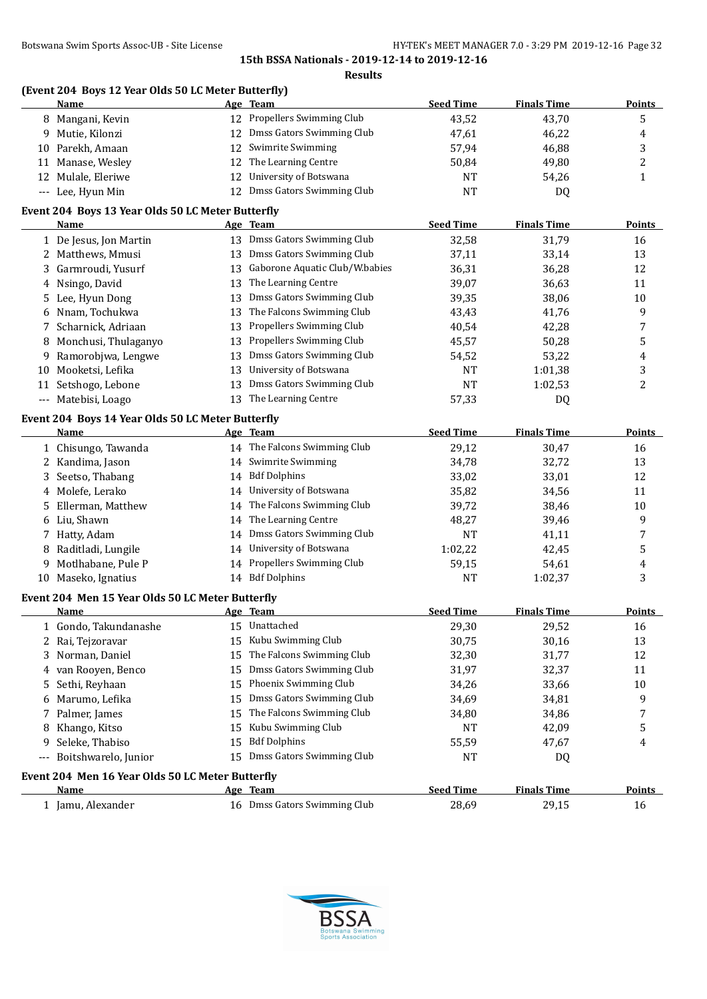|      | (Event 204 Boys 12 Year Olds 50 LC Meter Butterfly)<br>Name |    | Age Team                       | <b>Seed Time</b> | <b>Finals Time</b> | <b>Points</b>  |
|------|-------------------------------------------------------------|----|--------------------------------|------------------|--------------------|----------------|
|      | 8 Mangani, Kevin                                            |    | 12 Propellers Swimming Club    | 43,52            | 43,70              | 5              |
| 9    | Mutie, Kilonzi                                              |    | 12 Dmss Gators Swimming Club   | 47,61            | 46,22              | 4              |
| 10   | Parekh, Amaan                                               |    | 12 Swimrite Swimming           | 57,94            | 46,88              | 3              |
|      | 11 Manase, Wesley                                           | 12 | The Learning Centre            | 50,84            | 49,80              | $\overline{c}$ |
|      | 12 Mulale, Eleriwe                                          |    | 12 University of Botswana      | <b>NT</b>        | 54,26              | $\mathbf{1}$   |
|      | --- Lee, Hyun Min                                           |    | 12 Dmss Gators Swimming Club   | <b>NT</b>        | DQ                 |                |
|      | Event 204 Boys 13 Year Olds 50 LC Meter Butterfly           |    |                                |                  |                    |                |
|      | Name                                                        |    | Age Team                       | <b>Seed Time</b> | <b>Finals Time</b> | <b>Points</b>  |
|      | 1 De Jesus, Jon Martin                                      |    | 13 Dmss Gators Swimming Club   | 32,58            | 31,79              | 16             |
| 2    | Matthews, Mmusi                                             | 13 | Dmss Gators Swimming Club      | 37,11            | 33,14              | 13             |
| 3    | Garmroudi, Yusurf                                           | 13 | Gaborone Aquatic Club/W.babies | 36,31            | 36,28              | 12             |
| 4    | Nsingo, David                                               | 13 | The Learning Centre            | 39,07            | 36,63              | 11             |
| 5    | Lee, Hyun Dong                                              | 13 | Dmss Gators Swimming Club      | 39,35            | 38,06              | 10             |
| 6    | Nnam, Tochukwa                                              | 13 | The Falcons Swimming Club      | 43,43            | 41,76              | 9              |
| 7    | Scharnick, Adriaan                                          | 13 | Propellers Swimming Club       | 40,54            | 42,28              | 7              |
| 8    | Monchusi, Thulaganyo                                        | 13 | Propellers Swimming Club       | 45,57            | 50,28              | 5              |
| 9    | Ramorobjwa, Lengwe                                          | 13 | Dmss Gators Swimming Club      | 54,52            | 53,22              | 4              |
| 10   | Mooketsi, Lefika                                            | 13 | University of Botswana         | NT               | 1:01,38            | 3              |
| 11   | Setshogo, Lebone                                            | 13 | Dmss Gators Swimming Club      | <b>NT</b>        | 1:02,53            | 2              |
|      | --- Matebisi, Loago                                         |    | 13 The Learning Centre         | 57,33            | DQ                 |                |
|      | Event 204 Boys 14 Year Olds 50 LC Meter Butterfly           |    |                                |                  |                    |                |
|      | Name                                                        |    | Age Team                       | <b>Seed Time</b> | <b>Finals Time</b> | <b>Points</b>  |
|      | 1 Chisungo, Tawanda                                         |    | 14 The Falcons Swimming Club   | 29,12            | 30,47              | 16             |
|      | 2 Kandima, Jason                                            |    | 14 Swimrite Swimming           | 34,78            | 32,72              | 13             |
| 3    | Seetso, Thabang                                             |    | 14 Bdf Dolphins                | 33,02            | 33,01              | 12             |
| 4    | Molefe, Lerako                                              |    | 14 University of Botswana      | 35,82            | 34,56              | 11             |
| 5    | Ellerman, Matthew                                           |    | 14 The Falcons Swimming Club   | 39,72            | 38,46              | 10             |
| 6    | Liu, Shawn                                                  |    | 14 The Learning Centre         | 48,27            | 39,46              | 9              |
|      | 7 Hatty, Adam                                               |    | 14 Dmss Gators Swimming Club   | <b>NT</b>        | 41,11              | 7              |
| 8    | Raditladi, Lungile                                          |    | 14 University of Botswana      | 1:02,22          | 42,45              | 5              |
| 9    | Motlhabane, Pule P                                          |    | 14 Propellers Swimming Club    | 59,15            | 54,61              | 4              |
| 10   | Maseko, Ignatius                                            |    | 14 Bdf Dolphins                | NT               | 1:02,37            | 3              |
|      | Event 204 Men 15 Year Olds 50 LC Meter Butterfly            |    |                                | <b>Seed Time</b> |                    |                |
|      | <u>Name</u>                                                 |    | Age Team<br>Unattached         |                  | <b>Finals Time</b> | <u>Points</u>  |
|      | 1 Gondo, Takundanashe                                       | 15 | Kubu Swimming Club             | 29,30            | 29,52              | 16             |
|      | Rai, Tejzoravar                                             | 15 |                                | 30,75            | 30,16              | 13             |
| 3    | Norman, Daniel                                              | 15 | The Falcons Swimming Club      | 32,30            | 31,77              | 12             |
| 4    | van Rooyen, Benco                                           | 15 | Dmss Gators Swimming Club      | 31,97            | 32,37              | 11             |
| 5    | Sethi, Reyhaan                                              | 15 | Phoenix Swimming Club          | 34,26            | 33,66              | 10             |
| 6    | Marumo, Lefika                                              | 15 | Dmss Gators Swimming Club      | 34,69            | 34,81              | 9              |
| 7    | Palmer, James                                               | 15 | The Falcons Swimming Club      | 34,80            | 34,86              | 7              |
| 8    | Khango, Kitso                                               | 15 | Kubu Swimming Club             | NT               | 42,09              | 5              |
| 9    | Seleke, Thabiso                                             | 15 | <b>Bdf Dolphins</b>            | 55,59            | 47,67              | 4              |
| $--$ | Boitshwarelo, Junior                                        | 15 | Dmss Gators Swimming Club      | NT               | DQ                 |                |
|      | Event 204 Men 16 Year Olds 50 LC Meter Butterfly            |    |                                |                  |                    |                |
|      | <u>Name</u>                                                 |    | Age Team                       | <b>Seed Time</b> | <b>Finals Time</b> | <b>Points</b>  |
|      | 1 Jamu, Alexander                                           |    | 16 Dmss Gators Swimming Club   | 28,69            | 29,15              | 16             |

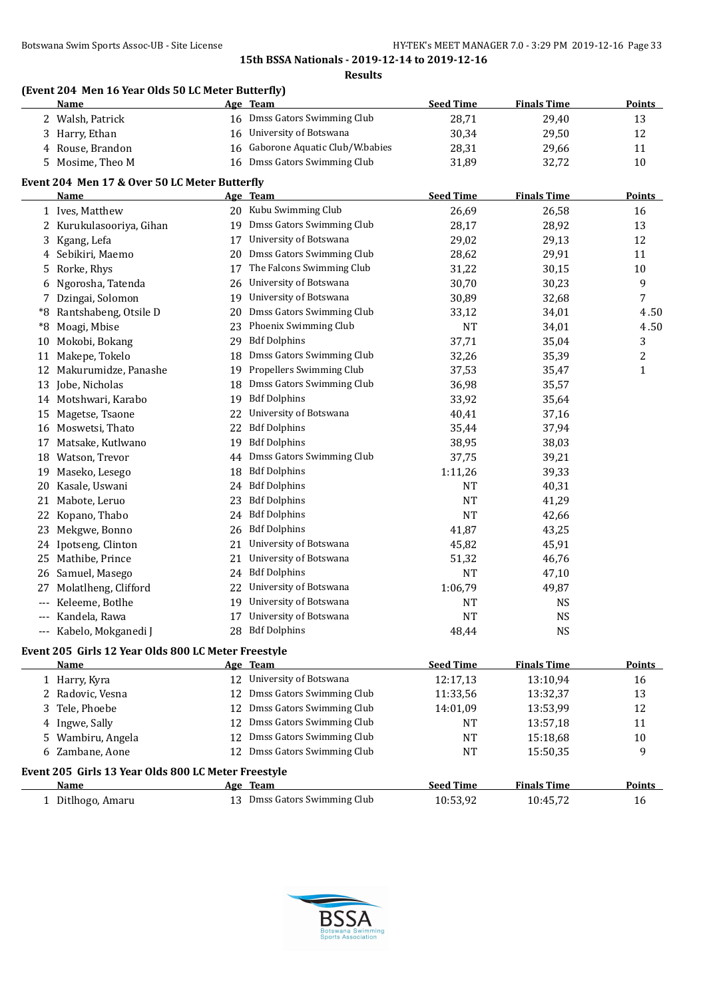**Results**

# **(Event 204 Men 16 Year Olds 50 LC Meter Butterfly)**

|       | <b>Name</b>                                         |    | <u>Age Team</u>                   | <b>Seed Time</b> | <b>Finals Time</b> | <b>Points</b>  |
|-------|-----------------------------------------------------|----|-----------------------------------|------------------|--------------------|----------------|
|       | 2 Walsh, Patrick                                    |    | 16 Dmss Gators Swimming Club      | 28,71            | 29,40              | 13             |
|       | 3 Harry, Ethan                                      |    | 16 University of Botswana         | 30,34            | 29,50              | 12             |
| 4     | Rouse, Brandon                                      |    | 16 Gaborone Aquatic Club/W.babies | 28,31            | 29,66              | 11             |
| 5.    | Mosime, Theo M                                      |    | 16 Dmss Gators Swimming Club      | 31,89            | 32,72              | 10             |
|       | Event 204 Men 17 & Over 50 LC Meter Butterfly       |    |                                   |                  |                    |                |
|       | Name                                                |    | Age Team                          | <b>Seed Time</b> | <b>Finals Time</b> | <b>Points</b>  |
|       | 1 Ives, Matthew                                     |    | 20 Kubu Swimming Club             | 26,69            | 26,58              | 16             |
| 2     | Kurukulasooriya, Gihan                              | 19 | Dmss Gators Swimming Club         | 28,17            | 28,92              | 13             |
| 3     | Kgang, Lefa                                         | 17 | University of Botswana            | 29,02            | 29,13              | 12             |
| 4     | Sebikiri, Maemo                                     | 20 | Dmss Gators Swimming Club         | 28,62            | 29,91              | 11             |
| 5     | Rorke, Rhys                                         | 17 | The Falcons Swimming Club         | 31,22            | 30,15              | 10             |
| 6     | Ngorosha, Tatenda                                   | 26 | University of Botswana            | 30,70            | 30,23              | 9              |
| 7     | Dzingai, Solomon                                    | 19 | University of Botswana            | 30,89            | 32,68              | $\overline{7}$ |
| *8    | Rantshabeng, Otsile D                               | 20 | Dmss Gators Swimming Club         | 33,12            | 34,01              | 4.50           |
| *8    | Moagi, Mbise                                        | 23 | Phoenix Swimming Club             | <b>NT</b>        | 34,01              | 4.50           |
| 10    | Mokobi, Bokang                                      | 29 | <b>Bdf Dolphins</b>               | 37,71            | 35,04              | 3              |
| 11    | Makepe, Tokelo                                      | 18 | Dmss Gators Swimming Club         | 32,26            | 35,39              | $\overline{c}$ |
| 12    | Makurumidze, Panashe                                | 19 | Propellers Swimming Club          | 37,53            | 35,47              | $\mathbf{1}$   |
| 13    | Jobe, Nicholas                                      | 18 | Dmss Gators Swimming Club         | 36,98            | 35,57              |                |
| 14    | Motshwari, Karabo                                   | 19 | <b>Bdf Dolphins</b>               | 33,92            | 35,64              |                |
| 15    | Magetse, Tsaone                                     | 22 | University of Botswana            | 40,41            | 37,16              |                |
| 16    | Moswetsi, Thato                                     | 22 | <b>Bdf Dolphins</b>               | 35,44            | 37,94              |                |
| 17    | Matsake, Kutlwano                                   | 19 | <b>Bdf Dolphins</b>               | 38,95            | 38,03              |                |
| 18    | Watson, Trevor                                      | 44 | Dmss Gators Swimming Club         | 37,75            | 39,21              |                |
| 19    | Maseko, Lesego                                      | 18 | <b>Bdf Dolphins</b>               | 1:11,26          | 39,33              |                |
| 20    | Kasale, Uswani                                      | 24 | <b>Bdf Dolphins</b>               | NT               | 40,31              |                |
| 21    | Mabote, Leruo                                       | 23 | <b>Bdf Dolphins</b>               | NT               | 41,29              |                |
| 22    | Kopano, Thabo                                       | 24 | <b>Bdf Dolphins</b>               | <b>NT</b>        | 42,66              |                |
| 23    | Mekgwe, Bonno                                       |    | 26 Bdf Dolphins                   | 41,87            | 43,25              |                |
| 24    | Ipotseng, Clinton                                   |    | 21 University of Botswana         | 45,82            | 45,91              |                |
| 25    | Mathibe, Prince                                     |    | 21 University of Botswana         | 51,32            | 46,76              |                |
| 26    | Samuel, Masego                                      |    | 24 Bdf Dolphins                   | NT               | 47,10              |                |
| 27    | Molatlheng, Clifford                                |    | 22 University of Botswana         | 1:06,79          | 49,87              |                |
|       | Keleeme, Botlhe                                     |    | 19 University of Botswana         | NT               | <b>NS</b>          |                |
| $---$ | Kandela, Rawa                                       |    | 17 University of Botswana         | <b>NT</b>        | <b>NS</b>          |                |
|       | --- Kabelo, Mokganedi J                             |    | 28 Bdf Dolphins                   | 48,44            | <b>NS</b>          |                |
|       | Event 205 Girls 12 Year Olds 800 LC Meter Freestyle |    |                                   |                  |                    |                |
|       | Name                                                |    | Age Team                          | <b>Seed Time</b> | <b>Finals Time</b> | <b>Points</b>  |
|       | 1 Harry, Kyra                                       |    | 12 University of Botswana         | 12:17,13         | 13:10,94           | 16             |
|       | 2 Radovic, Vesna                                    |    | 12 Dmss Gators Swimming Club      | 11:33,56         | 13:32,37           | 13             |
| 3     | Tele, Phoebe                                        | 12 | Dmss Gators Swimming Club         | 14:01,09         | 13:53,99           | 12             |
| 4     | Ingwe, Sally                                        |    | 12 Dmss Gators Swimming Club      | NT               | 13:57,18           | 11             |
| 5     | Wambiru, Angela                                     | 12 | Dmss Gators Swimming Club         | NT               | 15:18,68           | 10             |
| 6     | Zambane, Aone                                       |    | 12 Dmss Gators Swimming Club      | NT               | 15:50,35           | 9              |
|       | Event 205 Girls 13 Year Olds 800 LC Meter Freestyle |    |                                   |                  |                    |                |
|       | <u>Name</u>                                         |    | Age Team                          | <b>Seed Time</b> | <b>Finals Time</b> | <b>Points</b>  |
|       | 1 Ditlhogo, Amaru                                   |    | 13 Dmss Gators Swimming Club      | 10:53,92         | 10:45,72           | 16             |

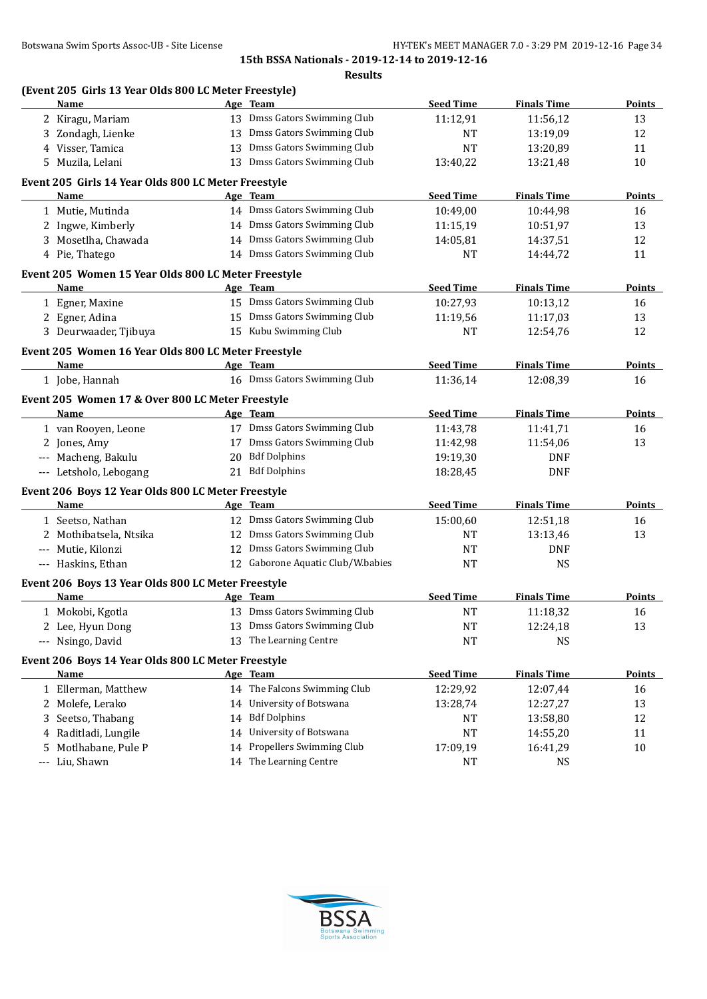|     | Name                                                              |    | Age Team                          | <b>Seed Time</b> | <b>Finals Time</b> | <b>Points</b> |
|-----|-------------------------------------------------------------------|----|-----------------------------------|------------------|--------------------|---------------|
|     | 2 Kiragu, Mariam                                                  |    | 13 Dmss Gators Swimming Club      | 11:12,91         | 11:56,12           | 13            |
| 3   | Zondagh, Lienke                                                   |    | 13 Dmss Gators Swimming Club      | <b>NT</b>        | 13:19,09           | 12            |
| 4   | Visser, Tamica                                                    | 13 | Dmss Gators Swimming Club         | NT               | 13:20,89           | 11            |
| 5   | Muzila, Lelani                                                    | 13 | Dmss Gators Swimming Club         | 13:40,22         | 13:21,48           | 10            |
|     | Event 205 Girls 14 Year Olds 800 LC Meter Freestyle               |    |                                   |                  |                    |               |
|     | Name                                                              |    | Age Team                          | <b>Seed Time</b> | <b>Finals Time</b> | Points        |
|     | 1 Mutie, Mutinda                                                  |    | 14 Dmss Gators Swimming Club      | 10:49,00         | 10:44,98           | 16            |
|     | 2 Ingwe, Kimberly                                                 |    | 14 Dmss Gators Swimming Club      | 11:15,19         | 10:51,97           | 13            |
|     | 3 Mosetlha, Chawada                                               |    | 14 Dmss Gators Swimming Club      | 14:05,81         | 14:37,51           | 12            |
|     | 4 Pie, Thatego                                                    |    | 14 Dmss Gators Swimming Club      | NT               | 14:44,72           | 11            |
|     | Event 205 Women 15 Year Olds 800 LC Meter Freestyle               |    |                                   |                  |                    |               |
|     | Name                                                              |    | Age Team                          | <b>Seed Time</b> | <b>Finals Time</b> | <b>Points</b> |
|     | 1 Egner, Maxine                                                   |    | 15 Dmss Gators Swimming Club      | 10:27,93         | 10:13,12           | 16            |
|     | 2 Egner, Adina                                                    |    | 15 Dmss Gators Swimming Club      | 11:19,56         | 11:17,03           | 13            |
|     | 3 Deurwaader, Tjibuya                                             |    | 15 Kubu Swimming Club             | NT               | 12:54,76           | 12            |
|     | Event 205 Women 16 Year Olds 800 LC Meter Freestyle               |    |                                   |                  |                    |               |
|     | Name                                                              |    | Age Team                          | <b>Seed Time</b> | <b>Finals Time</b> | <b>Points</b> |
|     | 1 Jobe, Hannah                                                    |    | 16 Dmss Gators Swimming Club      | 11:36,14         | 12:08.39           | 16            |
|     | Event 205 Women 17 & Over 800 LC Meter Freestyle                  |    |                                   |                  |                    |               |
|     | Name                                                              |    | Age Team                          | <b>Seed Time</b> | <b>Finals Time</b> | Points        |
|     | 1 van Rooyen, Leone                                               |    | 17 Dmss Gators Swimming Club      | 11:43,78         | 11:41,71           | 16            |
|     | 2 Jones, Amy                                                      |    | 17 Dmss Gators Swimming Club      | 11:42,98         | 11:54,06           | 13            |
|     | --- Macheng, Bakulu                                               |    | 20 Bdf Dolphins                   | 19:19,30         | <b>DNF</b>         |               |
|     | --- Letsholo, Lebogang                                            |    | 21 Bdf Dolphins                   | 18:28,45         | <b>DNF</b>         |               |
|     | Event 206 Boys 12 Year Olds 800 LC Meter Freestyle                |    |                                   |                  |                    |               |
|     | <b>Name</b>                                                       |    | Age Team                          | <b>Seed Time</b> | <b>Finals Time</b> | Points        |
|     | 1 Seetso, Nathan                                                  |    | 12 Dmss Gators Swimming Club      | 15:00,60         | 12:51,18           | 16            |
|     | 2 Mothibatsela, Ntsika                                            |    | 12 Dmss Gators Swimming Club      | <b>NT</b>        | 13:13,46           | 13            |
|     | --- Mutie, Kilonzi                                                |    | 12 Dmss Gators Swimming Club      | <b>NT</b>        | <b>DNF</b>         |               |
|     | --- Haskins, Ethan                                                |    | 12 Gaborone Aquatic Club/W.babies | <b>NT</b>        | <b>NS</b>          |               |
|     | Event 206 Boys 13 Year Olds 800 LC Meter Freestyle                |    |                                   |                  |                    |               |
|     | Name                                                              |    | Age Team                          | <b>Seed Time</b> | <b>Finals Time</b> | <b>Points</b> |
|     | 1 Mokobi, Kgotla                                                  |    | 13 Dmss Gators Swimming Club      | <b>NT</b>        | 11:18,32           | 16            |
|     | 2 Lee, Hyun Dong                                                  |    | 13 Dmss Gators Swimming Club      | NT               | 12:24,18           | 13            |
|     | --- Nsingo, David                                                 |    | 13 The Learning Centre            | NT               | <b>NS</b>          |               |
|     |                                                                   |    |                                   |                  |                    |               |
|     | Event 206 Boys 14 Year Olds 800 LC Meter Freestyle<br><b>Name</b> |    | Age Team                          | <b>Seed Time</b> | <b>Finals Time</b> | <b>Points</b> |
|     | 1 Ellerman, Matthew                                               |    | 14 The Falcons Swimming Club      | 12:29,92         | 12:07,44           | 16            |
|     | 2 Molefe, Lerako                                                  |    | 14 University of Botswana         | 13:28,74         | 12:27,27           | 13            |
| 3   | Seetso, Thabang                                                   | 14 | <b>Bdf Dolphins</b>               | NT               | 13:58,80           | 12            |
| 4   | Raditladi, Lungile                                                | 14 | University of Botswana            | NT               | 14:55,20           | 11            |
| 5   | Motlhabane, Pule P                                                | 14 | Propellers Swimming Club          | 17:09,19         | 16:41,29           | $10\,$        |
| --- | Liu, Shawn                                                        |    | 14 The Learning Centre            | <b>NT</b>        | <b>NS</b>          |               |
|     |                                                                   |    |                                   |                  |                    |               |

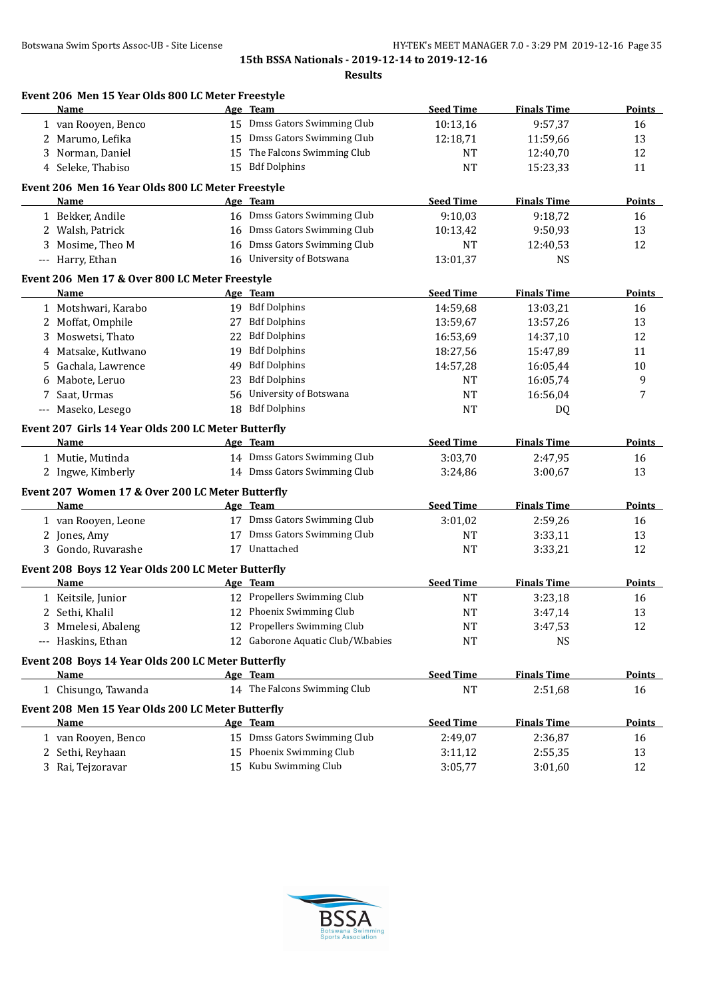**Results**

| <b>Seed Time</b><br><b>Finals Time</b><br>Name<br>Age Team<br>15 Dmss Gators Swimming Club<br>10:13,16<br>9:57,37<br>1 van Rooyen, Benco<br>15 Dmss Gators Swimming Club<br>2 Marumo, Lefika<br>12:18,71<br>11:59,66<br>15 The Falcons Swimming Club<br>3 Norman, Daniel<br>12:40,70<br>NT<br>4 Seleke, Thabiso<br>15 Bdf Dolphins<br><b>NT</b><br>15:23,33<br>Event 206 Men 16 Year Olds 800 LC Meter Freestyle<br><b>Seed Time</b><br><b>Finals Time</b><br>Name<br>Age Team<br>16 Dmss Gators Swimming Club<br>9:10,03<br>1 Bekker, Andile<br>9:18,72<br>16 Dmss Gators Swimming Club<br>2 Walsh, Patrick<br>10:13,42<br>9:50,93<br>Dmss Gators Swimming Club<br>Mosime, Theo M<br>12:40,53<br>16<br>NT<br>16 University of Botswana<br>--- Harry, Ethan<br>13:01,37<br><b>NS</b><br>Event 206 Men 17 & Over 800 LC Meter Freestyle<br><b>Seed Time</b><br><b>Finals Time</b><br>Name<br>Age Team<br>19 Bdf Dolphins<br>14:59,68<br>1 Motshwari, Karabo<br>13:03,21<br>27 Bdf Dolphins<br>Moffat, Omphile<br>13:59,67<br>13:57,26<br>2<br><b>Bdf Dolphins</b><br>Moswetsi, Thato<br>22<br>16:53,69<br>3<br>14:37,10<br><b>Bdf Dolphins</b><br>Matsake, Kutlwano<br>19<br>18:27,56<br>15:47,89<br>4<br><b>Bdf Dolphins</b><br>14:57,28<br>Gachala, Lawrence<br>49<br>16:05,44<br>5.<br><b>Bdf Dolphins</b><br>Mabote, Leruo<br>23<br>NT<br>16:05,74<br>6<br>University of Botswana<br>Saat, Urmas<br>16:56,04<br>56<br>NT<br>7<br>18 Bdf Dolphins<br>Maseko, Lesego<br>NT<br>DQ<br>---<br>Event 207 Girls 14 Year Olds 200 LC Meter Butterfly<br><b>Seed Time</b><br><b>Finals Time</b><br>Age Team<br>Name<br>14 Dmss Gators Swimming Club<br>1 Mutie, Mutinda<br>3:03,70<br>2:47,95<br>14 Dmss Gators Swimming Club<br>2 Ingwe, Kimberly<br>3:24,86<br>3:00,67<br>Event 207 Women 17 & Over 200 LC Meter Butterfly<br><b>Seed Time</b><br>Name<br>Age Team<br><b>Finals Time</b><br>17 Dmss Gators Swimming Club<br>1 van Rooyen, Leone<br>3:01,02<br>2:59,26<br>17 Dmss Gators Swimming Club<br>2 Jones, Amy<br><b>NT</b><br>3:33,11<br>3 Gondo, Ruvarashe<br>17 Unattached<br><b>NT</b><br>3:33,21<br>Event 208 Boys 12 Year Olds 200 LC Meter Butterfly<br><b>Seed Time</b><br><b>Finals Time</b><br>Name<br>Age Team<br>12 Propellers Swimming Club<br>1 Keitsile, Junior<br><b>NT</b><br>3:23,18<br>12 Phoenix Swimming Club<br>2 Sethi, Khalil<br><b>NT</b><br>3:47,14<br>12 Propellers Swimming Club<br>3 Mmelesi, Abaleng<br>NT<br>3:47,53<br>12 Gaborone Aquatic Club/W.babies<br>Haskins, Ethan<br>NT<br><b>NS</b><br>$---$<br>Event 208 Boys 14 Year Olds 200 LC Meter Butterfly<br><b>Seed Time</b><br><b>Finals Time</b><br><b>Name</b><br>Age Team<br>14 The Falcons Swimming Club<br><b>NT</b><br>1 Chisungo, Tawanda<br>2:51,68<br>Event 208 Men 15 Year Olds 200 LC Meter Butterfly<br><b>Seed Time</b><br><b>Finals Time</b><br>Age Team<br>Name<br>15 Dmss Gators Swimming Club<br>1 van Rooyen, Benco<br>2:49,07<br>2:36,87 | Event 206 Men 15 Year Olds 800 LC Meter Freestyle |  |  |               |
|-----------------------------------------------------------------------------------------------------------------------------------------------------------------------------------------------------------------------------------------------------------------------------------------------------------------------------------------------------------------------------------------------------------------------------------------------------------------------------------------------------------------------------------------------------------------------------------------------------------------------------------------------------------------------------------------------------------------------------------------------------------------------------------------------------------------------------------------------------------------------------------------------------------------------------------------------------------------------------------------------------------------------------------------------------------------------------------------------------------------------------------------------------------------------------------------------------------------------------------------------------------------------------------------------------------------------------------------------------------------------------------------------------------------------------------------------------------------------------------------------------------------------------------------------------------------------------------------------------------------------------------------------------------------------------------------------------------------------------------------------------------------------------------------------------------------------------------------------------------------------------------------------------------------------------------------------------------------------------------------------------------------------------------------------------------------------------------------------------------------------------------------------------------------------------------------------------------------------------------------------------------------------------------------------------------------------------------------------------------------------------------------------------------------------------------------------------------------------------------------------------------------------------------------------------------------------------------------------------------------------------------------------------------------------------------------------------------------------------------------------------------------------------------------------------------------------------------------------------------------------------------------------------------------------------------------------------|---------------------------------------------------|--|--|---------------|
|                                                                                                                                                                                                                                                                                                                                                                                                                                                                                                                                                                                                                                                                                                                                                                                                                                                                                                                                                                                                                                                                                                                                                                                                                                                                                                                                                                                                                                                                                                                                                                                                                                                                                                                                                                                                                                                                                                                                                                                                                                                                                                                                                                                                                                                                                                                                                                                                                                                                                                                                                                                                                                                                                                                                                                                                                                                                                                                                                     |                                                   |  |  | Points        |
|                                                                                                                                                                                                                                                                                                                                                                                                                                                                                                                                                                                                                                                                                                                                                                                                                                                                                                                                                                                                                                                                                                                                                                                                                                                                                                                                                                                                                                                                                                                                                                                                                                                                                                                                                                                                                                                                                                                                                                                                                                                                                                                                                                                                                                                                                                                                                                                                                                                                                                                                                                                                                                                                                                                                                                                                                                                                                                                                                     |                                                   |  |  | 16            |
|                                                                                                                                                                                                                                                                                                                                                                                                                                                                                                                                                                                                                                                                                                                                                                                                                                                                                                                                                                                                                                                                                                                                                                                                                                                                                                                                                                                                                                                                                                                                                                                                                                                                                                                                                                                                                                                                                                                                                                                                                                                                                                                                                                                                                                                                                                                                                                                                                                                                                                                                                                                                                                                                                                                                                                                                                                                                                                                                                     |                                                   |  |  | 13            |
|                                                                                                                                                                                                                                                                                                                                                                                                                                                                                                                                                                                                                                                                                                                                                                                                                                                                                                                                                                                                                                                                                                                                                                                                                                                                                                                                                                                                                                                                                                                                                                                                                                                                                                                                                                                                                                                                                                                                                                                                                                                                                                                                                                                                                                                                                                                                                                                                                                                                                                                                                                                                                                                                                                                                                                                                                                                                                                                                                     |                                                   |  |  | 12            |
|                                                                                                                                                                                                                                                                                                                                                                                                                                                                                                                                                                                                                                                                                                                                                                                                                                                                                                                                                                                                                                                                                                                                                                                                                                                                                                                                                                                                                                                                                                                                                                                                                                                                                                                                                                                                                                                                                                                                                                                                                                                                                                                                                                                                                                                                                                                                                                                                                                                                                                                                                                                                                                                                                                                                                                                                                                                                                                                                                     |                                                   |  |  | 11            |
|                                                                                                                                                                                                                                                                                                                                                                                                                                                                                                                                                                                                                                                                                                                                                                                                                                                                                                                                                                                                                                                                                                                                                                                                                                                                                                                                                                                                                                                                                                                                                                                                                                                                                                                                                                                                                                                                                                                                                                                                                                                                                                                                                                                                                                                                                                                                                                                                                                                                                                                                                                                                                                                                                                                                                                                                                                                                                                                                                     |                                                   |  |  |               |
|                                                                                                                                                                                                                                                                                                                                                                                                                                                                                                                                                                                                                                                                                                                                                                                                                                                                                                                                                                                                                                                                                                                                                                                                                                                                                                                                                                                                                                                                                                                                                                                                                                                                                                                                                                                                                                                                                                                                                                                                                                                                                                                                                                                                                                                                                                                                                                                                                                                                                                                                                                                                                                                                                                                                                                                                                                                                                                                                                     |                                                   |  |  | Points        |
|                                                                                                                                                                                                                                                                                                                                                                                                                                                                                                                                                                                                                                                                                                                                                                                                                                                                                                                                                                                                                                                                                                                                                                                                                                                                                                                                                                                                                                                                                                                                                                                                                                                                                                                                                                                                                                                                                                                                                                                                                                                                                                                                                                                                                                                                                                                                                                                                                                                                                                                                                                                                                                                                                                                                                                                                                                                                                                                                                     |                                                   |  |  | 16            |
|                                                                                                                                                                                                                                                                                                                                                                                                                                                                                                                                                                                                                                                                                                                                                                                                                                                                                                                                                                                                                                                                                                                                                                                                                                                                                                                                                                                                                                                                                                                                                                                                                                                                                                                                                                                                                                                                                                                                                                                                                                                                                                                                                                                                                                                                                                                                                                                                                                                                                                                                                                                                                                                                                                                                                                                                                                                                                                                                                     |                                                   |  |  | 13            |
|                                                                                                                                                                                                                                                                                                                                                                                                                                                                                                                                                                                                                                                                                                                                                                                                                                                                                                                                                                                                                                                                                                                                                                                                                                                                                                                                                                                                                                                                                                                                                                                                                                                                                                                                                                                                                                                                                                                                                                                                                                                                                                                                                                                                                                                                                                                                                                                                                                                                                                                                                                                                                                                                                                                                                                                                                                                                                                                                                     |                                                   |  |  | 12            |
|                                                                                                                                                                                                                                                                                                                                                                                                                                                                                                                                                                                                                                                                                                                                                                                                                                                                                                                                                                                                                                                                                                                                                                                                                                                                                                                                                                                                                                                                                                                                                                                                                                                                                                                                                                                                                                                                                                                                                                                                                                                                                                                                                                                                                                                                                                                                                                                                                                                                                                                                                                                                                                                                                                                                                                                                                                                                                                                                                     |                                                   |  |  |               |
|                                                                                                                                                                                                                                                                                                                                                                                                                                                                                                                                                                                                                                                                                                                                                                                                                                                                                                                                                                                                                                                                                                                                                                                                                                                                                                                                                                                                                                                                                                                                                                                                                                                                                                                                                                                                                                                                                                                                                                                                                                                                                                                                                                                                                                                                                                                                                                                                                                                                                                                                                                                                                                                                                                                                                                                                                                                                                                                                                     |                                                   |  |  |               |
|                                                                                                                                                                                                                                                                                                                                                                                                                                                                                                                                                                                                                                                                                                                                                                                                                                                                                                                                                                                                                                                                                                                                                                                                                                                                                                                                                                                                                                                                                                                                                                                                                                                                                                                                                                                                                                                                                                                                                                                                                                                                                                                                                                                                                                                                                                                                                                                                                                                                                                                                                                                                                                                                                                                                                                                                                                                                                                                                                     |                                                   |  |  | <b>Points</b> |
|                                                                                                                                                                                                                                                                                                                                                                                                                                                                                                                                                                                                                                                                                                                                                                                                                                                                                                                                                                                                                                                                                                                                                                                                                                                                                                                                                                                                                                                                                                                                                                                                                                                                                                                                                                                                                                                                                                                                                                                                                                                                                                                                                                                                                                                                                                                                                                                                                                                                                                                                                                                                                                                                                                                                                                                                                                                                                                                                                     |                                                   |  |  | 16            |
|                                                                                                                                                                                                                                                                                                                                                                                                                                                                                                                                                                                                                                                                                                                                                                                                                                                                                                                                                                                                                                                                                                                                                                                                                                                                                                                                                                                                                                                                                                                                                                                                                                                                                                                                                                                                                                                                                                                                                                                                                                                                                                                                                                                                                                                                                                                                                                                                                                                                                                                                                                                                                                                                                                                                                                                                                                                                                                                                                     |                                                   |  |  | 13            |
|                                                                                                                                                                                                                                                                                                                                                                                                                                                                                                                                                                                                                                                                                                                                                                                                                                                                                                                                                                                                                                                                                                                                                                                                                                                                                                                                                                                                                                                                                                                                                                                                                                                                                                                                                                                                                                                                                                                                                                                                                                                                                                                                                                                                                                                                                                                                                                                                                                                                                                                                                                                                                                                                                                                                                                                                                                                                                                                                                     |                                                   |  |  | 12            |
|                                                                                                                                                                                                                                                                                                                                                                                                                                                                                                                                                                                                                                                                                                                                                                                                                                                                                                                                                                                                                                                                                                                                                                                                                                                                                                                                                                                                                                                                                                                                                                                                                                                                                                                                                                                                                                                                                                                                                                                                                                                                                                                                                                                                                                                                                                                                                                                                                                                                                                                                                                                                                                                                                                                                                                                                                                                                                                                                                     |                                                   |  |  | 11            |
|                                                                                                                                                                                                                                                                                                                                                                                                                                                                                                                                                                                                                                                                                                                                                                                                                                                                                                                                                                                                                                                                                                                                                                                                                                                                                                                                                                                                                                                                                                                                                                                                                                                                                                                                                                                                                                                                                                                                                                                                                                                                                                                                                                                                                                                                                                                                                                                                                                                                                                                                                                                                                                                                                                                                                                                                                                                                                                                                                     |                                                   |  |  | 10            |
|                                                                                                                                                                                                                                                                                                                                                                                                                                                                                                                                                                                                                                                                                                                                                                                                                                                                                                                                                                                                                                                                                                                                                                                                                                                                                                                                                                                                                                                                                                                                                                                                                                                                                                                                                                                                                                                                                                                                                                                                                                                                                                                                                                                                                                                                                                                                                                                                                                                                                                                                                                                                                                                                                                                                                                                                                                                                                                                                                     |                                                   |  |  | 9             |
|                                                                                                                                                                                                                                                                                                                                                                                                                                                                                                                                                                                                                                                                                                                                                                                                                                                                                                                                                                                                                                                                                                                                                                                                                                                                                                                                                                                                                                                                                                                                                                                                                                                                                                                                                                                                                                                                                                                                                                                                                                                                                                                                                                                                                                                                                                                                                                                                                                                                                                                                                                                                                                                                                                                                                                                                                                                                                                                                                     |                                                   |  |  | 7             |
|                                                                                                                                                                                                                                                                                                                                                                                                                                                                                                                                                                                                                                                                                                                                                                                                                                                                                                                                                                                                                                                                                                                                                                                                                                                                                                                                                                                                                                                                                                                                                                                                                                                                                                                                                                                                                                                                                                                                                                                                                                                                                                                                                                                                                                                                                                                                                                                                                                                                                                                                                                                                                                                                                                                                                                                                                                                                                                                                                     |                                                   |  |  |               |
|                                                                                                                                                                                                                                                                                                                                                                                                                                                                                                                                                                                                                                                                                                                                                                                                                                                                                                                                                                                                                                                                                                                                                                                                                                                                                                                                                                                                                                                                                                                                                                                                                                                                                                                                                                                                                                                                                                                                                                                                                                                                                                                                                                                                                                                                                                                                                                                                                                                                                                                                                                                                                                                                                                                                                                                                                                                                                                                                                     |                                                   |  |  |               |
|                                                                                                                                                                                                                                                                                                                                                                                                                                                                                                                                                                                                                                                                                                                                                                                                                                                                                                                                                                                                                                                                                                                                                                                                                                                                                                                                                                                                                                                                                                                                                                                                                                                                                                                                                                                                                                                                                                                                                                                                                                                                                                                                                                                                                                                                                                                                                                                                                                                                                                                                                                                                                                                                                                                                                                                                                                                                                                                                                     |                                                   |  |  | <b>Points</b> |
|                                                                                                                                                                                                                                                                                                                                                                                                                                                                                                                                                                                                                                                                                                                                                                                                                                                                                                                                                                                                                                                                                                                                                                                                                                                                                                                                                                                                                                                                                                                                                                                                                                                                                                                                                                                                                                                                                                                                                                                                                                                                                                                                                                                                                                                                                                                                                                                                                                                                                                                                                                                                                                                                                                                                                                                                                                                                                                                                                     |                                                   |  |  | 16            |
|                                                                                                                                                                                                                                                                                                                                                                                                                                                                                                                                                                                                                                                                                                                                                                                                                                                                                                                                                                                                                                                                                                                                                                                                                                                                                                                                                                                                                                                                                                                                                                                                                                                                                                                                                                                                                                                                                                                                                                                                                                                                                                                                                                                                                                                                                                                                                                                                                                                                                                                                                                                                                                                                                                                                                                                                                                                                                                                                                     |                                                   |  |  | 13            |
|                                                                                                                                                                                                                                                                                                                                                                                                                                                                                                                                                                                                                                                                                                                                                                                                                                                                                                                                                                                                                                                                                                                                                                                                                                                                                                                                                                                                                                                                                                                                                                                                                                                                                                                                                                                                                                                                                                                                                                                                                                                                                                                                                                                                                                                                                                                                                                                                                                                                                                                                                                                                                                                                                                                                                                                                                                                                                                                                                     |                                                   |  |  |               |
|                                                                                                                                                                                                                                                                                                                                                                                                                                                                                                                                                                                                                                                                                                                                                                                                                                                                                                                                                                                                                                                                                                                                                                                                                                                                                                                                                                                                                                                                                                                                                                                                                                                                                                                                                                                                                                                                                                                                                                                                                                                                                                                                                                                                                                                                                                                                                                                                                                                                                                                                                                                                                                                                                                                                                                                                                                                                                                                                                     |                                                   |  |  | <b>Points</b> |
|                                                                                                                                                                                                                                                                                                                                                                                                                                                                                                                                                                                                                                                                                                                                                                                                                                                                                                                                                                                                                                                                                                                                                                                                                                                                                                                                                                                                                                                                                                                                                                                                                                                                                                                                                                                                                                                                                                                                                                                                                                                                                                                                                                                                                                                                                                                                                                                                                                                                                                                                                                                                                                                                                                                                                                                                                                                                                                                                                     |                                                   |  |  | 16            |
|                                                                                                                                                                                                                                                                                                                                                                                                                                                                                                                                                                                                                                                                                                                                                                                                                                                                                                                                                                                                                                                                                                                                                                                                                                                                                                                                                                                                                                                                                                                                                                                                                                                                                                                                                                                                                                                                                                                                                                                                                                                                                                                                                                                                                                                                                                                                                                                                                                                                                                                                                                                                                                                                                                                                                                                                                                                                                                                                                     |                                                   |  |  | 13            |
|                                                                                                                                                                                                                                                                                                                                                                                                                                                                                                                                                                                                                                                                                                                                                                                                                                                                                                                                                                                                                                                                                                                                                                                                                                                                                                                                                                                                                                                                                                                                                                                                                                                                                                                                                                                                                                                                                                                                                                                                                                                                                                                                                                                                                                                                                                                                                                                                                                                                                                                                                                                                                                                                                                                                                                                                                                                                                                                                                     |                                                   |  |  | 12            |
|                                                                                                                                                                                                                                                                                                                                                                                                                                                                                                                                                                                                                                                                                                                                                                                                                                                                                                                                                                                                                                                                                                                                                                                                                                                                                                                                                                                                                                                                                                                                                                                                                                                                                                                                                                                                                                                                                                                                                                                                                                                                                                                                                                                                                                                                                                                                                                                                                                                                                                                                                                                                                                                                                                                                                                                                                                                                                                                                                     |                                                   |  |  |               |
|                                                                                                                                                                                                                                                                                                                                                                                                                                                                                                                                                                                                                                                                                                                                                                                                                                                                                                                                                                                                                                                                                                                                                                                                                                                                                                                                                                                                                                                                                                                                                                                                                                                                                                                                                                                                                                                                                                                                                                                                                                                                                                                                                                                                                                                                                                                                                                                                                                                                                                                                                                                                                                                                                                                                                                                                                                                                                                                                                     |                                                   |  |  | Points        |
|                                                                                                                                                                                                                                                                                                                                                                                                                                                                                                                                                                                                                                                                                                                                                                                                                                                                                                                                                                                                                                                                                                                                                                                                                                                                                                                                                                                                                                                                                                                                                                                                                                                                                                                                                                                                                                                                                                                                                                                                                                                                                                                                                                                                                                                                                                                                                                                                                                                                                                                                                                                                                                                                                                                                                                                                                                                                                                                                                     |                                                   |  |  | 16            |
|                                                                                                                                                                                                                                                                                                                                                                                                                                                                                                                                                                                                                                                                                                                                                                                                                                                                                                                                                                                                                                                                                                                                                                                                                                                                                                                                                                                                                                                                                                                                                                                                                                                                                                                                                                                                                                                                                                                                                                                                                                                                                                                                                                                                                                                                                                                                                                                                                                                                                                                                                                                                                                                                                                                                                                                                                                                                                                                                                     |                                                   |  |  | 13            |
|                                                                                                                                                                                                                                                                                                                                                                                                                                                                                                                                                                                                                                                                                                                                                                                                                                                                                                                                                                                                                                                                                                                                                                                                                                                                                                                                                                                                                                                                                                                                                                                                                                                                                                                                                                                                                                                                                                                                                                                                                                                                                                                                                                                                                                                                                                                                                                                                                                                                                                                                                                                                                                                                                                                                                                                                                                                                                                                                                     |                                                   |  |  | 12            |
|                                                                                                                                                                                                                                                                                                                                                                                                                                                                                                                                                                                                                                                                                                                                                                                                                                                                                                                                                                                                                                                                                                                                                                                                                                                                                                                                                                                                                                                                                                                                                                                                                                                                                                                                                                                                                                                                                                                                                                                                                                                                                                                                                                                                                                                                                                                                                                                                                                                                                                                                                                                                                                                                                                                                                                                                                                                                                                                                                     |                                                   |  |  |               |
|                                                                                                                                                                                                                                                                                                                                                                                                                                                                                                                                                                                                                                                                                                                                                                                                                                                                                                                                                                                                                                                                                                                                                                                                                                                                                                                                                                                                                                                                                                                                                                                                                                                                                                                                                                                                                                                                                                                                                                                                                                                                                                                                                                                                                                                                                                                                                                                                                                                                                                                                                                                                                                                                                                                                                                                                                                                                                                                                                     |                                                   |  |  |               |
|                                                                                                                                                                                                                                                                                                                                                                                                                                                                                                                                                                                                                                                                                                                                                                                                                                                                                                                                                                                                                                                                                                                                                                                                                                                                                                                                                                                                                                                                                                                                                                                                                                                                                                                                                                                                                                                                                                                                                                                                                                                                                                                                                                                                                                                                                                                                                                                                                                                                                                                                                                                                                                                                                                                                                                                                                                                                                                                                                     |                                                   |  |  | <b>Points</b> |
|                                                                                                                                                                                                                                                                                                                                                                                                                                                                                                                                                                                                                                                                                                                                                                                                                                                                                                                                                                                                                                                                                                                                                                                                                                                                                                                                                                                                                                                                                                                                                                                                                                                                                                                                                                                                                                                                                                                                                                                                                                                                                                                                                                                                                                                                                                                                                                                                                                                                                                                                                                                                                                                                                                                                                                                                                                                                                                                                                     |                                                   |  |  | 16            |
|                                                                                                                                                                                                                                                                                                                                                                                                                                                                                                                                                                                                                                                                                                                                                                                                                                                                                                                                                                                                                                                                                                                                                                                                                                                                                                                                                                                                                                                                                                                                                                                                                                                                                                                                                                                                                                                                                                                                                                                                                                                                                                                                                                                                                                                                                                                                                                                                                                                                                                                                                                                                                                                                                                                                                                                                                                                                                                                                                     |                                                   |  |  |               |
|                                                                                                                                                                                                                                                                                                                                                                                                                                                                                                                                                                                                                                                                                                                                                                                                                                                                                                                                                                                                                                                                                                                                                                                                                                                                                                                                                                                                                                                                                                                                                                                                                                                                                                                                                                                                                                                                                                                                                                                                                                                                                                                                                                                                                                                                                                                                                                                                                                                                                                                                                                                                                                                                                                                                                                                                                                                                                                                                                     |                                                   |  |  | <b>Points</b> |
|                                                                                                                                                                                                                                                                                                                                                                                                                                                                                                                                                                                                                                                                                                                                                                                                                                                                                                                                                                                                                                                                                                                                                                                                                                                                                                                                                                                                                                                                                                                                                                                                                                                                                                                                                                                                                                                                                                                                                                                                                                                                                                                                                                                                                                                                                                                                                                                                                                                                                                                                                                                                                                                                                                                                                                                                                                                                                                                                                     |                                                   |  |  | 16            |
| 15 Phoenix Swimming Club<br>2 Sethi, Reyhaan<br>3:11,12<br>2:55,35                                                                                                                                                                                                                                                                                                                                                                                                                                                                                                                                                                                                                                                                                                                                                                                                                                                                                                                                                                                                                                                                                                                                                                                                                                                                                                                                                                                                                                                                                                                                                                                                                                                                                                                                                                                                                                                                                                                                                                                                                                                                                                                                                                                                                                                                                                                                                                                                                                                                                                                                                                                                                                                                                                                                                                                                                                                                                  |                                                   |  |  | 13            |
| 15 Kubu Swimming Club<br>3 Rai, Tejzoravar<br>3:05,77<br>3:01,60                                                                                                                                                                                                                                                                                                                                                                                                                                                                                                                                                                                                                                                                                                                                                                                                                                                                                                                                                                                                                                                                                                                                                                                                                                                                                                                                                                                                                                                                                                                                                                                                                                                                                                                                                                                                                                                                                                                                                                                                                                                                                                                                                                                                                                                                                                                                                                                                                                                                                                                                                                                                                                                                                                                                                                                                                                                                                    |                                                   |  |  | 12            |

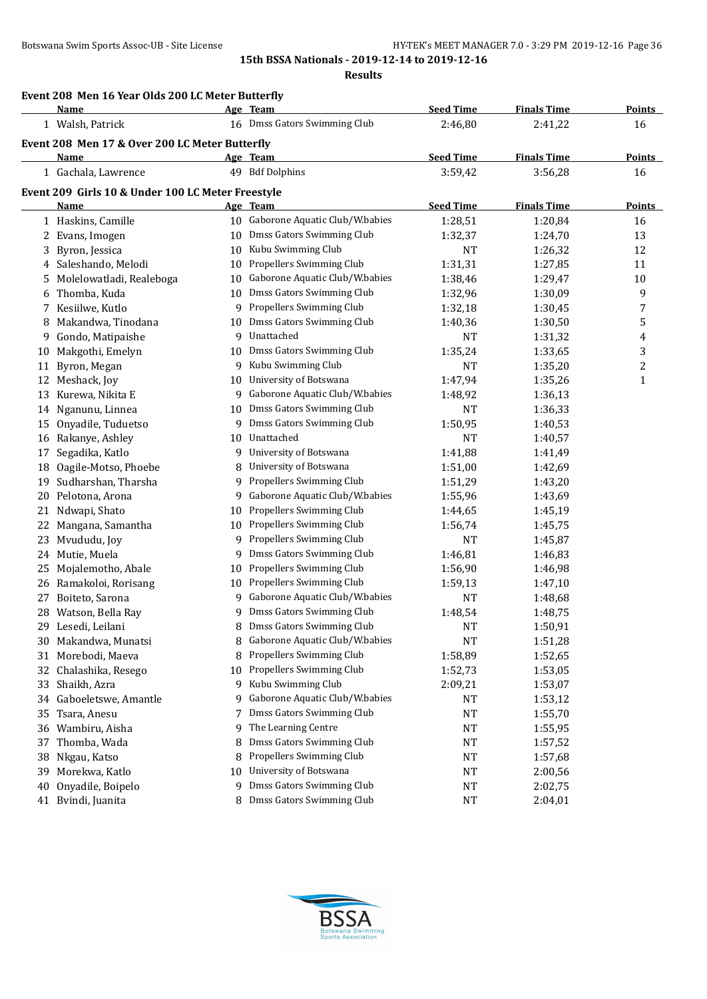**Results**

|    | Event 208 Men 16 Year Olds 200 LC Meter Butterfly |    |                                   |                  |                    |                  |
|----|---------------------------------------------------|----|-----------------------------------|------------------|--------------------|------------------|
|    | Name                                              |    | Age Team                          | <b>Seed Time</b> | <b>Finals Time</b> | Points           |
|    | 1 Walsh, Patrick                                  |    | 16 Dmss Gators Swimming Club      | 2:46,80          | 2:41,22            | 16               |
|    | Event 208 Men 17 & Over 200 LC Meter Butterfly    |    |                                   |                  |                    | <b>Points</b>    |
|    | Name                                              |    | Age Team<br>49 Bdf Dolphins       | <b>Seed Time</b> | <b>Finals Time</b> |                  |
|    | 1 Gachala, Lawrence                               |    |                                   | 3:59,42          | 3:56,28            | 16               |
|    | Event 209 Girls 10 & Under 100 LC Meter Freestyle |    |                                   |                  |                    |                  |
|    | Name                                              |    | Age Team                          | <b>Seed Time</b> | <b>Finals Time</b> | <b>Points</b>    |
|    | 1 Haskins, Camille                                |    | 10 Gaborone Aquatic Club/W.babies | 1:28,51          | 1:20,84            | 16               |
|    | 2 Evans, Imogen                                   | 10 | Dmss Gators Swimming Club         | 1:32,37          | 1:24,70            | 13               |
|    | 3 Byron, Jessica                                  | 10 | Kubu Swimming Club                | <b>NT</b>        | 1:26,32            | 12               |
|    | 4 Saleshando, Melodi                              | 10 | Propellers Swimming Club          | 1:31,31          | 1:27,85            | 11               |
| 5  | Molelowatladi, Realeboga                          | 10 | Gaborone Aquatic Club/W.babies    | 1:38,46          | 1:29,47            | 10               |
|    | 6 Thomba, Kuda                                    | 10 | Dmss Gators Swimming Club         | 1:32,96          | 1:30,09            | 9                |
|    | 7 Kesiilwe, Kutlo                                 | 9  | Propellers Swimming Club          | 1:32,18          | 1:30,45            | 7                |
| 8  | Makandwa, Tinodana                                | 10 | Dmss Gators Swimming Club         | 1:40,36          | 1:30,50            | 5                |
| 9  | Gondo, Matipaishe                                 | 9  | Unattached                        | <b>NT</b>        | 1:31,32            | 4                |
|    | 10 Makgothi, Emelyn                               | 10 | Dmss Gators Swimming Club         | 1:35,24          | 1:33,65            | 3                |
| 11 | Byron, Megan                                      | 9  | Kubu Swimming Club                | <b>NT</b>        | 1:35,20            | $\boldsymbol{2}$ |
|    | 12 Meshack, Joy                                   | 10 | University of Botswana            | 1:47,94          | 1:35,26            | $\mathbf{1}$     |
| 13 | Kurewa, Nikita E                                  | 9  | Gaborone Aquatic Club/W.babies    | 1:48,92          | 1:36,13            |                  |
|    | 14 Nganunu, Linnea                                | 10 | Dmss Gators Swimming Club         | <b>NT</b>        | 1:36,33            |                  |
| 15 | Onyadile, Tuduetso                                | 9  | Dmss Gators Swimming Club         | 1:50,95          | 1:40,53            |                  |
|    | 16 Rakanye, Ashley                                | 10 | Unattached                        | <b>NT</b>        | 1:40,57            |                  |
| 17 | Segadika, Katlo                                   | 9  | University of Botswana            | 1:41,88          | 1:41,49            |                  |
| 18 | Oagile-Motso, Phoebe                              | 8  | University of Botswana            | 1:51,00          | 1:42,69            |                  |
| 19 | Sudharshan, Tharsha                               | 9  | Propellers Swimming Club          | 1:51,29          | 1:43,20            |                  |
|    | 20 Pelotona, Arona                                | 9  | Gaborone Aquatic Club/W.babies    | 1:55,96          | 1:43,69            |                  |
| 21 | Ndwapi, Shato                                     | 10 | Propellers Swimming Club          | 1:44,65          | 1:45,19            |                  |
|    | 22 Mangana, Samantha                              | 10 | Propellers Swimming Club          | 1:56,74          | 1:45,75            |                  |
| 23 | Mvududu, Joy                                      | 9  | Propellers Swimming Club          | <b>NT</b>        | 1:45,87            |                  |
|    | 24 Mutie, Muela                                   | 9  | Dmss Gators Swimming Club         | 1:46,81          | 1:46,83            |                  |
| 25 | Mojalemotho, Abale                                | 10 | Propellers Swimming Club          | 1:56,90          | 1:46,98            |                  |
|    | 26 Ramakoloi, Rorisang                            | 10 | Propellers Swimming Club          | 1:59,13          | 1:47,10            |                  |
| 27 | Boiteto, Sarona                                   | 9  | Gaborone Aquatic Club/W.babies    | <b>NT</b>        | 1:48,68            |                  |
|    | 28 Watson, Bella Ray                              | 9  | Dmss Gators Swimming Club         | 1:48,54          | 1:48,75            |                  |
|    | 29 Lesedi, Leilani                                | 8  | Dmss Gators Swimming Club         | <b>NT</b>        | 1:50,91            |                  |
| 30 | Makandwa, Munatsi                                 | 8  | Gaborone Aquatic Club/W.babies    | <b>NT</b>        | 1:51,28            |                  |
| 31 | Morebodi, Maeva                                   | 8  | Propellers Swimming Club          | 1:58,89          | 1:52,65            |                  |
| 32 | Chalashika, Resego                                | 10 | Propellers Swimming Club          | 1:52,73          | 1:53,05            |                  |
| 33 | Shaikh, Azra                                      | 9  | Kubu Swimming Club                | 2:09,21          | 1:53,07            |                  |
| 34 | Gaboeletswe, Amantle                              | 9  | Gaborone Aquatic Club/W.babies    | NT               | 1:53,12            |                  |
| 35 | Tsara, Anesu                                      | 7  | Dmss Gators Swimming Club         | <b>NT</b>        | 1:55,70            |                  |
|    | 36 Wambiru, Aisha                                 | 9  | The Learning Centre               | NT               | 1:55,95            |                  |
| 37 | Thomba, Wada                                      | 8  | Dmss Gators Swimming Club         | NT               | 1:57,52            |                  |
| 38 | Nkgau, Katso                                      | 8  | Propellers Swimming Club          | NT               | 1:57,68            |                  |
| 39 | Morekwa, Katlo                                    | 10 | University of Botswana            | NT               | 2:00,56            |                  |
| 40 | Onyadile, Boipelo                                 | 9  | Dmss Gators Swimming Club         | NT               | 2:02,75            |                  |
|    | 41 Bvindi, Juanita                                | 8  | Dmss Gators Swimming Club         | <b>NT</b>        | 2:04,01            |                  |

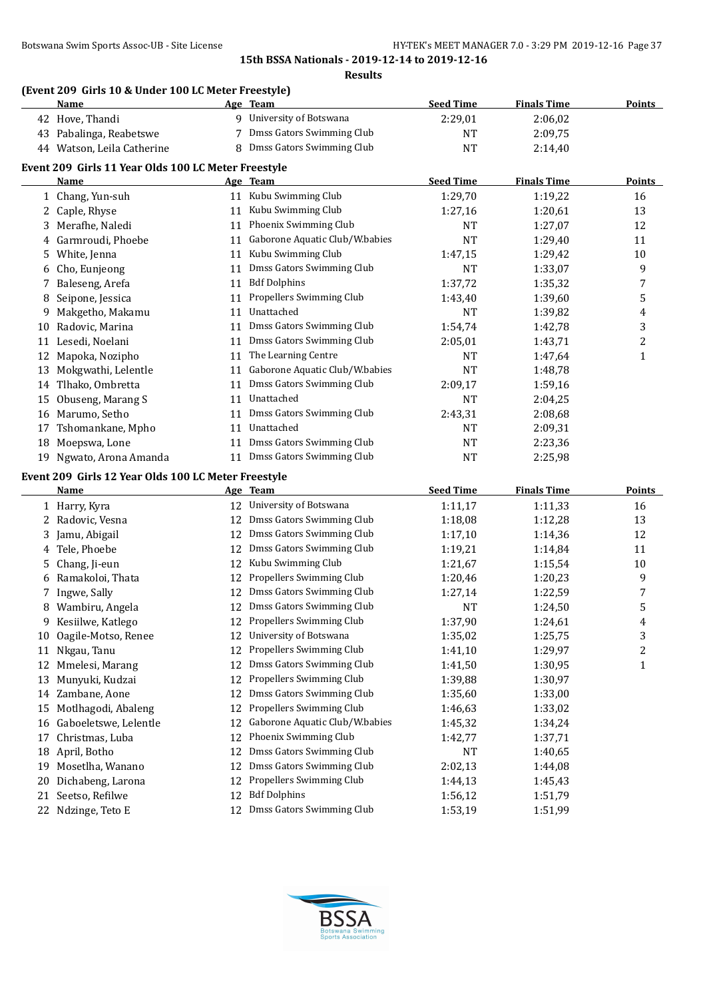**Results**

# **(Event 209 Girls 10 & Under 100 LC Meter Freestyle)**

|    | <b>Name</b>                                         |    | Age Team                       | <b>Seed Time</b> | <b>Finals Time</b> | <b>Points</b>  |
|----|-----------------------------------------------------|----|--------------------------------|------------------|--------------------|----------------|
|    | 42 Hove, Thandi                                     | 9  | University of Botswana         | 2:29,01          | 2:06,02            |                |
| 43 | Pabalinga, Reabetswe                                |    | Dmss Gators Swimming Club      | NT               | 2:09,75            |                |
| 44 | Watson, Leila Catherine                             | 8  | Dmss Gators Swimming Club      | <b>NT</b>        | 2:14,40            |                |
|    | Event 209 Girls 11 Year Olds 100 LC Meter Freestyle |    |                                |                  |                    |                |
|    | Name                                                |    | Age Team                       | <b>Seed Time</b> | <b>Finals Time</b> | <b>Points</b>  |
|    | 1 Chang, Yun-suh                                    | 11 | Kubu Swimming Club             | 1:29,70          | 1:19,22            | 16             |
| 2  | Caple, Rhyse                                        | 11 | Kubu Swimming Club             | 1:27,16          | 1:20,61            | 13             |
| 3  | Merafhe, Naledi                                     | 11 | Phoenix Swimming Club          | <b>NT</b>        | 1:27,07            | 12             |
|    | Garmroudi, Phoebe                                   | 11 | Gaborone Aquatic Club/W.babies | <b>NT</b>        | 1:29,40            | 11             |
| 5. | White, Jenna                                        | 11 | Kubu Swimming Club             | 1:47,15          | 1:29,42            | 10             |
| 6  | Cho, Eunjeong                                       | 11 | Dmss Gators Swimming Club      | <b>NT</b>        | 1:33,07            | 9              |
|    | Baleseng, Arefa                                     | 11 | <b>Bdf Dolphins</b>            | 1:37,72          | 1:35,32            | 7              |
| 8  | Seipone, Jessica                                    | 11 | Propellers Swimming Club       | 1:43,40          | 1:39,60            | 5              |
| 9  | Makgetho, Makamu                                    | 11 | Unattached                     | <b>NT</b>        | 1:39,82            | 4              |
| 10 | Radovic, Marina                                     | 11 | Dmss Gators Swimming Club      | 1:54,74          | 1:42,78            | 3              |
| 11 | Lesedi, Noelani                                     | 11 | Dmss Gators Swimming Club      | 2:05,01          | 1:43,71            | $\overline{c}$ |
| 12 | Mapoka, Nozipho                                     | 11 | The Learning Centre            | <b>NT</b>        | 1:47,64            | $\mathbf{1}$   |
| 13 | Mokgwathi, Lelentle                                 | 11 | Gaborone Aquatic Club/W.babies | <b>NT</b>        | 1:48,78            |                |
| 14 | Tlhako, Ombretta                                    | 11 | Dmss Gators Swimming Club      | 2:09,17          | 1:59,16            |                |
| 15 | Obuseng, Marang S                                   | 11 | Unattached                     | <b>NT</b>        | 2:04,25            |                |
| 16 | Marumo, Setho                                       | 11 | Dmss Gators Swimming Club      | 2:43,31          | 2:08,68            |                |
| 17 | Tshomankane, Mpho                                   | 11 | Unattached                     | <b>NT</b>        | 2:09,31            |                |
| 18 | Moepswa, Lone                                       | 11 | Dmss Gators Swimming Club      | <b>NT</b>        | 2:23,36            |                |
| 19 | Ngwato, Arona Amanda                                | 11 | Dmss Gators Swimming Club      | NT               | 2:25,98            |                |
|    | Event 209 Girls 12 Year Olds 100 LC Meter Freestyle |    |                                |                  |                    |                |
|    | Name                                                |    | Age Team                       | <b>Seed Time</b> | <b>Finals Time</b> | <b>Points</b>  |
|    | 1 Harry, Kyra                                       | 12 | University of Botswana         | 1:11,17          | 1:11,33            | 16             |
|    | 2 Radovic, Vesna                                    | 12 | Dmss Gators Swimming Club      | 1:18,08          | 1:12,28            | 13             |
|    |                                                     |    |                                |                  |                    |                |

|    | Harry, Kyra           |    | 12 University of Botswana      | 1:11,17   | 1:11,33 | 16 |
|----|-----------------------|----|--------------------------------|-----------|---------|----|
|    | 2 Radovic, Vesna      | 12 | Dmss Gators Swimming Club      | 1:18,08   | 1:12,28 | 13 |
| 3. | Jamu, Abigail         | 12 | Dmss Gators Swimming Club      | 1:17,10   | 1:14,36 | 12 |
|    | Tele, Phoebe          | 12 | Dmss Gators Swimming Club      | 1:19,21   | 1:14,84 | 11 |
| 5. | Chang, Ji-eun         | 12 | Kubu Swimming Club             | 1:21,67   | 1:15,54 | 10 |
|    | Ramakoloi, Thata      | 12 | Propellers Swimming Club       | 1:20,46   | 1:20,23 | 9  |
|    | Ingwe, Sally          | 12 | Dmss Gators Swimming Club      | 1:27,14   | 1:22,59 | 7  |
|    | Wambiru, Angela       | 12 | Dmss Gators Swimming Club      | NT        | 1:24,50 | 5  |
| 9  | Kesiilwe, Katlego     | 12 | Propellers Swimming Club       | 1:37,90   | 1:24,61 | 4  |
| 10 | Oagile-Motso, Renee   | 12 | University of Botswana         | 1:35,02   | 1:25,75 | 3  |
| 11 | Nkgau, Tanu           | 12 | Propellers Swimming Club       | 1:41,10   | 1:29,97 | 2  |
| 12 | Mmelesi, Marang       | 12 | Dmss Gators Swimming Club      | 1:41,50   | 1:30,95 | 1  |
| 13 | Munyuki, Kudzai       | 12 | Propellers Swimming Club       | 1:39,88   | 1:30,97 |    |
| 14 | Zambane, Aone         | 12 | Dmss Gators Swimming Club      | 1:35,60   | 1:33,00 |    |
| 15 | Motlhagodi, Abaleng   | 12 | Propellers Swimming Club       | 1:46,63   | 1:33,02 |    |
| 16 | Gaboeletswe, Lelentle | 12 | Gaborone Aquatic Club/W.babies | 1:45,32   | 1:34,24 |    |
| 17 | Christmas, Luba       | 12 | Phoenix Swimming Club          | 1:42,77   | 1:37,71 |    |
| 18 | April, Botho          | 12 | Dmss Gators Swimming Club      | <b>NT</b> | 1:40,65 |    |
| 19 | Mosetlha, Wanano      | 12 | Dmss Gators Swimming Club      | 2:02,13   | 1:44,08 |    |
| 20 | Dichabeng, Larona     | 12 | Propellers Swimming Club       | 1:44,13   | 1:45,43 |    |
| 21 | Seetso, Refilwe       | 12 | <b>Bdf Dolphins</b>            | 1:56,12   | 1:51,79 |    |
| 22 | Ndzinge, Teto E       | 12 | Dmss Gators Swimming Club      | 1:53,19   | 1:51,99 |    |
|    |                       |    |                                |           |         |    |

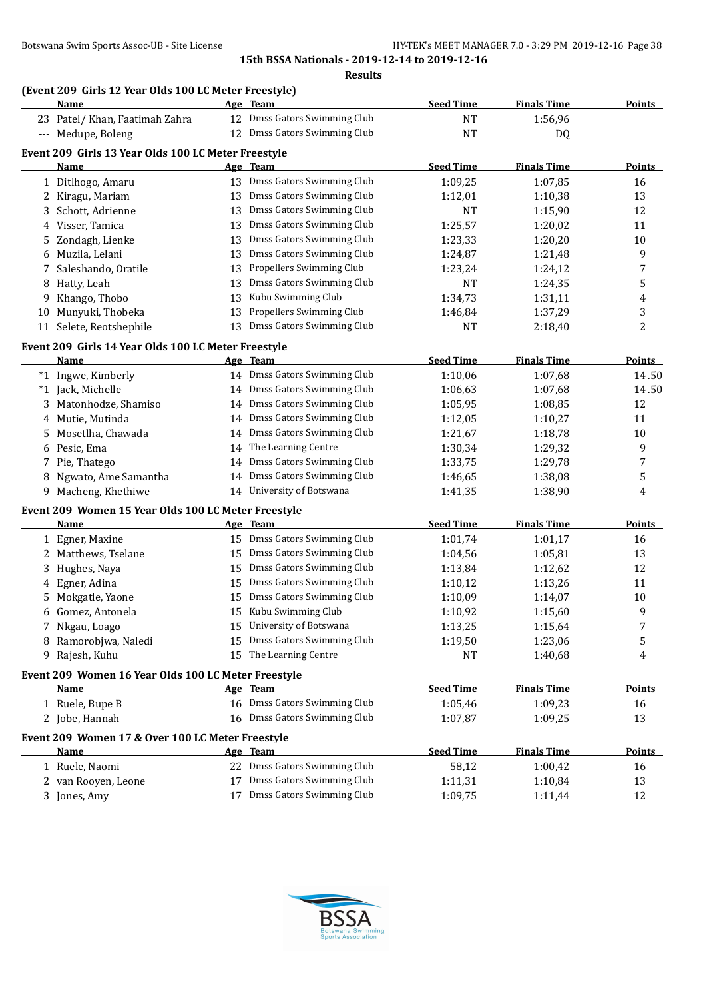**Results**

# **(Event 209 Girls 12 Year Olds 100 LC Meter Freestyle)**

|      | Name                                                |    | Age Team                                 | <b>Seed Time</b> | <b>Finals Time</b> | <b>Points</b> |
|------|-----------------------------------------------------|----|------------------------------------------|------------------|--------------------|---------------|
|      | 23 Patel/ Khan, Faatimah Zahra                      |    | 12 Dmss Gators Swimming Club             | NT               | 1:56,96            |               |
|      | --- Medupe, Boleng                                  |    | 12 Dmss Gators Swimming Club             | <b>NT</b>        | DQ                 |               |
|      | Event 209 Girls 13 Year Olds 100 LC Meter Freestyle |    |                                          |                  |                    |               |
|      | Name                                                |    | Age Team                                 | <b>Seed Time</b> | <b>Finals Time</b> | <b>Points</b> |
|      | 1 Ditlhogo, Amaru                                   |    | 13 Dmss Gators Swimming Club             | 1:09,25          | 1:07,85            | 16            |
|      | 2 Kiragu, Mariam                                    | 13 | Dmss Gators Swimming Club                | 1:12,01          | 1:10,38            | 13            |
| 3    | Schott, Adrienne                                    | 13 | Dmss Gators Swimming Club                | NT               | 1:15,90            | 12            |
| 4    | Visser, Tamica                                      | 13 | Dmss Gators Swimming Club                | 1:25,57          | 1:20,02            | 11            |
| 5    | Zondagh, Lienke                                     | 13 | Dmss Gators Swimming Club                | 1:23,33          | 1:20,20            | 10            |
| 6    | Muzila, Lelani                                      | 13 | Dmss Gators Swimming Club                | 1:24,87          | 1:21,48            | 9             |
| 7    | Saleshando, Oratile                                 | 13 | Propellers Swimming Club                 | 1:23,24          | 1:24,12            | 7             |
|      | 8 Hatty, Leah                                       | 13 | Dmss Gators Swimming Club                | NT               | 1:24,35            | 5             |
| 9.   | Khango, Thobo                                       | 13 | Kubu Swimming Club                       | 1:34,73          | 1:31,11            | 4             |
| 10   | Munyuki, Thobeka                                    | 13 | Propellers Swimming Club                 | 1:46,84          | 1:37,29            | 3             |
| 11   | Selete, Reotshephile                                | 13 | Dmss Gators Swimming Club                | <b>NT</b>        | 2:18,40            | 2             |
|      |                                                     |    |                                          |                  |                    |               |
|      | Event 209 Girls 14 Year Olds 100 LC Meter Freestyle |    |                                          |                  |                    |               |
|      | Name                                                |    | <u>Age Team</u>                          | <b>Seed Time</b> | <b>Finals Time</b> | <b>Points</b> |
|      | *1 Ingwe, Kimberly                                  |    | 14 Dmss Gators Swimming Club             | 1:10,06          | 1:07,68            | 14.50         |
| $*1$ | Jack, Michelle                                      |    | 14 Dmss Gators Swimming Club             | 1:06,63          | 1:07,68            | 14.50         |
|      | 3 Matonhodze, Shamiso                               | 14 | Dmss Gators Swimming Club                | 1:05,95          | 1:08,85            | 12            |
|      | 4 Mutie, Mutinda                                    | 14 | Dmss Gators Swimming Club                | 1:12,05          | 1:10,27            | 11            |
|      | 5 Mosetlha, Chawada                                 | 14 | Dmss Gators Swimming Club                | 1:21,67          | 1:18,78            | 10            |
|      | 6 Pesic, Ema                                        | 14 | The Learning Centre                      | 1:30,34          | 1:29,32            | 9             |
|      | 7 Pie, Thatego                                      | 14 | Dmss Gators Swimming Club                | 1:33,75          | 1:29,78            | 7             |
|      | 8 Ngwato, Ame Samantha                              | 14 | Dmss Gators Swimming Club                | 1:46,65          | 1:38,08            | 5             |
|      | 9 Macheng, Khethiwe                                 |    | 14 University of Botswana                | 1:41,35          | 1:38,90            | 4             |
|      | Event 209 Women 15 Year Olds 100 LC Meter Freestyle |    |                                          |                  |                    |               |
|      | Name                                                |    | Age Team                                 | <b>Seed Time</b> | <b>Finals Time</b> | <b>Points</b> |
|      | 1 Egner, Maxine                                     |    | 15 Dmss Gators Swimming Club             | 1:01,74          | 1:01,17            | 16            |
|      | 2 Matthews, Tselane                                 | 15 | Dmss Gators Swimming Club                | 1:04,56          | 1:05,81            | 13            |
| 3.   | Hughes, Naya                                        | 15 | Dmss Gators Swimming Club                | 1:13,84          | 1:12,62            | 12            |
|      | 4 Egner, Adina                                      | 15 | Dmss Gators Swimming Club                | 1:10,12          | 1:13,26            | 11            |
|      | 5 Mokgatle, Yaone                                   |    | 15 Dmss Gators Swimming Club             | 1:10,09          | 1:14,07            | $10\,$        |
|      | 6 Gomez, Antonela                                   |    | 15 Kubu Swimming Club                    | 1:10,92          | 1:15,60            | 9             |
|      | 7 Nkgau, Loago                                      |    | 15 University of Botswana                | 1:13,25          | 1:15,64            | 7             |
|      | 8 Ramorobjwa, Naledi                                |    | 15 Dmss Gators Swimming Club             | 1:19,50          | 1:23,06            | 5             |
|      | 9 Rajesh, Kuhu                                      |    | 15 The Learning Centre                   | NT               | 1:40,68            | 4             |
|      | Event 209 Women 16 Year Olds 100 LC Meter Freestyle |    |                                          |                  |                    |               |
|      | Name                                                |    | <u>Age Team</u>                          | <b>Seed Time</b> | <b>Finals Time</b> | <b>Points</b> |
|      | 1 Ruele, Bupe B                                     |    | 16 Dmss Gators Swimming Club             | 1:05,46          | 1:09,23            | 16            |
|      | 2 Jobe, Hannah                                      |    | 16 Dmss Gators Swimming Club             | 1:07,87          | 1:09,25            | 13            |
|      |                                                     |    |                                          |                  |                    |               |
|      | Event 209 Women 17 & Over 100 LC Meter Freestyle    |    |                                          |                  |                    |               |
|      | Name                                                |    | Age Team<br>22 Dmss Gators Swimming Club | <b>Seed Time</b> | <b>Finals Time</b> | <b>Points</b> |
|      | 1 Ruele, Naomi                                      |    |                                          | 58,12            | 1:00,42            | 16            |
|      | 2 van Rooyen, Leone                                 |    | Dmss Gators Swimming Club                | 1:11,31          | 1:10,84            | 13            |
|      | 3 Jones, Amy                                        |    | 17 Dmss Gators Swimming Club             | 1:09,75          | 1:11,44            | 12            |

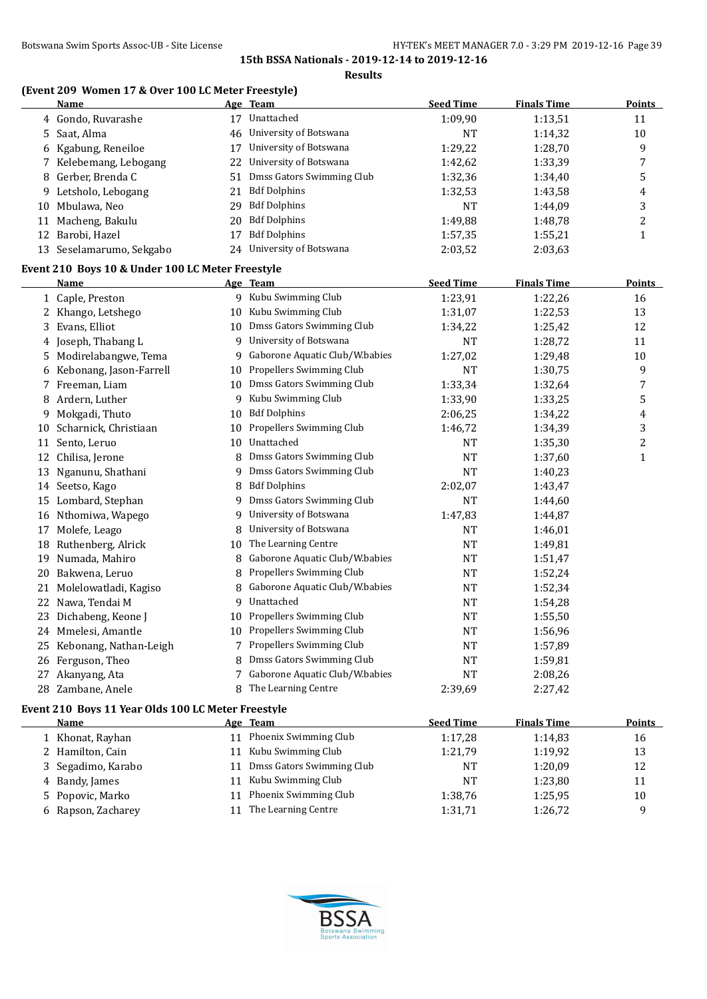# **(Event 209 Women 17 & Over 100 LC Meter Freestyle)**

|    | Name                                               |    | <u>Age Team</u>                  | <b>Seed Time</b> | <b>Finals Time</b> | <u>Points</u>  |
|----|----------------------------------------------------|----|----------------------------------|------------------|--------------------|----------------|
|    | 4 Gondo, Ruvarashe                                 |    | 17 Unattached                    | 1:09,90          | 1:13,51            | 11             |
|    | 5 Saat, Alma                                       | 46 | University of Botswana           | NT               | 1:14,32            | $10\,$         |
|    | 6 Kgabung, Reneiloe                                |    | 17 University of Botswana        | 1:29,22          | 1:28,70            | 9              |
|    | 7 Kelebemang, Lebogang                             | 22 | University of Botswana           | 1:42,62          | 1:33,39            | 7              |
|    | 8 Gerber, Brenda C                                 | 51 | Dmss Gators Swimming Club        | 1:32,36          | 1:34,40            | 5              |
|    | 9 Letsholo, Lebogang                               | 21 | <b>Bdf Dolphins</b>              | 1:32,53          | 1:43,58            | 4              |
|    | 10 Mbulawa, Neo                                    |    | 29 Bdf Dolphins                  | <b>NT</b>        | 1:44,09            | 3              |
|    | 11 Macheng, Bakulu                                 | 20 | <b>Bdf Dolphins</b>              | 1:49,88          | 1:48,78            | $\overline{c}$ |
|    | 12 Barobi, Hazel                                   | 17 | <b>Bdf Dolphins</b>              | 1:57,35          | 1:55,21            | $\mathbf{1}$   |
|    | 13 Seselamarumo, Sekgabo                           | 24 | University of Botswana           | 2:03,52          | 2:03,63            |                |
|    | Event 210 Boys 10 & Under 100 LC Meter Freestyle   |    |                                  |                  |                    |                |
|    | Name                                               |    | Age Team                         | <b>Seed Time</b> | <b>Finals Time</b> | Points         |
|    | 1 Caple, Preston                                   |    | 9 Kubu Swimming Club             | 1:23,91          | 1:22,26            | 16             |
|    | 2 Khango, Letshego                                 |    | 10 Kubu Swimming Club            | 1:31,07          | 1:22,53            | 13             |
|    | 3 Evans, Elliot                                    |    | 10 Dmss Gators Swimming Club     | 1:34,22          | 1:25,42            | 12             |
|    | 4 Joseph, Thabang L                                |    | 9 University of Botswana         | NT               | 1:28,72            | 11             |
|    | 5 Modirelabangwe, Tema                             | 9  | Gaborone Aquatic Club/W.babies   | 1:27,02          | 1:29,48            | 10             |
| 6  | Kebonang, Jason-Farrell                            |    | 10 Propellers Swimming Club      | <b>NT</b>        | 1:30,75            | 9              |
|    | 7 Freeman, Liam                                    | 10 | Dmss Gators Swimming Club        | 1:33,34          | 1:32,64            | $\overline{7}$ |
|    | 8 Ardern, Luther                                   |    | 9 Kubu Swimming Club             | 1:33,90          | 1:33,25            | 5              |
|    | 9 Mokgadi, Thuto                                   | 10 | <b>Bdf Dolphins</b>              | 2:06,25          | 1:34,22            | 4              |
|    | 10 Scharnick, Christiaan                           |    | 10 Propellers Swimming Club      | 1:46,72          | 1:34,39            | 3              |
|    | 11 Sento, Leruo                                    | 10 | Unattached                       | NT               | 1:35,30            | $\overline{c}$ |
|    | 12 Chilisa, Jerone                                 | 8  | Dmss Gators Swimming Club        | NT               | 1:37,60            | $\mathbf{1}$   |
|    | 13 Nganunu, Shathani                               | 9  | Dmss Gators Swimming Club        | <b>NT</b>        | 1:40,23            |                |
|    | 14 Seetso, Kago                                    | 8  | <b>Bdf Dolphins</b>              | 2:02,07          | 1:43,47            |                |
|    | 15 Lombard, Stephan                                | 9  | Dmss Gators Swimming Club        | NT               | 1:44,60            |                |
|    | 16 Nthomiwa, Wapego                                | 9  | University of Botswana           | 1:47,83          | 1:44,87            |                |
|    | 17 Molefe, Leago                                   | 8  | University of Botswana           | NT               | 1:46,01            |                |
|    | 18 Ruthenberg, Alrick                              | 10 | The Learning Centre              | <b>NT</b>        | 1:49,81            |                |
|    | 19 Numada, Mahiro                                  |    | 8 Gaborone Aquatic Club/W.babies | NT               | 1:51,47            |                |
|    | 20 Bakwena, Leruo                                  | 8  | Propellers Swimming Club         | NT               | 1:52,24            |                |
|    | 21 Molelowatladi, Kagiso                           | 8  | Gaborone Aquatic Club/W.babies   | NT               | 1:52,34            |                |
|    | 22 Nawa, Tendai M                                  | 9  | Unattached                       | NT               | 1:54,28            |                |
|    | 23 Dichabeng, Keone J                              | 10 | Propellers Swimming Club         | NT               | 1:55,50            |                |
|    | 24 Mmelesi, Amantle                                |    | 10 Propellers Swimming Club      | NT               | 1:56,96            |                |
|    | 25 Kebonang, Nathan-Leigh                          | 7  | Propellers Swimming Club         | NT               | 1:57,89            |                |
|    | 26 Ferguson, Theo                                  | 8  | Dmss Gators Swimming Club        | NT               | 1:59,81            |                |
| 27 | Akanyang, Ata                                      |    | 7 Gaborone Aquatic Club/W.babies | NT               | 2:08,26            |                |
|    | 28 Zambane, Anele                                  |    | 8 The Learning Centre            | 2:39,69          | 2:27,42            |                |
|    | Event 210 Boys 11 Year Olds 100 LC Meter Freestyle |    |                                  |                  |                    |                |

| <b>Name</b>        |    | Age Team                  | <b>Seed Time</b> | <b>Finals Time</b> | <b>Points</b> |
|--------------------|----|---------------------------|------------------|--------------------|---------------|
| 1 Khonat, Rayhan   | 11 | Phoenix Swimming Club     | 1:17,28          | 1:14,83            | 16            |
| 2 Hamilton, Cain   | 11 | Kubu Swimming Club        | 1:21,79          | 1:19,92            | 13            |
| 3 Segadimo, Karabo | 11 | Dmss Gators Swimming Club | <b>NT</b>        | 1:20.09            | 12            |
| 4 Bandy, James     | 11 | Kubu Swimming Club        | <b>NT</b>        | 1:23,80            | 11            |
| 5 Popovic, Marko   | 11 | Phoenix Swimming Club     | 1:38,76          | 1:25.95            | 10            |
| 6 Rapson, Zacharey | 11 | The Learning Centre       | 1:31,71          | 1:26,72            |               |

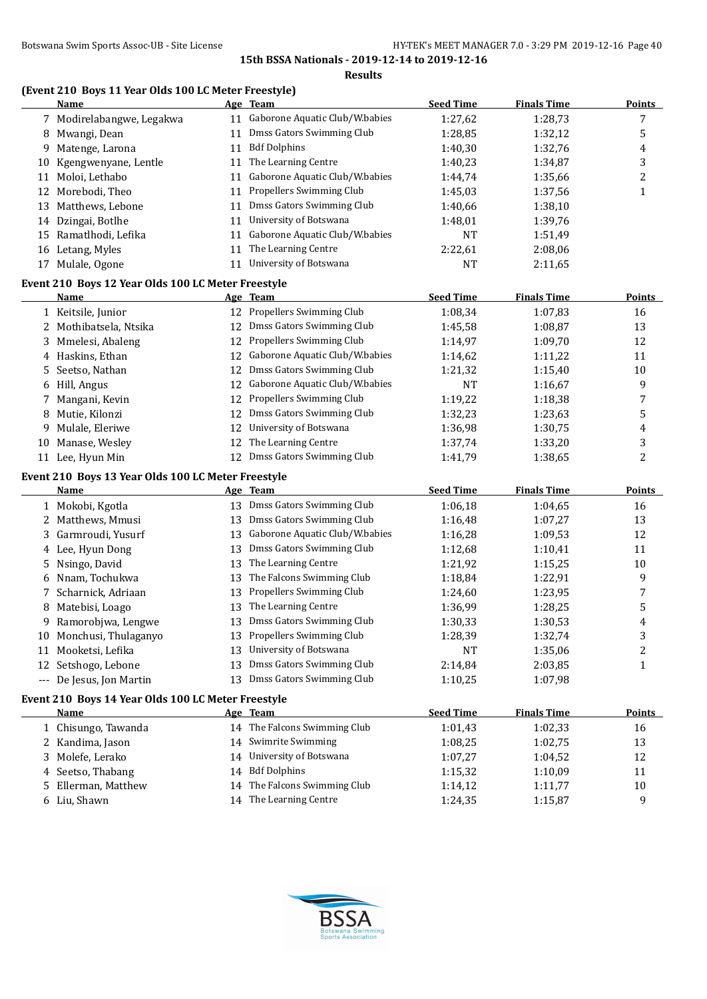#### **(Event 210 Boys 11 Year Olds 100 LC Meter Freestyle)**

|    | <b>Name</b>                                        |    | Age Team                       | <b>Seed Time</b> | <b>Finals Time</b> | <b>Points</b>  |
|----|----------------------------------------------------|----|--------------------------------|------------------|--------------------|----------------|
|    | 7 Modirelabangwe, Legakwa                          | 11 | Gaborone Aquatic Club/W.babies | 1:27,62          | 1:28,73            | 7              |
|    | 8 Mwangi, Dean                                     | 11 | Dmss Gators Swimming Club      | 1:28,85          | 1:32,12            | 5              |
| 9  | Matenge, Larona                                    | 11 | <b>Bdf Dolphins</b>            | 1:40,30          | 1:32,76            | 4              |
| 10 | Kgengwenyane, Lentle                               | 11 | The Learning Centre            | 1:40,23          | 1:34,87            | 3              |
|    | 11 Moloi, Lethabo                                  | 11 | Gaborone Aquatic Club/W.babies | 1:44,74          | 1:35,66            | $\overline{c}$ |
|    | 12 Morebodi, Theo                                  | 11 | Propellers Swimming Club       | 1:45,03          | 1:37,56            | $\mathbf{1}$   |
|    | 13 Matthews, Lebone                                | 11 | Dmss Gators Swimming Club      | 1:40,66          | 1:38,10            |                |
|    | 14 Dzingai, Botlhe                                 | 11 | University of Botswana         | 1:48,01          | 1:39,76            |                |
|    | 15 Ramatlhodi, Lefika                              | 11 | Gaborone Aquatic Club/W.babies | <b>NT</b>        | 1:51,49            |                |
|    | 16 Letang, Myles                                   | 11 | The Learning Centre            | 2:22,61          | 2:08,06            |                |
|    | 17 Mulale, Ogone                                   | 11 | University of Botswana         | <b>NT</b>        | 2:11,65            |                |
|    | Event 210 Boys 12 Year Olds 100 LC Meter Freestyle |    |                                |                  |                    |                |
|    | Name                                               |    | Age Team                       | <b>Seed Time</b> | <b>Finals Time</b> | <b>Points</b>  |
|    | 1 Keitsile, Junior                                 |    | 12 Propellers Swimming Club    | 1:08,34          | 1:07,83            | 16             |
|    | 2 Mothibatsela, Ntsika                             |    | 12 Dmss Gators Swimming Club   | 1:45,58          | 1:08,87            | 13             |
| 3. | Mmelesi, Abaleng                                   |    | 12 Propellers Swimming Club    | 1:14,97          | 1:09,70            | 12             |
|    | 4 Haskins, Ethan                                   | 12 | Gaborone Aquatic Club/W.babies | 1:14,62          | 1:11,22            | 11             |
| 5. | Seetso, Nathan                                     | 12 | Dmss Gators Swimming Club      | 1:21,32          | 1:15,40            | 10             |
| 6  | Hill, Angus                                        | 12 | Gaborone Aquatic Club/W.babies | <b>NT</b>        | 1:16,67            | 9              |
| 7  | Mangani, Kevin                                     |    | 12 Propellers Swimming Club    | 1:19,22          | 1:18,38            | 7              |
| 8  | Mutie, Kilonzi                                     | 12 | Dmss Gators Swimming Club      | 1:32,23          | 1:23,63            | 5              |
|    | Mulale, Eleriwe                                    | 12 | University of Botswana         | 1:36,98          |                    |                |
| 9  |                                                    | 12 | The Learning Centre            |                  | 1:30,75            | 4              |
| 10 | Manase, Wesley                                     |    | 12 Dmss Gators Swimming Club   | 1:37,74          | 1:33,20            | 3              |
|    | 11 Lee, Hyun Min                                   |    |                                | 1:41,79          | 1:38,65            | 2              |
|    | Event 210 Boys 13 Year Olds 100 LC Meter Freestyle |    |                                |                  |                    |                |
|    | Name                                               |    | Age Team                       | <b>Seed Time</b> | <b>Finals Time</b> | <b>Points</b>  |
|    | 1 Mokobi, Kgotla                                   |    | 13 Dmss Gators Swimming Club   | 1:06,18          | 1:04,65            | 16             |
|    | 2 Matthews, Mmusi                                  | 13 | Dmss Gators Swimming Club      | 1:16,48          | 1:07,27            | 13             |
| 3  | Garmroudi, Yusurf                                  | 13 | Gaborone Aquatic Club/W.babies | 1:16,28          | 1:09,53            | 12             |
|    | 4 Lee, Hyun Dong                                   | 13 | Dmss Gators Swimming Club      | 1:12,68          | 1:10,41            | 11             |
| 5. | Nsingo, David                                      | 13 | The Learning Centre            | 1:21,92          | 1:15,25            | 10             |
| 6  | Nnam, Tochukwa                                     | 13 | The Falcons Swimming Club      | 1:18,84          | 1:22,91            | 9              |
| 7  | Scharnick, Adriaan                                 | 13 | Propellers Swimming Club       | 1:24,60          | 1:23,95            | 7              |
| 8  | Matebisi, Loago                                    | 13 | The Learning Centre            | 1:36,99          | 1:28,25            | 5              |
| 9  | Ramorobjwa, Lengwe                                 |    | 13 Dmss Gators Swimming Club   | 1:30,33          | 1:30,53            | 4              |
|    | 10 Monchusi, Thulaganyo                            |    | 13 Propellers Swimming Club    | 1:28,39          | 1:32,74            | 3              |
|    | 11 Mooketsi, Lefika                                | 13 | University of Botswana         | NT               | 1:35,06            | 2              |
|    | 12 Setshogo, Lebone                                | 13 | Dmss Gators Swimming Club      | 2:14,84          | 2:03,85            | $\mathbf{1}$   |
|    | --- De Jesus, Jon Martin                           |    | 13 Dmss Gators Swimming Club   | 1:10,25          | 1:07,98            |                |
|    | Event 210 Boys 14 Year Olds 100 LC Meter Freestyle |    |                                |                  |                    |                |
|    | <b>Name</b>                                        |    | Age Team                       | <b>Seed Time</b> | <b>Finals Time</b> | <b>Points</b>  |
|    | 1 Chisungo, Tawanda                                |    | 14 The Falcons Swimming Club   | 1:01,43          | 1:02,33            | 16             |
|    | 2 Kandima, Jason                                   |    | 14 Swimrite Swimming           | 1:08,25          | 1:02,75            | 13             |
| 3  | Molefe, Lerako                                     | 14 | University of Botswana         | 1:07,27          | 1:04,52            | 12             |
| 4  | Seetso, Thabang                                    | 14 | <b>Bdf Dolphins</b>            | 1:15,32          | 1:10,09            | 11             |
| 5. | Ellerman, Matthew                                  | 14 | The Falcons Swimming Club      | 1:14,12          | 1:11,77            | 10             |
|    | 6 Liu, Shawn                                       |    | 14 The Learning Centre         | 1:24,35          | 1:15,87            | 9              |

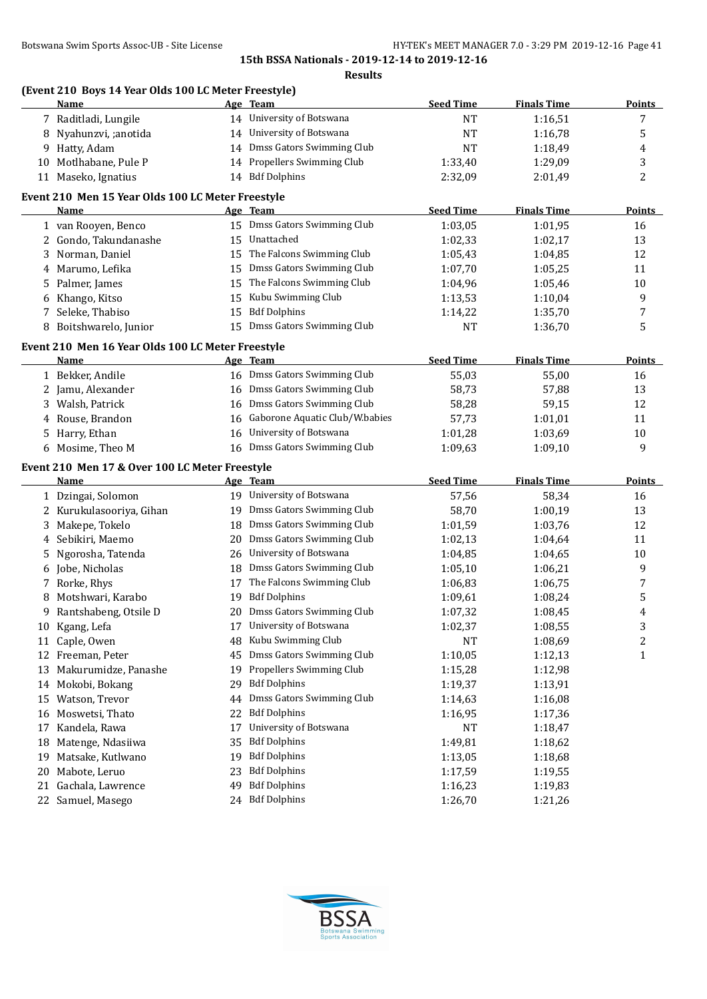|    |                                                              |    | <b>Results</b>                 |                  |                    |               |
|----|--------------------------------------------------------------|----|--------------------------------|------------------|--------------------|---------------|
|    | (Event 210 Boys 14 Year Olds 100 LC Meter Freestyle)<br>Name |    | <u>Age Team</u>                | <b>Seed Time</b> | <b>Finals Time</b> | <b>Points</b> |
|    | 7 Raditladi, Lungile                                         |    | 14 University of Botswana      | <b>NT</b>        | 1:16,51            | 7             |
| 8  | Nyahunzvi, ;anotida                                          |    | 14 University of Botswana      | NT               | 1:16,78            | 5             |
| 9  | Hatty, Adam                                                  |    | 14 Dmss Gators Swimming Club   | NT               | 1:18,49            | 4             |
| 10 | Motlhabane, Pule P                                           |    | 14 Propellers Swimming Club    | 1:33,40          | 1:29,09            | 3             |
|    | 11 Maseko, Ignatius                                          |    | 14 Bdf Dolphins                | 2:32,09          | 2:01,49            | 2             |
|    | Event 210 Men 15 Year Olds 100 LC Meter Freestyle            |    |                                |                  |                    |               |
|    | Name                                                         |    | Age Team                       | <b>Seed Time</b> | <b>Finals Time</b> | <b>Points</b> |
|    | 1 van Rooyen, Benco                                          |    | 15 Dmss Gators Swimming Club   | 1:03,05          | 1:01,95            | 16            |
| 2  | Gondo, Takundanashe                                          | 15 | Unattached                     | 1:02,33          | 1:02,17            | 13            |
| 3  | Norman, Daniel                                               | 15 | The Falcons Swimming Club      | 1:05,43          | 1:04,85            | 12            |
| 4  | Marumo, Lefika                                               |    | 15 Dmss Gators Swimming Club   | 1:07,70          | 1:05,25            | 11            |
| 5  | Palmer, James                                                | 15 | The Falcons Swimming Club      | 1:04,96          | 1:05,46            | 10            |
| 6  | Khango, Kitso                                                | 15 | Kubu Swimming Club             | 1:13,53          | 1:10,04            | 9             |
| 7  | Seleke, Thabiso                                              | 15 | <b>Bdf Dolphins</b>            | 1:14,22          | 1:35,70            | 7             |
| 8  | Boitshwarelo, Junior                                         |    | 15 Dmss Gators Swimming Club   | <b>NT</b>        | 1:36,70            | 5             |
|    | Event 210 Men 16 Year Olds 100 LC Meter Freestyle            |    |                                |                  |                    |               |
|    | Name                                                         |    | Age Team                       | <b>Seed Time</b> | <b>Finals Time</b> | <b>Points</b> |
|    | 1 Bekker, Andile                                             |    | 16 Dmss Gators Swimming Club   | 55,03            | 55,00              | 16            |
|    | Jamu, Alexander                                              | 16 | Dmss Gators Swimming Club      | 58,73            | 57,88              | 13            |
| 3. | Walsh, Patrick                                               | 16 | Dmss Gators Swimming Club      | 58,28            | 59,15              | 12            |
| 4  | Rouse, Brandon                                               | 16 | Gaborone Aquatic Club/W.babies | 57,73            | 1:01,01            | 11            |
| 5  | Harry, Ethan                                                 | 16 | University of Botswana         | 1:01,28          | 1:03,69            | 10            |
|    | 6 Mosime, Theo M                                             | 16 | Dmss Gators Swimming Club      | 1:09,63          | 1:09,10            | 9             |
|    | Event 210 Men 17 & Over 100 LC Meter Freestyle               |    |                                |                  |                    |               |
|    | Name                                                         |    | Age Team                       | <b>Seed Time</b> | <b>Finals Time</b> | <b>Points</b> |
|    | 1 Dzingai, Solomon                                           |    | 19 University of Botswana      | 57,56            | 58,34              | 16            |
|    | 2 Kurukulasooriya, Gihan                                     |    | 19 Dmss Gators Swimming Club   | 58,70            | 1:00,19            | 13            |
| 3  | Makepe, Tokelo                                               | 18 | Dmss Gators Swimming Club      | 1:01,59          | 1:03,76            | 12            |
| 4  | Sebikiri, Maemo                                              | 20 | Dmss Gators Swimming Club      | 1:02,13          | 1:04,64            | 11            |
| 5  | Ngorosha, Tatenda                                            | 26 | University of Botswana         | 1:04,85          | 1:04,65            | 10            |
| 6  | Jobe, Nicholas                                               |    | 18 Dmss Gators Swimming Club   | 1:05,10          | 1:06,21            | 9             |
|    | 7 Rorke, Rhys                                                | 17 | The Falcons Swimming Club      | 1:06,83          | 1:06,75            | 7             |
| 8  | Motshwari, Karabo                                            |    | 19 Bdf Dolphins                | 1:09,61          | 1:08,24            | 5             |
| 9  | Rantshabeng, Otsile D                                        |    | 20 Dmss Gators Swimming Club   | 1:07,32          | 1:08,45            | 4             |
| 10 | Kgang, Lefa                                                  | 17 | University of Botswana         | 1:02,37          | 1:08,55            | 3             |
|    | 11 Caple, Owen                                               | 48 | Kubu Swimming Club             | NT               | 1:08,69            | 2             |
|    | 12 Freeman, Peter                                            | 45 | Dmss Gators Swimming Club      | 1:10,05          | 1:12,13            | 1             |
| 13 | Makurumidze, Panashe                                         | 19 | Propellers Swimming Club       | 1:15,28          | 1:12,98            |               |
|    | 14 Mokobi, Bokang                                            | 29 | <b>Bdf Dolphins</b>            | 1:19,37          | 1:13,91            |               |
| 15 | Watson, Trevor                                               | 44 | Dmss Gators Swimming Club      | 1:14,63          | 1:16,08            |               |
| 16 | Moswetsi, Thato                                              | 22 | <b>Bdf Dolphins</b>            | 1:16,95          | 1:17,36            |               |
| 17 | Kandela, Rawa                                                | 17 | University of Botswana         | <b>NT</b>        | 1:18,47            |               |
| 18 | Matenge, Ndasiiwa                                            | 35 | <b>Bdf Dolphins</b>            | 1:49,81          | 1:18,62            |               |
| 19 | Matsake, Kutlwano                                            | 19 | <b>Bdf Dolphins</b>            | 1:13,05          | 1:18,68            |               |
| 20 | Mabote, Leruo                                                | 23 | <b>Bdf Dolphins</b>            | 1:17,59          | 1:19,55            |               |
|    | 21 Gachala, Lawrence                                         | 49 | <b>Bdf Dolphins</b>            | 1:16,23          | 1:19,83            |               |
|    | 22 Samuel, Masego                                            |    | 24 Bdf Dolphins                | 1:26,70          | 1:21,26            |               |

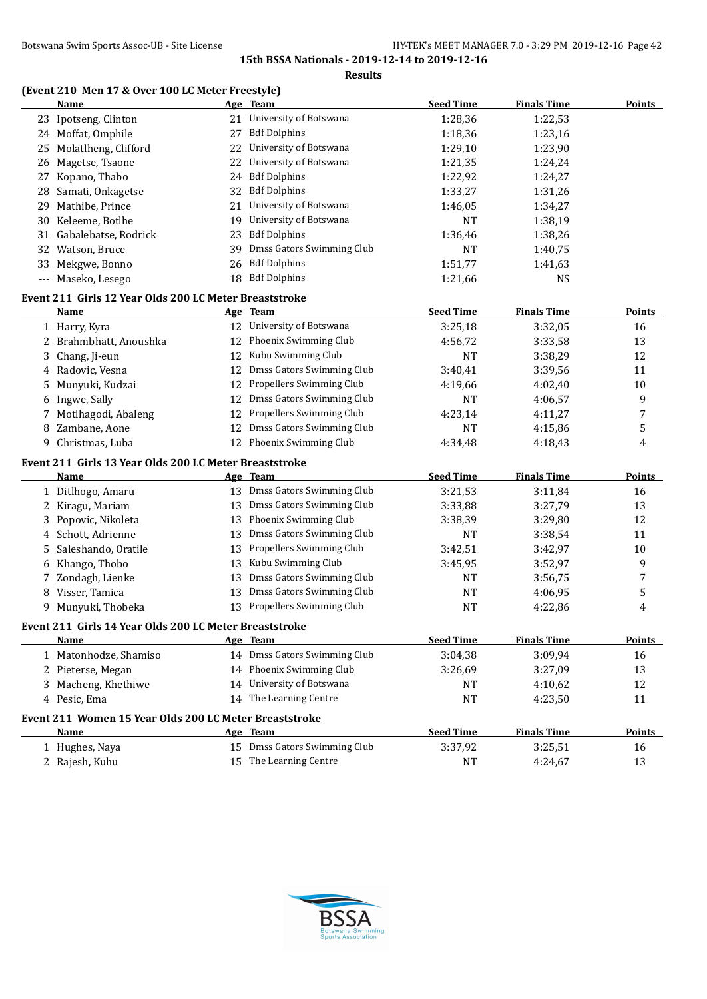**Results**

# **(Event 210 Men 17 & Over 100 LC Meter Freestyle)**

|    | <b>Name</b>                                                           |    | Age Team                     | <b>Seed Time</b>     | <b>Finals Time</b> | <b>Points</b> |
|----|-----------------------------------------------------------------------|----|------------------------------|----------------------|--------------------|---------------|
|    | 23 Ipotseng, Clinton                                                  |    | 21 University of Botswana    | 1:28,36              | 1:22,53            |               |
|    | 24 Moffat, Omphile                                                    | 27 | <b>Bdf Dolphins</b>          | 1:18,36              | 1:23,16            |               |
|    | 25 Molatlheng, Clifford                                               | 22 | University of Botswana       | 1:29,10              | 1:23,90            |               |
|    | 26 Magetse, Tsaone                                                    | 22 | University of Botswana       | 1:21,35              | 1:24,24            |               |
|    | 27 Kopano, Thabo                                                      | 24 | <b>Bdf Dolphins</b>          | 1:22,92              | 1:24,27            |               |
|    | 28 Samati, Onkagetse                                                  | 32 | <b>Bdf Dolphins</b>          | 1:33,27              | 1:31,26            |               |
|    | 29 Mathibe, Prince                                                    | 21 | University of Botswana       | 1:46,05              | 1:34,27            |               |
|    | 30 Keleeme, Botlhe                                                    | 19 | University of Botswana       | <b>NT</b>            | 1:38,19            |               |
|    | 31 Gabalebatse, Rodrick                                               | 23 | <b>Bdf Dolphins</b>          | 1:36,46              | 1:38,26            |               |
| 32 | Watson, Bruce                                                         | 39 | Dmss Gators Swimming Club    | <b>NT</b>            | 1:40,75            |               |
| 33 | Mekgwe, Bonno                                                         | 26 | <b>Bdf Dolphins</b>          | 1:51,77              | 1:41,63            |               |
|    | --- Maseko, Lesego                                                    |    | 18 Bdf Dolphins              | 1:21,66              | <b>NS</b>          |               |
|    | Event 211 Girls 12 Year Olds 200 LC Meter Breaststroke                |    |                              |                      |                    |               |
|    | Name                                                                  |    | Age Team                     | <b>Seed Time</b>     | <b>Finals Time</b> | <b>Points</b> |
|    | 1 Harry, Kyra                                                         |    | 12 University of Botswana    | 3:25,18              | 3:32,05            | 16            |
|    | 2 Brahmbhatt, Anoushka                                                | 12 | Phoenix Swimming Club        | 4:56,72              | 3:33,58            | 13            |
| 3  | Chang, Ji-eun                                                         |    | 12 Kubu Swimming Club        | <b>NT</b>            | 3:38,29            | 12            |
|    | 4 Radovic, Vesna                                                      |    | 12 Dmss Gators Swimming Club | 3:40,41              | 3:39,56            | 11            |
| 5. | Munyuki, Kudzai                                                       | 12 | Propellers Swimming Club     | 4:19,66              | 4:02,40            | 10            |
| 6  | Ingwe, Sally                                                          | 12 | Dmss Gators Swimming Club    | <b>NT</b>            | 4:06,57            | 9             |
| 7  | Motlhagodi, Abaleng                                                   | 12 | Propellers Swimming Club     | 4:23,14              | 4:11,27            | 7             |
|    | 8 Zambane, Aone                                                       | 12 | Dmss Gators Swimming Club    | <b>NT</b>            | 4:15,86            | 5             |
|    | 9 Christmas, Luba                                                     | 12 | Phoenix Swimming Club        | 4:34,48              | 4:18,43            | 4             |
|    | Event 211 Girls 13 Year Olds 200 LC Meter Breaststroke                |    |                              |                      |                    |               |
|    | Name                                                                  |    | Age Team                     | <b>Seed Time</b>     | <b>Finals Time</b> | <b>Points</b> |
|    | 1 Ditlhogo, Amaru                                                     |    | 13 Dmss Gators Swimming Club | 3:21,53              | 3:11,84            | 16            |
|    | 2 Kiragu, Mariam                                                      | 13 | Dmss Gators Swimming Club    | 3:33,88              | 3:27,79            | 13            |
|    |                                                                       | 13 | Phoenix Swimming Club        |                      | 3:29,80            | 12            |
| 3  | Popovic, Nikoleta<br>4 Schott, Adrienne                               | 13 | Dmss Gators Swimming Club    | 3:38,39<br><b>NT</b> |                    | 11            |
|    | Saleshando, Oratile                                                   | 13 | Propellers Swimming Club     | 3:42,51              | 3:38,54            | 10            |
| 5. | Khango, Thobo                                                         | 13 | Kubu Swimming Club           |                      | 3:42,97            | 9             |
| 6  |                                                                       | 13 | Dmss Gators Swimming Club    | 3:45,95<br>NT        | 3:52,97            | 7             |
| 7  | Zondagh, Lienke<br>8 Visser, Tamica                                   | 13 | Dmss Gators Swimming Club    | <b>NT</b>            | 3:56,75            | 5             |
|    | 9 Munyuki, Thobeka                                                    | 13 | Propellers Swimming Club     | <b>NT</b>            | 4:06,95<br>4:22,86 | 4             |
|    |                                                                       |    |                              |                      |                    |               |
|    | Event 211 Girls 14 Year Olds 200 LC Meter Breaststroke<br><b>Name</b> |    | Age Team                     | <b>Seed Time</b>     | <b>Finals Time</b> | Points        |
|    | 1 Matonhodze, Shamiso                                                 |    | 14 Dmss Gators Swimming Club | 3:04,38              | 3:09,94            | 16            |
|    |                                                                       |    | 14 Phoenix Swimming Club     | 3:26,69              |                    |               |
|    | 2 Pieterse, Megan                                                     |    | University of Botswana       |                      | 3:27,09            | 13            |
| 3  | Macheng, Khethiwe                                                     | 14 | 14 The Learning Centre       | NT                   | 4:10,62            | 12            |
|    | 4 Pesic, Ema                                                          |    |                              | <b>NT</b>            | 4:23,50            | 11            |
|    | Event 211 Women 15 Year Olds 200 LC Meter Breaststroke                |    |                              |                      |                    |               |
|    | Name                                                                  |    | Age Team                     | <b>Seed Time</b>     | <b>Finals Time</b> | <b>Points</b> |
|    | 1 Hughes, Naya                                                        |    | 15 Dmss Gators Swimming Club | 3:37,92              | 3:25,51            | 16            |
|    | 2 Rajesh, Kuhu                                                        |    | 15 The Learning Centre       | NT                   | 4:24,67            | 13            |

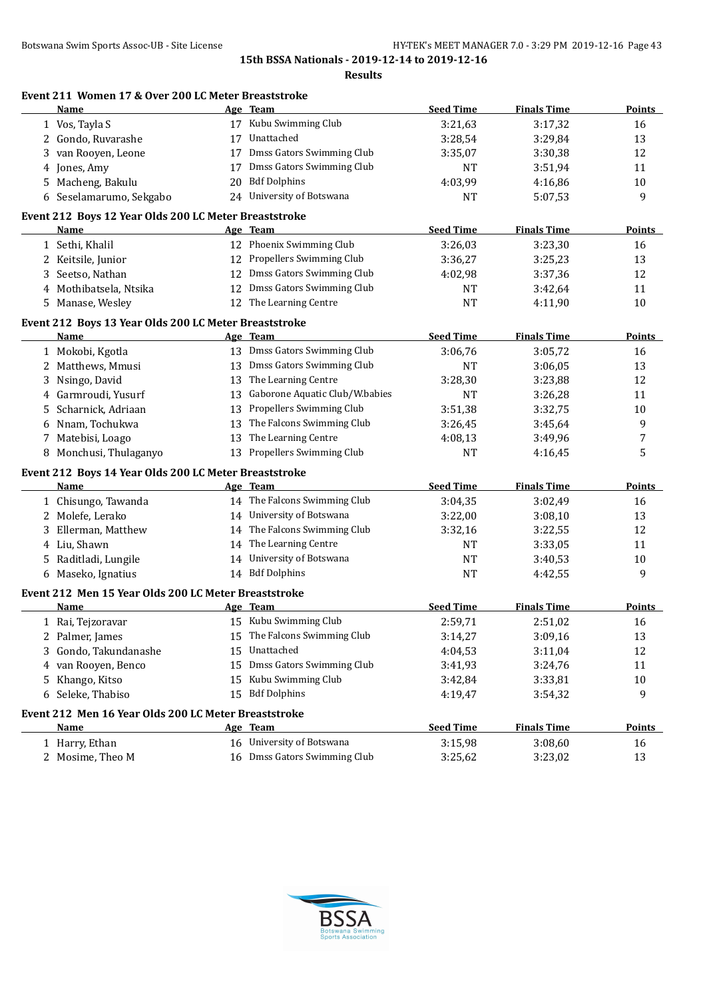|    | Event 211 Women 17 & Over 200 LC Meter Breaststroke<br>Name |    | Age Team                       | <b>Seed Time</b> | <b>Finals Time</b> | Points        |
|----|-------------------------------------------------------------|----|--------------------------------|------------------|--------------------|---------------|
|    | 1 Vos, Tayla S                                              |    | 17 Kubu Swimming Club          | 3:21,63          | 3:17,32            | 16            |
| 2  | Gondo, Ruvarashe                                            | 17 | Unattached                     | 3:28,54          | 3:29,84            | 13            |
| 3  | van Rooyen, Leone                                           | 17 | Dmss Gators Swimming Club      | 3:35,07          | 3:30,38            | 12            |
| 4  | Jones, Amy                                                  | 17 | Dmss Gators Swimming Club      | NT               | 3:51,94            | 11            |
| 5  | Macheng, Bakulu                                             | 20 | <b>Bdf Dolphins</b>            | 4:03,99          | 4:16,86            | 10            |
|    | 6 Seselamarumo, Sekgabo                                     |    | 24 University of Botswana      | <b>NT</b>        | 5:07,53            | 9             |
|    | Event 212 Boys 12 Year Olds 200 LC Meter Breaststroke       |    |                                |                  |                    |               |
|    | Name                                                        |    | Age Team                       | <b>Seed Time</b> | <b>Finals Time</b> | <b>Points</b> |
|    | 1 Sethi, Khalil                                             |    | 12 Phoenix Swimming Club       | 3:26,03          | 3:23,30            | 16            |
|    | 2 Keitsile, Junior                                          |    | 12 Propellers Swimming Club    | 3:36,27          | 3:25,23            | 13            |
| 3  | Seetso, Nathan                                              |    | 12 Dmss Gators Swimming Club   | 4:02,98          | 3:37,36            | 12            |
|    | 4 Mothibatsela, Ntsika                                      |    | 12 Dmss Gators Swimming Club   | NT               | 3:42,64            | 11            |
| 5. | Manase, Wesley                                              |    | 12 The Learning Centre         | <b>NT</b>        | 4:11,90            | 10            |
|    | Event 212 Boys 13 Year Olds 200 LC Meter Breaststroke       |    |                                |                  |                    |               |
|    | <b>Name</b>                                                 |    | Age Team                       | <b>Seed Time</b> | <b>Finals Time</b> | <b>Points</b> |
|    | 1 Mokobi, Kgotla                                            |    | 13 Dmss Gators Swimming Club   | 3:06,76          | 3:05,72            | 16            |
|    | 2 Matthews, Mmusi                                           |    | 13 Dmss Gators Swimming Club   | <b>NT</b>        | 3:06,05            | 13            |
| 3  | Nsingo, David                                               | 13 | The Learning Centre            | 3:28,30          | 3:23,88            | 12            |
| 4  | Garmroudi, Yusurf                                           | 13 | Gaborone Aquatic Club/W.babies | <b>NT</b>        | 3:26,28            | 11            |
| 5. | Scharnick, Adriaan                                          | 13 | Propellers Swimming Club       | 3:51,38          | 3:32,75            | 10            |
| 6  | Nnam, Tochukwa                                              | 13 | The Falcons Swimming Club      | 3:26,45          | 3:45,64            | 9             |
| 7  | Matebisi, Loago                                             | 13 | The Learning Centre            | 4:08,13          | 3:49,96            | 7             |
|    | 8 Monchusi, Thulaganyo                                      |    | 13 Propellers Swimming Club    | <b>NT</b>        | 4:16,45            | 5             |
|    | Event 212 Boys 14 Year Olds 200 LC Meter Breaststroke       |    |                                |                  |                    |               |
|    | Name                                                        |    | Age Team                       | <b>Seed Time</b> | <b>Finals Time</b> | <b>Points</b> |
|    | 1 Chisungo, Tawanda                                         |    | 14 The Falcons Swimming Club   | 3:04,35          | 3:02,49            | 16            |
|    | 2 Molefe, Lerako                                            |    | 14 University of Botswana      | 3:22,00          | 3:08,10            | 13            |
| 3  | Ellerman, Matthew                                           |    | 14 The Falcons Swimming Club   | 3:32,16          | 3:22,55            | 12            |
| 4  | Liu, Shawn                                                  |    | 14 The Learning Centre         | NT               | 3:33,05            | 11            |
|    | 5 Raditladi, Lungile                                        |    | 14 University of Botswana      | <b>NT</b>        | 3:40,53            | 10            |
| 6  | Maseko, Ignatius                                            |    | 14 Bdf Dolphins                | <b>NT</b>        | 4:42,55            | 9             |
|    | Event 212 Men 15 Year Olds 200 LC Meter Breaststroke        |    |                                |                  |                    |               |
|    | <b>Name</b>                                                 |    | Age Team                       | <b>Seed Time</b> | <b>Finals Time</b> | <b>Points</b> |
|    | 1 Rai, Tejzoravar                                           |    | 15 Kubu Swimming Club          | 2:59,71          | 2:51,02            | 16            |
|    | 2 Palmer, James                                             | 15 | The Falcons Swimming Club      | 3:14,27          | 3:09,16            | 13            |
| 3  | Gondo, Takundanashe                                         | 15 | Unattached                     | 4:04,53          | 3:11,04            | 12            |
| 4  | van Rooyen, Benco                                           | 15 | Dmss Gators Swimming Club      | 3:41,93          | 3:24,76            | 11            |
| 5  | Khango, Kitso                                               | 15 | Kubu Swimming Club             | 3:42,84          | 3:33,81            | $10\,$        |
| 6  | Seleke, Thabiso                                             |    | 15 Bdf Dolphins                | 4:19,47          | 3:54,32            | 9             |
|    | Event 212 Men 16 Year Olds 200 LC Meter Breaststroke        |    |                                |                  |                    |               |
|    | <b>Name</b>                                                 |    | Age Team                       | <b>Seed Time</b> | <b>Finals Time</b> | <b>Points</b> |
|    | 1 Harry, Ethan                                              |    | 16 University of Botswana      | 3:15,98          | 3:08,60            | 16            |
|    | 2 Mosime, Theo M                                            |    | 16 Dmss Gators Swimming Club   | 3:25,62          | 3:23,02            | 13            |

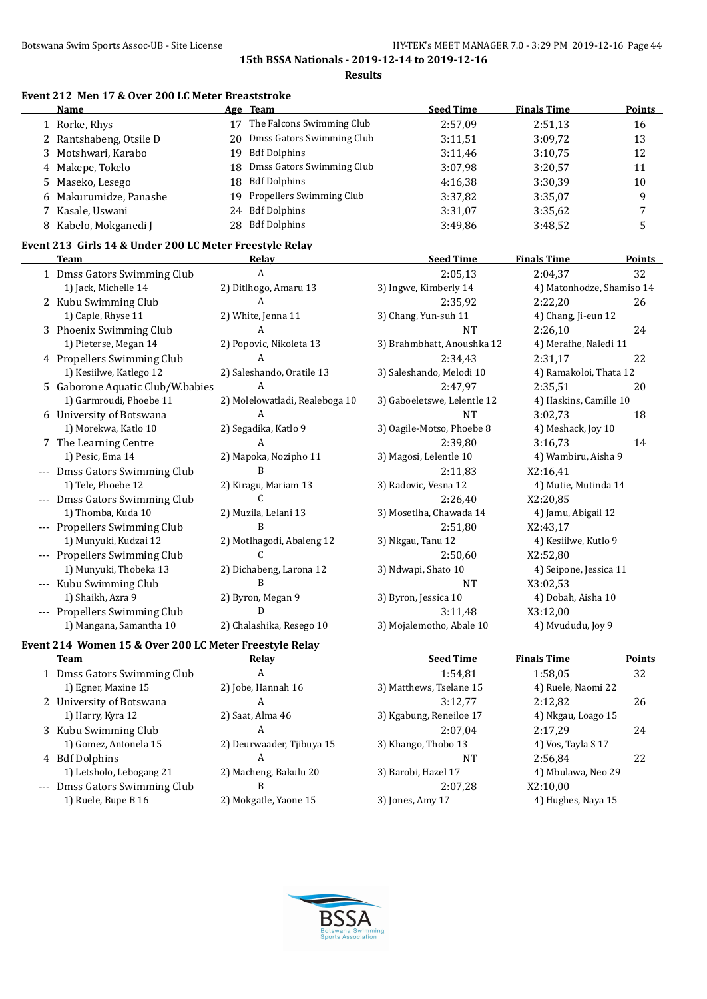### **Event 212 Men 17 & Over 200 LC Meter Breaststroke**

| Name                    |     | Age Team                     | <b>Seed Time</b> | <b>Finals Time</b> | <b>Points</b> |
|-------------------------|-----|------------------------------|------------------|--------------------|---------------|
| 1 Rorke, Rhys           |     | The Falcons Swimming Club    | 2:57.09          | 2:51,13            | 16            |
| 2 Rantshabeng, Otsile D | 20  | Dmss Gators Swimming Club    | 3:11,51          | 3:09,72            | 13            |
| 3 Motshwari, Karabo     | 19  | Bdf Dolphins                 | 3:11.46          | 3:10.75            | 12            |
| 4 Makepe, Tokelo        |     | 18 Dmss Gators Swimming Club | 3:07.98          | 3:20,57            | 11            |
| 5 Maseko, Lesego        | 18  | Bdf Dolphins                 | 4:16.38          | 3:30.39            | 10            |
| 6 Makurumidze, Panashe  | 19. | Propellers Swimming Club     | 3:37.82          | 3:35,07            | 9             |
| 7 Kasale, Uswani        | 24  | <b>Bdf Dolphins</b>          | 3:31,07          | 3:35.62            | 7             |
| 8 Kabelo, Mokganedi J   | 28  | <b>Bdf Dolphins</b>          | 3:49.86          | 3:48,52            |               |

## **Event 213 Girls 14 & Under 200 LC Meter Freestyle Relay**

| <b>Team</b>                                           | Relay                          | <b>Seed Time</b>            | <b>Finals Time</b>        | Points |
|-------------------------------------------------------|--------------------------------|-----------------------------|---------------------------|--------|
| 1 Dmss Gators Swimming Club                           | A                              | 2:05,13                     | 2:04,37                   | 32     |
| 1) Jack, Michelle 14                                  | 2) Ditlhogo, Amaru 13          | 3) Ingwe, Kimberly 14       | 4) Matonhodze, Shamiso 14 |        |
| 2 Kubu Swimming Club                                  | A                              | 2:35,92                     | 2:22,20                   | 26     |
| 1) Caple, Rhyse 11                                    | 2) White, Jenna 11             | 3) Chang, Yun-suh 11        | 4) Chang, Ji-eun 12       |        |
| 3 Phoenix Swimming Club                               | А                              | <b>NT</b>                   | 2:26,10                   | 24     |
| 1) Pieterse, Megan 14                                 | 2) Popovic, Nikoleta 13        | 3) Brahmbhatt, Anoushka 12  | 4) Merafhe, Naledi 11     |        |
| 4 Propellers Swimming Club                            | A                              | 2:34,43                     | 2:31,17                   | 22     |
| 1) Kesiilwe, Katlego 12                               | 2) Saleshando, Oratile 13      | 3) Saleshando, Melodi 10    | 4) Ramakoloi, Thata 12    |        |
| 5 Gaborone Aquatic Club/W.babies                      | A                              | 2:47,97                     | 2:35,51                   | 20     |
| 1) Garmroudi, Phoebe 11                               | 2) Molelowatladi, Realeboga 10 | 3) Gaboeletswe, Lelentle 12 | 4) Haskins, Camille 10    |        |
| 6 University of Botswana                              | A                              | <b>NT</b>                   | 3:02.73                   | 18     |
| 1) Morekwa, Katlo 10                                  | 2) Segadika, Katlo 9           | 3) Oagile-Motso, Phoebe 8   | 4) Meshack, Joy 10        |        |
| 7 The Learning Centre                                 | A                              | 2:39,80                     | 3:16.73                   | 14     |
| 1) Pesic, Ema 14                                      | 2) Mapoka, Nozipho 11          | 3) Magosi, Lelentle 10      | 4) Wambiru, Aisha 9       |        |
| Dmss Gators Swimming Club                             | B                              | 2:11,83                     | X2:16,41                  |        |
| 1) Tele, Phoebe 12                                    | 2) Kiragu, Mariam 13           | 3) Radovic, Vesna 12        | 4) Mutie, Mutinda 14      |        |
| Dmss Gators Swimming Club                             | C                              | 2:26,40                     | X2:20,85                  |        |
| 1) Thomba, Kuda 10                                    | 2) Muzila, Lelani 13           | 3) Mosetlha, Chawada 14     | 4) Jamu, Abigail 12       |        |
| Propellers Swimming Club                              | B                              | 2:51,80                     | X2:43,17                  |        |
| 1) Munyuki, Kudzai 12                                 | 2) Motlhagodi, Abaleng 12      | 3) Nkgau, Tanu 12           | 4) Kesiilwe, Kutlo 9      |        |
| Propellers Swimming Club                              | C                              | 2:50,60                     | X2:52,80                  |        |
| 1) Munyuki, Thobeka 13                                | 2) Dichabeng, Larona 12        | 3) Ndwapi, Shato 10         | 4) Seipone, Jessica 11    |        |
| Kubu Swimming Club                                    | R                              | <b>NT</b>                   | X3:02,53                  |        |
| 1) Shaikh, Azra 9                                     | 2) Byron, Megan 9              | 3) Byron, Jessica 10        | 4) Dobah, Aisha 10        |        |
| Propellers Swimming Club                              | D                              | 3:11,48                     | X3:12,00                  |        |
| 1) Mangana, Samantha 10                               | 2) Chalashika, Resego 10       | 3) Mojalemotho, Abale 10    | 4) Mvududu, Joy 9         |        |
| Evant 214 Waman 15 & Ovan 200 LC Mator Engagive Dalay |                                |                             |                           |        |

#### **Event 214 Women 15 & Over 200 LC Meter Freestyle Relay**

 $\overline{a}$ 

| Team                      | Relay                                                                                                    | <b>Seed Time</b>        | <b>Finals Time</b> | Points             |
|---------------------------|----------------------------------------------------------------------------------------------------------|-------------------------|--------------------|--------------------|
|                           | A                                                                                                        | 1:54.81                 | 1:58.05            | 32                 |
| 1) Egner, Maxine 15       | 2) Jobe, Hannah 16                                                                                       | 3) Matthews, Tselane 15 | 4) Ruele, Naomi 22 |                    |
|                           | A                                                                                                        | 3:12.77                 | 2:12.82            | 26                 |
| 1) Harry, Kyra 12         | 2) Saat, Alma 46                                                                                         | 3) Kgabung, Reneiloe 17 | 4) Nkgau, Loago 15 |                    |
|                           | А                                                                                                        | 2:07.04                 | 2:17.29            | 24                 |
| 1) Gomez, Antonela 15     | 2) Deurwaader, Tjibuya 15                                                                                | 3) Khango, Thobo 13     | 4) Vos, Tayla S 17 |                    |
|                           | А                                                                                                        | NT                      | 2:56.84            | 22                 |
| 1) Letsholo, Lebogang 21  | 2) Macheng, Bakulu 20                                                                                    | 3) Barobi, Hazel 17     |                    |                    |
| Dmss Gators Swimming Club | B                                                                                                        | 2:07.28                 | X2:10,00           |                    |
| 1) Ruele, Bupe B 16       | 2) Mokgatle, Yaone 15                                                                                    | 3) Jones, Amy 17        | 4) Hughes, Naya 15 |                    |
|                           | 1 Dmss Gators Swimming Club<br>2 University of Botswana<br>3 Kubu Swimming Club<br>4 Bdf Dolphins<br>--- |                         |                    | 4) Mbulawa, Neo 29 |

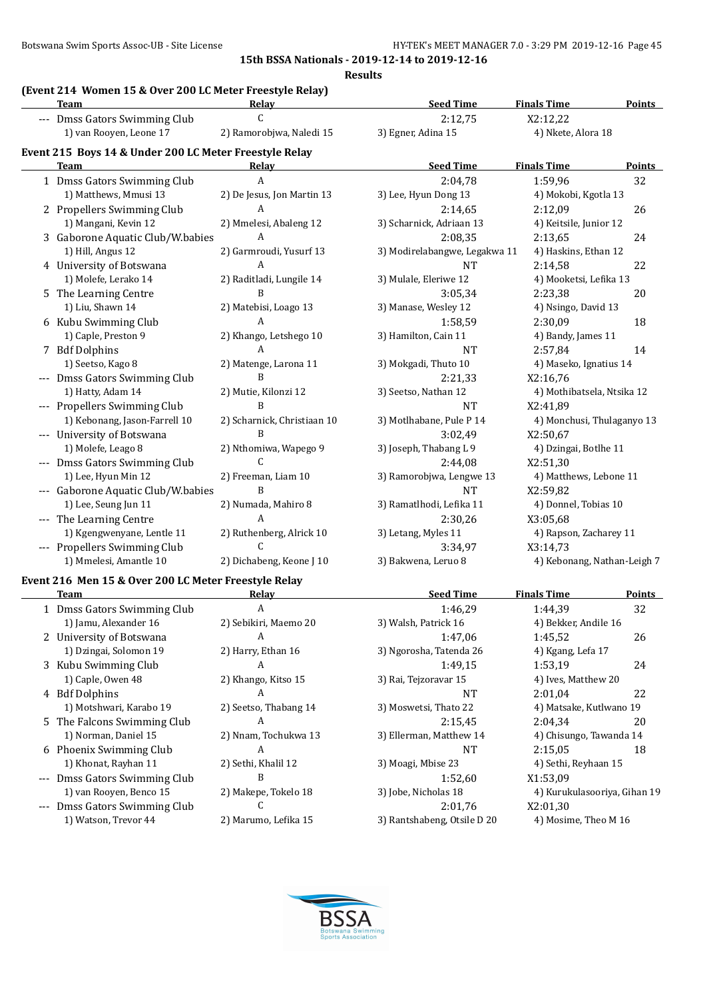**Results**

# **(Event 214 Women 15 & Over 200 LC Meter Freestyle Relay)**

| women 15 & over 200 Le meter rreestyle Relay<br><b>Team</b> | <b>Relav</b>                | <b>Seed Time</b>              | <b>Finals Time</b>          | <b>Points</b> |
|-------------------------------------------------------------|-----------------------------|-------------------------------|-----------------------------|---------------|
| --- Dmss Gators Swimming Club                               | $\mathcal{C}$               | 2:12,75                       | X2:12,22                    |               |
| 1) van Rooyen, Leone 17                                     | 2) Ramorobjwa, Naledi 15    | 3) Egner, Adina 15            | 4) Nkete, Alora 18          |               |
| Event 215 Boys 14 & Under 200 LC Meter Freestyle Relay      |                             |                               |                             |               |
| Team                                                        | Relav                       | <b>Seed Time</b>              | <b>Finals Time</b>          | Points        |
| 1 Dmss Gators Swimming Club                                 | A                           | 2:04,78                       | 1:59,96                     | 32            |
| 1) Matthews, Mmusi 13                                       | 2) De Jesus, Jon Martin 13  | 3) Lee, Hyun Dong 13          | 4) Mokobi, Kgotla 13        |               |
| 2 Propellers Swimming Club                                  | A                           | 2:14,65                       | 2:12,09                     | 26            |
| 1) Mangani, Kevin 12                                        | 2) Mmelesi, Abaleng 12      | 3) Scharnick, Adriaan 13      | 4) Keitsile, Junior 12      |               |
| 3 Gaborone Aquatic Club/W.babies                            | A                           | 2:08,35                       | 2:13,65                     | 24            |
| 1) Hill, Angus 12                                           | 2) Garmroudi, Yusurf 13     | 3) Modirelabangwe, Legakwa 11 | 4) Haskins, Ethan 12        |               |
| 4 University of Botswana                                    | A                           | <b>NT</b>                     | 2:14,58                     | 22            |
| 1) Molefe, Lerako 14                                        | 2) Raditladi, Lungile 14    | 3) Mulale, Eleriwe 12         | 4) Mooketsi, Lefika 13      |               |
| 5 The Learning Centre                                       | B                           | 3:05,34                       | 2:23,38                     | 20            |
| 1) Liu, Shawn 14                                            | 2) Matebisi, Loago 13       | 3) Manase, Wesley 12          | 4) Nsingo, David 13         |               |
| 6 Kubu Swimming Club                                        | A                           | 1:58,59                       | 2:30,09                     | 18            |
| 1) Caple, Preston 9                                         | 2) Khango, Letshego 10      | 3) Hamilton, Cain 11          | 4) Bandy, James 11          |               |
| 7 Bdf Dolphins                                              | $\mathbf{A}$                | <b>NT</b>                     | 2:57,84                     | 14            |
| 1) Seetso, Kago 8                                           | 2) Matenge, Larona 11       | 3) Mokgadi, Thuto 10          | 4) Maseko, Ignatius 14      |               |
| --- Dmss Gators Swimming Club                               | $\mathbf B$                 | 2:21,33                       | X2:16,76                    |               |
| 1) Hatty, Adam 14                                           | 2) Mutie, Kilonzi 12        | 3) Seetso, Nathan 12          | 4) Mothibatsela, Ntsika 12  |               |
| --- Propellers Swimming Club                                | B                           | <b>NT</b>                     | X2:41,89                    |               |
| 1) Kebonang, Jason-Farrell 10                               | 2) Scharnick, Christiaan 10 | 3) Motlhabane, Pule P 14      | 4) Monchusi, Thulaganyo 13  |               |
| --- University of Botswana                                  | $\mathbf B$                 | 3:02,49                       | X2:50,67                    |               |
| 1) Molefe, Leago 8                                          | 2) Nthomiwa, Wapego 9       | 3) Joseph, Thabang L 9        | 4) Dzingai, Botlhe 11       |               |
| --- Dmss Gators Swimming Club                               | $\mathsf{C}$                | 2:44,08                       | X2:51,30                    |               |
| 1) Lee, Hyun Min 12                                         | 2) Freeman, Liam 10         | 3) Ramorobjwa, Lengwe 13      | 4) Matthews, Lebone 11      |               |
| --- Gaborone Aquatic Club/W.babies                          | B                           | <b>NT</b>                     | X2:59,82                    |               |
| 1) Lee, Seung Jun 11                                        | 2) Numada, Mahiro 8         | 3) Ramatlhodi, Lefika 11      | 4) Donnel, Tobias 10        |               |
| --- The Learning Centre                                     | $\mathbf{A}$                | 2:30,26                       | X3:05,68                    |               |
| 1) Kgengwenyane, Lentle 11                                  | 2) Ruthenberg, Alrick 10    | 3) Letang, Myles 11           | 4) Rapson, Zacharey 11      |               |
| --- Propellers Swimming Club                                | $\mathsf C$                 | 3:34,97                       | X3:14,73                    |               |
| 1) Mmelesi, Amantle 10                                      | 2) Dichabeng, Keone J 10    | 3) Bakwena, Leruo 8           | 4) Kebonang, Nathan-Leigh 7 |               |
| Event 216 Men 15 & Over 200 LC Meter Freestyle Relay        |                             |                               |                             |               |
| <b>Team</b>                                                 | <u>Relav</u>                | <b>Seed Time</b>              | <b>Finals Time</b>          | Points        |
| 1 Dmss Gators Swimming Club                                 | $\boldsymbol{A}$            | 1:46,29                       | 1:44,39                     | 32            |
| 1) Jamu, Alexander 16                                       | 2) Sehikiri, Maemo 20       | 3) Walsh, Patrick 16          | 4) Bekker, Andile 16        |               |

| 1 Dmss Gators Swimming Club   |                       | 1:46,29                     | 1:44,39                      | 34 |
|-------------------------------|-----------------------|-----------------------------|------------------------------|----|
| 1) Jamu, Alexander 16         | 2) Sebikiri, Maemo 20 | 3) Walsh, Patrick 16        | 4) Bekker, Andile 16         |    |
| 2 University of Botswana      | A                     | 1:47.06                     | 1:45.52                      | 26 |
| 1) Dzingai, Solomon 19        | 2) Harry, Ethan 16    | 3) Ngorosha, Tatenda 26     | 4) Kgang, Lefa 17            |    |
| 3 Kubu Swimming Club          | A                     | 1:49.15                     | 24<br>1:53.19                |    |
| 1) Caple, Owen 48             | 2) Khango, Kitso 15   | 3) Rai, Tejzoravar 15       | 4) Ives, Matthew 20          |    |
| 4 Bdf Dolphins                | A                     | NT                          | 22<br>2:01.04                |    |
| 1) Motshwari, Karabo 19       | 2) Seetso, Thabang 14 | 3) Moswetsi, Thato 22       | 4) Matsake, Kutlwano 19      |    |
| 5 The Falcons Swimming Club   | A                     | 2:15.45                     | 20<br>2:04.34                |    |
| 1) Norman, Daniel 15          | 2) Nnam, Tochukwa 13  | 3) Ellerman, Matthew 14     | 4) Chisungo, Tawanda 14      |    |
| 6 Phoenix Swimming Club       | A                     | NT                          | 2:15.05<br>18                |    |
| 1) Khonat, Rayhan 11          | 2) Sethi, Khalil 12   | 3) Moagi, Mbise 23          | 4) Sethi, Reyhaan 15         |    |
| --- Dmss Gators Swimming Club | B                     | 1:52.60                     | X1:53.09                     |    |
| 1) van Rooven, Benco 15       | 2) Makepe, Tokelo 18  | 3) Jobe, Nicholas 18        | 4) Kurukulasooriya, Gihan 19 |    |
| --- Dmss Gators Swimming Club |                       | 2:01.76                     | X2:01.30                     |    |
| 1) Watson, Trevor 44          | 2) Marumo, Lefika 15  | 3) Rantshabeng, Otsile D 20 | 4) Mosime, Theo M 16         |    |

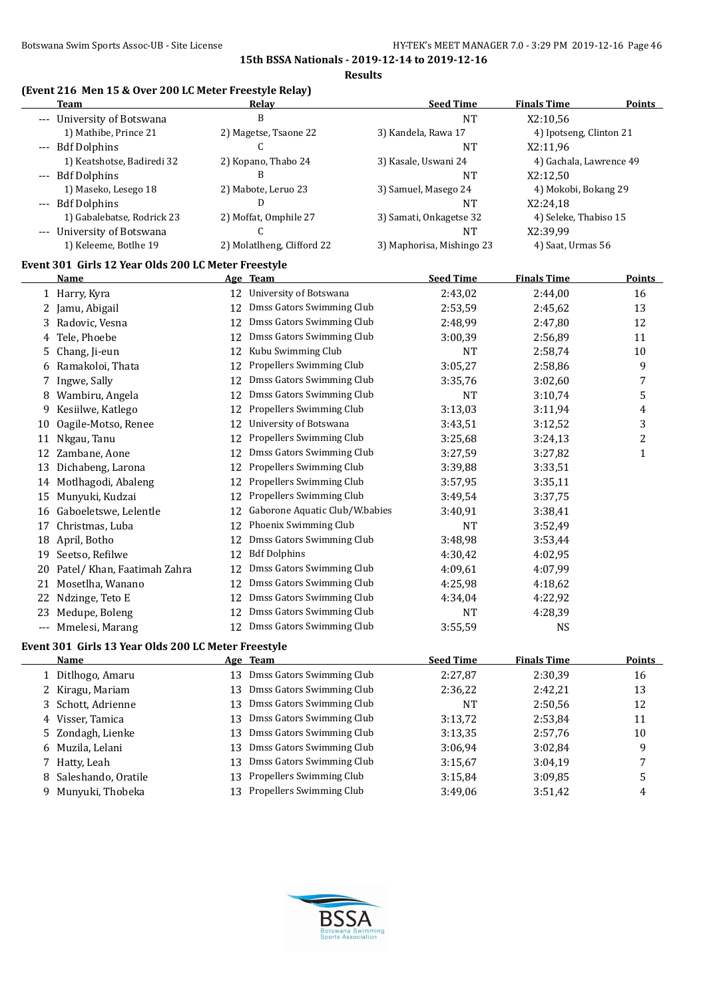# **(Event 216 Men 15 & Over 200 LC Meter Freestyle Relay)**

| Team                                                | Relay                            | <b>Seed Time</b>          | <b>Finals Time</b>      | <b>Points</b> |
|-----------------------------------------------------|----------------------------------|---------------------------|-------------------------|---------------|
| --- University of Botswana                          | B                                | NT                        | X2:10,56                |               |
| 1) Mathibe, Prince 21                               | 2) Magetse, Tsaone 22            | 3) Kandela, Rawa 17       | 4) Ipotseng, Clinton 21 |               |
| --- Bdf Dolphins                                    |                                  | NT                        | X2:11.96                |               |
| 1) Keatshotse, Badiredi 32                          | 2) Kopano, Thabo 24              | 3) Kasale, Uswani 24      | 4) Gachala, Lawrence 49 |               |
| --- Bdf Dolphins                                    |                                  | NT                        | X2:12.50                |               |
| 1) Maseko, Lesego 18                                | 2) Mabote, Leruo 23              | 3) Samuel, Masego 24      | 4) Mokobi, Bokang 29    |               |
| --- Bdf Dolphins                                    |                                  | NT                        | X2:24.18                |               |
| 1) Gabalebatse, Rodrick 23                          | 2) Moffat, Omphile 27            | 3) Samati, Onkagetse 32   | 4) Seleke, Thabiso 15   |               |
| --- University of Botswana                          |                                  | NT                        | X2:39.99                |               |
| 1) Keleeme, Botlhe 19                               | 2) Molatlheng, Clifford 22       | 3) Maphorisa, Mishingo 23 | 4) Saat, Urmas 56       |               |
| Event 301 Girls 12 Year Olds 200 LC Meter Freestyle |                                  |                           |                         |               |
| Name                                                | Age Team                         | <b>Seed Time</b>          | <b>Finals Time</b>      | <b>Points</b> |
| 1 Harry, Kyra                                       | University of Botswana<br>12     | 2:43,02                   | 2:44,00                 | 16            |
| 2 Jamu, Abigail                                     | Dmss Gators Swimming Club<br>12. | 2:53,59                   | 2:45,62                 | 13            |
| 2 Dadovic Voore                                     | 12 Dmee Catore Swimming Club     | 2.10,00                   | 2.1700                  | 12            |

| 3  | Radovic, Vesna                                      | 12 | Dmss Gators Swimming Club        | 2:48,99          | 2:47,80            | 12               |
|----|-----------------------------------------------------|----|----------------------------------|------------------|--------------------|------------------|
|    | 4 Tele, Phoebe                                      | 12 | Dmss Gators Swimming Club        | 3:00,39          | 2:56,89            | 11               |
| 5. | Chang, Ji-eun                                       | 12 | Kubu Swimming Club               | <b>NT</b>        | 2:58,74            | 10               |
|    | 6 Ramakoloi, Thata                                  | 12 | Propellers Swimming Club         | 3:05,27          | 2:58,86            | 9                |
| 7  | Ingwe, Sally                                        | 12 | Dmss Gators Swimming Club        | 3:35,76          | 3:02,60            | $\boldsymbol{7}$ |
| 8  | Wambiru, Angela                                     | 12 | Dmss Gators Swimming Club        | <b>NT</b>        | 3:10,74            | 5                |
| 9  | Kesiilwe, Katlego                                   | 12 | Propellers Swimming Club         | 3:13,03          | 3:11,94            | 4                |
| 10 | Oagile-Motso, Renee                                 | 12 | University of Botswana           | 3:43,51          | 3:12,52            | 3                |
| 11 | Nkgau, Tanu                                         | 12 | Propellers Swimming Club         | 3:25,68          | 3:24,13            | $\overline{c}$   |
| 12 | Zambane, Aone                                       | 12 | Dmss Gators Swimming Club        | 3:27,59          | 3:27,82            | $\mathbf{1}$     |
| 13 | Dichabeng, Larona                                   | 12 | Propellers Swimming Club         | 3:39,88          | 3:33,51            |                  |
| 14 | Motlhagodi, Abaleng                                 | 12 | Propellers Swimming Club         | 3:57,95          | 3:35,11            |                  |
| 15 | Munyuki, Kudzai                                     | 12 | Propellers Swimming Club         | 3:49,54          | 3:37,75            |                  |
|    | 16 Gaboeletswe, Lelentle                            | 12 | Gaborone Aquatic Club/W.babies   | 3:40,91          | 3:38,41            |                  |
| 17 | Christmas, Luba                                     | 12 | Phoenix Swimming Club            | <b>NT</b>        | 3:52,49            |                  |
|    | 18 April, Botho                                     | 12 | Dmss Gators Swimming Club        | 3:48,98          | 3:53,44            |                  |
|    | 19 Seetso, Refilwe                                  | 12 | <b>Bdf Dolphins</b>              | 4:30,42          | 4:02,95            |                  |
| 20 | Patel/Khan, Faatimah Zahra                          | 12 | Dmss Gators Swimming Club        | 4:09,61          | 4:07,99            |                  |
| 21 | Mosetlha, Wanano                                    | 12 | Dmss Gators Swimming Club        | 4:25,98          | 4:18,62            |                  |
| 22 | Ndzinge, Teto E                                     | 12 | Dmss Gators Swimming Club        | 4:34,04          | 4:22,92            |                  |
| 23 | Medupe, Boleng                                      | 12 | Dmss Gators Swimming Club        | <b>NT</b>        | 4:28,39            |                  |
|    | --- Mmelesi, Marang                                 | 12 | Dmss Gators Swimming Club        | 3:55,59          | <b>NS</b>          |                  |
|    | Event 301 Girls 13 Year Olds 200 LC Meter Freestyle |    |                                  |                  |                    |                  |
|    | <b>Name</b>                                         |    | Age Team                         | <b>Seed Time</b> | <b>Finals Time</b> | <b>Points</b>    |
|    | 1 Ditlhogo, Amaru                                   |    | 13 Dmss Gators Swimming Club     | 2:27,87          | 2:30,39            | 16               |
|    | 2 Kiragu, Mariam                                    | 13 | Dmss Gators Swimming Club        | 2:36,22          | 2:42,21            | 13               |
| 3  | Schott, Adrienne                                    | 13 | Dmss Gators Swimming Club        | <b>NT</b>        | 2:50,56            | 12               |
|    | 4 Visser, Tamica                                    | 13 | Dmss Gators Swimming Club        | 3:13,72          | 2:53,84            | 11               |
| 5. | Zondagh, Lienke                                     | 13 | Dmss Gators Swimming Club        | 3:13,35          | 2:57,76            | 10               |
|    | 6 Muzila, Lelani                                    | 13 | <b>Dmss Gators Swimming Club</b> | 3:06,94          | 3:02,84            | 9                |
|    | 7 Hatty, Leah                                       | 13 | Dmss Gators Swimming Club        | 3:15,67          | 3:04,19            | 7                |
| 8  | Saleshando, Oratile                                 | 13 | Propellers Swimming Club         | 3:15,84          | 3:09,85            | 5                |
|    | 9 Munyuki, Thobeka                                  |    | 13 Propellers Swimming Club      | 3:49,06          | 3:51,42            | 4                |

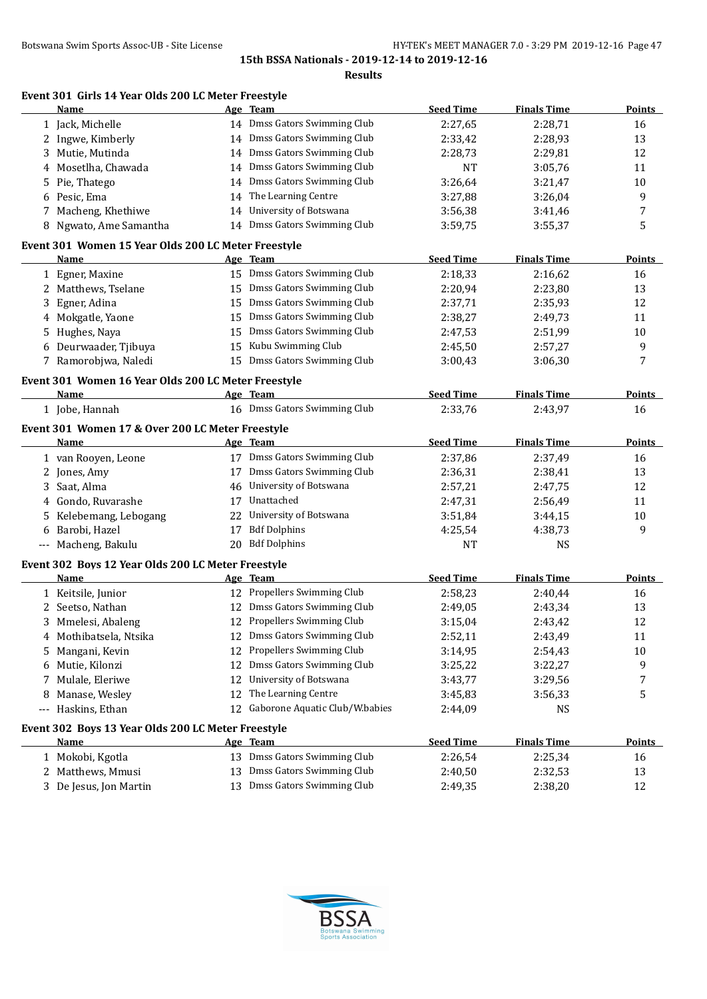**Results**

|             | Name                                                              |    | Event 301 Girls 14 Year Olds 200 LC Meter Freestyle<br>Age Team | <b>Seed Time</b>   | <b>Finals Time</b>   | <b>Points</b>                        |
|-------------|-------------------------------------------------------------------|----|-----------------------------------------------------------------|--------------------|----------------------|--------------------------------------|
|             | 1 Jack, Michelle                                                  |    | 14 Dmss Gators Swimming Club                                    | 2:27,65            | 2:28,71              | 16                                   |
|             | 2 Ingwe, Kimberly                                                 |    | 14 Dmss Gators Swimming Club                                    | 2:33,42            | 2:28,93              | 13                                   |
| 3           | Mutie, Mutinda                                                    |    | 14 Dmss Gators Swimming Club                                    | 2:28,73            | 2:29,81              | 12                                   |
| 4           | Mosetlha, Chawada                                                 |    | 14 Dmss Gators Swimming Club                                    | NT                 | 3:05,76              | 11                                   |
| 5           | Pie, Thatego                                                      |    | 14 Dmss Gators Swimming Club                                    | 3:26,64            | 3:21,47              | 10                                   |
| 6           | Pesic, Ema                                                        |    | 14 The Learning Centre                                          | 3:27,88            | 3:26,04              | 9                                    |
| 7           | Macheng, Khethiwe                                                 |    | 14 University of Botswana                                       | 3:56,38            | 3:41,46              | 7                                    |
|             | 8 Ngwato, Ame Samantha                                            |    | 14 Dmss Gators Swimming Club                                    | 3:59,75            | 3:55,37              | 5                                    |
|             | Event 301 Women 15 Year Olds 200 LC Meter Freestyle               |    |                                                                 |                    |                      |                                      |
|             | Name                                                              |    | Age Team                                                        | <b>Seed Time</b>   | <b>Finals Time</b>   | <b>Points</b>                        |
|             | 1 Egner, Maxine                                                   |    | 15 Dmss Gators Swimming Club                                    | 2:18,33            | 2:16,62              | 16                                   |
|             | 2 Matthews, Tselane                                               |    | 15 Dmss Gators Swimming Club                                    | 2:20,94            | 2:23,80              | 13                                   |
| 3           | Egner, Adina                                                      |    | 15 Dmss Gators Swimming Club                                    | 2:37,71            | 2:35,93              | 12                                   |
| 4           | Mokgatle, Yaone                                                   |    | 15 Dmss Gators Swimming Club                                    | 2:38,27            | 2:49,73              | 11                                   |
| 5           | Hughes, Naya                                                      |    | 15 Dmss Gators Swimming Club                                    | 2:47,53            | 2:51,99              | 10                                   |
| 6           | Deurwaader, Tjibuya                                               | 15 | Kubu Swimming Club                                              | 2:45,50            | 2:57,27              | 9                                    |
|             | 7 Ramorobjwa, Naledi                                              |    | 15 Dmss Gators Swimming Club                                    | 3:00,43            | 3:06,30              | 7                                    |
|             | Event 301 Women 16 Year Olds 200 LC Meter Freestyle               |    |                                                                 |                    |                      |                                      |
|             | Name                                                              |    | Age Team                                                        | <b>Seed Time</b>   | <b>Finals Time</b>   | Points                               |
|             | 1 Jobe, Hannah                                                    |    | 16 Dmss Gators Swimming Club                                    | 2:33,76            | 2:43,97              | 16                                   |
|             | Event 301 Women 17 & Over 200 LC Meter Freestyle                  |    |                                                                 |                    |                      |                                      |
|             | <b>Name</b>                                                       |    | Age Team                                                        | <b>Seed Time</b>   | <b>Finals Time</b>   | <b>Points</b>                        |
|             | 1 van Rooyen, Leone                                               |    | 17 Dmss Gators Swimming Club                                    | 2:37,86            | 2:37,49              | 16                                   |
| 2           | Jones, Amy                                                        |    | 17 Dmss Gators Swimming Club                                    | 2:36,31            | 2:38,41              | 13                                   |
| 3           | Saat, Alma                                                        |    | 46 University of Botswana                                       | 2:57,21            | 2:47,75              | 12                                   |
| 4           | Gondo, Ruvarashe                                                  | 17 | Unattached                                                      | 2:47,31            |                      |                                      |
|             |                                                                   |    |                                                                 |                    | 2:56,49              | 11                                   |
| 5           | Kelebemang, Lebogang                                              |    | 22 University of Botswana                                       | 3:51,84            | 3:44,15              | 10                                   |
| 6           | Barobi, Hazel                                                     |    | 17 Bdf Dolphins                                                 | 4:25,54            | 4:38,73              | 9                                    |
|             | --- Macheng, Bakulu                                               |    | 20 Bdf Dolphins                                                 | <b>NT</b>          | <b>NS</b>            |                                      |
|             | Event 302 Boys 12 Year Olds 200 LC Meter Freestyle                |    |                                                                 |                    |                      |                                      |
|             | <b>Name</b>                                                       |    | Age Team                                                        | <b>Seed Time</b>   | <b>Finals Time</b>   |                                      |
|             | 1 Keitsile, Junior                                                |    | 12 Propellers Swimming Club                                     | 2:58,23            | 2:40,44              | 16                                   |
|             | 2 Seetso, Nathan                                                  |    | 12 Dmss Gators Swimming Club                                    | 2:49,05            | 2:43,34              | 13                                   |
| 3           | Mmelesi, Abaleng                                                  |    | 12 Propellers Swimming Club                                     | 3:15,04            | 2:43,42              | 12                                   |
| 4           | Mothibatsela, Ntsika                                              |    | 12 Dmss Gators Swimming Club                                    | 2:52,11            | 2:43,49              | 11                                   |
| 5           | Mangani, Kevin                                                    | 12 | Propellers Swimming Club                                        | 3:14,95            | 2:54,43              | 10                                   |
| 6           | Mutie, Kilonzi                                                    |    | 12 Dmss Gators Swimming Club                                    | 3:25,22            | 3:22,27              | 9                                    |
| 7           |                                                                   | 12 | University of Botswana                                          |                    |                      | 7                                    |
| 8           | Mulale, Eleriwe                                                   |    | 12 The Learning Centre                                          | 3:43,77            | 3:29,56              | 5                                    |
| $-\, -\, -$ | Manase, Wesley<br>Haskins, Ethan                                  |    | 12 Gaborone Aquatic Club/W.babies                               | 3:45,83<br>2:44,09 | 3:56,33<br><b>NS</b> |                                      |
|             |                                                                   |    |                                                                 |                    |                      |                                      |
|             | Event 302 Boys 13 Year Olds 200 LC Meter Freestyle<br><b>Name</b> |    | Age Team                                                        | <b>Seed Time</b>   | <b>Finals Time</b>   |                                      |
|             | 1 Mokobi, Kgotla                                                  |    | 13 Dmss Gators Swimming Club                                    | 2:26,54            | 2:25,34              | <b>Points</b><br><b>Points</b><br>16 |
| 2           | Matthews, Mmusi                                                   | 13 | Dmss Gators Swimming Club                                       | 2:40,50            | 2:32,53              | 13                                   |

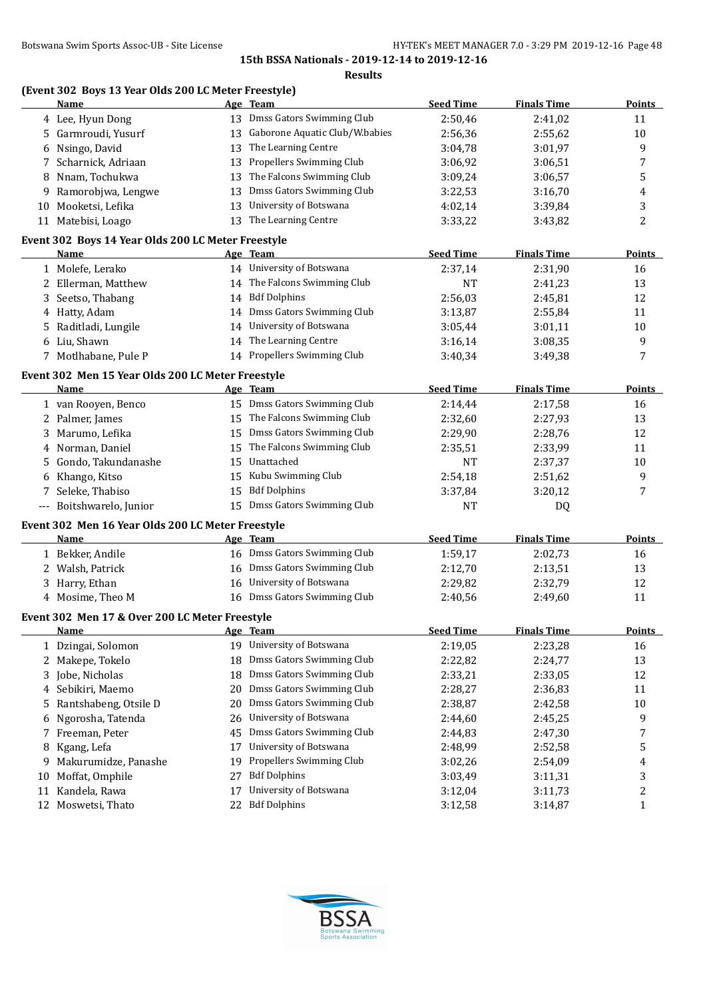| (Event 302 Boys 13 Year Olds 200 LC Meter Freestyle) |  |  |  |
|------------------------------------------------------|--|--|--|

|    | <b>Name</b>                                                       |    | Age Team                                     | <b>Seed Time</b> | <b>Finals Time</b> | <b>Points</b> |
|----|-------------------------------------------------------------------|----|----------------------------------------------|------------------|--------------------|---------------|
|    | 4 Lee, Hyun Dong                                                  |    | 13 Dmss Gators Swimming Club                 | 2:50,46          | 2:41,02            | 11            |
|    | 5 Garmroudi, Yusurf                                               | 13 | Gaborone Aquatic Club/W.babies               | 2:56,36          | 2:55,62            | 10            |
|    | 6 Nsingo, David                                                   | 13 | The Learning Centre                          | 3:04,78          | 3:01,97            | 9             |
|    | 7 Scharnick, Adriaan                                              | 13 | Propellers Swimming Club                     | 3:06,92          | 3:06,51            | 7             |
| 8  | Nnam, Tochukwa                                                    | 13 | The Falcons Swimming Club                    | 3:09,24          | 3:06,57            | 5             |
| 9  | Ramorobjwa, Lengwe                                                | 13 | Dmss Gators Swimming Club                    | 3:22,53          | 3:16,70            | 4             |
| 10 | Mooketsi, Lefika                                                  | 13 | University of Botswana                       | 4:02,14          | 3:39,84            | 3             |
|    | 11 Matebisi, Loago                                                | 13 | The Learning Centre                          | 3:33,22          | 3:43,82            | 2             |
|    |                                                                   |    |                                              |                  |                    |               |
|    | Event 302 Boys 14 Year Olds 200 LC Meter Freestyle<br><b>Name</b> |    |                                              | <b>Seed Time</b> | <b>Finals Time</b> | <b>Points</b> |
|    |                                                                   |    | <u>Age Team</u><br>14 University of Botswana |                  |                    |               |
|    | 1 Molefe, Lerako                                                  |    |                                              | 2:37,14          | 2:31,90            | 16            |
|    | 2 Ellerman, Matthew                                               |    | 14 The Falcons Swimming Club                 | NT               | 2:41,23            | 13            |
|    | 3 Seetso, Thabang                                                 |    | 14 Bdf Dolphins                              | 2:56,03          | 2:45,81            | 12            |
|    | 4 Hatty, Adam                                                     |    | 14 Dmss Gators Swimming Club                 | 3:13,87          | 2:55,84            | 11            |
| 5  | Raditladi, Lungile                                                |    | 14 University of Botswana                    | 3:05,44          | 3:01,11            | 10            |
|    | 6 Liu, Shawn                                                      |    | 14 The Learning Centre                       | 3:16,14          | 3:08,35            | 9             |
|    | 7 Motlhabane, Pule P                                              |    | 14 Propellers Swimming Club                  | 3:40,34          | 3:49,38            | 7             |
|    | Event 302 Men 15 Year Olds 200 LC Meter Freestyle                 |    |                                              |                  |                    |               |
|    | <b>Name</b>                                                       |    | Age Team                                     | <b>Seed Time</b> | <b>Finals Time</b> | <b>Points</b> |
|    | 1 van Rooyen, Benco                                               |    | 15 Dmss Gators Swimming Club                 | 2:14,44          | 2:17,58            | 16            |
|    | 2 Palmer, James                                                   |    | 15 The Falcons Swimming Club                 | 2:32,60          | 2:27,93            | 13            |
|    | 3 Marumo, Lefika                                                  |    | 15 Dmss Gators Swimming Club                 | 2:29,90          | 2:28,76            | 12            |
|    | 4 Norman, Daniel                                                  | 15 | The Falcons Swimming Club                    | 2:35,51          | 2:33,99            | 11            |
|    | 5 Gondo, Takundanashe                                             | 15 | Unattached                                   | NT               | 2:37,37            | 10            |
|    | 6 Khango, Kitso                                                   | 15 | Kubu Swimming Club                           | 2:54,18          | 2:51,62            | 9             |
|    | 7 Seleke, Thabiso                                                 | 15 | <b>Bdf Dolphins</b>                          | 3:37,84          | 3:20,12            | 7             |
|    | --- Boitshwarelo, Junior                                          |    | 15 Dmss Gators Swimming Club                 | <b>NT</b>        | DQ                 |               |
|    |                                                                   |    |                                              |                  |                    |               |
|    | Event 302 Men 16 Year Olds 200 LC Meter Freestyle                 |    |                                              |                  |                    |               |
|    | <u>Name</u>                                                       |    | Age Team                                     | <b>Seed Time</b> | <b>Finals Time</b> | <b>Points</b> |
|    | 1 Bekker, Andile                                                  |    | 16 Dmss Gators Swimming Club                 | 1:59,17          | 2:02,73            | 16            |
|    | 2 Walsh, Patrick                                                  |    | 16 Dmss Gators Swimming Club                 | 2:12,70          | 2:13,51            | 13            |
|    | 3 Harry, Ethan                                                    |    | 16 University of Botswana                    | 2:29,82          | 2:32,79            | 12            |
|    | 4 Mosime, Theo M                                                  |    | 16 Dmss Gators Swimming Club                 | 2:40,56          | 2:49,60            | 11            |
|    | Event 302 Men 17 & Over 200 LC Meter Freestyle                    |    |                                              |                  |                    |               |
|    | Name                                                              |    | Age Team                                     | <b>Seed Time</b> | <b>Finals Time</b> | <b>Points</b> |
|    | 1 Dzingai, Solomon                                                |    | 19 University of Botswana                    | 2:19,05          | 2:23,28            | 16            |
| 2  | Makepe, Tokelo                                                    | 18 | <b>Dmss Gators Swimming Club</b>             | 2:22,82          | 2:24,77            | 13            |
| 3  | Jobe, Nicholas                                                    | 18 | Dmss Gators Swimming Club                    | 2:33,21          | 2:33,05            | 12            |
| 4  | Sebikiri, Maemo                                                   | 20 | Dmss Gators Swimming Club                    | 2:28,27          | 2:36,83            | 11            |
| 5  | Rantshabeng, Otsile D                                             | 20 | Dmss Gators Swimming Club                    | 2:38,87          | 2:42,58            | 10            |
| 6  | Ngorosha, Tatenda                                                 | 26 | University of Botswana                       | 2:44,60          | 2:45,25            | 9             |
| 7  | Freeman, Peter                                                    | 45 | Dmss Gators Swimming Club                    | 2:44,83          | 2:47,30            | 7             |
| 8  | Kgang, Lefa                                                       | 17 | University of Botswana                       | 2:48,99          | 2:52,58            | 5             |
| 9  | Makurumidze, Panashe                                              | 19 | Propellers Swimming Club                     | 3:02,26          | 2:54,09            | 4             |
| 10 | Moffat, Omphile                                                   | 27 | <b>Bdf Dolphins</b>                          | 3:03,49          | 3:11,31            | 3             |
| 11 | Kandela, Rawa                                                     | 17 | University of Botswana                       | 3:12,04          | 3:11,73            | 2             |
| 12 | Moswetsi, Thato                                                   | 22 | <b>Bdf Dolphins</b>                          | 3:12,58          | 3:14,87            | 1             |
|    |                                                                   |    |                                              |                  |                    |               |

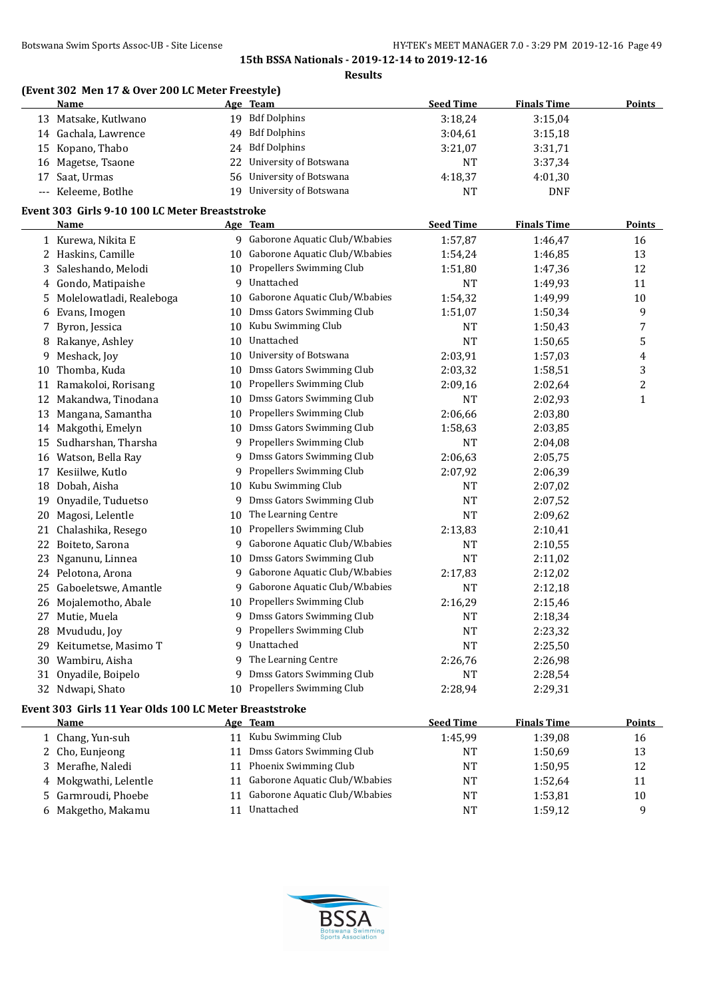|          | (Event 302 Men 17 & Over 200 LC Meter Freestyle)              |    |                                  |                  |                    |                |
|----------|---------------------------------------------------------------|----|----------------------------------|------------------|--------------------|----------------|
|          | <u>Name</u>                                                   |    | Age Team                         | <b>Seed Time</b> | <b>Finals Time</b> | <b>Points</b>  |
|          | 13 Matsake, Kutlwano                                          |    | 19 Bdf Dolphins                  | 3:18,24          | 3:15,04            |                |
|          | 14 Gachala, Lawrence                                          | 49 | <b>Bdf Dolphins</b>              | 3:04,61          | 3:15,18            |                |
|          | 15 Kopano, Thabo                                              | 24 | <b>Bdf Dolphins</b>              | 3:21,07          | 3:31,71            |                |
| 16       | Magetse, Tsaone                                               | 22 | University of Botswana           | NT               | 3:37,34            |                |
| 17       | Saat, Urmas                                                   | 56 | University of Botswana           | 4:18,37          | 4:01,30            |                |
| $\cdots$ | Keleeme, Botlhe                                               | 19 | University of Botswana           | <b>NT</b>        | <b>DNF</b>         |                |
|          | Event 303 Girls 9-10 100 LC Meter Breaststroke                |    |                                  |                  |                    |                |
|          | <u>Name</u>                                                   |    | Age Team                         | <b>Seed Time</b> | <b>Finals Time</b> | <b>Points</b>  |
|          | 1 Kurewa, Nikita E                                            |    | 9 Gaborone Aquatic Club/W.babies | 1:57,87          | 1:46,47            | 16             |
|          | 2 Haskins, Camille                                            | 10 | Gaborone Aquatic Club/W.babies   | 1:54,24          | 1:46,85            | 13             |
| 3        | Saleshando, Melodi                                            | 10 | Propellers Swimming Club         | 1:51,80          | 1:47,36            | 12             |
| 4        | Gondo, Matipaishe                                             | 9  | Unattached                       | <b>NT</b>        | 1:49,93            | 11             |
| 5        | Molelowatladi, Realeboga                                      | 10 | Gaborone Aquatic Club/W.babies   | 1:54,32          | 1:49,99            | 10             |
| 6        | Evans, Imogen                                                 | 10 | Dmss Gators Swimming Club        | 1:51,07          | 1:50,34            | 9              |
| 7        | Byron, Jessica                                                | 10 | Kubu Swimming Club               | <b>NT</b>        | 1:50,43            | 7              |
| 8        | Rakanye, Ashley                                               | 10 | Unattached                       | <b>NT</b>        | 1:50,65            | 5              |
| 9        | Meshack, Joy                                                  | 10 | University of Botswana           | 2:03,91          | 1:57,03            | 4              |
| 10       | Thomba, Kuda                                                  | 10 | Dmss Gators Swimming Club        | 2:03,32          | 1:58,51            | 3              |
| 11       | Ramakoloi, Rorisang                                           | 10 | Propellers Swimming Club         | 2:09,16          | 2:02,64            | $\overline{c}$ |
| 12       | Makandwa, Tinodana                                            | 10 | Dmss Gators Swimming Club        | <b>NT</b>        | 2:02,93            | 1              |
| 13       | Mangana, Samantha                                             | 10 | Propellers Swimming Club         | 2:06,66          | 2:03,80            |                |
| 14       | Makgothi, Emelyn                                              | 10 | Dmss Gators Swimming Club        | 1:58,63          | 2:03,85            |                |
| 15       | Sudharshan, Tharsha                                           | 9  | Propellers Swimming Club         | <b>NT</b>        | 2:04,08            |                |
|          | 16 Watson, Bella Ray                                          | 9  | Dmss Gators Swimming Club        | 2:06,63          | 2:05,75            |                |
| 17       | Kesiilwe, Kutlo                                               | 9  | Propellers Swimming Club         | 2:07,92          | 2:06,39            |                |
| 18       | Dobah, Aisha                                                  | 10 | Kubu Swimming Club               | <b>NT</b>        | 2:07,02            |                |
| 19       | Onyadile, Tuduetso                                            | 9  | Dmss Gators Swimming Club        | NT               | 2:07,52            |                |
| 20       | Magosi, Lelentle                                              | 10 | The Learning Centre              | <b>NT</b>        | 2:09,62            |                |
| 21       | Chalashika, Resego                                            | 10 | Propellers Swimming Club         | 2:13,83          | 2:10,41            |                |
| 22       | Boiteto, Sarona                                               | 9  | Gaborone Aquatic Club/W.babies   | <b>NT</b>        | 2:10,55            |                |
| 23       | Nganunu, Linnea                                               | 10 | Dmss Gators Swimming Club        | <b>NT</b>        | 2:11,02            |                |
|          | 24 Pelotona, Arona                                            | 9  | Gaborone Aquatic Club/W.babies   | 2:17,83          | 2:12,02            |                |
| 25       | Gaboeletswe, Amantle                                          | 9. | Gaborone Aquatic Club/W.babies   | <b>NT</b>        | 2:12,18            |                |
|          | 26 Mojalemotho, Abale                                         |    | 10 Propellers Swimming Club      | 2:16,29          | 2:15,46            |                |
|          | 27 Mutie, Muela                                               |    | 9 Dmss Gators Swimming Club      | <b>NT</b>        | 2:18,34            |                |
|          | 28 Mvududu, Joy                                               |    | 9 Propellers Swimming Club       | NT               | 2:23,32            |                |
| 29       | Keitumetse, Masimo T                                          | 9  | Unattached                       | $\rm{NT}$        | 2:25,50            |                |
|          | 30 Wambiru, Aisha                                             | 9  | The Learning Centre              | 2:26,76          | 2:26,98            |                |
| 31       | Onyadile, Boipelo                                             | 9  | Dmss Gators Swimming Club        | NT               | 2:28,54            |                |
|          | 32 Ndwapi, Shato                                              |    | 10 Propellers Swimming Club      | 2:28,94          | 2:29,31            |                |
|          | <b>Evant 303 Cirls 11 Vaar Olds 100 LC Mater Breaststroke</b> |    |                                  |                  |                    |                |

## **Event 303 Girls 11 Year Olds 100 LC Meter Breaststroke**

| Name                  |    | Age Team                       | <b>Seed Time</b> | <b>Finals Time</b> | Points |
|-----------------------|----|--------------------------------|------------------|--------------------|--------|
| 1 Chang, Yun-suh      | 11 | Kubu Swimming Club             | 1:45.99          | 1:39,08            | 16     |
| 2 Cho, Eunjeong       | 11 | Dmss Gators Swimming Club      | NT               | 1:50.69            | 13     |
| 3 Merafhe, Naledi     |    | 11 Phoenix Swimming Club       | NT               | 1:50.95            | 12     |
| 4 Mokgwathi, Lelentle | 11 | Gaborone Aquatic Club/W.babies | NT               | 1:52.64            | 11     |
| 5 Garmroudi, Phoebe   | 11 | Gaborone Aquatic Club/W.babies | NT               | 1:53,81            | 10     |
| 6 Makgetho, Makamu    |    | Unattached                     | NT               | 1:59,12            | a      |
|                       |    |                                |                  |                    |        |

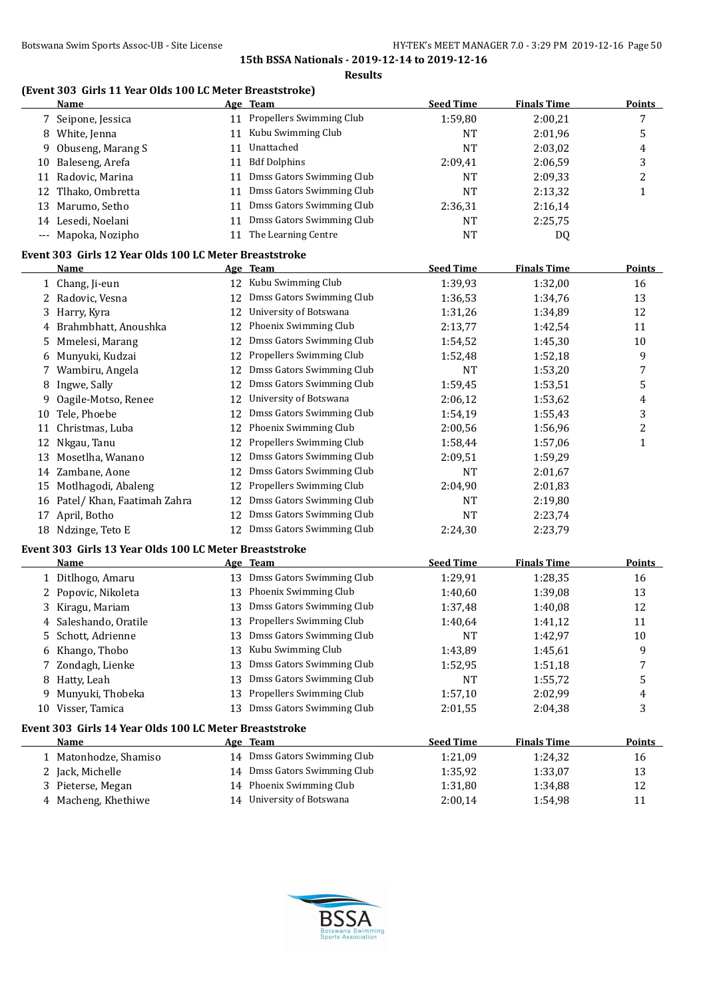**Results**

#### **(Event 303 Girls 11 Year Olds 100 LC Meter Breaststroke)**

|    | <b>Name</b>                                            |    | Age Team                     | <b>Seed Time</b> | <b>Finals Time</b> | <b>Points</b>           |
|----|--------------------------------------------------------|----|------------------------------|------------------|--------------------|-------------------------|
|    | 7 Seipone, Jessica                                     |    | 11 Propellers Swimming Club  | 1:59,80          | 2:00,21            | 7                       |
|    | 8 White, Jenna                                         |    | 11 Kubu Swimming Club        | <b>NT</b>        | 2:01,96            | 5                       |
| 9  | Obuseng, Marang S                                      | 11 | Unattached                   | <b>NT</b>        | 2:03,02            | 4                       |
| 10 | Baleseng, Arefa                                        | 11 | <b>Bdf Dolphins</b>          | 2:09,41          | 2:06,59            | 3                       |
| 11 | Radovic, Marina                                        | 11 | Dmss Gators Swimming Club    | NT               | 2:09,33            | 2                       |
|    | 12 Tlhako, Ombretta                                    | 11 | Dmss Gators Swimming Club    | <b>NT</b>        | 2:13,32            | $\mathbf{1}$            |
| 13 | Marumo, Setho                                          | 11 | Dmss Gators Swimming Club    | 2:36,31          | 2:16,14            |                         |
|    | 14 Lesedi, Noelani                                     | 11 | Dmss Gators Swimming Club    | NT               | 2:25,75            |                         |
|    | --- Mapoka, Nozipho                                    | 11 | The Learning Centre          | <b>NT</b>        | DQ                 |                         |
|    | Event 303 Girls 12 Year Olds 100 LC Meter Breaststroke |    |                              |                  |                    |                         |
|    | <u>Name</u>                                            |    | Age Team                     | <b>Seed Time</b> | <b>Finals Time</b> | <b>Points</b>           |
|    | 1 Chang, Ji-eun                                        |    | 12 Kubu Swimming Club        | 1:39,93          | 1:32,00            | 16                      |
|    | 2 Radovic, Vesna                                       | 12 | Dmss Gators Swimming Club    | 1:36,53          | 1:34,76            | 13                      |
| 3  | Harry, Kyra                                            | 12 | University of Botswana       | 1:31,26          | 1:34,89            | 12                      |
| 4  | Brahmbhatt, Anoushka                                   | 12 | Phoenix Swimming Club        | 2:13,77          | 1:42,54            | 11                      |
| 5  | Mmelesi, Marang                                        | 12 | Dmss Gators Swimming Club    | 1:54,52          | 1:45,30            | 10                      |
| 6  | Munyuki, Kudzai                                        | 12 | Propellers Swimming Club     | 1:52,48          | 1:52,18            | 9                       |
| 7  | Wambiru, Angela                                        | 12 | Dmss Gators Swimming Club    | <b>NT</b>        | 1:53,20            | 7                       |
| 8  | Ingwe, Sally                                           | 12 | Dmss Gators Swimming Club    | 1:59,45          | 1:53,51            | 5                       |
| 9  | Oagile-Motso, Renee                                    | 12 | University of Botswana       | 2:06,12          | 1:53,62            | 4                       |
| 10 | Tele, Phoebe                                           | 12 | Dmss Gators Swimming Club    | 1:54,19          | 1:55,43            | 3                       |
| 11 | Christmas, Luba                                        | 12 | Phoenix Swimming Club        | 2:00,56          | 1:56,96            | $\overline{\mathbf{c}}$ |
|    | 12 Nkgau, Tanu                                         | 12 | Propellers Swimming Club     | 1:58,44          | 1:57,06            | $\mathbf{1}$            |
|    | 13 Mosetlha, Wanano                                    | 12 | Dmss Gators Swimming Club    | 2:09,51          | 1:59,29            |                         |
|    | 14 Zambane, Aone                                       | 12 | Dmss Gators Swimming Club    | <b>NT</b>        |                    |                         |
|    |                                                        |    | Propellers Swimming Club     |                  | 2:01,67            |                         |
| 15 | Motlhagodi, Abaleng                                    | 12 | Dmss Gators Swimming Club    | 2:04,90          | 2:01,83            |                         |
|    | 16 Patel/ Khan, Faatimah Zahra                         | 12 | Dmss Gators Swimming Club    | <b>NT</b>        | 2:19,80            |                         |
|    | 17 April, Botho                                        | 12 |                              | <b>NT</b>        | 2:23,74            |                         |
|    | 18 Ndzinge, Teto E                                     |    | 12 Dmss Gators Swimming Club | 2:24,30          | 2:23,79            |                         |
|    | Event 303 Girls 13 Year Olds 100 LC Meter Breaststroke |    |                              |                  |                    |                         |
|    | <u>Name</u>                                            |    | Age Team                     | <b>Seed Time</b> | <b>Finals Time</b> | <b>Points</b>           |
|    | 1 Ditlhogo, Amaru                                      |    | 13 Dmss Gators Swimming Club | 1:29,91          | 1:28,35            | 16                      |
|    | 2 Popovic, Nikoleta                                    |    | 13 Phoenix Swimming Club     | 1:40,60          | 1:39,08            | 13                      |
|    | 3 Kiragu, Mariam                                       | 13 | Dmss Gators Swimming Club    | 1:37,48          | 1:40,08            | 12                      |
|    | 4 Saleshando, Oratile                                  |    | 13 Propellers Swimming Club  | 1:40,64          | 1:41,12            | 11                      |
| 5  | Schott, Adrienne                                       | 13 | Dmss Gators Swimming Club    | <b>NT</b>        | 1:42,97            | $10\,$                  |
| 6  | Khango, Thobo                                          | 13 | Kubu Swimming Club           | 1:43,89          | 1:45,61            | 9                       |
| 7  | Zondagh, Lienke                                        | 13 | Dmss Gators Swimming Club    | 1:52,95          | 1:51,18            | 7                       |
| 8  | Hatty, Leah                                            | 13 | Dmss Gators Swimming Club    | NT               | 1:55,72            | 5                       |
| 9  | Munyuki, Thobeka                                       | 13 | Propellers Swimming Club     | 1:57,10          | 2:02,99            | 4                       |
|    | 10 Visser, Tamica                                      | 13 | Dmss Gators Swimming Club    | 2:01,55          | 2:04,38            | 3                       |
|    | Event 303 Girls 14 Year Olds 100 LC Meter Breaststroke |    |                              |                  |                    |                         |
|    | <u>Name</u>                                            |    | Age Team                     | <b>Seed Time</b> | <b>Finals Time</b> | <b>Points</b>           |
|    | 1 Matonhodze, Shamiso                                  |    | 14 Dmss Gators Swimming Club | 1:21,09          | 1:24,32            | 16                      |
|    | 2 Jack, Michelle                                       |    | 14 Dmss Gators Swimming Club | 1:35,92          | 1:33,07            | 13                      |
|    | 3 Pieterse, Megan                                      |    | 14 Phoenix Swimming Club     | 1:31,80          | 1:34,88            | 12                      |
|    | 4 Macheng, Khethiwe                                    |    | 14 University of Botswana    | 2:00,14          | 1:54,98            | 11                      |

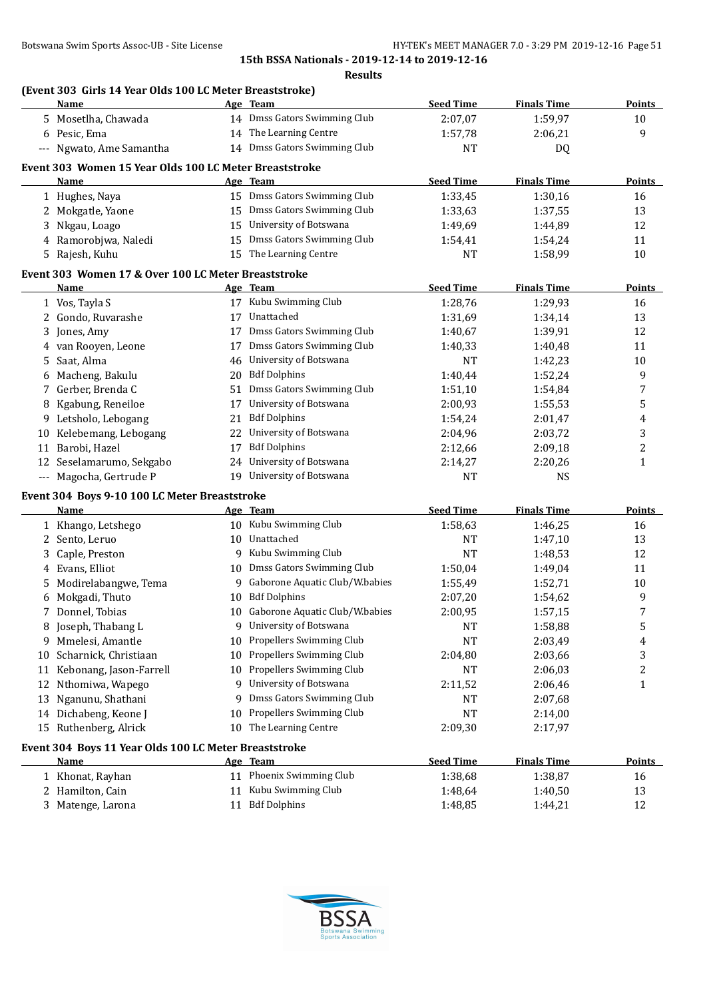**Results**

# **(Event 303 Girls 14 Year Olds 100 LC Meter Breaststroke)**

|              | <b>Name</b>                                            |    | Age Team                                            | <b>Seed Time</b> | <b>Finals Time</b> | <b>Points</b>  |
|--------------|--------------------------------------------------------|----|-----------------------------------------------------|------------------|--------------------|----------------|
|              | 5 Mosetlha, Chawada                                    |    | 14 Dmss Gators Swimming Club                        | 2:07,07          | 1:59,97            | 10             |
|              | 6 Pesic, Ema                                           |    | 14 The Learning Centre                              | 1:57,78          | 2:06,21            | 9              |
|              | --- Ngwato, Ame Samantha                               |    | 14 Dmss Gators Swimming Club                        | NT               | DQ                 |                |
|              | Event 303 Women 15 Year Olds 100 LC Meter Breaststroke |    |                                                     |                  |                    |                |
|              | Name                                                   |    | Age Team                                            | <b>Seed Time</b> | <b>Finals Time</b> | <b>Points</b>  |
|              |                                                        |    | 15 Dmss Gators Swimming Club                        | 1:33,45          |                    |                |
|              | 1 Hughes, Naya                                         |    | 15 Dmss Gators Swimming Club                        |                  | 1:30,16            | 16             |
|              | 2 Mokgatle, Yaone                                      |    | 15 University of Botswana                           | 1:33,63          | 1:37,55            | 13             |
| 3            | Nkgau, Loago                                           |    |                                                     | 1:49,69          | 1:44,89            | 12             |
| 4            | Ramorobjwa, Naledi                                     | 15 | Dmss Gators Swimming Club<br>15 The Learning Centre | 1:54,41          | 1:54,24            | 11             |
|              | 5 Rajesh, Kuhu                                         |    |                                                     | <b>NT</b>        | 1:58,99            | 10             |
|              | Event 303 Women 17 & Over 100 LC Meter Breaststroke    |    |                                                     |                  |                    |                |
|              | Name                                                   |    | Age Team                                            | <b>Seed Time</b> | <b>Finals Time</b> | <b>Points</b>  |
|              | 1 Vos, Tayla S                                         |    | 17 Kubu Swimming Club                               | 1:28,76          | 1:29,93            | 16             |
|              | 2 Gondo, Ruvarashe                                     | 17 | Unattached                                          | 1:31,69          | 1:34,14            | 13             |
| 3            | Jones, Amy                                             | 17 | Dmss Gators Swimming Club                           | 1:40,67          | 1:39,91            | 12             |
| 4            | van Rooyen, Leone                                      | 17 | Dmss Gators Swimming Club                           | 1:40,33          | 1:40,48            | 11             |
| 5            | Saat, Alma                                             | 46 | University of Botswana                              | <b>NT</b>        | 1:42,23            | 10             |
| 6            | Macheng, Bakulu                                        | 20 | <b>Bdf Dolphins</b>                                 | 1:40,44          | 1:52,24            | 9              |
| 7            | Gerber, Brenda C                                       | 51 | Dmss Gators Swimming Club                           | 1:51,10          | 1:54,84            | 7              |
| 8            | Kgabung, Reneiloe                                      | 17 | University of Botswana                              | 2:00,93          | 1:55,53            | 5              |
|              | 9 Letsholo, Lebogang                                   | 21 | <b>Bdf Dolphins</b>                                 | 1:54,24          | 2:01,47            | 4              |
|              | 10 Kelebemang, Lebogang                                | 22 | University of Botswana                              | 2:04,96          | 2:03,72            | 3              |
|              | 11 Barobi, Hazel                                       | 17 | <b>Bdf Dolphins</b>                                 | 2:12,66          | 2:09,18            | 2              |
|              | 12 Seselamarumo, Sekgabo                               | 24 | University of Botswana                              | 2:14,27          | 2:20,26            | $\mathbf{1}$   |
|              | --- Magocha, Gertrude P                                |    | 19 University of Botswana                           | <b>NT</b>        | <b>NS</b>          |                |
|              |                                                        |    |                                                     |                  |                    |                |
|              | Event 304 Boys 9-10 100 LC Meter Breaststroke          |    |                                                     |                  |                    |                |
|              | Name                                                   |    | Age Team                                            | <b>Seed Time</b> | <b>Finals Time</b> | <b>Points</b>  |
|              | 1 Khango, Letshego                                     |    | 10 Kubu Swimming Club                               | 1:58,63          | 1:46,25            | 16             |
| $\mathbf{2}$ | Sento, Leruo                                           | 10 | Unattached                                          | <b>NT</b>        | 1:47,10            | 13             |
| 3            | Caple, Preston                                         | 9  | Kubu Swimming Club                                  | <b>NT</b>        | 1:48,53            | 12             |
| 4            | Evans, Elliot                                          | 10 | Dmss Gators Swimming Club                           | 1:50,04          | 1:49,04            | 11             |
| 5            | Modirelabangwe, Tema                                   | 9  | Gaborone Aquatic Club/W.babies                      | 1:55,49          | 1:52,71            | 10             |
|              | 6 Mokgadi, Thuto                                       | 10 | <b>Bdf Dolphins</b>                                 | 2:07,20          | 1:54,62            | 9              |
|              | Donnel, Tobias                                         | 10 | Gaborone Aquatic Club/W.babies                      | 2:00,95          | 1:57,15            | 7              |
|              | 8 Joseph, Thabang L                                    | 9  | University of Botswana                              | <b>NT</b>        | 1:58,88            | 5              |
|              | 9 Mmelesi, Amantle                                     | 10 | Propellers Swimming Club                            | <b>NT</b>        | 2:03,49            | 4              |
| 10           | Scharnick, Christiaan                                  | 10 | Propellers Swimming Club                            | 2:04,80          | 2:03,66            | 3              |
| 11           | Kebonang, Jason-Farrell                                | 10 | Propellers Swimming Club                            | NT               | 2:06,03            | $\overline{c}$ |
| 12           | Nthomiwa, Wapego                                       | 9  | University of Botswana                              | 2:11,52          | 2:06,46            | 1              |
| 13           | Nganunu, Shathani                                      | 9  | Dmss Gators Swimming Club                           | NT               | 2:07,68            |                |
| 14           | Dichabeng, Keone J                                     | 10 | Propellers Swimming Club                            | <b>NT</b>        | 2:14,00            |                |
|              | 15 Ruthenberg, Alrick                                  | 10 | The Learning Centre                                 | 2:09,30          | 2:17,97            |                |
|              | Event 304 Boys 11 Year Olds 100 LC Meter Breaststroke  |    |                                                     |                  |                    |                |
|              | <u>Name</u>                                            |    | Age Team                                            | <b>Seed Time</b> | <b>Finals Time</b> | <b>Points</b>  |
|              | 1 Khonat, Rayhan                                       |    | 11 Phoenix Swimming Club                            | 1:38,68          | 1:38,87            | 16             |
|              | 2 Hamilton, Cain                                       |    | 11 Kubu Swimming Club                               | 1:48,64          | 1:40,50            | 13             |
|              | 3 Matenge, Larona                                      |    | 11 Bdf Dolphins                                     | 1:48,85          | 1:44,21            | 12             |
|              |                                                        |    |                                                     |                  |                    |                |

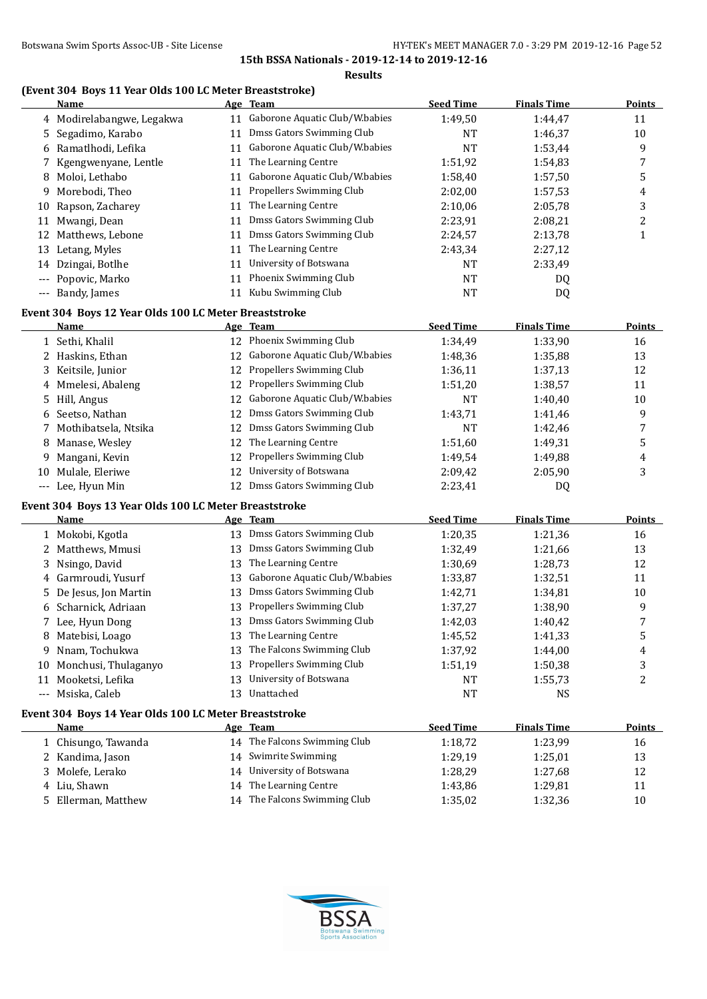**Results**

## **(Event 304 Boys 11 Year Olds 100 LC Meter Breaststroke)**

|     | Name                                                  |          | Age Team                          | <b>Seed Time</b> | <b>Finals Time</b> | <b>Points</b>    |
|-----|-------------------------------------------------------|----------|-----------------------------------|------------------|--------------------|------------------|
|     | 4 Modirelabangwe, Legakwa                             |          | 11 Gaborone Aquatic Club/W.babies | 1:49,50          | 1:44,47            | 11               |
| 5   | Segadimo, Karabo                                      | 11       | Dmss Gators Swimming Club         | NT               | 1:46,37            | 10               |
| 6   | Ramatlhodi, Lefika                                    | 11       | Gaborone Aquatic Club/W.babies    | <b>NT</b>        | 1:53,44            | 9                |
| 7   | Kgengwenyane, Lentle                                  | 11       | The Learning Centre               | 1:51,92          | 1:54,83            | 7                |
| 8   | Moloi, Lethabo                                        | 11       | Gaborone Aquatic Club/W.babies    | 1:58,40          | 1:57,50            | 5                |
| 9   | Morebodi, Theo                                        | 11       | Propellers Swimming Club          | 2:02,00          | 1:57,53            | 4                |
| 10  | Rapson, Zacharey                                      | 11       | The Learning Centre               | 2:10,06          | 2:05,78            | 3                |
|     | 11 Mwangi, Dean                                       | 11       | Dmss Gators Swimming Club         | 2:23,91          | 2:08,21            | $\boldsymbol{2}$ |
|     | 12 Matthews, Lebone                                   | 11       | Dmss Gators Swimming Club         | 2:24,57          | 2:13,78            | $\mathbf{1}$     |
|     | 13 Letang, Myles                                      | 11       | The Learning Centre               | 2:43,34          | 2:27,12            |                  |
| 14  | Dzingai, Botlhe                                       | 11       | University of Botswana            | <b>NT</b>        | 2:33,49            |                  |
|     | Popovic, Marko                                        | 11       | Phoenix Swimming Club             | NT               | DQ                 |                  |
|     | --- Bandy, James                                      | 11       | Kubu Swimming Club                | NT               | DQ                 |                  |
|     |                                                       |          |                                   |                  |                    |                  |
|     | Event 304 Boys 12 Year Olds 100 LC Meter Breaststroke |          |                                   |                  |                    |                  |
|     | <u>Name</u>                                           |          | Age Team                          | <b>Seed Time</b> | <b>Finals Time</b> | <b>Points</b>    |
|     | 1 Sethi, Khalil                                       |          | 12 Phoenix Swimming Club          | 1:34,49          | 1:33,90            | 16               |
|     | 2 Haskins, Ethan                                      |          | 12 Gaborone Aquatic Club/W.babies | 1:48,36          | 1:35,88            | 13               |
|     | 3 Keitsile, Junior                                    |          | 12 Propellers Swimming Club       | 1:36,11          | 1:37,13            | 12               |
| 4   | Mmelesi, Abaleng                                      | 12       | Propellers Swimming Club          | 1:51,20          | 1:38,57            | 11               |
|     | 5 Hill, Angus                                         | 12       | Gaborone Aquatic Club/W.babies    | <b>NT</b>        | 1:40,40            | 10               |
| 6   | Seetso, Nathan                                        | 12       | Dmss Gators Swimming Club         | 1:43,71          | 1:41,46            | 9                |
| 7   | Mothibatsela, Ntsika                                  | 12       | Dmss Gators Swimming Club         | <b>NT</b>        | 1:42,46            | 7                |
| 8   | Manase, Wesley                                        | 12       | The Learning Centre               | 1:51,60          | 1:49,31            | 5                |
| 9   | Mangani, Kevin                                        | 12       | Propellers Swimming Club          | 1:49,54          | 1:49,88            | 4                |
| 10  | Mulale, Eleriwe                                       | 12       | University of Botswana            | 2:09,42          | 2:05,90            | 3                |
|     | --- Lee, Hyun Min                                     | 12       | Dmss Gators Swimming Club         | 2:23,41          | DQ                 |                  |
|     | Event 304 Boys 13 Year Olds 100 LC Meter Breaststroke |          |                                   |                  |                    |                  |
|     | <b>Name</b>                                           |          | Age Team                          | <b>Seed Time</b> | <b>Finals Time</b> | <b>Points</b>    |
|     | 1 Mokobi, Kgotla                                      |          | 13 Dmss Gators Swimming Club      | 1:20,35          | 1:21,36            | 16               |
|     | 2 Matthews, Mmusi                                     | 13       | Dmss Gators Swimming Club         | 1:32,49          | 1:21,66            | 13               |
|     | 3 Nsingo, David                                       | 13       | The Learning Centre               | 1:30,69          | 1:28,73            | 12               |
|     | 4 Garmroudi, Yusurf                                   | 13       | Gaborone Aquatic Club/W.babies    |                  |                    | 11               |
|     | 5 De Jesus, Jon Martin                                |          | Dmss Gators Swimming Club         | 1:33,87          | 1:32,51            |                  |
|     |                                                       | 13<br>13 | Propellers Swimming Club          | 1:42,71          | 1:34,81            | 10               |
|     | 6 Scharnick, Adriaan                                  |          | 13 Dmss Gators Swimming Club      | 1:37,27          | 1:38,90            | 9                |
|     | 7 Lee, Hyun Dong                                      |          | The Learning Centre               | 1:42,03          | 1:40,42            | 7                |
| ୪.  | Matebisi, Loago                                       |          |                                   | 1:45,52          | 1:41,33            | 5                |
| 9.  | Nnam, Tochukwa                                        | 13       | The Falcons Swimming Club         | 1:37,92          | 1:44,00            | 4                |
| 10  | Monchusi, Thulaganyo                                  | 13       | Propellers Swimming Club          | 1:51,19          | 1:50,38            | 3                |
|     | 11 Mooketsi, Lefika                                   | 13       | University of Botswana            | NT               | 1:55,73            | 2                |
| --- | Msiska, Caleb                                         |          | 13 Unattached                     | NT               | NS                 |                  |
|     | Event 304 Boys 14 Year Olds 100 LC Meter Breaststroke |          |                                   |                  |                    |                  |
|     | <b>Name</b>                                           |          | Age Team                          | <b>Seed Time</b> | <b>Finals Time</b> | <b>Points</b>    |
|     | 1 Chisungo, Tawanda                                   |          | 14 The Falcons Swimming Club      | 1:18,72          | 1:23,99            | 16               |
|     | 2 Kandima, Jason                                      | 14       | Swimrite Swimming                 | 1:29,19          | 1:25,01            | 13               |
| 3.  | Molefe, Lerako                                        | 14       | University of Botswana            | 1:28,29          | 1:27,68            | 12               |
|     | 4 Liu, Shawn                                          | 14       | The Learning Centre               | 1:43,86          | 1:29,81            | 11               |
|     | 5 Ellerman, Matthew                                   |          | 14 The Falcons Swimming Club      | 1:35,02          | 1:32,36            | 10               |

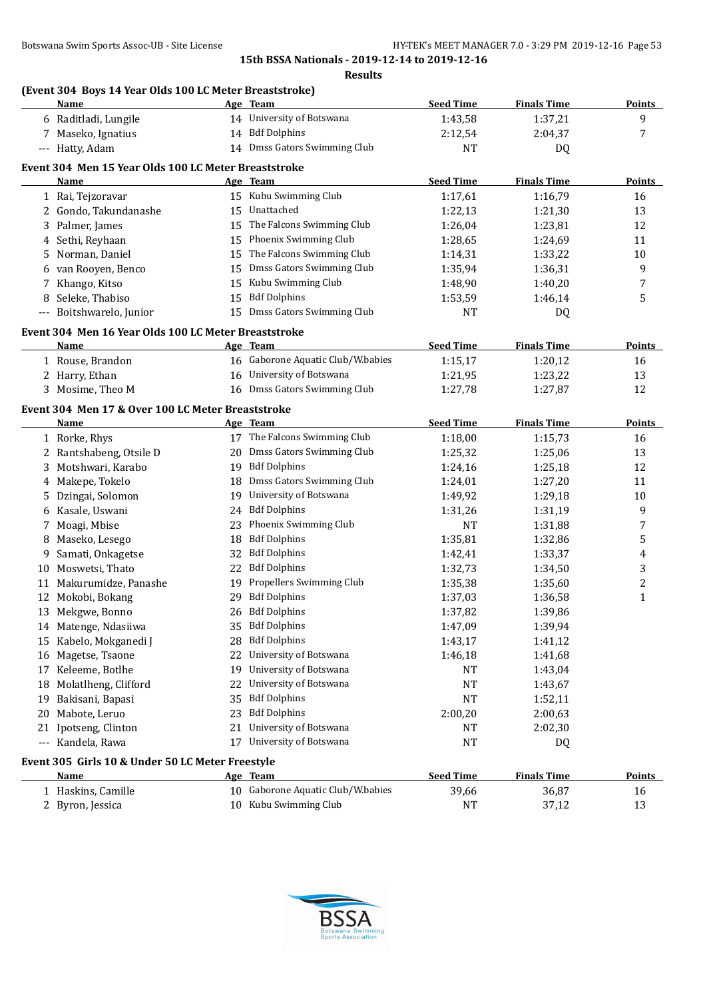#### **Results**

## **(Event 304 Boys 14 Year Olds 100 LC Meter Breaststroke)**

| 9<br>14 University of Botswana<br>1:43,58<br>1:37,21<br>6 Raditladi, Lungile<br>14 Bdf Dolphins<br>7 Maseko, Ignatius<br>2:04,37<br>7<br>2:12,54<br>14 Dmss Gators Swimming Club<br>--- Hatty, Adam<br>NT<br>DQ<br>Event 304 Men 15 Year Olds 100 LC Meter Breaststroke<br><b>Seed Time</b><br><b>Finals Time</b><br>Age Team<br><b>Points</b><br>Name<br>15 Kubu Swimming Club<br>1 Rai, Tejzoravar<br>1:17,61<br>1:16,79<br>16<br>Unattached<br>2 Gondo, Takundanashe<br>1:22,13<br>1:21,30<br>13<br>15<br>The Falcons Swimming Club<br>3 Palmer, James<br>15<br>12<br>1:26,04<br>1:23,81<br>Phoenix Swimming Club<br>4 Sethi, Reyhaan<br>15<br>1:28,65<br>1:24,69<br>11<br>The Falcons Swimming Club<br>Norman, Daniel<br>1:33,22<br>10<br>15<br>1:14,31<br>5.<br>Dmss Gators Swimming Club<br>6 van Rooyen, Benco<br>9<br>15<br>1:35,94<br>1:36,31<br>Kubu Swimming Club<br>7 Khango, Kitso<br>15<br>1:48,90<br>1:40,20<br>7<br><b>Bdf Dolphins</b><br>8 Seleke, Thabiso<br>5<br>15<br>1:53,59<br>1:46,14<br>Dmss Gators Swimming Club<br>--- Boitshwarelo, Junior<br>15<br>NT<br>DQ<br>Event 304 Men 16 Year Olds 100 LC Meter Breaststroke<br><b>Seed Time</b><br><b>Finals Time</b><br>Name<br>Age Team<br>16 Gaborone Aquatic Club/W.babies<br>1:15,17<br>1:20,12<br>1 Rouse, Brandon<br>16<br>2 Harry, Ethan<br>16 University of Botswana<br>1:21,95<br>1:23,22<br>13<br>16 Dmss Gators Swimming Club<br>3 Mosime, Theo M<br>12<br>1:27,78<br>1:27,87<br>Event 304 Men 17 & Over 100 LC Meter Breaststroke<br><b>Seed Time</b><br><b>Finals Time</b><br><b>Points</b><br>Age Team<br><u>Name</u><br>17 The Falcons Swimming Club<br>1 Rorke, Rhys<br>1:18,00<br>1:15,73<br>16<br>20 Dmss Gators Swimming Club<br>2 Rantshabeng, Otsile D<br>1:25,32<br>13<br>1:25,06<br>19 Bdf Dolphins<br>3 Motshwari, Karabo<br>12<br>1:24,16<br>1:25,18<br>Dmss Gators Swimming Club<br>4 Makepe, Tokelo<br>18<br>1:24,01<br>1:27,20<br>11<br>University of Botswana<br>Dzingai, Solomon<br>10<br>19<br>1:49,92<br>1:29,18<br>5.<br><b>Bdf Dolphins</b><br>9<br>6 Kasale, Uswani<br>1:31,19<br>24<br>1:31,26<br>Phoenix Swimming Club<br>7 Moagi, Mbise<br>23<br>NT<br>7<br>1:31,88<br>5<br><b>Bdf Dolphins</b><br>8 Maseko, Lesego<br>1:35,81<br>18<br>1:32,86<br><b>Bdf Dolphins</b><br>Samati, Onkagetse<br>32<br>1:42,41<br>1:33,37<br>9<br>4<br><b>Bdf Dolphins</b><br>3<br>10 Moswetsi, Thato<br>22<br>1:32,73<br>1:34,50<br>Propellers Swimming Club<br>2<br>11 Makurumidze, Panashe<br>19<br>1:35,38<br>1:35,60<br><b>Bdf Dolphins</b><br>12 Mokobi, Bokang<br>$\mathbf{1}$<br>29<br>1:37,03<br>1:36,58<br><b>Bdf Dolphins</b><br>13 Mekgwe, Bonno<br>26<br>1:37,82<br>1:39,86<br>35 Bdf Dolphins<br>1:39,94<br>14 Matenge, Ndasiiwa<br>1:47,09<br>28 Bdf Dolphins<br>15 Kabelo, Mokganedi J<br>1:43,17<br>1:41,12<br>22 University of Botswana<br>16 Magetse, Tsaone<br>1:46,18<br>1:41,68<br>University of Botswana<br>17 Keleeme, Botlhe<br>1:43,04<br>19<br>NT<br>University of Botswana<br>18 Molatlheng, Clifford<br>NT<br>1:43,67<br>22<br><b>Bdf Dolphins</b><br>19 Bakisani, Bapasi<br>35<br>NT<br>1:52,11<br><b>Bdf Dolphins</b><br>20 Mabote, Leruo<br>2:00,63<br>23<br>2:00,20<br>University of Botswana<br>Ipotseng, Clinton<br>2:02,30<br>21<br>NT<br>21<br>University of Botswana<br>--- Kandela, Rawa<br>17<br>NT<br>DQ<br>Event 305 Girls 10 & Under 50 LC Meter Freestyle<br><b>Seed Time</b><br><b>Finals Time</b><br>Age Team<br><u>Name</u><br>10 Gaborone Aquatic Club/W.babies<br>1 Haskins, Camille<br>39,66<br>16<br>36,87<br>10 Kubu Swimming Club<br>2 Byron, Jessica | <b>Name</b> | Age Team | <b>Seed Time</b> | <b>Finals Time</b> | <b>Points</b> |
|------------------------------------------------------------------------------------------------------------------------------------------------------------------------------------------------------------------------------------------------------------------------------------------------------------------------------------------------------------------------------------------------------------------------------------------------------------------------------------------------------------------------------------------------------------------------------------------------------------------------------------------------------------------------------------------------------------------------------------------------------------------------------------------------------------------------------------------------------------------------------------------------------------------------------------------------------------------------------------------------------------------------------------------------------------------------------------------------------------------------------------------------------------------------------------------------------------------------------------------------------------------------------------------------------------------------------------------------------------------------------------------------------------------------------------------------------------------------------------------------------------------------------------------------------------------------------------------------------------------------------------------------------------------------------------------------------------------------------------------------------------------------------------------------------------------------------------------------------------------------------------------------------------------------------------------------------------------------------------------------------------------------------------------------------------------------------------------------------------------------------------------------------------------------------------------------------------------------------------------------------------------------------------------------------------------------------------------------------------------------------------------------------------------------------------------------------------------------------------------------------------------------------------------------------------------------------------------------------------------------------------------------------------------------------------------------------------------------------------------------------------------------------------------------------------------------------------------------------------------------------------------------------------------------------------------------------------------------------------------------------------------------------------------------------------------------------------------------------------------------------------------------------------------------------------------------------------------------------------------------------------------------------------------------------------------------------------------------------------------------------------------------------------------------------------------------------------------------------------------------------------------------------------------------------------------------------------------------------|-------------|----------|------------------|--------------------|---------------|
|                                                                                                                                                                                                                                                                                                                                                                                                                                                                                                                                                                                                                                                                                                                                                                                                                                                                                                                                                                                                                                                                                                                                                                                                                                                                                                                                                                                                                                                                                                                                                                                                                                                                                                                                                                                                                                                                                                                                                                                                                                                                                                                                                                                                                                                                                                                                                                                                                                                                                                                                                                                                                                                                                                                                                                                                                                                                                                                                                                                                                                                                                                                                                                                                                                                                                                                                                                                                                                                                                                                                                                                                      |             |          |                  |                    |               |
|                                                                                                                                                                                                                                                                                                                                                                                                                                                                                                                                                                                                                                                                                                                                                                                                                                                                                                                                                                                                                                                                                                                                                                                                                                                                                                                                                                                                                                                                                                                                                                                                                                                                                                                                                                                                                                                                                                                                                                                                                                                                                                                                                                                                                                                                                                                                                                                                                                                                                                                                                                                                                                                                                                                                                                                                                                                                                                                                                                                                                                                                                                                                                                                                                                                                                                                                                                                                                                                                                                                                                                                                      |             |          |                  |                    |               |
|                                                                                                                                                                                                                                                                                                                                                                                                                                                                                                                                                                                                                                                                                                                                                                                                                                                                                                                                                                                                                                                                                                                                                                                                                                                                                                                                                                                                                                                                                                                                                                                                                                                                                                                                                                                                                                                                                                                                                                                                                                                                                                                                                                                                                                                                                                                                                                                                                                                                                                                                                                                                                                                                                                                                                                                                                                                                                                                                                                                                                                                                                                                                                                                                                                                                                                                                                                                                                                                                                                                                                                                                      |             |          |                  |                    |               |
|                                                                                                                                                                                                                                                                                                                                                                                                                                                                                                                                                                                                                                                                                                                                                                                                                                                                                                                                                                                                                                                                                                                                                                                                                                                                                                                                                                                                                                                                                                                                                                                                                                                                                                                                                                                                                                                                                                                                                                                                                                                                                                                                                                                                                                                                                                                                                                                                                                                                                                                                                                                                                                                                                                                                                                                                                                                                                                                                                                                                                                                                                                                                                                                                                                                                                                                                                                                                                                                                                                                                                                                                      |             |          |                  |                    |               |
|                                                                                                                                                                                                                                                                                                                                                                                                                                                                                                                                                                                                                                                                                                                                                                                                                                                                                                                                                                                                                                                                                                                                                                                                                                                                                                                                                                                                                                                                                                                                                                                                                                                                                                                                                                                                                                                                                                                                                                                                                                                                                                                                                                                                                                                                                                                                                                                                                                                                                                                                                                                                                                                                                                                                                                                                                                                                                                                                                                                                                                                                                                                                                                                                                                                                                                                                                                                                                                                                                                                                                                                                      |             |          |                  |                    |               |
|                                                                                                                                                                                                                                                                                                                                                                                                                                                                                                                                                                                                                                                                                                                                                                                                                                                                                                                                                                                                                                                                                                                                                                                                                                                                                                                                                                                                                                                                                                                                                                                                                                                                                                                                                                                                                                                                                                                                                                                                                                                                                                                                                                                                                                                                                                                                                                                                                                                                                                                                                                                                                                                                                                                                                                                                                                                                                                                                                                                                                                                                                                                                                                                                                                                                                                                                                                                                                                                                                                                                                                                                      |             |          |                  |                    |               |
|                                                                                                                                                                                                                                                                                                                                                                                                                                                                                                                                                                                                                                                                                                                                                                                                                                                                                                                                                                                                                                                                                                                                                                                                                                                                                                                                                                                                                                                                                                                                                                                                                                                                                                                                                                                                                                                                                                                                                                                                                                                                                                                                                                                                                                                                                                                                                                                                                                                                                                                                                                                                                                                                                                                                                                                                                                                                                                                                                                                                                                                                                                                                                                                                                                                                                                                                                                                                                                                                                                                                                                                                      |             |          |                  |                    |               |
|                                                                                                                                                                                                                                                                                                                                                                                                                                                                                                                                                                                                                                                                                                                                                                                                                                                                                                                                                                                                                                                                                                                                                                                                                                                                                                                                                                                                                                                                                                                                                                                                                                                                                                                                                                                                                                                                                                                                                                                                                                                                                                                                                                                                                                                                                                                                                                                                                                                                                                                                                                                                                                                                                                                                                                                                                                                                                                                                                                                                                                                                                                                                                                                                                                                                                                                                                                                                                                                                                                                                                                                                      |             |          |                  |                    |               |
|                                                                                                                                                                                                                                                                                                                                                                                                                                                                                                                                                                                                                                                                                                                                                                                                                                                                                                                                                                                                                                                                                                                                                                                                                                                                                                                                                                                                                                                                                                                                                                                                                                                                                                                                                                                                                                                                                                                                                                                                                                                                                                                                                                                                                                                                                                                                                                                                                                                                                                                                                                                                                                                                                                                                                                                                                                                                                                                                                                                                                                                                                                                                                                                                                                                                                                                                                                                                                                                                                                                                                                                                      |             |          |                  |                    |               |
|                                                                                                                                                                                                                                                                                                                                                                                                                                                                                                                                                                                                                                                                                                                                                                                                                                                                                                                                                                                                                                                                                                                                                                                                                                                                                                                                                                                                                                                                                                                                                                                                                                                                                                                                                                                                                                                                                                                                                                                                                                                                                                                                                                                                                                                                                                                                                                                                                                                                                                                                                                                                                                                                                                                                                                                                                                                                                                                                                                                                                                                                                                                                                                                                                                                                                                                                                                                                                                                                                                                                                                                                      |             |          |                  |                    |               |
|                                                                                                                                                                                                                                                                                                                                                                                                                                                                                                                                                                                                                                                                                                                                                                                                                                                                                                                                                                                                                                                                                                                                                                                                                                                                                                                                                                                                                                                                                                                                                                                                                                                                                                                                                                                                                                                                                                                                                                                                                                                                                                                                                                                                                                                                                                                                                                                                                                                                                                                                                                                                                                                                                                                                                                                                                                                                                                                                                                                                                                                                                                                                                                                                                                                                                                                                                                                                                                                                                                                                                                                                      |             |          |                  |                    |               |
|                                                                                                                                                                                                                                                                                                                                                                                                                                                                                                                                                                                                                                                                                                                                                                                                                                                                                                                                                                                                                                                                                                                                                                                                                                                                                                                                                                                                                                                                                                                                                                                                                                                                                                                                                                                                                                                                                                                                                                                                                                                                                                                                                                                                                                                                                                                                                                                                                                                                                                                                                                                                                                                                                                                                                                                                                                                                                                                                                                                                                                                                                                                                                                                                                                                                                                                                                                                                                                                                                                                                                                                                      |             |          |                  |                    |               |
|                                                                                                                                                                                                                                                                                                                                                                                                                                                                                                                                                                                                                                                                                                                                                                                                                                                                                                                                                                                                                                                                                                                                                                                                                                                                                                                                                                                                                                                                                                                                                                                                                                                                                                                                                                                                                                                                                                                                                                                                                                                                                                                                                                                                                                                                                                                                                                                                                                                                                                                                                                                                                                                                                                                                                                                                                                                                                                                                                                                                                                                                                                                                                                                                                                                                                                                                                                                                                                                                                                                                                                                                      |             |          |                  |                    |               |
|                                                                                                                                                                                                                                                                                                                                                                                                                                                                                                                                                                                                                                                                                                                                                                                                                                                                                                                                                                                                                                                                                                                                                                                                                                                                                                                                                                                                                                                                                                                                                                                                                                                                                                                                                                                                                                                                                                                                                                                                                                                                                                                                                                                                                                                                                                                                                                                                                                                                                                                                                                                                                                                                                                                                                                                                                                                                                                                                                                                                                                                                                                                                                                                                                                                                                                                                                                                                                                                                                                                                                                                                      |             |          |                  |                    |               |
|                                                                                                                                                                                                                                                                                                                                                                                                                                                                                                                                                                                                                                                                                                                                                                                                                                                                                                                                                                                                                                                                                                                                                                                                                                                                                                                                                                                                                                                                                                                                                                                                                                                                                                                                                                                                                                                                                                                                                                                                                                                                                                                                                                                                                                                                                                                                                                                                                                                                                                                                                                                                                                                                                                                                                                                                                                                                                                                                                                                                                                                                                                                                                                                                                                                                                                                                                                                                                                                                                                                                                                                                      |             |          |                  |                    |               |
|                                                                                                                                                                                                                                                                                                                                                                                                                                                                                                                                                                                                                                                                                                                                                                                                                                                                                                                                                                                                                                                                                                                                                                                                                                                                                                                                                                                                                                                                                                                                                                                                                                                                                                                                                                                                                                                                                                                                                                                                                                                                                                                                                                                                                                                                                                                                                                                                                                                                                                                                                                                                                                                                                                                                                                                                                                                                                                                                                                                                                                                                                                                                                                                                                                                                                                                                                                                                                                                                                                                                                                                                      |             |          |                  |                    |               |
|                                                                                                                                                                                                                                                                                                                                                                                                                                                                                                                                                                                                                                                                                                                                                                                                                                                                                                                                                                                                                                                                                                                                                                                                                                                                                                                                                                                                                                                                                                                                                                                                                                                                                                                                                                                                                                                                                                                                                                                                                                                                                                                                                                                                                                                                                                                                                                                                                                                                                                                                                                                                                                                                                                                                                                                                                                                                                                                                                                                                                                                                                                                                                                                                                                                                                                                                                                                                                                                                                                                                                                                                      |             |          |                  |                    | Points        |
|                                                                                                                                                                                                                                                                                                                                                                                                                                                                                                                                                                                                                                                                                                                                                                                                                                                                                                                                                                                                                                                                                                                                                                                                                                                                                                                                                                                                                                                                                                                                                                                                                                                                                                                                                                                                                                                                                                                                                                                                                                                                                                                                                                                                                                                                                                                                                                                                                                                                                                                                                                                                                                                                                                                                                                                                                                                                                                                                                                                                                                                                                                                                                                                                                                                                                                                                                                                                                                                                                                                                                                                                      |             |          |                  |                    |               |
|                                                                                                                                                                                                                                                                                                                                                                                                                                                                                                                                                                                                                                                                                                                                                                                                                                                                                                                                                                                                                                                                                                                                                                                                                                                                                                                                                                                                                                                                                                                                                                                                                                                                                                                                                                                                                                                                                                                                                                                                                                                                                                                                                                                                                                                                                                                                                                                                                                                                                                                                                                                                                                                                                                                                                                                                                                                                                                                                                                                                                                                                                                                                                                                                                                                                                                                                                                                                                                                                                                                                                                                                      |             |          |                  |                    |               |
|                                                                                                                                                                                                                                                                                                                                                                                                                                                                                                                                                                                                                                                                                                                                                                                                                                                                                                                                                                                                                                                                                                                                                                                                                                                                                                                                                                                                                                                                                                                                                                                                                                                                                                                                                                                                                                                                                                                                                                                                                                                                                                                                                                                                                                                                                                                                                                                                                                                                                                                                                                                                                                                                                                                                                                                                                                                                                                                                                                                                                                                                                                                                                                                                                                                                                                                                                                                                                                                                                                                                                                                                      |             |          |                  |                    |               |
|                                                                                                                                                                                                                                                                                                                                                                                                                                                                                                                                                                                                                                                                                                                                                                                                                                                                                                                                                                                                                                                                                                                                                                                                                                                                                                                                                                                                                                                                                                                                                                                                                                                                                                                                                                                                                                                                                                                                                                                                                                                                                                                                                                                                                                                                                                                                                                                                                                                                                                                                                                                                                                                                                                                                                                                                                                                                                                                                                                                                                                                                                                                                                                                                                                                                                                                                                                                                                                                                                                                                                                                                      |             |          |                  |                    |               |
|                                                                                                                                                                                                                                                                                                                                                                                                                                                                                                                                                                                                                                                                                                                                                                                                                                                                                                                                                                                                                                                                                                                                                                                                                                                                                                                                                                                                                                                                                                                                                                                                                                                                                                                                                                                                                                                                                                                                                                                                                                                                                                                                                                                                                                                                                                                                                                                                                                                                                                                                                                                                                                                                                                                                                                                                                                                                                                                                                                                                                                                                                                                                                                                                                                                                                                                                                                                                                                                                                                                                                                                                      |             |          |                  |                    |               |
|                                                                                                                                                                                                                                                                                                                                                                                                                                                                                                                                                                                                                                                                                                                                                                                                                                                                                                                                                                                                                                                                                                                                                                                                                                                                                                                                                                                                                                                                                                                                                                                                                                                                                                                                                                                                                                                                                                                                                                                                                                                                                                                                                                                                                                                                                                                                                                                                                                                                                                                                                                                                                                                                                                                                                                                                                                                                                                                                                                                                                                                                                                                                                                                                                                                                                                                                                                                                                                                                                                                                                                                                      |             |          |                  |                    |               |
|                                                                                                                                                                                                                                                                                                                                                                                                                                                                                                                                                                                                                                                                                                                                                                                                                                                                                                                                                                                                                                                                                                                                                                                                                                                                                                                                                                                                                                                                                                                                                                                                                                                                                                                                                                                                                                                                                                                                                                                                                                                                                                                                                                                                                                                                                                                                                                                                                                                                                                                                                                                                                                                                                                                                                                                                                                                                                                                                                                                                                                                                                                                                                                                                                                                                                                                                                                                                                                                                                                                                                                                                      |             |          |                  |                    |               |
|                                                                                                                                                                                                                                                                                                                                                                                                                                                                                                                                                                                                                                                                                                                                                                                                                                                                                                                                                                                                                                                                                                                                                                                                                                                                                                                                                                                                                                                                                                                                                                                                                                                                                                                                                                                                                                                                                                                                                                                                                                                                                                                                                                                                                                                                                                                                                                                                                                                                                                                                                                                                                                                                                                                                                                                                                                                                                                                                                                                                                                                                                                                                                                                                                                                                                                                                                                                                                                                                                                                                                                                                      |             |          |                  |                    |               |
|                                                                                                                                                                                                                                                                                                                                                                                                                                                                                                                                                                                                                                                                                                                                                                                                                                                                                                                                                                                                                                                                                                                                                                                                                                                                                                                                                                                                                                                                                                                                                                                                                                                                                                                                                                                                                                                                                                                                                                                                                                                                                                                                                                                                                                                                                                                                                                                                                                                                                                                                                                                                                                                                                                                                                                                                                                                                                                                                                                                                                                                                                                                                                                                                                                                                                                                                                                                                                                                                                                                                                                                                      |             |          |                  |                    |               |
|                                                                                                                                                                                                                                                                                                                                                                                                                                                                                                                                                                                                                                                                                                                                                                                                                                                                                                                                                                                                                                                                                                                                                                                                                                                                                                                                                                                                                                                                                                                                                                                                                                                                                                                                                                                                                                                                                                                                                                                                                                                                                                                                                                                                                                                                                                                                                                                                                                                                                                                                                                                                                                                                                                                                                                                                                                                                                                                                                                                                                                                                                                                                                                                                                                                                                                                                                                                                                                                                                                                                                                                                      |             |          |                  |                    |               |
|                                                                                                                                                                                                                                                                                                                                                                                                                                                                                                                                                                                                                                                                                                                                                                                                                                                                                                                                                                                                                                                                                                                                                                                                                                                                                                                                                                                                                                                                                                                                                                                                                                                                                                                                                                                                                                                                                                                                                                                                                                                                                                                                                                                                                                                                                                                                                                                                                                                                                                                                                                                                                                                                                                                                                                                                                                                                                                                                                                                                                                                                                                                                                                                                                                                                                                                                                                                                                                                                                                                                                                                                      |             |          |                  |                    |               |
|                                                                                                                                                                                                                                                                                                                                                                                                                                                                                                                                                                                                                                                                                                                                                                                                                                                                                                                                                                                                                                                                                                                                                                                                                                                                                                                                                                                                                                                                                                                                                                                                                                                                                                                                                                                                                                                                                                                                                                                                                                                                                                                                                                                                                                                                                                                                                                                                                                                                                                                                                                                                                                                                                                                                                                                                                                                                                                                                                                                                                                                                                                                                                                                                                                                                                                                                                                                                                                                                                                                                                                                                      |             |          |                  |                    |               |
|                                                                                                                                                                                                                                                                                                                                                                                                                                                                                                                                                                                                                                                                                                                                                                                                                                                                                                                                                                                                                                                                                                                                                                                                                                                                                                                                                                                                                                                                                                                                                                                                                                                                                                                                                                                                                                                                                                                                                                                                                                                                                                                                                                                                                                                                                                                                                                                                                                                                                                                                                                                                                                                                                                                                                                                                                                                                                                                                                                                                                                                                                                                                                                                                                                                                                                                                                                                                                                                                                                                                                                                                      |             |          |                  |                    |               |
|                                                                                                                                                                                                                                                                                                                                                                                                                                                                                                                                                                                                                                                                                                                                                                                                                                                                                                                                                                                                                                                                                                                                                                                                                                                                                                                                                                                                                                                                                                                                                                                                                                                                                                                                                                                                                                                                                                                                                                                                                                                                                                                                                                                                                                                                                                                                                                                                                                                                                                                                                                                                                                                                                                                                                                                                                                                                                                                                                                                                                                                                                                                                                                                                                                                                                                                                                                                                                                                                                                                                                                                                      |             |          |                  |                    |               |
|                                                                                                                                                                                                                                                                                                                                                                                                                                                                                                                                                                                                                                                                                                                                                                                                                                                                                                                                                                                                                                                                                                                                                                                                                                                                                                                                                                                                                                                                                                                                                                                                                                                                                                                                                                                                                                                                                                                                                                                                                                                                                                                                                                                                                                                                                                                                                                                                                                                                                                                                                                                                                                                                                                                                                                                                                                                                                                                                                                                                                                                                                                                                                                                                                                                                                                                                                                                                                                                                                                                                                                                                      |             |          |                  |                    |               |
|                                                                                                                                                                                                                                                                                                                                                                                                                                                                                                                                                                                                                                                                                                                                                                                                                                                                                                                                                                                                                                                                                                                                                                                                                                                                                                                                                                                                                                                                                                                                                                                                                                                                                                                                                                                                                                                                                                                                                                                                                                                                                                                                                                                                                                                                                                                                                                                                                                                                                                                                                                                                                                                                                                                                                                                                                                                                                                                                                                                                                                                                                                                                                                                                                                                                                                                                                                                                                                                                                                                                                                                                      |             |          |                  |                    |               |
|                                                                                                                                                                                                                                                                                                                                                                                                                                                                                                                                                                                                                                                                                                                                                                                                                                                                                                                                                                                                                                                                                                                                                                                                                                                                                                                                                                                                                                                                                                                                                                                                                                                                                                                                                                                                                                                                                                                                                                                                                                                                                                                                                                                                                                                                                                                                                                                                                                                                                                                                                                                                                                                                                                                                                                                                                                                                                                                                                                                                                                                                                                                                                                                                                                                                                                                                                                                                                                                                                                                                                                                                      |             |          |                  |                    |               |
|                                                                                                                                                                                                                                                                                                                                                                                                                                                                                                                                                                                                                                                                                                                                                                                                                                                                                                                                                                                                                                                                                                                                                                                                                                                                                                                                                                                                                                                                                                                                                                                                                                                                                                                                                                                                                                                                                                                                                                                                                                                                                                                                                                                                                                                                                                                                                                                                                                                                                                                                                                                                                                                                                                                                                                                                                                                                                                                                                                                                                                                                                                                                                                                                                                                                                                                                                                                                                                                                                                                                                                                                      |             |          |                  |                    |               |
|                                                                                                                                                                                                                                                                                                                                                                                                                                                                                                                                                                                                                                                                                                                                                                                                                                                                                                                                                                                                                                                                                                                                                                                                                                                                                                                                                                                                                                                                                                                                                                                                                                                                                                                                                                                                                                                                                                                                                                                                                                                                                                                                                                                                                                                                                                                                                                                                                                                                                                                                                                                                                                                                                                                                                                                                                                                                                                                                                                                                                                                                                                                                                                                                                                                                                                                                                                                                                                                                                                                                                                                                      |             |          |                  |                    |               |
|                                                                                                                                                                                                                                                                                                                                                                                                                                                                                                                                                                                                                                                                                                                                                                                                                                                                                                                                                                                                                                                                                                                                                                                                                                                                                                                                                                                                                                                                                                                                                                                                                                                                                                                                                                                                                                                                                                                                                                                                                                                                                                                                                                                                                                                                                                                                                                                                                                                                                                                                                                                                                                                                                                                                                                                                                                                                                                                                                                                                                                                                                                                                                                                                                                                                                                                                                                                                                                                                                                                                                                                                      |             |          |                  |                    |               |
|                                                                                                                                                                                                                                                                                                                                                                                                                                                                                                                                                                                                                                                                                                                                                                                                                                                                                                                                                                                                                                                                                                                                                                                                                                                                                                                                                                                                                                                                                                                                                                                                                                                                                                                                                                                                                                                                                                                                                                                                                                                                                                                                                                                                                                                                                                                                                                                                                                                                                                                                                                                                                                                                                                                                                                                                                                                                                                                                                                                                                                                                                                                                                                                                                                                                                                                                                                                                                                                                                                                                                                                                      |             |          |                  |                    |               |
|                                                                                                                                                                                                                                                                                                                                                                                                                                                                                                                                                                                                                                                                                                                                                                                                                                                                                                                                                                                                                                                                                                                                                                                                                                                                                                                                                                                                                                                                                                                                                                                                                                                                                                                                                                                                                                                                                                                                                                                                                                                                                                                                                                                                                                                                                                                                                                                                                                                                                                                                                                                                                                                                                                                                                                                                                                                                                                                                                                                                                                                                                                                                                                                                                                                                                                                                                                                                                                                                                                                                                                                                      |             |          |                  |                    |               |
|                                                                                                                                                                                                                                                                                                                                                                                                                                                                                                                                                                                                                                                                                                                                                                                                                                                                                                                                                                                                                                                                                                                                                                                                                                                                                                                                                                                                                                                                                                                                                                                                                                                                                                                                                                                                                                                                                                                                                                                                                                                                                                                                                                                                                                                                                                                                                                                                                                                                                                                                                                                                                                                                                                                                                                                                                                                                                                                                                                                                                                                                                                                                                                                                                                                                                                                                                                                                                                                                                                                                                                                                      |             |          |                  |                    |               |
|                                                                                                                                                                                                                                                                                                                                                                                                                                                                                                                                                                                                                                                                                                                                                                                                                                                                                                                                                                                                                                                                                                                                                                                                                                                                                                                                                                                                                                                                                                                                                                                                                                                                                                                                                                                                                                                                                                                                                                                                                                                                                                                                                                                                                                                                                                                                                                                                                                                                                                                                                                                                                                                                                                                                                                                                                                                                                                                                                                                                                                                                                                                                                                                                                                                                                                                                                                                                                                                                                                                                                                                                      |             |          |                  |                    |               |
|                                                                                                                                                                                                                                                                                                                                                                                                                                                                                                                                                                                                                                                                                                                                                                                                                                                                                                                                                                                                                                                                                                                                                                                                                                                                                                                                                                                                                                                                                                                                                                                                                                                                                                                                                                                                                                                                                                                                                                                                                                                                                                                                                                                                                                                                                                                                                                                                                                                                                                                                                                                                                                                                                                                                                                                                                                                                                                                                                                                                                                                                                                                                                                                                                                                                                                                                                                                                                                                                                                                                                                                                      |             |          |                  |                    |               |
|                                                                                                                                                                                                                                                                                                                                                                                                                                                                                                                                                                                                                                                                                                                                                                                                                                                                                                                                                                                                                                                                                                                                                                                                                                                                                                                                                                                                                                                                                                                                                                                                                                                                                                                                                                                                                                                                                                                                                                                                                                                                                                                                                                                                                                                                                                                                                                                                                                                                                                                                                                                                                                                                                                                                                                                                                                                                                                                                                                                                                                                                                                                                                                                                                                                                                                                                                                                                                                                                                                                                                                                                      |             |          |                  |                    |               |
|                                                                                                                                                                                                                                                                                                                                                                                                                                                                                                                                                                                                                                                                                                                                                                                                                                                                                                                                                                                                                                                                                                                                                                                                                                                                                                                                                                                                                                                                                                                                                                                                                                                                                                                                                                                                                                                                                                                                                                                                                                                                                                                                                                                                                                                                                                                                                                                                                                                                                                                                                                                                                                                                                                                                                                                                                                                                                                                                                                                                                                                                                                                                                                                                                                                                                                                                                                                                                                                                                                                                                                                                      |             |          |                  |                    |               |
|                                                                                                                                                                                                                                                                                                                                                                                                                                                                                                                                                                                                                                                                                                                                                                                                                                                                                                                                                                                                                                                                                                                                                                                                                                                                                                                                                                                                                                                                                                                                                                                                                                                                                                                                                                                                                                                                                                                                                                                                                                                                                                                                                                                                                                                                                                                                                                                                                                                                                                                                                                                                                                                                                                                                                                                                                                                                                                                                                                                                                                                                                                                                                                                                                                                                                                                                                                                                                                                                                                                                                                                                      |             |          |                  |                    |               |
|                                                                                                                                                                                                                                                                                                                                                                                                                                                                                                                                                                                                                                                                                                                                                                                                                                                                                                                                                                                                                                                                                                                                                                                                                                                                                                                                                                                                                                                                                                                                                                                                                                                                                                                                                                                                                                                                                                                                                                                                                                                                                                                                                                                                                                                                                                                                                                                                                                                                                                                                                                                                                                                                                                                                                                                                                                                                                                                                                                                                                                                                                                                                                                                                                                                                                                                                                                                                                                                                                                                                                                                                      |             |          |                  |                    |               |
|                                                                                                                                                                                                                                                                                                                                                                                                                                                                                                                                                                                                                                                                                                                                                                                                                                                                                                                                                                                                                                                                                                                                                                                                                                                                                                                                                                                                                                                                                                                                                                                                                                                                                                                                                                                                                                                                                                                                                                                                                                                                                                                                                                                                                                                                                                                                                                                                                                                                                                                                                                                                                                                                                                                                                                                                                                                                                                                                                                                                                                                                                                                                                                                                                                                                                                                                                                                                                                                                                                                                                                                                      |             |          |                  |                    | <b>Points</b> |
|                                                                                                                                                                                                                                                                                                                                                                                                                                                                                                                                                                                                                                                                                                                                                                                                                                                                                                                                                                                                                                                                                                                                                                                                                                                                                                                                                                                                                                                                                                                                                                                                                                                                                                                                                                                                                                                                                                                                                                                                                                                                                                                                                                                                                                                                                                                                                                                                                                                                                                                                                                                                                                                                                                                                                                                                                                                                                                                                                                                                                                                                                                                                                                                                                                                                                                                                                                                                                                                                                                                                                                                                      |             |          |                  |                    |               |
|                                                                                                                                                                                                                                                                                                                                                                                                                                                                                                                                                                                                                                                                                                                                                                                                                                                                                                                                                                                                                                                                                                                                                                                                                                                                                                                                                                                                                                                                                                                                                                                                                                                                                                                                                                                                                                                                                                                                                                                                                                                                                                                                                                                                                                                                                                                                                                                                                                                                                                                                                                                                                                                                                                                                                                                                                                                                                                                                                                                                                                                                                                                                                                                                                                                                                                                                                                                                                                                                                                                                                                                                      |             |          | NT               | 37,12              | 13            |

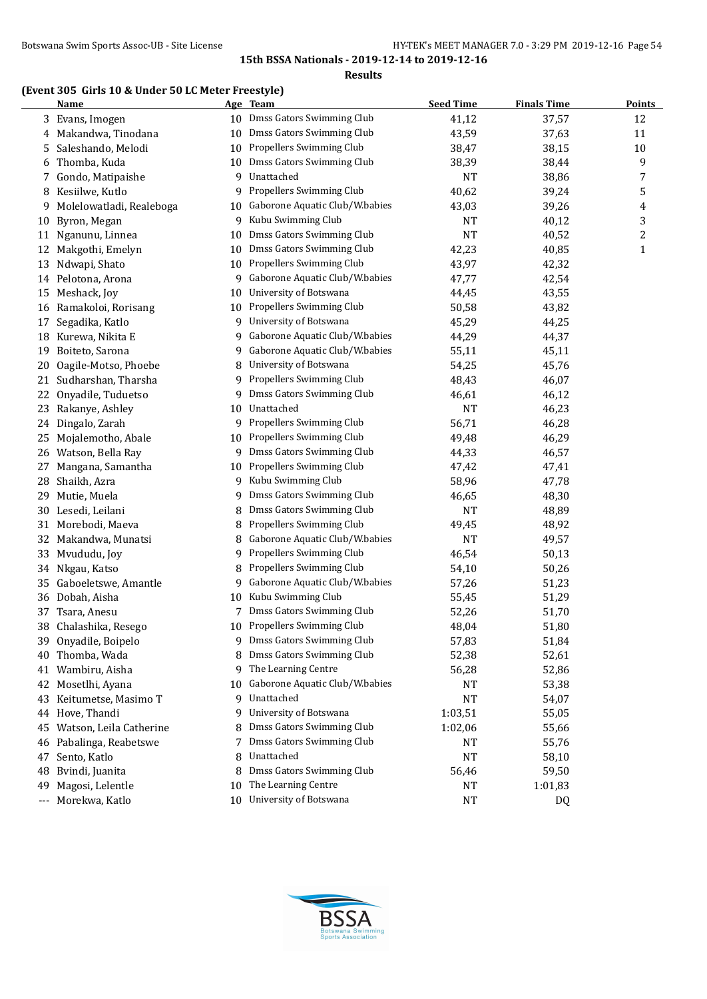**Results**

# **(Event 305 Girls 10 & Under 50 LC Meter Freestyle)**

|    | <b>Name</b>              |    | Age Team                       | <b>Seed Time</b> | <b>Finals Time</b> | <b>Points</b>    |
|----|--------------------------|----|--------------------------------|------------------|--------------------|------------------|
| 3  | Evans, Imogen            |    | 10 Dmss Gators Swimming Club   | 41,12            | 37,57              | 12               |
| 4  | Makandwa, Tinodana       | 10 | Dmss Gators Swimming Club      | 43,59            | 37,63              | 11               |
| 5  | Saleshando, Melodi       |    | 10 Propellers Swimming Club    | 38,47            | 38,15              | 10               |
| 6  | Thomba, Kuda             | 10 | Dmss Gators Swimming Club      | 38,39            | 38,44              | 9                |
| 7  | Gondo, Matipaishe        | 9  | Unattached                     | <b>NT</b>        | 38,86              | 7                |
| 8  | Kesiilwe, Kutlo          | 9  | Propellers Swimming Club       | 40,62            | 39,24              | 5                |
| 9  | Molelowatladi, Realeboga | 10 | Gaborone Aquatic Club/W.babies | 43,03            | 39,26              | 4                |
| 10 | Byron, Megan             | 9  | Kubu Swimming Club             | <b>NT</b>        | 40,12              | 3                |
| 11 | Nganunu, Linnea          |    | 10 Dmss Gators Swimming Club   | <b>NT</b>        | 40,52              | $\boldsymbol{2}$ |
| 12 | Makgothi, Emelyn         | 10 | Dmss Gators Swimming Club      | 42,23            | 40,85              | $\mathbf{1}$     |
| 13 | Ndwapi, Shato            | 10 | Propellers Swimming Club       | 43,97            | 42,32              |                  |
|    | 14 Pelotona, Arona       | 9  | Gaborone Aquatic Club/W.babies | 47,77            | 42,54              |                  |
| 15 | Meshack, Joy             | 10 | University of Botswana         | 44,45            | 43,55              |                  |
| 16 | Ramakoloi, Rorisang      | 10 | Propellers Swimming Club       | 50,58            | 43,82              |                  |
| 17 | Segadika, Katlo          | 9  | University of Botswana         | 45,29            | 44,25              |                  |
| 18 | Kurewa, Nikita E         | 9  | Gaborone Aquatic Club/W.babies | 44,29            | 44,37              |                  |
| 19 | Boiteto, Sarona          | 9. | Gaborone Aquatic Club/W.babies | 55,11            | 45,11              |                  |
| 20 | Oagile-Motso, Phoebe     | 8  | University of Botswana         | 54,25            | 45,76              |                  |
| 21 | Sudharshan, Tharsha      | 9  | Propellers Swimming Club       | 48,43            | 46,07              |                  |
| 22 | Onyadile, Tuduetso       | 9  | Dmss Gators Swimming Club      | 46,61            | 46,12              |                  |
| 23 | Rakanye, Ashley          | 10 | Unattached                     | <b>NT</b>        | 46,23              |                  |
|    | 24 Dingalo, Zarah        |    | 9 Propellers Swimming Club     | 56,71            | 46,28              |                  |
| 25 | Mojalemotho, Abale       |    | 10 Propellers Swimming Club    | 49,48            | 46,29              |                  |
| 26 | Watson, Bella Ray        |    | 9 Dmss Gators Swimming Club    | 44,33            | 46,57              |                  |
| 27 | Mangana, Samantha        | 10 | Propellers Swimming Club       | 47,42            | 47,41              |                  |
| 28 | Shaikh, Azra             | 9  | Kubu Swimming Club             | 58,96            | 47,78              |                  |
| 29 | Mutie, Muela             | 9  | Dmss Gators Swimming Club      | 46,65            | 48,30              |                  |
| 30 | Lesedi, Leilani          | 8  | Dmss Gators Swimming Club      | <b>NT</b>        | 48,89              |                  |
| 31 | Morebodi, Maeva          | 8  | Propellers Swimming Club       | 49,45            | 48,92              |                  |
| 32 | Makandwa, Munatsi        | 8  | Gaborone Aquatic Club/W.babies | <b>NT</b>        | 49,57              |                  |
| 33 | Mvududu, Joy             | 9  | Propellers Swimming Club       | 46,54            | 50,13              |                  |
| 34 | Nkgau, Katso             | 8  | Propellers Swimming Club       | 54,10            | 50,26              |                  |
| 35 | Gaboeletswe, Amantle     | 9  | Gaborone Aquatic Club/W.babies | 57,26            | 51,23              |                  |
|    | 36 Dobah, Aisha          | 10 | Kubu Swimming Club             | 55,45            | 51,29              |                  |
| 37 | Tsara, Anesu             |    | Dmss Gators Swimming Club      | 52,26            | 51,70              |                  |
| 38 | Chalashika, Resego       |    | 10 Propellers Swimming Club    | 48,04            | 51,80              |                  |
|    | 39 Onyadile, Boipelo     |    | 9 Dmss Gators Swimming Club    | 57,83            | 51,84              |                  |
| 40 | Thomba, Wada             |    | Dmss Gators Swimming Club      | 52,38            | 52,61              |                  |
| 41 | Wambiru, Aisha           | 9  | The Learning Centre            | 56,28            | 52,86              |                  |
| 42 | Mosetlhi, Ayana          | 10 | Gaborone Aquatic Club/W.babies | NT               | 53,38              |                  |
| 43 | Keitumetse, Masimo T     |    | 9 Unattached                   | <b>NT</b>        | 54,07              |                  |
| 44 | Hove, Thandi             | 9. | University of Botswana         | 1:03,51          | 55,05              |                  |
| 45 | Watson, Leila Catherine  |    | Dmss Gators Swimming Club      | 1:02,06          | 55,66              |                  |
| 46 | Pabalinga, Reabetswe     | 7  | Dmss Gators Swimming Club      | NT               | 55,76              |                  |
| 47 | Sento, Katlo             | 8  | Unattached                     | <b>NT</b>        | 58,10              |                  |
| 48 | Bvindi, Juanita          | 8  | Dmss Gators Swimming Club      | 56,46            | 59,50              |                  |
| 49 | Magosi, Lelentle         | 10 | The Learning Centre            | NT               | 1:01,83            |                  |
|    | --- Morekwa, Katlo       |    | 10 University of Botswana      | <b>NT</b>        | DQ                 |                  |

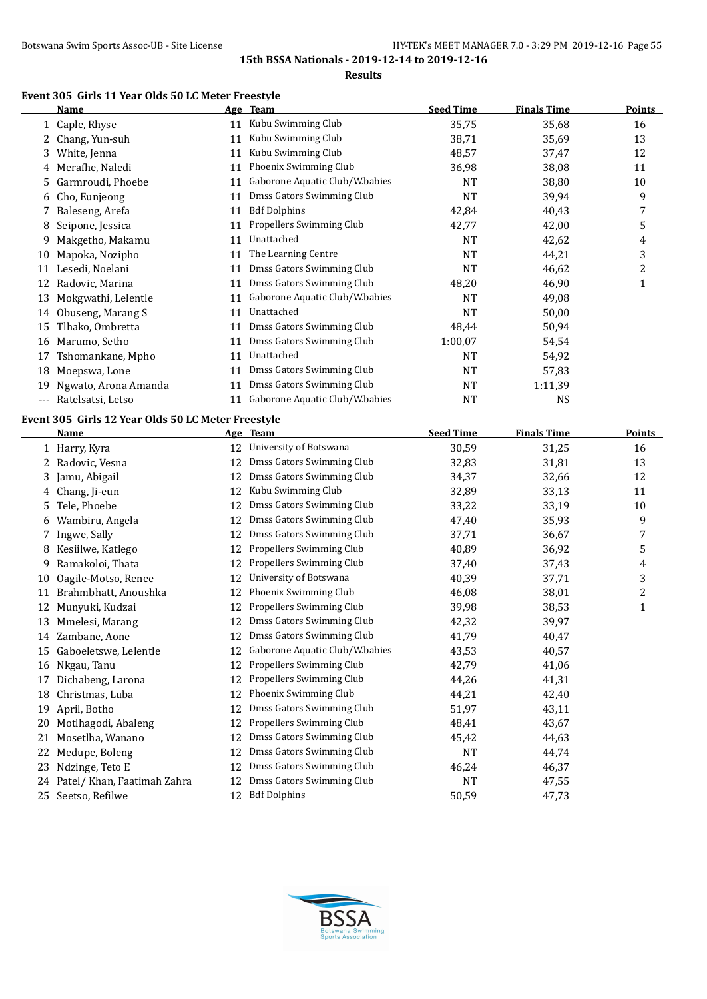$\overline{a}$ 

**15th BSSA Nationals - 2019-12-14 to 2019-12-16**

#### **Results**

## **Event 305 Girls 11 Year Olds 50 LC Meter Freestyle**

|    | Name                 |    | Age Team                       | <b>Seed Time</b> | <b>Finals Time</b> | <b>Points</b> |
|----|----------------------|----|--------------------------------|------------------|--------------------|---------------|
|    | 1 Caple, Rhyse       | 11 | Kubu Swimming Club             | 35,75            | 35,68              | 16            |
| 2  | Chang, Yun-suh       | 11 | Kubu Swimming Club             | 38,71            | 35,69              | 13            |
| 3  | White, Jenna         | 11 | Kubu Swimming Club             | 48,57            | 37,47              | 12            |
| 4  | Merafhe, Naledi      | 11 | Phoenix Swimming Club          | 36,98            | 38,08              | 11            |
| 5  | Garmroudi, Phoebe    | 11 | Gaborone Aquatic Club/W.babies | NT               | 38,80              | 10            |
| 6  | Cho, Eunjeong        | 11 | Dmss Gators Swimming Club      | <b>NT</b>        | 39,94              | 9             |
|    | Baleseng, Arefa      | 11 | <b>Bdf Dolphins</b>            | 42,84            | 40,43              | 7             |
| 8  | Seipone, Jessica     | 11 | Propellers Swimming Club       | 42,77            | 42,00              | 5             |
| 9  | Makgetho, Makamu     | 11 | Unattached                     | <b>NT</b>        | 42,62              | 4             |
| 10 | Mapoka, Nozipho      | 11 | The Learning Centre            | <b>NT</b>        | 44,21              | 3             |
| 11 | Lesedi, Noelani      | 11 | Dmss Gators Swimming Club      | <b>NT</b>        | 46,62              | 2             |
| 12 | Radovic, Marina      | 11 | Dmss Gators Swimming Club      | 48,20            | 46,90              | 1             |
| 13 | Mokgwathi, Lelentle  | 11 | Gaborone Aquatic Club/W.babies | NT               | 49,08              |               |
| 14 | Obuseng, Marang S    | 11 | Unattached                     | <b>NT</b>        | 50,00              |               |
| 15 | Tlhako, Ombretta     | 11 | Dmss Gators Swimming Club      | 48,44            | 50,94              |               |
| 16 | Marumo, Setho        | 11 | Dmss Gators Swimming Club      | 1:00,07          | 54,54              |               |
| 17 | Tshomankane, Mpho    | 11 | Unattached                     | NT               | 54,92              |               |
| 18 | Moepswa, Lone        | 11 | Dmss Gators Swimming Club      | <b>NT</b>        | 57,83              |               |
| 19 | Ngwato, Arona Amanda | 11 | Dmss Gators Swimming Club      | NT               | 1:11,39            |               |
|    | Ratelsatsi, Letso    | 11 | Gaborone Aquatic Club/W.babies | NT               | <b>NS</b>          |               |
|    |                      |    |                                |                  |                    |               |

# **Event 305 Girls 12 Year Olds 50 LC Meter Freestyle**

|    | <b>Name</b>                 |    | Age Team                       | <b>Seed Time</b> | <b>Finals Time</b> | Points       |
|----|-----------------------------|----|--------------------------------|------------------|--------------------|--------------|
|    | 1 Harry, Kyra               | 12 | University of Botswana         | 30,59            | 31,25              | 16           |
| 2  | Radovic, Vesna              | 12 | Dmss Gators Swimming Club      | 32,83            | 31,81              | 13           |
| 3  | Jamu, Abigail               | 12 | Dmss Gators Swimming Club      | 34,37            | 32,66              | 12           |
| 4  | Chang, Ji-eun               | 12 | Kubu Swimming Club             | 32,89            | 33,13              | 11           |
| 5. | Tele, Phoebe                | 12 | Dmss Gators Swimming Club      | 33,22            | 33,19              | 10           |
| 6  | Wambiru, Angela             | 12 | Dmss Gators Swimming Club      | 47,40            | 35,93              | 9            |
|    | Ingwe, Sally                | 12 | Dmss Gators Swimming Club      | 37,71            | 36,67              | 7            |
| 8  | Kesiilwe, Katlego           | 12 | Propellers Swimming Club       | 40,89            | 36,92              | 5            |
| 9  | Ramakoloi, Thata            | 12 | Propellers Swimming Club       | 37,40            | 37,43              | 4            |
| 10 | Oagile-Motso, Renee         | 12 | University of Botswana         | 40,39            | 37,71              | 3            |
| 11 | Brahmbhatt, Anoushka        | 12 | Phoenix Swimming Club          | 46,08            | 38,01              | 2            |
| 12 | Munyuki, Kudzai             | 12 | Propellers Swimming Club       | 39,98            | 38,53              | $\mathbf{1}$ |
| 13 | Mmelesi, Marang             | 12 | Dmss Gators Swimming Club      | 42,32            | 39,97              |              |
| 14 | Zambane, Aone               | 12 | Dmss Gators Swimming Club      | 41,79            | 40,47              |              |
| 15 | Gaboeletswe, Lelentle       | 12 | Gaborone Aquatic Club/W.babies | 43,53            | 40,57              |              |
| 16 | Nkgau, Tanu                 | 12 | Propellers Swimming Club       | 42,79            | 41,06              |              |
| 17 | Dichabeng, Larona           | 12 | Propellers Swimming Club       | 44,26            | 41,31              |              |
| 18 | Christmas, Luba             | 12 | Phoenix Swimming Club          | 44,21            | 42,40              |              |
| 19 | April, Botho                | 12 | Dmss Gators Swimming Club      | 51,97            | 43,11              |              |
| 20 | Motlhagodi, Abaleng         | 12 | Propellers Swimming Club       | 48,41            | 43,67              |              |
| 21 | Mosetlha, Wanano            | 12 | Dmss Gators Swimming Club      | 45,42            | 44,63              |              |
| 22 | Medupe, Boleng              | 12 | Dmss Gators Swimming Club      | <b>NT</b>        | 44,74              |              |
| 23 | Ndzinge, Teto E             | 12 | Dmss Gators Swimming Club      | 46,24            | 46,37              |              |
| 24 | Patel/ Khan, Faatimah Zahra | 12 | Dmss Gators Swimming Club      | <b>NT</b>        | 47,55              |              |
|    | 25 Seetso, Refilwe          | 12 | <b>Bdf Dolphins</b>            | 50,59            | 47,73              |              |

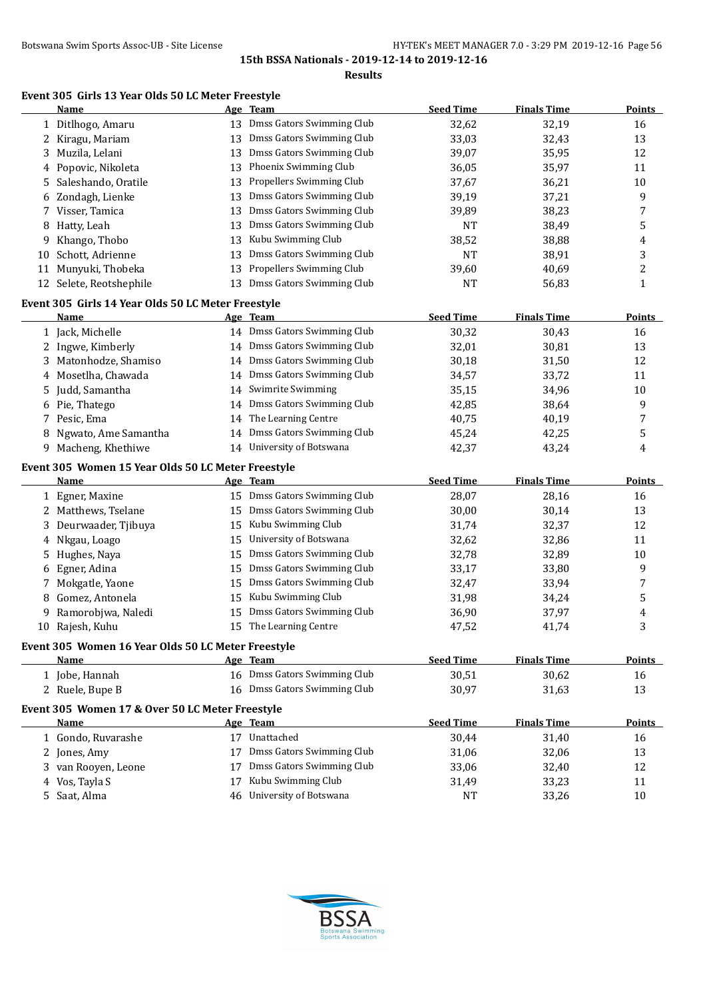**Results**

### **Event 305 Girls 13 Year Olds 50 LC Meter Freestyle**

|              | Name                                                       |    | Age Team                     | <b>Seed Time</b> | <b>Finals Time</b> | <b>Points</b> |
|--------------|------------------------------------------------------------|----|------------------------------|------------------|--------------------|---------------|
| $\mathbf{1}$ | Ditlhogo, Amaru                                            | 13 | Dmss Gators Swimming Club    | 32,62            | 32,19              | 16            |
|              | Kiragu, Mariam                                             | 13 | Dmss Gators Swimming Club    | 33,03            | 32,43              | 13            |
| 3            | Muzila, Lelani                                             | 13 | Dmss Gators Swimming Club    | 39,07            | 35,95              | 12            |
| 4            | Popovic, Nikoleta                                          | 13 | Phoenix Swimming Club        | 36,05            | 35,97              | 11            |
| 5            | Saleshando, Oratile                                        | 13 | Propellers Swimming Club     | 37,67            | 36,21              | 10            |
| 6            | Zondagh, Lienke                                            | 13 | Dmss Gators Swimming Club    | 39,19            | 37,21              | 9             |
| 7.           | Visser, Tamica                                             | 13 | Dmss Gators Swimming Club    | 39,89            | 38,23              | 7             |
| 8            | Hatty, Leah                                                | 13 | Dmss Gators Swimming Club    | <b>NT</b>        | 38,49              | 5             |
| 9            | Khango, Thobo                                              | 13 | Kubu Swimming Club           | 38,52            | 38,88              | 4             |
| 10           | Schott, Adrienne                                           | 13 | Dmss Gators Swimming Club    | <b>NT</b>        | 38,91              | 3             |
| 11           | Munyuki, Thobeka                                           | 13 | Propellers Swimming Club     | 39,60            | 40,69              | 2             |
|              | 12 Selete, Reotshephile                                    | 13 | Dmss Gators Swimming Club    | <b>NT</b>        | 56,83              | 1             |
|              |                                                            |    |                              |                  |                    |               |
|              | Event 305 Girls 14 Year Olds 50 LC Meter Freestyle         |    |                              |                  |                    |               |
|              | <u>Name</u>                                                |    | Age Team                     | <b>Seed Time</b> | <b>Finals Time</b> | <b>Points</b> |
|              | 1 Jack, Michelle                                           |    | 14 Dmss Gators Swimming Club | 30,32            | 30,43              | 16            |
|              | 2 Ingwe, Kimberly                                          |    | 14 Dmss Gators Swimming Club | 32,01            | 30,81              | 13            |
| 3.           | Matonhodze, Shamiso                                        |    | 14 Dmss Gators Swimming Club | 30,18            | 31,50              | 12            |
| 4            | Mosetlha, Chawada                                          | 14 | Dmss Gators Swimming Club    | 34,57            | 33,72              | 11            |
| 5            | Judd, Samantha                                             |    | 14 Swimrite Swimming         | 35,15            | 34,96              | 10            |
| 6            | Pie, Thatego                                               | 14 | Dmss Gators Swimming Club    | 42,85            | 38,64              | 9             |
|              | 7 Pesic, Ema                                               | 14 | The Learning Centre          | 40,75            | 40,19              | 7             |
| 8            | Ngwato, Ame Samantha                                       | 14 | Dmss Gators Swimming Club    | 45,24            | 42,25              | 5             |
| 9.           | Macheng, Khethiwe                                          |    | 14 University of Botswana    | 42,37            | 43,24              | 4             |
|              | Event 305 Women 15 Year Olds 50 LC Meter Freestyle         |    |                              |                  |                    |               |
|              | Name                                                       |    | Age Team                     | <b>Seed Time</b> | <b>Finals Time</b> | <b>Points</b> |
|              | 1 Egner, Maxine                                            |    | 15 Dmss Gators Swimming Club | 28,07            | 28,16              | 16            |
|              | 2 Matthews, Tselane                                        | 15 | Dmss Gators Swimming Club    | 30,00            | 30,14              | 13            |
| 3.           | Deurwaader, Tjibuya                                        | 15 | Kubu Swimming Club           | 31,74            | 32,37              | 12            |
| 4            | Nkgau, Loago                                               | 15 | University of Botswana       | 32,62            | 32,86              | 11            |
| 5            | Hughes, Naya                                               | 15 | Dmss Gators Swimming Club    | 32,78            | 32,89              | 10            |
| 6            | Egner, Adina                                               | 15 | Dmss Gators Swimming Club    | 33,17            | 33,80              | 9             |
| 7            | Mokgatle, Yaone                                            | 15 | Dmss Gators Swimming Club    | 32,47            | 33,94              | 7             |
| 8            | Gomez, Antonela                                            | 15 | Kubu Swimming Club           | 31,98            | 34,24              | 5             |
| 9            | Ramorobjwa, Naledi                                         | 15 | Dmss Gators Swimming Club    | 36,90            | 37,97              | 4             |
| 10           | Rajesh, Kuhu                                               |    | 15 The Learning Centre       | 47,52            | 41,74              | 3             |
|              |                                                            |    |                              |                  |                    |               |
|              | Event 305 Women 16 Year Olds 50 LC Meter Freestyle<br>Name |    | Age Team                     | <b>Seed Time</b> | <b>Finals Time</b> | <b>Points</b> |
|              | 1 Jobe, Hannah                                             |    | 16 Dmss Gators Swimming Club | 30,51            | 30,62              | 16            |
|              | 2 Ruele, Bupe B                                            |    | 16 Dmss Gators Swimming Club | 30,97            | 31,63              | 13            |
|              |                                                            |    |                              |                  |                    |               |
|              | Event 305 Women 17 & Over 50 LC Meter Freestyle            |    |                              |                  |                    |               |
|              | <u>Name</u>                                                |    | Age Team                     | <b>Seed Time</b> | <b>Finals Time</b> | <b>Points</b> |
|              | 1 Gondo, Ruvarashe                                         |    | 17 Unattached                | 30,44            | 31,40              | 16            |
|              | 2 Jones, Amy                                               | 17 | Dmss Gators Swimming Club    | 31,06            | 32,06              | 13            |
|              | 3 van Rooyen, Leone                                        | 17 | Dmss Gators Swimming Club    | 33,06            | 32,40              | 12            |
|              | 4 Vos, Tayla S                                             | 17 | Kubu Swimming Club           | 31,49            | 33,23              | 11            |
|              | 5 Saat, Alma                                               | 46 | University of Botswana       | <b>NT</b>        | 33,26              | 10            |

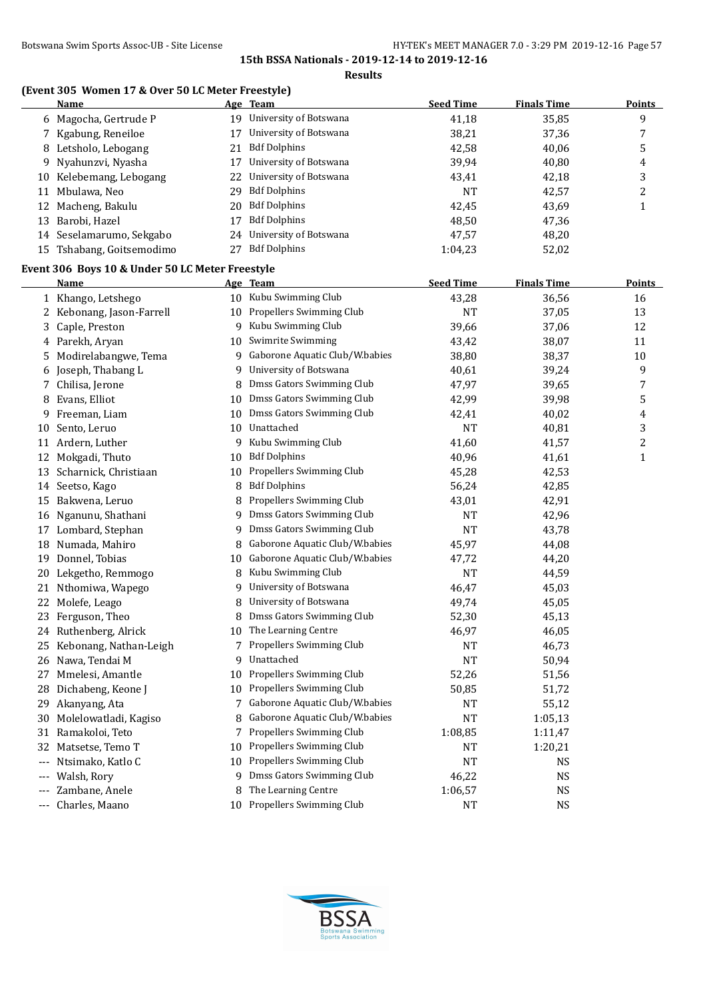#### **Results**

# **(Event 305 Women 17 & Over 50 LC Meter Freestyle)**

| 9<br>19 University of Botswana<br>41,18<br>35,85<br>6 Magocha, Gertrude P<br>University of Botswana<br>38,21<br>7 Kgabung, Reneiloe<br>7<br>17<br>37,36<br>5<br><b>Bdf Dolphins</b><br>42,58<br>Letsholo, Lebogang<br>40,06<br>8<br>21<br>University of Botswana<br>Nyahunzvi, Nyasha<br>39,94<br>17<br>40,80<br>9<br>4<br>University of Botswana<br>3<br>10 Kelebemang, Lebogang<br>43,41<br>42,18<br>22<br><b>Bdf Dolphins</b><br>11 Mbulawa, Neo<br><b>NT</b><br>42,57<br>2<br>29<br>12 Macheng, Bakulu<br><b>Bdf Dolphins</b><br>42,45<br>43,69<br>1<br>20<br><b>Bdf Dolphins</b><br>13 Barobi, Hazel<br>48,50<br>47,36<br>17<br>University of Botswana<br>14 Seselamarumo, Sekgabo<br>47,57<br>48,20<br>24<br><b>Bdf Dolphins</b><br>15 Tshabang, Goitsemodimo<br>27<br>1:04,23<br>52,02<br>Event 306 Boys 10 & Under 50 LC Meter Freestyle<br><b>Seed Time</b><br><b>Finals Time</b><br><b>Points</b><br>Name<br>Age Team<br>10 Kubu Swimming Club<br>1 Khango, Letshego<br>43,28<br>36,56<br>16<br>10 Propellers Swimming Club<br>37,05<br>2 Kebonang, Jason-Farrell<br><b>NT</b><br>13<br>Kubu Swimming Club<br>39,66<br>12<br>3 Caple, Preston<br>9<br>37,06<br>Swimrite Swimming<br>4 Parekh, Aryan<br>43,42<br>38,07<br>11<br>10<br>Gaborone Aquatic Club/W.babies<br>5 Modirelabangwe, Tema<br>38,80<br>38,37<br>10<br>9<br>6 Joseph, Thabang L<br>University of Botswana<br>39,24<br>9<br>40,61<br>9<br>Dmss Gators Swimming Club<br>7 Chilisa, Jerone<br>47,97<br>39,65<br>8<br>7<br>Dmss Gators Swimming Club<br>8 Evans, Elliot<br>42,99<br>39,98<br>5<br>10<br>Dmss Gators Swimming Club<br>Freeman, Liam<br>40,02<br>10<br>42,41<br>4<br>9<br>Sento, Leruo<br>10 Unattached<br><b>NT</b><br>40,81<br>3<br>10<br>Kubu Swimming Club<br>11 Ardern, Luther<br>41,60<br>2<br>9<br>41,57<br><b>Bdf Dolphins</b><br>Mokgadi, Thuto<br>40,96<br>12<br>41,61<br>1<br>10<br>Propellers Swimming Club<br>Scharnick, Christiaan<br>45,28<br>42,53<br>13<br>10<br><b>Bdf Dolphins</b><br>56,24<br>8<br>42,85<br>14 Seetso, Kago<br>Propellers Swimming Club<br>15 Bakwena, Leruo<br>42,91<br>43,01<br>8<br>Dmss Gators Swimming Club<br><b>NT</b><br>42,96<br>16 Nganunu, Shathani<br>9<br>Dmss Gators Swimming Club<br><b>NT</b><br>43,78<br>17 Lombard, Stephan<br>9<br>Gaborone Aquatic Club/W.babies<br>18 Numada, Mahiro<br>45,97<br>44,08<br>8<br>19 Donnel, Tobias<br>Gaborone Aquatic Club/W.babies<br>44,20<br>47,72<br>10<br>Kubu Swimming Club<br><b>NT</b><br>44,59<br>20 Lekgetho, Remmogo<br>8<br>University of Botswana<br>45,03<br>21 Nthomiwa, Wapego<br>46,47<br>9<br>University of Botswana<br>22 Molefe, Leago<br>49,74<br>45,05<br>Dmss Gators Swimming Club<br>23 Ferguson, Theo<br>52,30<br>45,13<br>The Learning Centre<br>46,97<br>46,05<br>24 Ruthenberg, Alrick<br>Propellers Swimming Club<br>46,73<br>25 Kebonang, Nathan-Leigh<br>NT<br>7<br>Unattached<br>26 Nawa, Tendai M<br><b>NT</b><br>50,94<br>9<br>Propellers Swimming Club<br>Mmelesi, Amantle<br>52,26<br>51,56<br>27<br>10<br>Propellers Swimming Club<br>Dichabeng, Keone J<br>28<br>50,85<br>51,72<br>10<br>Gaborone Aquatic Club/W.babies<br>Akanyang, Ata<br>55,12<br>29<br>NT<br>7<br>Gaborone Aquatic Club/W.babies<br>Molelowatladi, Kagiso<br><b>NT</b><br>30<br>1:05,13<br>8<br>Propellers Swimming Club<br>Ramakoloi, Teto<br>31<br>1:08,85<br>1:11,47<br>7<br>Propellers Swimming Club<br>Matsetse, Temo T<br>32<br>NT<br>1:20,21<br>10<br>Propellers Swimming Club<br>Ntsimako, Katlo C<br><b>NT</b><br>10<br>NS.<br>$---$<br>Dmss Gators Swimming Club<br>Walsh, Rory<br>46,22<br>NS<br>9<br>$---$<br>The Learning Centre<br>Zambane, Anele<br>8<br>1:06,57<br>NS<br>$---$<br>Propellers Swimming Club<br>Charles, Maano<br><b>NS</b><br>NT<br>10<br>$---$ | <b>Name</b> | Age Team | <b>Seed Time</b> | <b>Finals Time</b> | <b>Points</b> |
|------------------------------------------------------------------------------------------------------------------------------------------------------------------------------------------------------------------------------------------------------------------------------------------------------------------------------------------------------------------------------------------------------------------------------------------------------------------------------------------------------------------------------------------------------------------------------------------------------------------------------------------------------------------------------------------------------------------------------------------------------------------------------------------------------------------------------------------------------------------------------------------------------------------------------------------------------------------------------------------------------------------------------------------------------------------------------------------------------------------------------------------------------------------------------------------------------------------------------------------------------------------------------------------------------------------------------------------------------------------------------------------------------------------------------------------------------------------------------------------------------------------------------------------------------------------------------------------------------------------------------------------------------------------------------------------------------------------------------------------------------------------------------------------------------------------------------------------------------------------------------------------------------------------------------------------------------------------------------------------------------------------------------------------------------------------------------------------------------------------------------------------------------------------------------------------------------------------------------------------------------------------------------------------------------------------------------------------------------------------------------------------------------------------------------------------------------------------------------------------------------------------------------------------------------------------------------------------------------------------------------------------------------------------------------------------------------------------------------------------------------------------------------------------------------------------------------------------------------------------------------------------------------------------------------------------------------------------------------------------------------------------------------------------------------------------------------------------------------------------------------------------------------------------------------------------------------------------------------------------------------------------------------------------------------------------------------------------------------------------------------------------------------------------------------------------------------------------------------------------------------------------------------------------------------------------------------------------------------------------------------------------------------------------------------------------------------------------------------------------------------------------------|-------------|----------|------------------|--------------------|---------------|
|                                                                                                                                                                                                                                                                                                                                                                                                                                                                                                                                                                                                                                                                                                                                                                                                                                                                                                                                                                                                                                                                                                                                                                                                                                                                                                                                                                                                                                                                                                                                                                                                                                                                                                                                                                                                                                                                                                                                                                                                                                                                                                                                                                                                                                                                                                                                                                                                                                                                                                                                                                                                                                                                                                                                                                                                                                                                                                                                                                                                                                                                                                                                                                                                                                                                                                                                                                                                                                                                                                                                                                                                                                                                                                                                                                        |             |          |                  |                    |               |
|                                                                                                                                                                                                                                                                                                                                                                                                                                                                                                                                                                                                                                                                                                                                                                                                                                                                                                                                                                                                                                                                                                                                                                                                                                                                                                                                                                                                                                                                                                                                                                                                                                                                                                                                                                                                                                                                                                                                                                                                                                                                                                                                                                                                                                                                                                                                                                                                                                                                                                                                                                                                                                                                                                                                                                                                                                                                                                                                                                                                                                                                                                                                                                                                                                                                                                                                                                                                                                                                                                                                                                                                                                                                                                                                                                        |             |          |                  |                    |               |
|                                                                                                                                                                                                                                                                                                                                                                                                                                                                                                                                                                                                                                                                                                                                                                                                                                                                                                                                                                                                                                                                                                                                                                                                                                                                                                                                                                                                                                                                                                                                                                                                                                                                                                                                                                                                                                                                                                                                                                                                                                                                                                                                                                                                                                                                                                                                                                                                                                                                                                                                                                                                                                                                                                                                                                                                                                                                                                                                                                                                                                                                                                                                                                                                                                                                                                                                                                                                                                                                                                                                                                                                                                                                                                                                                                        |             |          |                  |                    |               |
|                                                                                                                                                                                                                                                                                                                                                                                                                                                                                                                                                                                                                                                                                                                                                                                                                                                                                                                                                                                                                                                                                                                                                                                                                                                                                                                                                                                                                                                                                                                                                                                                                                                                                                                                                                                                                                                                                                                                                                                                                                                                                                                                                                                                                                                                                                                                                                                                                                                                                                                                                                                                                                                                                                                                                                                                                                                                                                                                                                                                                                                                                                                                                                                                                                                                                                                                                                                                                                                                                                                                                                                                                                                                                                                                                                        |             |          |                  |                    |               |
|                                                                                                                                                                                                                                                                                                                                                                                                                                                                                                                                                                                                                                                                                                                                                                                                                                                                                                                                                                                                                                                                                                                                                                                                                                                                                                                                                                                                                                                                                                                                                                                                                                                                                                                                                                                                                                                                                                                                                                                                                                                                                                                                                                                                                                                                                                                                                                                                                                                                                                                                                                                                                                                                                                                                                                                                                                                                                                                                                                                                                                                                                                                                                                                                                                                                                                                                                                                                                                                                                                                                                                                                                                                                                                                                                                        |             |          |                  |                    |               |
|                                                                                                                                                                                                                                                                                                                                                                                                                                                                                                                                                                                                                                                                                                                                                                                                                                                                                                                                                                                                                                                                                                                                                                                                                                                                                                                                                                                                                                                                                                                                                                                                                                                                                                                                                                                                                                                                                                                                                                                                                                                                                                                                                                                                                                                                                                                                                                                                                                                                                                                                                                                                                                                                                                                                                                                                                                                                                                                                                                                                                                                                                                                                                                                                                                                                                                                                                                                                                                                                                                                                                                                                                                                                                                                                                                        |             |          |                  |                    |               |
|                                                                                                                                                                                                                                                                                                                                                                                                                                                                                                                                                                                                                                                                                                                                                                                                                                                                                                                                                                                                                                                                                                                                                                                                                                                                                                                                                                                                                                                                                                                                                                                                                                                                                                                                                                                                                                                                                                                                                                                                                                                                                                                                                                                                                                                                                                                                                                                                                                                                                                                                                                                                                                                                                                                                                                                                                                                                                                                                                                                                                                                                                                                                                                                                                                                                                                                                                                                                                                                                                                                                                                                                                                                                                                                                                                        |             |          |                  |                    |               |
|                                                                                                                                                                                                                                                                                                                                                                                                                                                                                                                                                                                                                                                                                                                                                                                                                                                                                                                                                                                                                                                                                                                                                                                                                                                                                                                                                                                                                                                                                                                                                                                                                                                                                                                                                                                                                                                                                                                                                                                                                                                                                                                                                                                                                                                                                                                                                                                                                                                                                                                                                                                                                                                                                                                                                                                                                                                                                                                                                                                                                                                                                                                                                                                                                                                                                                                                                                                                                                                                                                                                                                                                                                                                                                                                                                        |             |          |                  |                    |               |
|                                                                                                                                                                                                                                                                                                                                                                                                                                                                                                                                                                                                                                                                                                                                                                                                                                                                                                                                                                                                                                                                                                                                                                                                                                                                                                                                                                                                                                                                                                                                                                                                                                                                                                                                                                                                                                                                                                                                                                                                                                                                                                                                                                                                                                                                                                                                                                                                                                                                                                                                                                                                                                                                                                                                                                                                                                                                                                                                                                                                                                                                                                                                                                                                                                                                                                                                                                                                                                                                                                                                                                                                                                                                                                                                                                        |             |          |                  |                    |               |
|                                                                                                                                                                                                                                                                                                                                                                                                                                                                                                                                                                                                                                                                                                                                                                                                                                                                                                                                                                                                                                                                                                                                                                                                                                                                                                                                                                                                                                                                                                                                                                                                                                                                                                                                                                                                                                                                                                                                                                                                                                                                                                                                                                                                                                                                                                                                                                                                                                                                                                                                                                                                                                                                                                                                                                                                                                                                                                                                                                                                                                                                                                                                                                                                                                                                                                                                                                                                                                                                                                                                                                                                                                                                                                                                                                        |             |          |                  |                    |               |
|                                                                                                                                                                                                                                                                                                                                                                                                                                                                                                                                                                                                                                                                                                                                                                                                                                                                                                                                                                                                                                                                                                                                                                                                                                                                                                                                                                                                                                                                                                                                                                                                                                                                                                                                                                                                                                                                                                                                                                                                                                                                                                                                                                                                                                                                                                                                                                                                                                                                                                                                                                                                                                                                                                                                                                                                                                                                                                                                                                                                                                                                                                                                                                                                                                                                                                                                                                                                                                                                                                                                                                                                                                                                                                                                                                        |             |          |                  |                    |               |
|                                                                                                                                                                                                                                                                                                                                                                                                                                                                                                                                                                                                                                                                                                                                                                                                                                                                                                                                                                                                                                                                                                                                                                                                                                                                                                                                                                                                                                                                                                                                                                                                                                                                                                                                                                                                                                                                                                                                                                                                                                                                                                                                                                                                                                                                                                                                                                                                                                                                                                                                                                                                                                                                                                                                                                                                                                                                                                                                                                                                                                                                                                                                                                                                                                                                                                                                                                                                                                                                                                                                                                                                                                                                                                                                                                        |             |          |                  |                    |               |
|                                                                                                                                                                                                                                                                                                                                                                                                                                                                                                                                                                                                                                                                                                                                                                                                                                                                                                                                                                                                                                                                                                                                                                                                                                                                                                                                                                                                                                                                                                                                                                                                                                                                                                                                                                                                                                                                                                                                                                                                                                                                                                                                                                                                                                                                                                                                                                                                                                                                                                                                                                                                                                                                                                                                                                                                                                                                                                                                                                                                                                                                                                                                                                                                                                                                                                                                                                                                                                                                                                                                                                                                                                                                                                                                                                        |             |          |                  |                    |               |
|                                                                                                                                                                                                                                                                                                                                                                                                                                                                                                                                                                                                                                                                                                                                                                                                                                                                                                                                                                                                                                                                                                                                                                                                                                                                                                                                                                                                                                                                                                                                                                                                                                                                                                                                                                                                                                                                                                                                                                                                                                                                                                                                                                                                                                                                                                                                                                                                                                                                                                                                                                                                                                                                                                                                                                                                                                                                                                                                                                                                                                                                                                                                                                                                                                                                                                                                                                                                                                                                                                                                                                                                                                                                                                                                                                        |             |          |                  |                    |               |
|                                                                                                                                                                                                                                                                                                                                                                                                                                                                                                                                                                                                                                                                                                                                                                                                                                                                                                                                                                                                                                                                                                                                                                                                                                                                                                                                                                                                                                                                                                                                                                                                                                                                                                                                                                                                                                                                                                                                                                                                                                                                                                                                                                                                                                                                                                                                                                                                                                                                                                                                                                                                                                                                                                                                                                                                                                                                                                                                                                                                                                                                                                                                                                                                                                                                                                                                                                                                                                                                                                                                                                                                                                                                                                                                                                        |             |          |                  |                    |               |
|                                                                                                                                                                                                                                                                                                                                                                                                                                                                                                                                                                                                                                                                                                                                                                                                                                                                                                                                                                                                                                                                                                                                                                                                                                                                                                                                                                                                                                                                                                                                                                                                                                                                                                                                                                                                                                                                                                                                                                                                                                                                                                                                                                                                                                                                                                                                                                                                                                                                                                                                                                                                                                                                                                                                                                                                                                                                                                                                                                                                                                                                                                                                                                                                                                                                                                                                                                                                                                                                                                                                                                                                                                                                                                                                                                        |             |          |                  |                    |               |
|                                                                                                                                                                                                                                                                                                                                                                                                                                                                                                                                                                                                                                                                                                                                                                                                                                                                                                                                                                                                                                                                                                                                                                                                                                                                                                                                                                                                                                                                                                                                                                                                                                                                                                                                                                                                                                                                                                                                                                                                                                                                                                                                                                                                                                                                                                                                                                                                                                                                                                                                                                                                                                                                                                                                                                                                                                                                                                                                                                                                                                                                                                                                                                                                                                                                                                                                                                                                                                                                                                                                                                                                                                                                                                                                                                        |             |          |                  |                    |               |
|                                                                                                                                                                                                                                                                                                                                                                                                                                                                                                                                                                                                                                                                                                                                                                                                                                                                                                                                                                                                                                                                                                                                                                                                                                                                                                                                                                                                                                                                                                                                                                                                                                                                                                                                                                                                                                                                                                                                                                                                                                                                                                                                                                                                                                                                                                                                                                                                                                                                                                                                                                                                                                                                                                                                                                                                                                                                                                                                                                                                                                                                                                                                                                                                                                                                                                                                                                                                                                                                                                                                                                                                                                                                                                                                                                        |             |          |                  |                    |               |
|                                                                                                                                                                                                                                                                                                                                                                                                                                                                                                                                                                                                                                                                                                                                                                                                                                                                                                                                                                                                                                                                                                                                                                                                                                                                                                                                                                                                                                                                                                                                                                                                                                                                                                                                                                                                                                                                                                                                                                                                                                                                                                                                                                                                                                                                                                                                                                                                                                                                                                                                                                                                                                                                                                                                                                                                                                                                                                                                                                                                                                                                                                                                                                                                                                                                                                                                                                                                                                                                                                                                                                                                                                                                                                                                                                        |             |          |                  |                    |               |
|                                                                                                                                                                                                                                                                                                                                                                                                                                                                                                                                                                                                                                                                                                                                                                                                                                                                                                                                                                                                                                                                                                                                                                                                                                                                                                                                                                                                                                                                                                                                                                                                                                                                                                                                                                                                                                                                                                                                                                                                                                                                                                                                                                                                                                                                                                                                                                                                                                                                                                                                                                                                                                                                                                                                                                                                                                                                                                                                                                                                                                                                                                                                                                                                                                                                                                                                                                                                                                                                                                                                                                                                                                                                                                                                                                        |             |          |                  |                    |               |
|                                                                                                                                                                                                                                                                                                                                                                                                                                                                                                                                                                                                                                                                                                                                                                                                                                                                                                                                                                                                                                                                                                                                                                                                                                                                                                                                                                                                                                                                                                                                                                                                                                                                                                                                                                                                                                                                                                                                                                                                                                                                                                                                                                                                                                                                                                                                                                                                                                                                                                                                                                                                                                                                                                                                                                                                                                                                                                                                                                                                                                                                                                                                                                                                                                                                                                                                                                                                                                                                                                                                                                                                                                                                                                                                                                        |             |          |                  |                    |               |
|                                                                                                                                                                                                                                                                                                                                                                                                                                                                                                                                                                                                                                                                                                                                                                                                                                                                                                                                                                                                                                                                                                                                                                                                                                                                                                                                                                                                                                                                                                                                                                                                                                                                                                                                                                                                                                                                                                                                                                                                                                                                                                                                                                                                                                                                                                                                                                                                                                                                                                                                                                                                                                                                                                                                                                                                                                                                                                                                                                                                                                                                                                                                                                                                                                                                                                                                                                                                                                                                                                                                                                                                                                                                                                                                                                        |             |          |                  |                    |               |
|                                                                                                                                                                                                                                                                                                                                                                                                                                                                                                                                                                                                                                                                                                                                                                                                                                                                                                                                                                                                                                                                                                                                                                                                                                                                                                                                                                                                                                                                                                                                                                                                                                                                                                                                                                                                                                                                                                                                                                                                                                                                                                                                                                                                                                                                                                                                                                                                                                                                                                                                                                                                                                                                                                                                                                                                                                                                                                                                                                                                                                                                                                                                                                                                                                                                                                                                                                                                                                                                                                                                                                                                                                                                                                                                                                        |             |          |                  |                    |               |
|                                                                                                                                                                                                                                                                                                                                                                                                                                                                                                                                                                                                                                                                                                                                                                                                                                                                                                                                                                                                                                                                                                                                                                                                                                                                                                                                                                                                                                                                                                                                                                                                                                                                                                                                                                                                                                                                                                                                                                                                                                                                                                                                                                                                                                                                                                                                                                                                                                                                                                                                                                                                                                                                                                                                                                                                                                                                                                                                                                                                                                                                                                                                                                                                                                                                                                                                                                                                                                                                                                                                                                                                                                                                                                                                                                        |             |          |                  |                    |               |
|                                                                                                                                                                                                                                                                                                                                                                                                                                                                                                                                                                                                                                                                                                                                                                                                                                                                                                                                                                                                                                                                                                                                                                                                                                                                                                                                                                                                                                                                                                                                                                                                                                                                                                                                                                                                                                                                                                                                                                                                                                                                                                                                                                                                                                                                                                                                                                                                                                                                                                                                                                                                                                                                                                                                                                                                                                                                                                                                                                                                                                                                                                                                                                                                                                                                                                                                                                                                                                                                                                                                                                                                                                                                                                                                                                        |             |          |                  |                    |               |
|                                                                                                                                                                                                                                                                                                                                                                                                                                                                                                                                                                                                                                                                                                                                                                                                                                                                                                                                                                                                                                                                                                                                                                                                                                                                                                                                                                                                                                                                                                                                                                                                                                                                                                                                                                                                                                                                                                                                                                                                                                                                                                                                                                                                                                                                                                                                                                                                                                                                                                                                                                                                                                                                                                                                                                                                                                                                                                                                                                                                                                                                                                                                                                                                                                                                                                                                                                                                                                                                                                                                                                                                                                                                                                                                                                        |             |          |                  |                    |               |
|                                                                                                                                                                                                                                                                                                                                                                                                                                                                                                                                                                                                                                                                                                                                                                                                                                                                                                                                                                                                                                                                                                                                                                                                                                                                                                                                                                                                                                                                                                                                                                                                                                                                                                                                                                                                                                                                                                                                                                                                                                                                                                                                                                                                                                                                                                                                                                                                                                                                                                                                                                                                                                                                                                                                                                                                                                                                                                                                                                                                                                                                                                                                                                                                                                                                                                                                                                                                                                                                                                                                                                                                                                                                                                                                                                        |             |          |                  |                    |               |
|                                                                                                                                                                                                                                                                                                                                                                                                                                                                                                                                                                                                                                                                                                                                                                                                                                                                                                                                                                                                                                                                                                                                                                                                                                                                                                                                                                                                                                                                                                                                                                                                                                                                                                                                                                                                                                                                                                                                                                                                                                                                                                                                                                                                                                                                                                                                                                                                                                                                                                                                                                                                                                                                                                                                                                                                                                                                                                                                                                                                                                                                                                                                                                                                                                                                                                                                                                                                                                                                                                                                                                                                                                                                                                                                                                        |             |          |                  |                    |               |
|                                                                                                                                                                                                                                                                                                                                                                                                                                                                                                                                                                                                                                                                                                                                                                                                                                                                                                                                                                                                                                                                                                                                                                                                                                                                                                                                                                                                                                                                                                                                                                                                                                                                                                                                                                                                                                                                                                                                                                                                                                                                                                                                                                                                                                                                                                                                                                                                                                                                                                                                                                                                                                                                                                                                                                                                                                                                                                                                                                                                                                                                                                                                                                                                                                                                                                                                                                                                                                                                                                                                                                                                                                                                                                                                                                        |             |          |                  |                    |               |
|                                                                                                                                                                                                                                                                                                                                                                                                                                                                                                                                                                                                                                                                                                                                                                                                                                                                                                                                                                                                                                                                                                                                                                                                                                                                                                                                                                                                                                                                                                                                                                                                                                                                                                                                                                                                                                                                                                                                                                                                                                                                                                                                                                                                                                                                                                                                                                                                                                                                                                                                                                                                                                                                                                                                                                                                                                                                                                                                                                                                                                                                                                                                                                                                                                                                                                                                                                                                                                                                                                                                                                                                                                                                                                                                                                        |             |          |                  |                    |               |
|                                                                                                                                                                                                                                                                                                                                                                                                                                                                                                                                                                                                                                                                                                                                                                                                                                                                                                                                                                                                                                                                                                                                                                                                                                                                                                                                                                                                                                                                                                                                                                                                                                                                                                                                                                                                                                                                                                                                                                                                                                                                                                                                                                                                                                                                                                                                                                                                                                                                                                                                                                                                                                                                                                                                                                                                                                                                                                                                                                                                                                                                                                                                                                                                                                                                                                                                                                                                                                                                                                                                                                                                                                                                                                                                                                        |             |          |                  |                    |               |
|                                                                                                                                                                                                                                                                                                                                                                                                                                                                                                                                                                                                                                                                                                                                                                                                                                                                                                                                                                                                                                                                                                                                                                                                                                                                                                                                                                                                                                                                                                                                                                                                                                                                                                                                                                                                                                                                                                                                                                                                                                                                                                                                                                                                                                                                                                                                                                                                                                                                                                                                                                                                                                                                                                                                                                                                                                                                                                                                                                                                                                                                                                                                                                                                                                                                                                                                                                                                                                                                                                                                                                                                                                                                                                                                                                        |             |          |                  |                    |               |
|                                                                                                                                                                                                                                                                                                                                                                                                                                                                                                                                                                                                                                                                                                                                                                                                                                                                                                                                                                                                                                                                                                                                                                                                                                                                                                                                                                                                                                                                                                                                                                                                                                                                                                                                                                                                                                                                                                                                                                                                                                                                                                                                                                                                                                                                                                                                                                                                                                                                                                                                                                                                                                                                                                                                                                                                                                                                                                                                                                                                                                                                                                                                                                                                                                                                                                                                                                                                                                                                                                                                                                                                                                                                                                                                                                        |             |          |                  |                    |               |
|                                                                                                                                                                                                                                                                                                                                                                                                                                                                                                                                                                                                                                                                                                                                                                                                                                                                                                                                                                                                                                                                                                                                                                                                                                                                                                                                                                                                                                                                                                                                                                                                                                                                                                                                                                                                                                                                                                                                                                                                                                                                                                                                                                                                                                                                                                                                                                                                                                                                                                                                                                                                                                                                                                                                                                                                                                                                                                                                                                                                                                                                                                                                                                                                                                                                                                                                                                                                                                                                                                                                                                                                                                                                                                                                                                        |             |          |                  |                    |               |
|                                                                                                                                                                                                                                                                                                                                                                                                                                                                                                                                                                                                                                                                                                                                                                                                                                                                                                                                                                                                                                                                                                                                                                                                                                                                                                                                                                                                                                                                                                                                                                                                                                                                                                                                                                                                                                                                                                                                                                                                                                                                                                                                                                                                                                                                                                                                                                                                                                                                                                                                                                                                                                                                                                                                                                                                                                                                                                                                                                                                                                                                                                                                                                                                                                                                                                                                                                                                                                                                                                                                                                                                                                                                                                                                                                        |             |          |                  |                    |               |
|                                                                                                                                                                                                                                                                                                                                                                                                                                                                                                                                                                                                                                                                                                                                                                                                                                                                                                                                                                                                                                                                                                                                                                                                                                                                                                                                                                                                                                                                                                                                                                                                                                                                                                                                                                                                                                                                                                                                                                                                                                                                                                                                                                                                                                                                                                                                                                                                                                                                                                                                                                                                                                                                                                                                                                                                                                                                                                                                                                                                                                                                                                                                                                                                                                                                                                                                                                                                                                                                                                                                                                                                                                                                                                                                                                        |             |          |                  |                    |               |
|                                                                                                                                                                                                                                                                                                                                                                                                                                                                                                                                                                                                                                                                                                                                                                                                                                                                                                                                                                                                                                                                                                                                                                                                                                                                                                                                                                                                                                                                                                                                                                                                                                                                                                                                                                                                                                                                                                                                                                                                                                                                                                                                                                                                                                                                                                                                                                                                                                                                                                                                                                                                                                                                                                                                                                                                                                                                                                                                                                                                                                                                                                                                                                                                                                                                                                                                                                                                                                                                                                                                                                                                                                                                                                                                                                        |             |          |                  |                    |               |
|                                                                                                                                                                                                                                                                                                                                                                                                                                                                                                                                                                                                                                                                                                                                                                                                                                                                                                                                                                                                                                                                                                                                                                                                                                                                                                                                                                                                                                                                                                                                                                                                                                                                                                                                                                                                                                                                                                                                                                                                                                                                                                                                                                                                                                                                                                                                                                                                                                                                                                                                                                                                                                                                                                                                                                                                                                                                                                                                                                                                                                                                                                                                                                                                                                                                                                                                                                                                                                                                                                                                                                                                                                                                                                                                                                        |             |          |                  |                    |               |
|                                                                                                                                                                                                                                                                                                                                                                                                                                                                                                                                                                                                                                                                                                                                                                                                                                                                                                                                                                                                                                                                                                                                                                                                                                                                                                                                                                                                                                                                                                                                                                                                                                                                                                                                                                                                                                                                                                                                                                                                                                                                                                                                                                                                                                                                                                                                                                                                                                                                                                                                                                                                                                                                                                                                                                                                                                                                                                                                                                                                                                                                                                                                                                                                                                                                                                                                                                                                                                                                                                                                                                                                                                                                                                                                                                        |             |          |                  |                    |               |
|                                                                                                                                                                                                                                                                                                                                                                                                                                                                                                                                                                                                                                                                                                                                                                                                                                                                                                                                                                                                                                                                                                                                                                                                                                                                                                                                                                                                                                                                                                                                                                                                                                                                                                                                                                                                                                                                                                                                                                                                                                                                                                                                                                                                                                                                                                                                                                                                                                                                                                                                                                                                                                                                                                                                                                                                                                                                                                                                                                                                                                                                                                                                                                                                                                                                                                                                                                                                                                                                                                                                                                                                                                                                                                                                                                        |             |          |                  |                    |               |
|                                                                                                                                                                                                                                                                                                                                                                                                                                                                                                                                                                                                                                                                                                                                                                                                                                                                                                                                                                                                                                                                                                                                                                                                                                                                                                                                                                                                                                                                                                                                                                                                                                                                                                                                                                                                                                                                                                                                                                                                                                                                                                                                                                                                                                                                                                                                                                                                                                                                                                                                                                                                                                                                                                                                                                                                                                                                                                                                                                                                                                                                                                                                                                                                                                                                                                                                                                                                                                                                                                                                                                                                                                                                                                                                                                        |             |          |                  |                    |               |
|                                                                                                                                                                                                                                                                                                                                                                                                                                                                                                                                                                                                                                                                                                                                                                                                                                                                                                                                                                                                                                                                                                                                                                                                                                                                                                                                                                                                                                                                                                                                                                                                                                                                                                                                                                                                                                                                                                                                                                                                                                                                                                                                                                                                                                                                                                                                                                                                                                                                                                                                                                                                                                                                                                                                                                                                                                                                                                                                                                                                                                                                                                                                                                                                                                                                                                                                                                                                                                                                                                                                                                                                                                                                                                                                                                        |             |          |                  |                    |               |
|                                                                                                                                                                                                                                                                                                                                                                                                                                                                                                                                                                                                                                                                                                                                                                                                                                                                                                                                                                                                                                                                                                                                                                                                                                                                                                                                                                                                                                                                                                                                                                                                                                                                                                                                                                                                                                                                                                                                                                                                                                                                                                                                                                                                                                                                                                                                                                                                                                                                                                                                                                                                                                                                                                                                                                                                                                                                                                                                                                                                                                                                                                                                                                                                                                                                                                                                                                                                                                                                                                                                                                                                                                                                                                                                                                        |             |          |                  |                    |               |
|                                                                                                                                                                                                                                                                                                                                                                                                                                                                                                                                                                                                                                                                                                                                                                                                                                                                                                                                                                                                                                                                                                                                                                                                                                                                                                                                                                                                                                                                                                                                                                                                                                                                                                                                                                                                                                                                                                                                                                                                                                                                                                                                                                                                                                                                                                                                                                                                                                                                                                                                                                                                                                                                                                                                                                                                                                                                                                                                                                                                                                                                                                                                                                                                                                                                                                                                                                                                                                                                                                                                                                                                                                                                                                                                                                        |             |          |                  |                    |               |
|                                                                                                                                                                                                                                                                                                                                                                                                                                                                                                                                                                                                                                                                                                                                                                                                                                                                                                                                                                                                                                                                                                                                                                                                                                                                                                                                                                                                                                                                                                                                                                                                                                                                                                                                                                                                                                                                                                                                                                                                                                                                                                                                                                                                                                                                                                                                                                                                                                                                                                                                                                                                                                                                                                                                                                                                                                                                                                                                                                                                                                                                                                                                                                                                                                                                                                                                                                                                                                                                                                                                                                                                                                                                                                                                                                        |             |          |                  |                    |               |
|                                                                                                                                                                                                                                                                                                                                                                                                                                                                                                                                                                                                                                                                                                                                                                                                                                                                                                                                                                                                                                                                                                                                                                                                                                                                                                                                                                                                                                                                                                                                                                                                                                                                                                                                                                                                                                                                                                                                                                                                                                                                                                                                                                                                                                                                                                                                                                                                                                                                                                                                                                                                                                                                                                                                                                                                                                                                                                                                                                                                                                                                                                                                                                                                                                                                                                                                                                                                                                                                                                                                                                                                                                                                                                                                                                        |             |          |                  |                    |               |
|                                                                                                                                                                                                                                                                                                                                                                                                                                                                                                                                                                                                                                                                                                                                                                                                                                                                                                                                                                                                                                                                                                                                                                                                                                                                                                                                                                                                                                                                                                                                                                                                                                                                                                                                                                                                                                                                                                                                                                                                                                                                                                                                                                                                                                                                                                                                                                                                                                                                                                                                                                                                                                                                                                                                                                                                                                                                                                                                                                                                                                                                                                                                                                                                                                                                                                                                                                                                                                                                                                                                                                                                                                                                                                                                                                        |             |          |                  |                    |               |
|                                                                                                                                                                                                                                                                                                                                                                                                                                                                                                                                                                                                                                                                                                                                                                                                                                                                                                                                                                                                                                                                                                                                                                                                                                                                                                                                                                                                                                                                                                                                                                                                                                                                                                                                                                                                                                                                                                                                                                                                                                                                                                                                                                                                                                                                                                                                                                                                                                                                                                                                                                                                                                                                                                                                                                                                                                                                                                                                                                                                                                                                                                                                                                                                                                                                                                                                                                                                                                                                                                                                                                                                                                                                                                                                                                        |             |          |                  |                    |               |

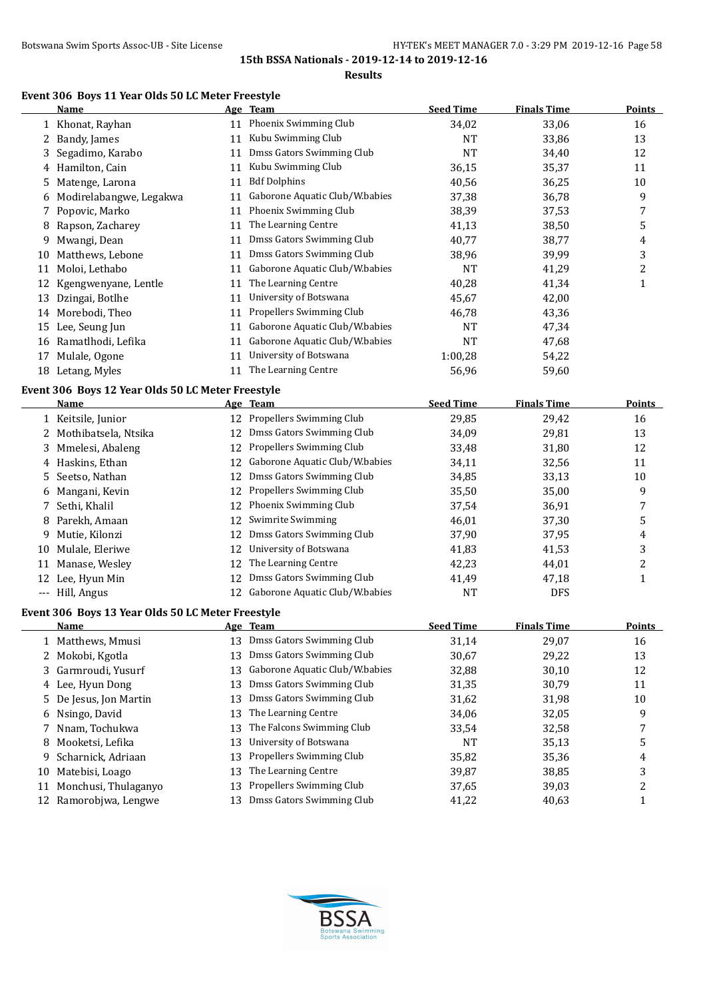#### **Results**

## **Event 306 Boys 11 Year Olds 50 LC Meter Freestyle**

|    | <b>Name</b>                                       |    | Age Team                                | <b>Seed Time</b> | <b>Finals Time</b> | <b>Points</b>           |
|----|---------------------------------------------------|----|-----------------------------------------|------------------|--------------------|-------------------------|
|    | 1 Khonat, Rayhan                                  |    | 11 Phoenix Swimming Club                | 34,02            | 33,06              | 16                      |
| 2  | Bandy, James                                      | 11 | Kubu Swimming Club                      | <b>NT</b>        | 33,86              | 13                      |
| 3  | Segadimo, Karabo                                  | 11 | Dmss Gators Swimming Club               | <b>NT</b>        | 34,40              | 12                      |
| 4  | Hamilton, Cain                                    | 11 | Kubu Swimming Club                      | 36,15            | 35,37              | 11                      |
| 5  | Matenge, Larona                                   | 11 | <b>Bdf Dolphins</b>                     | 40,56            | 36,25              | 10                      |
| 6  | Modirelabangwe, Legakwa                           | 11 | Gaborone Aquatic Club/W.babies          | 37,38            | 36,78              | 9                       |
|    | Popovic, Marko                                    | 11 | Phoenix Swimming Club                   | 38,39            | 37,53              | 7                       |
| 8  | Rapson, Zacharey                                  | 11 | The Learning Centre                     | 41,13            | 38,50              | 5                       |
| 9  | Mwangi, Dean                                      | 11 | Dmss Gators Swimming Club               | 40,77            | 38,77              | 4                       |
| 10 | Matthews, Lebone                                  | 11 | Dmss Gators Swimming Club               | 38,96            | 39,99              | 3                       |
|    | 11 Moloi, Lethabo                                 | 11 | Gaborone Aquatic Club/W.babies          | NT               | 41,29              | 2                       |
| 12 | Kgengwenyane, Lentle                              | 11 | The Learning Centre                     | 40,28            | 41,34              | $\mathbf{1}$            |
| 13 | Dzingai, Botlhe                                   | 11 | University of Botswana                  | 45,67            | 42,00              |                         |
|    | 14 Morebodi, Theo                                 | 11 | Propellers Swimming Club                | 46,78            | 43,36              |                         |
| 15 | Lee, Seung Jun                                    | 11 | Gaborone Aquatic Club/W.babies          | <b>NT</b>        | 47,34              |                         |
|    | 16 Ramatlhodi, Lefika                             | 11 | Gaborone Aquatic Club/W.babies          | <b>NT</b>        | 47,68              |                         |
| 17 | Mulale, Ogone                                     | 11 | University of Botswana                  | 1:00,28          | 54,22              |                         |
|    | 18 Letang, Myles                                  |    | 11 The Learning Centre                  | 56,96            | 59,60              |                         |
|    |                                                   |    |                                         |                  |                    |                         |
|    | Event 306 Boys 12 Year Olds 50 LC Meter Freestyle |    |                                         |                  |                    |                         |
|    | Name                                              |    | Age Team<br>12 Propellers Swimming Club | <b>Seed Time</b> | <b>Finals Time</b> | <b>Points</b>           |
|    | 1 Keitsile, Junior                                |    |                                         | 29,85            | 29,42              | 16                      |
|    | 2 Mothibatsela, Ntsika                            |    | 12 Dmss Gators Swimming Club            | 34,09            | 29,81              | 13                      |
| 3  | Mmelesi, Abaleng                                  |    | 12 Propellers Swimming Club             | 33,48            | 31,80              | 12                      |
|    | 4 Haskins, Ethan                                  |    | 12 Gaborone Aquatic Club/W.babies       | 34,11            | 32,56              | 11                      |
| 5  | Seetso, Nathan                                    |    | 12 Dmss Gators Swimming Club            | 34,85            | 33,13              | 10                      |
| 6  | Mangani, Kevin                                    | 12 | Propellers Swimming Club                | 35,50            | 35,00              | 9                       |
| 7  | Sethi, Khalil                                     |    | 12 Phoenix Swimming Club                | 37,54            | 36,91              | 7                       |
| 8  | Parekh, Amaan                                     | 12 | Swimrite Swimming                       | 46,01            | 37,30              | 5                       |
| 9  | Mutie, Kilonzi                                    | 12 | Dmss Gators Swimming Club               | 37,90            | 37,95              | 4                       |
| 10 | Mulale, Eleriwe                                   | 12 | University of Botswana                  | 41,83            | 41,53              | 3                       |
|    | 11 Manase, Wesley                                 | 12 | The Learning Centre                     | 42,23            | 44,01              | 2                       |
|    | 12 Lee, Hyun Min                                  | 12 | Dmss Gators Swimming Club               | 41,49            | 47,18              | $\mathbf{1}$            |
|    | --- Hill, Angus                                   |    | 12 Gaborone Aquatic Club/W.babies       | <b>NT</b>        | <b>DFS</b>         |                         |
|    | Event 306 Boys 13 Year Olds 50 LC Meter Freestyle |    |                                         |                  |                    |                         |
|    | Name                                              |    | Age Team                                | <b>Seed Time</b> | <b>Finals Time</b> | <b>Points</b>           |
| 1  | Matthews, Mmusi                                   | 13 | Dmss Gators Swimming Club               | 31,14            | 29,07              | 16                      |
| 2  | Mokobi, Kgotla                                    | 13 | Dmss Gators Swimming Club               | 30,67            | 29,22              | 13                      |
| 3  | Garmroudi, Yusurf                                 | 13 | Gaborone Aquatic Club/W.babies          | 32,88            | 30,10              | 12                      |
|    | 4 Lee, Hyun Dong                                  | 13 | Dmss Gators Swimming Club               | 31,35            | 30,79              | 11                      |
| 5  | De Jesus, Jon Martin                              | 13 | Dmss Gators Swimming Club               | 31,62            | 31,98              | 10                      |
| 6  | Nsingo, David                                     | 13 | The Learning Centre                     | 34,06            | 32,05              | 9                       |
| 7  | Nnam, Tochukwa                                    | 13 | The Falcons Swimming Club               | 33,54            | 32,58              | 7                       |
| 8  | Mooketsi, Lefika                                  | 13 | University of Botswana                  | NT               | 35,13              | 5                       |
| 9  | Scharnick, Adriaan                                | 13 | Propellers Swimming Club                | 35,82            | 35,36              | 4                       |
| 10 | Matebisi, Loago                                   | 13 | The Learning Centre                     | 39,87            | 38,85              | 3                       |
| 11 | Monchusi, Thulaganyo                              | 13 | Propellers Swimming Club                | 37,65            | 39,03              | $\overline{\mathbf{c}}$ |
|    | 12 Ramorobjwa, Lengwe                             | 13 | Dmss Gators Swimming Club               | 41,22            | 40,63              | $\mathbf{1}$            |

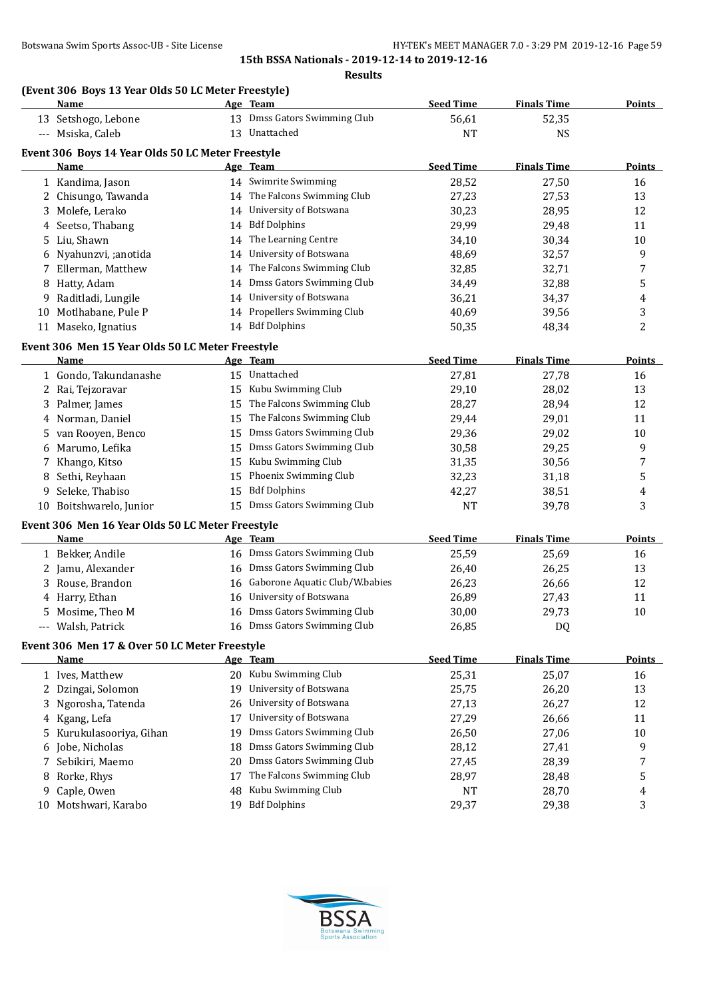|    | <b>Name</b>                                                  |    | Age Team                       | <b>Seed Time</b> | <b>Finals Time</b> | <b>Points</b>  |
|----|--------------------------------------------------------------|----|--------------------------------|------------------|--------------------|----------------|
|    | 13 Setshogo, Lebone                                          |    | 13 Dmss Gators Swimming Club   | 56,61            | 52,35              |                |
|    | --- Msiska, Caleb                                            |    | 13 Unattached                  | <b>NT</b>        | <b>NS</b>          |                |
|    |                                                              |    |                                |                  |                    |                |
|    | Event 306 Boys 14 Year Olds 50 LC Meter Freestyle<br>Name    |    | Age Team                       | <b>Seed Time</b> | <b>Finals Time</b> | <b>Points</b>  |
|    |                                                              |    | 14 Swimrite Swimming           | 28,52            | 27,50              | 16             |
|    | 1 Kandima, Jason                                             |    | 14 The Falcons Swimming Club   |                  |                    |                |
| 2  | Chisungo, Tawanda                                            |    | 14 University of Botswana      | 27,23            | 27,53              | 13             |
| 3  | Molefe, Lerako                                               |    |                                | 30,23            | 28,95              | 12             |
| 4  | Seetso, Thabang                                              | 14 | <b>Bdf Dolphins</b>            | 29,99            | 29,48              | 11             |
| 5  | Liu, Shawn                                                   | 14 | The Learning Centre            | 34,10            | 30,34              | 10             |
| 6  | Nyahunzvi, ;anotida                                          | 14 | University of Botswana         | 48,69            | 32,57              | 9              |
| 7  | Ellerman, Matthew                                            | 14 | The Falcons Swimming Club      | 32,85            | 32,71              | 7              |
| 8  | Hatty, Adam                                                  | 14 | Dmss Gators Swimming Club      | 34,49            | 32,88              | 5              |
|    | 9 Raditladi, Lungile                                         | 14 | University of Botswana         | 36,21            | 34,37              | 4              |
|    | 10 Motlhabane, Pule P                                        |    | 14 Propellers Swimming Club    | 40,69            | 39,56              | 3              |
|    | 11 Maseko, Ignatius                                          |    | 14 Bdf Dolphins                | 50,35            | 48,34              | $\overline{c}$ |
|    | Event 306 Men 15 Year Olds 50 LC Meter Freestyle             |    |                                |                  |                    |                |
|    | Name                                                         |    | Age Team                       | <b>Seed Time</b> | <b>Finals Time</b> | <b>Points</b>  |
|    | 1 Gondo, Takundanashe                                        |    | 15 Unattached                  | 27,81            | 27,78              | 16             |
|    | 2 Rai, Tejzoravar                                            | 15 | Kubu Swimming Club             | 29,10            | 28,02              | 13             |
| 3  | Palmer, James                                                | 15 | The Falcons Swimming Club      | 28,27            | 28,94              | 12             |
| 4  | Norman, Daniel                                               | 15 | The Falcons Swimming Club      | 29,44            | 29,01              | 11             |
| 5. | van Rooyen, Benco                                            | 15 | Dmss Gators Swimming Club      | 29,36            | 29,02              | 10             |
|    | Marumo, Lefika                                               | 15 | Dmss Gators Swimming Club      | 30,58            | 29,25              | 9              |
|    | Khango, Kitso                                                | 15 | Kubu Swimming Club             | 31,35            | 30,56              | 7              |
| 7  |                                                              | 15 | Phoenix Swimming Club          |                  |                    |                |
| 8  | Sethi, Reyhaan                                               |    |                                | 32,23            | 31,18              | 5              |
| 9  | Seleke, Thabiso                                              | 15 | <b>Bdf Dolphins</b>            | 42,27            | 38,51              | 4              |
|    | 10 Boitshwarelo, Junior                                      |    | 15 Dmss Gators Swimming Club   | <b>NT</b>        | 39,78              | 3              |
|    | Event 306 Men 16 Year Olds 50 LC Meter Freestyle             |    |                                |                  |                    |                |
|    | Name                                                         |    | Age Team                       | <b>Seed Time</b> | <b>Finals Time</b> | <b>Points</b>  |
|    | 1 Bekker, Andile                                             |    | 16 Dmss Gators Swimming Club   | 25,59            | 25,69              | 16             |
|    | 2 Jamu, Alexander                                            | 16 | Dmss Gators Swimming Club      | 26,40            | 26,25              | 13             |
| 3  | Rouse, Brandon                                               | 16 | Gaborone Aquatic Club/W.babies | 26,23            | 26,66              | 12             |
|    | 4 Harry, Ethan                                               | 16 | University of Botswana         | 26,89            | 27,43              | 11             |
| 5. | Mosime, Theo M                                               | 16 | Dmss Gators Swimming Club      | 30,00            | 29,73              | 10             |
|    | Walsh, Patrick                                               |    | 16 Dmss Gators Swimming Club   | 26,85            | <b>DQ</b>          |                |
|    |                                                              |    |                                |                  |                    |                |
|    | Event 306 Men 17 & Over 50 LC Meter Freestyle<br><b>Name</b> |    | Age Team                       | <b>Seed Time</b> | <b>Finals Time</b> | <b>Points</b>  |
|    |                                                              |    | 20 Kubu Swimming Club          |                  |                    |                |
|    | 1 Ives, Matthew                                              |    |                                | 25,31            | 25,07              | 16             |
|    | 2 Dzingai, Solomon                                           | 19 | University of Botswana         | 25,75            | 26,20              | 13             |
| 3  | Ngorosha, Tatenda                                            | 26 | University of Botswana         | 27,13            | 26,27              | 12             |
| 4  | Kgang, Lefa                                                  | 17 | University of Botswana         | 27,29            | 26,66              | 11             |
| 5  | Kurukulasooriya, Gihan                                       | 19 | Dmss Gators Swimming Club      | 26,50            | 27,06              | $10\,$         |
| 6  | Jobe, Nicholas                                               | 18 | Dmss Gators Swimming Club      | 28,12            | 27,41              | 9              |
| 7  | Sebikiri, Maemo                                              | 20 | Dmss Gators Swimming Club      | 27,45            | 28,39              | 7              |
| 8  | Rorke, Rhys                                                  | 17 | The Falcons Swimming Club      | 28,97            | 28,48              | 5              |
| 9  | Caple, Owen                                                  | 48 | Kubu Swimming Club             | NT               | 28,70              | 4              |
|    | 10 Motshwari, Karabo                                         | 19 | <b>Bdf Dolphins</b>            | 29,37            | 29,38              | 3              |

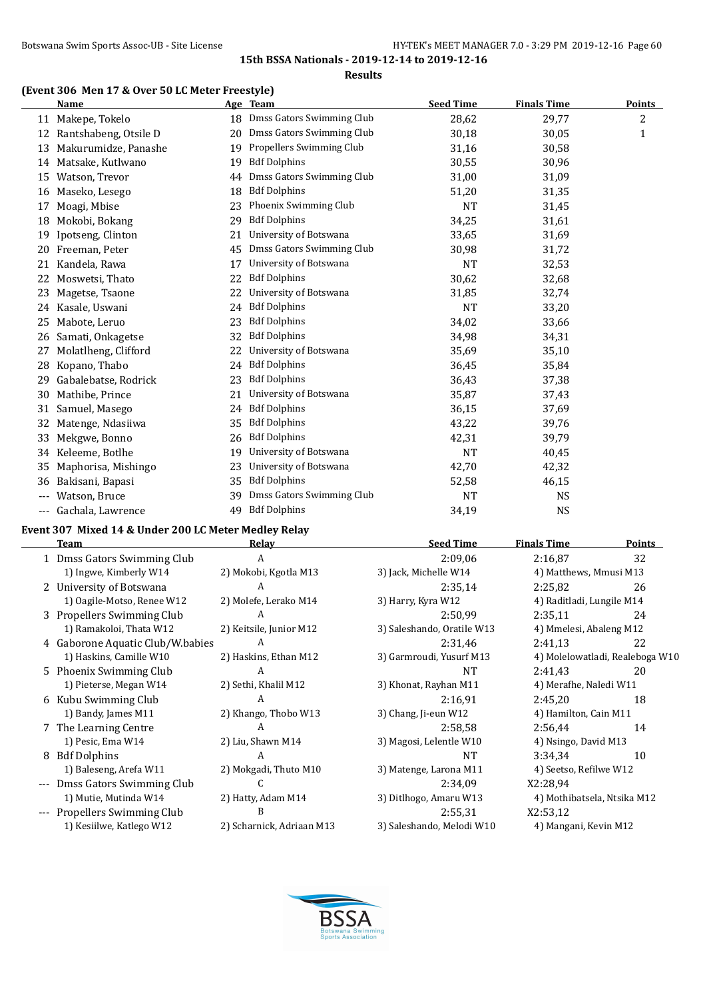#### **Results**

# **(Event 306 Men 17 & Over 50 LC Meter Freestyle)**

|     | <b>Name</b>           |    | Age Team                     | <b>Seed Time</b> | <b>Finals Time</b> | <b>Points</b>  |
|-----|-----------------------|----|------------------------------|------------------|--------------------|----------------|
|     | 11 Makepe, Tokelo     |    | 18 Dmss Gators Swimming Club | 28,62            | 29,77              | $\overline{c}$ |
| 12  | Rantshabeng, Otsile D | 20 | Dmss Gators Swimming Club    | 30,18            | 30,05              | $\mathbf{1}$   |
| 13  | Makurumidze, Panashe  | 19 | Propellers Swimming Club     | 31,16            | 30,58              |                |
| 14  | Matsake, Kutlwano     | 19 | <b>Bdf Dolphins</b>          | 30,55            | 30,96              |                |
| 15  | Watson, Trevor        | 44 | Dmss Gators Swimming Club    | 31,00            | 31,09              |                |
| 16  | Maseko, Lesego        | 18 | <b>Bdf Dolphins</b>          | 51,20            | 31,35              |                |
| 17  | Moagi, Mbise          | 23 | Phoenix Swimming Club        | <b>NT</b>        | 31,45              |                |
| 18  | Mokobi, Bokang        | 29 | <b>Bdf Dolphins</b>          | 34,25            | 31,61              |                |
| 19  | Ipotseng, Clinton     | 21 | University of Botswana       | 33,65            | 31,69              |                |
| 20  | Freeman, Peter        | 45 | Dmss Gators Swimming Club    | 30,98            | 31,72              |                |
| 21  | Kandela, Rawa         | 17 | University of Botswana       | <b>NT</b>        | 32,53              |                |
| 22  | Moswetsi, Thato       | 22 | <b>Bdf Dolphins</b>          | 30,62            | 32,68              |                |
| 23  | Magetse, Tsaone       | 22 | University of Botswana       | 31,85            | 32,74              |                |
| 24  | Kasale, Uswani        | 24 | <b>Bdf Dolphins</b>          | <b>NT</b>        | 33,20              |                |
| 25  | Mabote, Leruo         | 23 | <b>Bdf Dolphins</b>          | 34,02            | 33,66              |                |
| 26  | Samati, Onkagetse     | 32 | <b>Bdf Dolphins</b>          | 34,98            | 34,31              |                |
| 27  | Molatlheng, Clifford  | 22 | University of Botswana       | 35,69            | 35,10              |                |
| 28  | Kopano, Thabo         | 24 | <b>Bdf Dolphins</b>          | 36,45            | 35,84              |                |
| 29  | Gabalebatse, Rodrick  | 23 | <b>Bdf Dolphins</b>          | 36,43            | 37,38              |                |
| 30  | Mathibe, Prince       | 21 | University of Botswana       | 35,87            | 37,43              |                |
| 31  | Samuel, Masego        | 24 | <b>Bdf Dolphins</b>          | 36,15            | 37,69              |                |
| 32  | Matenge, Ndasiiwa     | 35 | <b>Bdf Dolphins</b>          | 43,22            | 39,76              |                |
| 33  | Mekgwe, Bonno         | 26 | <b>Bdf Dolphins</b>          | 42,31            | 39,79              |                |
| 34  | Keleeme, Botlhe       | 19 | University of Botswana       | <b>NT</b>        | 40,45              |                |
| 35  | Maphorisa, Mishingo   | 23 | University of Botswana       | 42,70            | 42,32              |                |
| 36  | Bakisani, Bapasi      | 35 | <b>Bdf Dolphins</b>          | 52,58            | 46,15              |                |
| --- | Watson, Bruce         | 39 | Dmss Gators Swimming Club    | <b>NT</b>        | <b>NS</b>          |                |
| --- | Gachala, Lawrence     | 49 | <b>Bdf Dolphins</b>          | 34.19            | <b>NS</b>          |                |

## **Event 307 Mixed 14 & Under 200 LC Meter Medley Relay**

|   | Team                             | Relay                     | <b>Seed Time</b>           | <b>Finals Time</b>              | <b>Points</b> |
|---|----------------------------------|---------------------------|----------------------------|---------------------------------|---------------|
|   | 1 Dmss Gators Swimming Club      | A                         | 2:09,06                    | 2:16,87                         | 32            |
|   | 1) Ingwe, Kimberly W14           | 2) Mokobi, Kgotla M13     | 3) Jack, Michelle W14      | 4) Matthews, Mmusi M13          |               |
|   | 2 University of Botswana         | A                         | 2:35,14                    | 2:25,82                         | 26            |
|   | 1) Oagile-Motso, Renee W12       | 2) Molefe, Lerako M14     | 3) Harry, Kyra W12         | 4) Raditladi, Lungile M14       |               |
|   | 3 Propellers Swimming Club       | A                         | 2:50,99                    | 2:35,11                         | 24            |
|   | 1) Ramakoloi, Thata W12          | 2) Keitsile, Junior M12   | 3) Saleshando, Oratile W13 | 4) Mmelesi, Abaleng M12         |               |
|   | 4 Gaborone Aquatic Club/W.babies | A                         | 2:31,46                    | 2:41,13                         | 22            |
|   | 1) Haskins, Camille W10          | 2) Haskins, Ethan M12     | 3) Garmroudi, Yusurf M13   | 4) Molelowatladi, Realeboga W10 |               |
|   | 5 Phoenix Swimming Club          | A                         | NT                         | 2:41.43                         | 20            |
|   | 1) Pieterse, Megan W14           | 2) Sethi, Khalil M12      | 3) Khonat, Rayhan M11      | 4) Merafhe, Naledi W11          |               |
|   | 6 Kubu Swimming Club             | A                         | 2:16,91                    | 2:45,20                         | 18            |
|   | 1) Bandy, James M11              | 2) Khango, Thobo W13      | 3) Chang, Ji-eun W12       | 4) Hamilton, Cain M11           |               |
|   | 7 The Learning Centre            | A                         | 2:58,58                    | 2:56,44                         | 14            |
|   | 1) Pesic, Ema W14                | 2) Liu, Shawn M14         | 3) Magosi, Lelentle W10    | 4) Nsingo, David M13            |               |
| 8 | <b>Bdf Dolphins</b>              | A                         | <b>NT</b>                  | 3:34,34                         | 10            |
|   | 1) Baleseng, Arefa W11           | 2) Mokgadi, Thuto M10     | 3) Matenge, Larona M11     | 4) Seetso, Refilwe W12          |               |
|   | Dmss Gators Swimming Club        | C                         | 2:34,09                    | X2:28,94                        |               |
|   | 1) Mutie, Mutinda W14            | 2) Hatty, Adam M14        | 3) Ditlhogo, Amaru W13     | 4) Mothibatsela, Ntsika M12     |               |
|   | --- Propellers Swimming Club     | B                         | 2:55,31                    | X2:53,12                        |               |
|   | 1) Kesiilwe, Katlego W12         | 2) Scharnick, Adriaan M13 | 3) Saleshando, Melodi W10  | 4) Mangani, Kevin M12           |               |
|   |                                  |                           |                            |                                 |               |